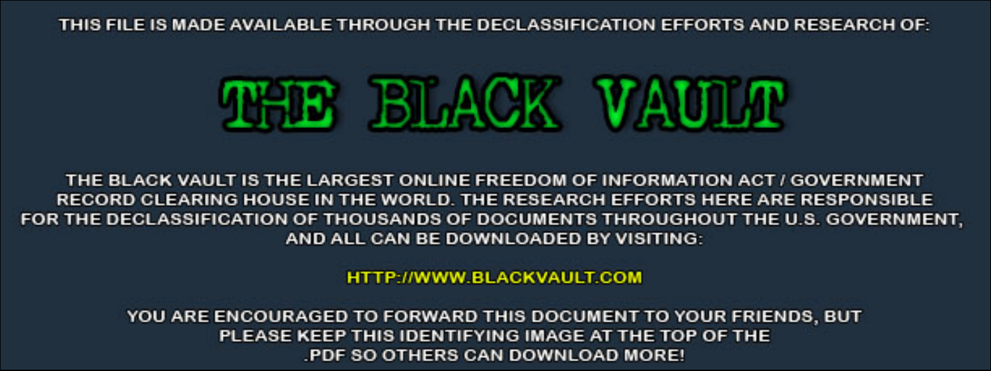THIS FILE IS MADE AVAILABLE THROUGH THE DECLASSIFICATION EFFORTS AND RESEARCH OF:



THE BLACK VAULT IS THE LARGEST ONLINE FREEDOM OF INFORMATION ACT / GOVERNMENT RECORD CLEARING HOUSE IN THE WORLD. THE RESEARCH EFFORTS HERE ARE RESPONSIBLE FOR THE DECLASSIFICATION OF THOUSANDS OF DOCUMENTS THROUGHOUT THE U.S. GOVERNMENT, AND ALL CAN BE DOWNLOADED BY VISITING:

**HTTP://WWW.BLACKVAULT.COM** 

YOU ARE ENCOURAGED TO FORWARD THIS DOCUMENT TO YOUR FRIENDS, BUT PLEASE KEEP THIS IDENTIFYING IMAGE AT THE TOP OF THE PDF SO OTHERS CAN DOWNLOAD MORE!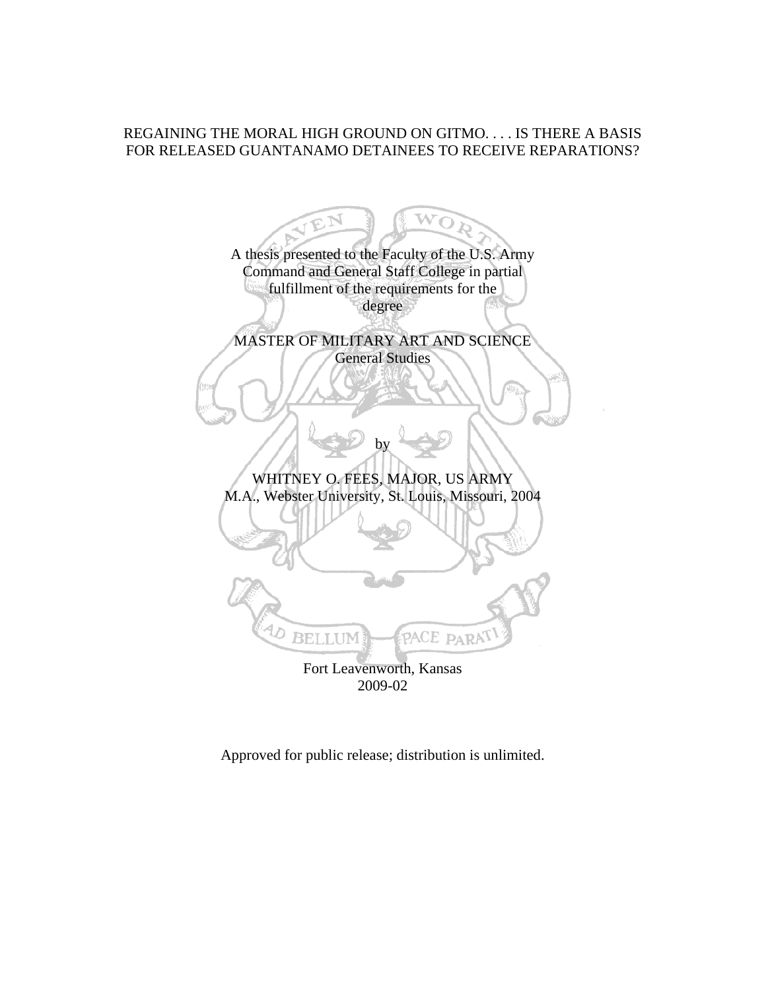# REGAINING THE MORAL HIGH GROUND ON GITMO. . . . IS THERE A BASIS FOR RELEASED GUANTANAMO DETAINEES TO RECEIVE REPARATIONS?

wō A thesis presented to the Faculty of the U.S. Army Command and General Staff College in partial fulfillment of the requirements for the degree MASTER OF MILITARY ART AND SCIENCE General Studies by WHITNEY O. FEES, MAJOR, US ARMY M.A., Webster University, St. Louis, Missouri, 2004 PACE PARA **BELLUM** Fort Leavenworth, Kansas 2009-02

Approved for public release; distribution is unlimited.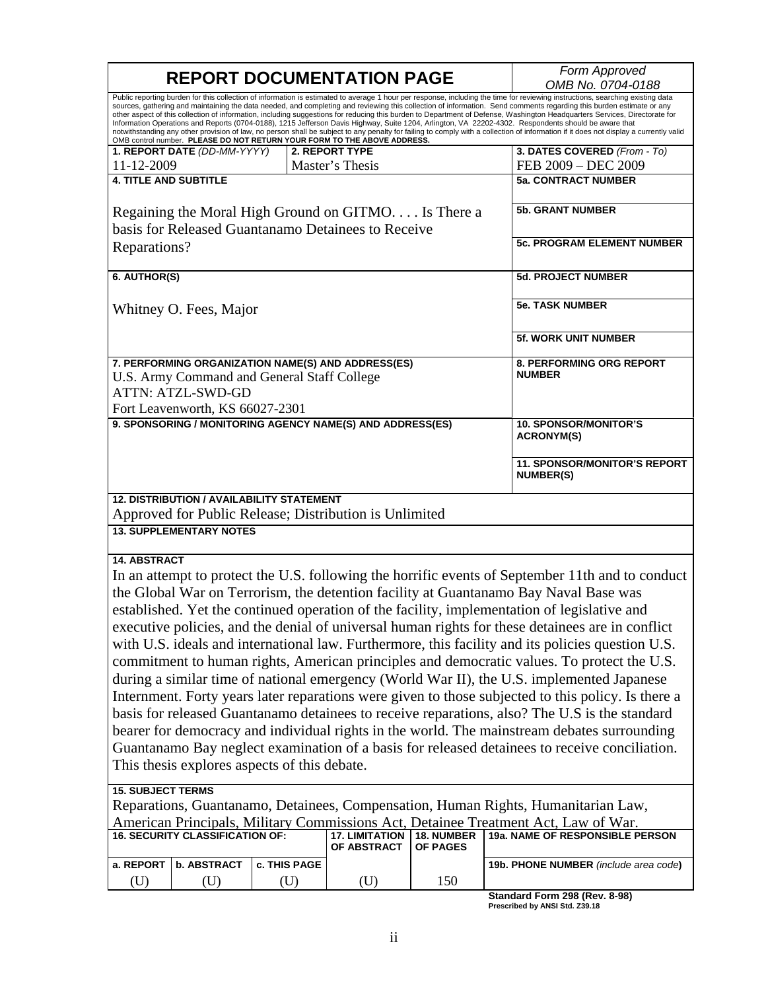| <b>REPORT DOCUMENTATION PAGE</b>                                                                                                                                 |              |                       | Form Approved<br>OMB No. 0704-0188 |                                                                                                                                                                                                                                                                                                                                                                                                                                                                                                                                                                                                                                                                                                                                                                                                                                                                                                                                                                                                                                                                                                                                                                                                                                                                                                                  |
|------------------------------------------------------------------------------------------------------------------------------------------------------------------|--------------|-----------------------|------------------------------------|------------------------------------------------------------------------------------------------------------------------------------------------------------------------------------------------------------------------------------------------------------------------------------------------------------------------------------------------------------------------------------------------------------------------------------------------------------------------------------------------------------------------------------------------------------------------------------------------------------------------------------------------------------------------------------------------------------------------------------------------------------------------------------------------------------------------------------------------------------------------------------------------------------------------------------------------------------------------------------------------------------------------------------------------------------------------------------------------------------------------------------------------------------------------------------------------------------------------------------------------------------------------------------------------------------------|
| OMB control number. PLEASE DO NOT RETURN YOUR FORM TO THE ABOVE ADDRESS.                                                                                         |              |                       |                                    | Public reporting burden for this collection of information is estimated to average 1 hour per response, including the time for reviewing instructions, searching existing data<br>sources, gathering and maintaining the data needed, and completing and reviewing this collection of information. Send comments regarding this burden estimate or any<br>other aspect of this collection of information, including suggestions for reducing this burden to Department of Defense, Washington Headquarters Services, Directorate for<br>Information Operations and Reports (0704-0188), 1215 Jefferson Davis Highway, Suite 1204, Arlington, VA 22202-4302. Respondents should be aware that<br>notwithstanding any other provision of law, no person shall be subject to any penalty for failing to comply with a collection of information if it does not display a currently valid                                                                                                                                                                                                                                                                                                                                                                                                                            |
| 1. REPORT DATE (DD-MM-YYYY)                                                                                                                                      |              | 2. REPORT TYPE        |                                    | 3. DATES COVERED (From - To)                                                                                                                                                                                                                                                                                                                                                                                                                                                                                                                                                                                                                                                                                                                                                                                                                                                                                                                                                                                                                                                                                                                                                                                                                                                                                     |
| 11-12-2009                                                                                                                                                       |              | Master's Thesis       |                                    | FEB 2009 - DEC 2009                                                                                                                                                                                                                                                                                                                                                                                                                                                                                                                                                                                                                                                                                                                                                                                                                                                                                                                                                                                                                                                                                                                                                                                                                                                                                              |
| <b>4. TITLE AND SUBTITLE</b>                                                                                                                                     |              |                       |                                    | <b>5a. CONTRACT NUMBER</b>                                                                                                                                                                                                                                                                                                                                                                                                                                                                                                                                                                                                                                                                                                                                                                                                                                                                                                                                                                                                                                                                                                                                                                                                                                                                                       |
| Regaining the Moral High Ground on GITMO. Is There a<br>basis for Released Guantanamo Detainees to Receive                                                       |              |                       |                                    | <b>5b. GRANT NUMBER</b>                                                                                                                                                                                                                                                                                                                                                                                                                                                                                                                                                                                                                                                                                                                                                                                                                                                                                                                                                                                                                                                                                                                                                                                                                                                                                          |
| Reparations?                                                                                                                                                     |              |                       |                                    | <b>5c. PROGRAM ELEMENT NUMBER</b>                                                                                                                                                                                                                                                                                                                                                                                                                                                                                                                                                                                                                                                                                                                                                                                                                                                                                                                                                                                                                                                                                                                                                                                                                                                                                |
| 6. AUTHOR(S)                                                                                                                                                     |              |                       |                                    | 5d. PROJECT NUMBER                                                                                                                                                                                                                                                                                                                                                                                                                                                                                                                                                                                                                                                                                                                                                                                                                                                                                                                                                                                                                                                                                                                                                                                                                                                                                               |
| Whitney O. Fees, Major                                                                                                                                           |              |                       |                                    | <b>5e. TASK NUMBER</b>                                                                                                                                                                                                                                                                                                                                                                                                                                                                                                                                                                                                                                                                                                                                                                                                                                                                                                                                                                                                                                                                                                                                                                                                                                                                                           |
|                                                                                                                                                                  |              |                       |                                    | <b>5f. WORK UNIT NUMBER</b>                                                                                                                                                                                                                                                                                                                                                                                                                                                                                                                                                                                                                                                                                                                                                                                                                                                                                                                                                                                                                                                                                                                                                                                                                                                                                      |
| 7. PERFORMING ORGANIZATION NAME(S) AND ADDRESS(ES)<br>U.S. Army Command and General Staff College<br><b>ATTN: ATZL-SWD-GD</b><br>Fort Leavenworth, KS 66027-2301 |              |                       |                                    | 8. PERFORMING ORG REPORT<br><b>NUMBER</b>                                                                                                                                                                                                                                                                                                                                                                                                                                                                                                                                                                                                                                                                                                                                                                                                                                                                                                                                                                                                                                                                                                                                                                                                                                                                        |
| 9. SPONSORING / MONITORING AGENCY NAME(S) AND ADDRESS(ES)                                                                                                        |              |                       |                                    | <b>10. SPONSOR/MONITOR'S</b>                                                                                                                                                                                                                                                                                                                                                                                                                                                                                                                                                                                                                                                                                                                                                                                                                                                                                                                                                                                                                                                                                                                                                                                                                                                                                     |
|                                                                                                                                                                  |              |                       |                                    | <b>ACRONYM(S)</b>                                                                                                                                                                                                                                                                                                                                                                                                                                                                                                                                                                                                                                                                                                                                                                                                                                                                                                                                                                                                                                                                                                                                                                                                                                                                                                |
|                                                                                                                                                                  |              |                       |                                    | 11. SPONSOR/MONITOR'S REPORT<br><b>NUMBER(S)</b>                                                                                                                                                                                                                                                                                                                                                                                                                                                                                                                                                                                                                                                                                                                                                                                                                                                                                                                                                                                                                                                                                                                                                                                                                                                                 |
| <b>12. DISTRIBUTION / AVAILABILITY STATEMENT</b>                                                                                                                 |              |                       |                                    |                                                                                                                                                                                                                                                                                                                                                                                                                                                                                                                                                                                                                                                                                                                                                                                                                                                                                                                                                                                                                                                                                                                                                                                                                                                                                                                  |
| Approved for Public Release; Distribution is Unlimited<br><b>13. SUPPLEMENTARY NOTES</b>                                                                         |              |                       |                                    |                                                                                                                                                                                                                                                                                                                                                                                                                                                                                                                                                                                                                                                                                                                                                                                                                                                                                                                                                                                                                                                                                                                                                                                                                                                                                                                  |
|                                                                                                                                                                  |              |                       |                                    |                                                                                                                                                                                                                                                                                                                                                                                                                                                                                                                                                                                                                                                                                                                                                                                                                                                                                                                                                                                                                                                                                                                                                                                                                                                                                                                  |
| <b>14. ABSTRACT</b><br>This thesis explores aspects of this debate.<br><b>15. SUBJECT TERMS</b><br><b>16. SECURITY CLASSIFICATION OF:</b>                        |              | <b>17. LIMITATION</b> | 18. NUMBER                         | In an attempt to protect the U.S. following the horrific events of September 11th and to conduct<br>the Global War on Terrorism, the detention facility at Guantanamo Bay Naval Base was<br>established. Yet the continued operation of the facility, implementation of legislative and<br>executive policies, and the denial of universal human rights for these detainees are in conflict<br>with U.S. ideals and international law. Furthermore, this facility and its policies question U.S.<br>commitment to human rights, American principles and democratic values. To protect the U.S.<br>during a similar time of national emergency (World War II), the U.S. implemented Japanese<br>Internment. Forty years later reparations were given to those subjected to this policy. Is there a<br>basis for released Guantanamo detainees to receive reparations, also? The U.S is the standard<br>bearer for democracy and individual rights in the world. The mainstream debates surrounding<br>Guantanamo Bay neglect examination of a basis for released detainees to receive conciliation.<br>Reparations, Guantanamo, Detainees, Compensation, Human Rights, Humanitarian Law,<br>American Principals, Military Commissions Act, Detainee Treatment Act, Law of War.<br>19a. NAME OF RESPONSIBLE PERSON |
|                                                                                                                                                                  |              | OF ABSTRACT           | OF PAGES                           |                                                                                                                                                                                                                                                                                                                                                                                                                                                                                                                                                                                                                                                                                                                                                                                                                                                                                                                                                                                                                                                                                                                                                                                                                                                                                                                  |
| <b>b. ABSTRACT</b><br>a. REPORT                                                                                                                                  | c. THIS PAGE |                       | 150                                | 19b. PHONE NUMBER (include area code)                                                                                                                                                                                                                                                                                                                                                                                                                                                                                                                                                                                                                                                                                                                                                                                                                                                                                                                                                                                                                                                                                                                                                                                                                                                                            |
| (U)<br>(U)                                                                                                                                                       | (U)          | (U)                   |                                    | Standard Form 298 (Rev. 8-98)                                                                                                                                                                                                                                                                                                                                                                                                                                                                                                                                                                                                                                                                                                                                                                                                                                                                                                                                                                                                                                                                                                                                                                                                                                                                                    |

**Standard Form 298 (Rev. 8-98) Prescribed by ANSI Std. Z39.18**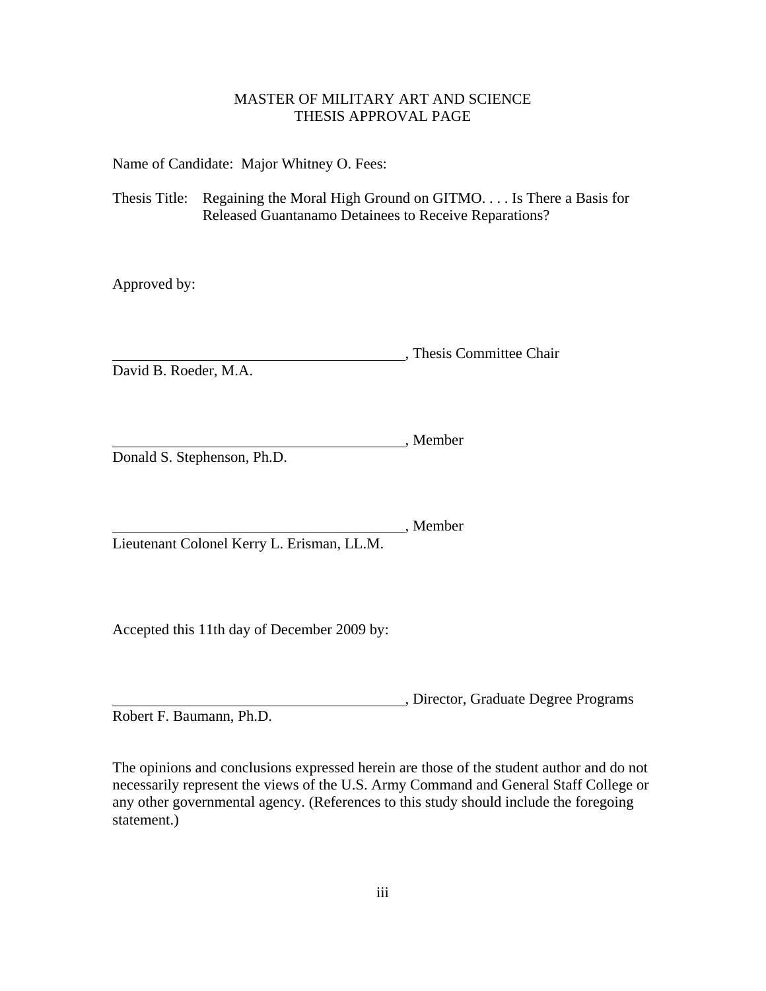# MASTER OF MILITARY ART AND SCIENCE THESIS APPROVAL PAGE

<span id="page-3-0"></span>Name of Candidate: Major Whitney O. Fees:

Thesis Title: Regaining the Moral High Ground on GITMO. . . . Is There a Basis for Released Guantanamo Detainees to Receive Reparations?

Approved by:

**COMMITTE:** Thesis Committee Chair

David B. Roeder, M.A.

, Member Donald S. Stephenson, Ph.D.

, Member Lieutenant Colonel Kerry L. Erisman, LL.M.

Accepted this 11th day of December 2009 by:

, Director, Graduate Degree Programs Robert F. Baumann, Ph.D.

The opinions and conclusions expressed herein are those of the student author and do not necessarily represent the views of the U.S. Army Command and General Staff College or any other governmental agency. (References to this study should include the foregoing statement.)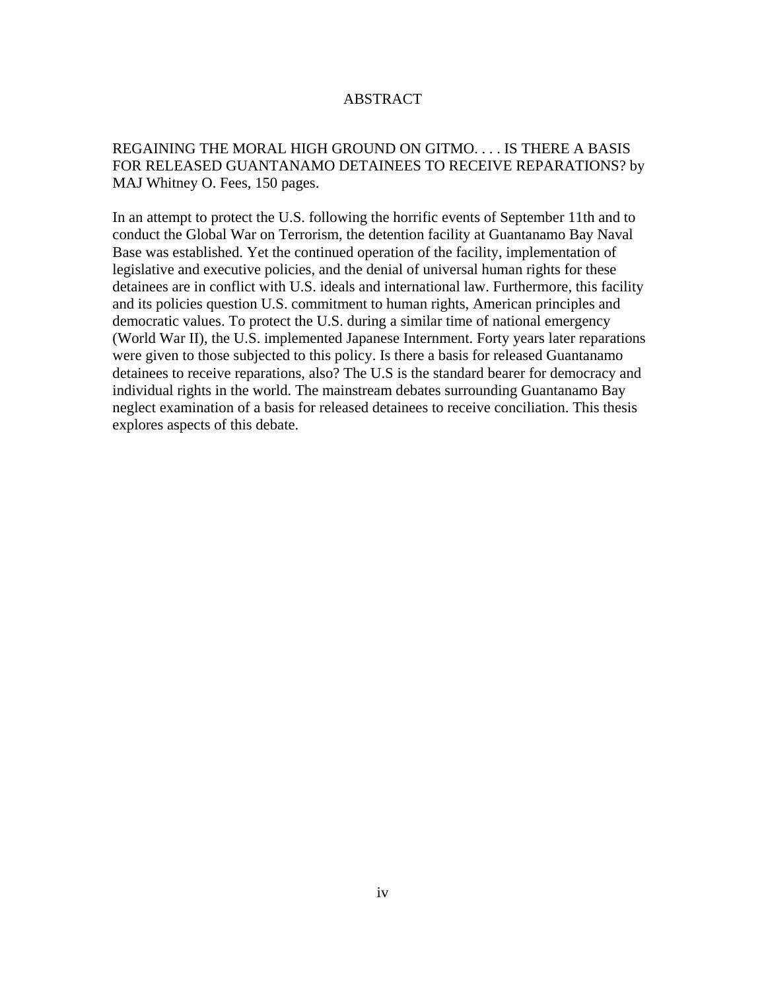# ABSTRACT

# <span id="page-4-0"></span>REGAINING THE MORAL HIGH GROUND ON GITMO. . . . IS THERE A BASIS FOR RELEASED GUANTANAMO DETAINEES TO RECEIVE REPARATIONS? by MAJ Whitney O. Fees, 150 pages.

In an attempt to protect the U.S. following the horrific events of September 11th and to conduct the Global War on Terrorism, the detention facility at Guantanamo Bay Naval Base was established. Yet the continued operation of the facility, implementation of legislative and executive policies, and the denial of universal human rights for these detainees are in conflict with U.S. ideals and international law. Furthermore, this facility and its policies question U.S. commitment to human rights, American principles and democratic values. To protect the U.S. during a similar time of national emergency (World War II), the U.S. implemented Japanese Internment. Forty years later reparations were given to those subjected to this policy. Is there a basis for released Guantanamo detainees to receive reparations, also? The U.S is the standard bearer for democracy and individual rights in the world. The mainstream debates surrounding Guantanamo Bay neglect examination of a basis for released detainees to receive conciliation. This thesis explores aspects of this debate.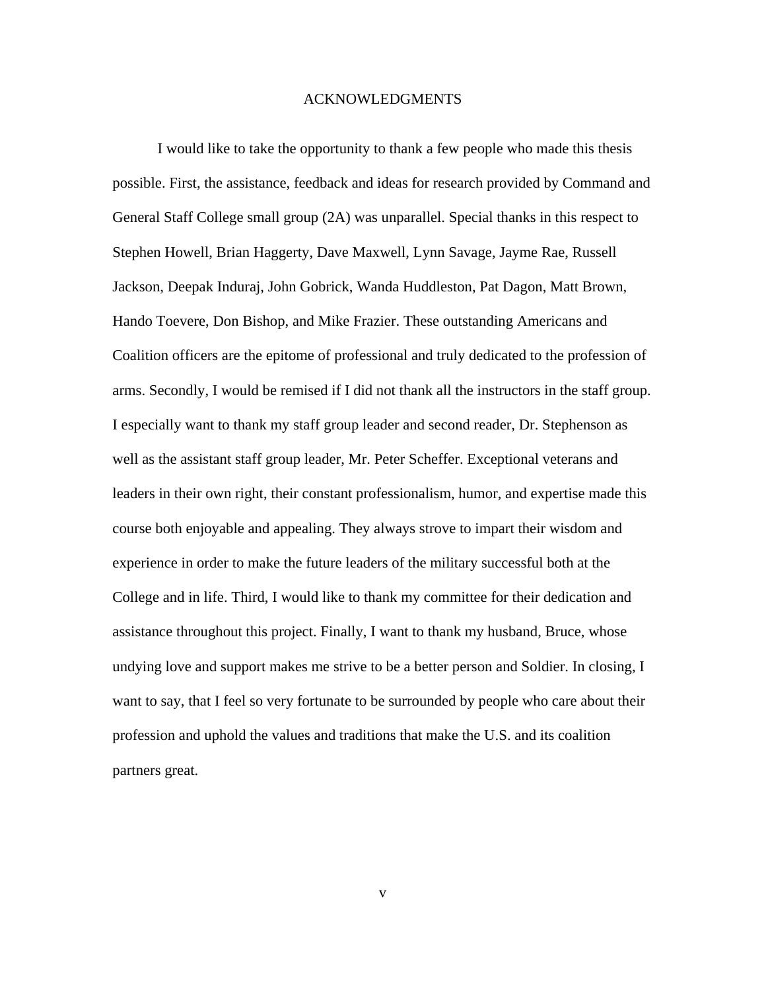#### ACKNOWLEDGMENTS

<span id="page-5-0"></span>I would like to take the opportunity to thank a few people who made this thesis possible. First, the assistance, feedback and ideas for research provided by Command and General Staff College small group (2A) was unparallel. Special thanks in this respect to Stephen Howell, Brian Haggerty, Dave Maxwell, Lynn Savage, Jayme Rae, Russell Jackson, Deepak Induraj, John Gobrick, Wanda Huddleston, Pat Dagon, Matt Brown, Hando Toevere, Don Bishop, and Mike Frazier. These outstanding Americans and Coalition officers are the epitome of professional and truly dedicated to the profession of arms. Secondly, I would be remised if I did not thank all the instructors in the staff group. I especially want to thank my staff group leader and second reader, Dr. Stephenson as well as the assistant staff group leader, Mr. Peter Scheffer. Exceptional veterans and leaders in their own right, their constant professionalism, humor, and expertise made this course both enjoyable and appealing. They always strove to impart their wisdom and experience in order to make the future leaders of the military successful both at the College and in life. Third, I would like to thank my committee for their dedication and assistance throughout this project. Finally, I want to thank my husband, Bruce, whose undying love and support makes me strive to be a better person and Soldier. In closing, I want to say, that I feel so very fortunate to be surrounded by people who care about their profession and uphold the values and traditions that make the U.S. and its coalition partners great.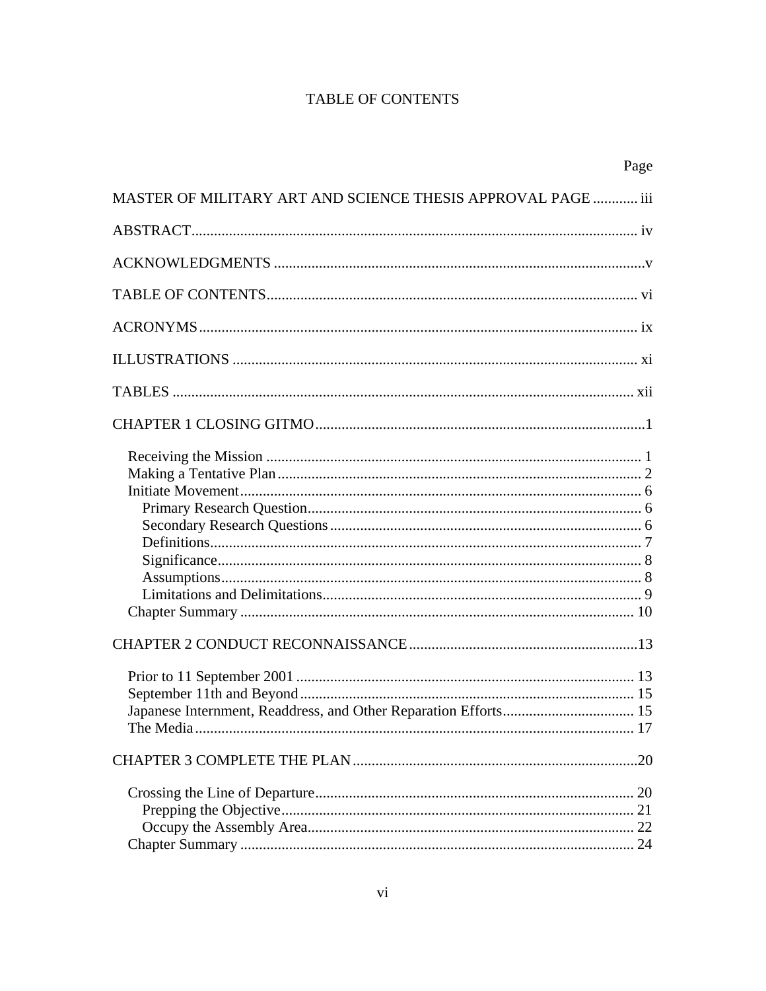# TABLE OF CONTENTS

<span id="page-6-0"></span>

|                                                                 | Page |
|-----------------------------------------------------------------|------|
| MASTER OF MILITARY ART AND SCIENCE THESIS APPROVAL PAGE  iii    |      |
|                                                                 |      |
|                                                                 |      |
|                                                                 |      |
|                                                                 |      |
|                                                                 |      |
|                                                                 |      |
|                                                                 |      |
|                                                                 |      |
|                                                                 |      |
| Japanese Internment, Readdress, and Other Reparation Efforts 15 |      |
|                                                                 |      |
|                                                                 |      |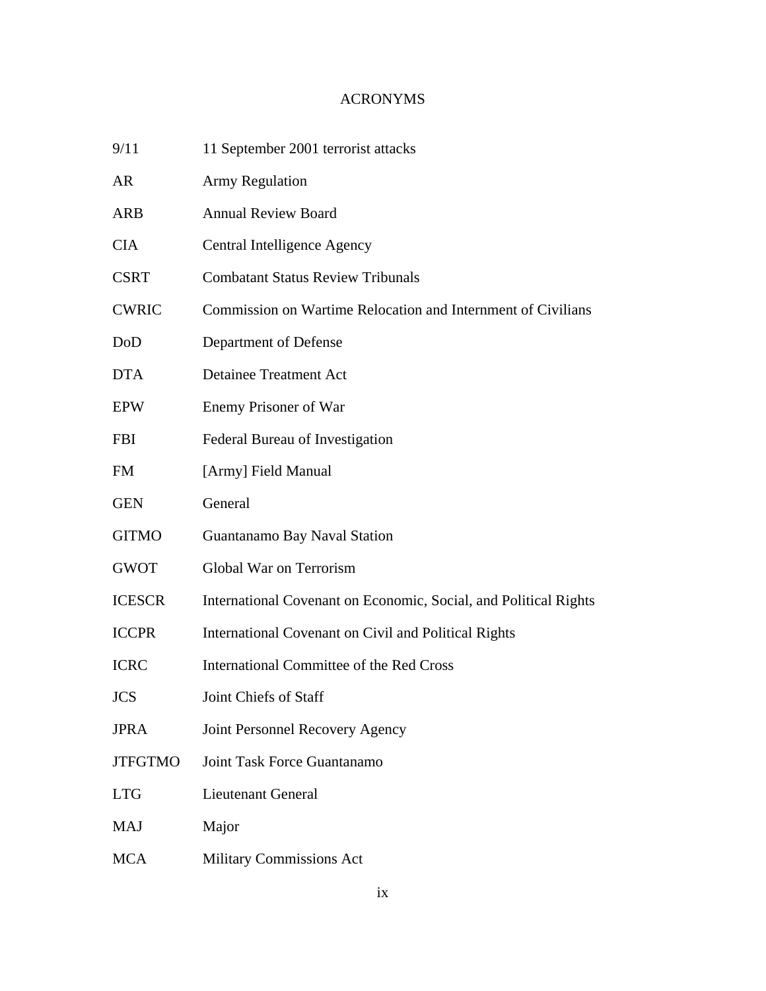# ACRONYMS

<span id="page-9-0"></span>

| 9/11           | 11 September 2001 terrorist attacks                              |
|----------------|------------------------------------------------------------------|
| <b>AR</b>      | <b>Army Regulation</b>                                           |
| <b>ARB</b>     | <b>Annual Review Board</b>                                       |
| <b>CIA</b>     | Central Intelligence Agency                                      |
| <b>CSRT</b>    | <b>Combatant Status Review Tribunals</b>                         |
| <b>CWRIC</b>   | Commission on Wartime Relocation and Internment of Civilians     |
| DoD            | Department of Defense                                            |
| <b>DTA</b>     | <b>Detainee Treatment Act</b>                                    |
| <b>EPW</b>     | Enemy Prisoner of War                                            |
| <b>FBI</b>     | Federal Bureau of Investigation                                  |
| FM             | [Army] Field Manual                                              |
| <b>GEN</b>     | General                                                          |
| <b>GITMO</b>   | Guantanamo Bay Naval Station                                     |
| <b>GWOT</b>    | Global War on Terrorism                                          |
| <b>ICESCR</b>  | International Covenant on Economic, Social, and Political Rights |
| <b>ICCPR</b>   | International Covenant on Civil and Political Rights             |
| <b>ICRC</b>    | International Committee of the Red Cross                         |
| <b>JCS</b>     | Joint Chiefs of Staff                                            |
| <b>JPRA</b>    | Joint Personnel Recovery Agency                                  |
| <b>JTFGTMO</b> | Joint Task Force Guantanamo                                      |
| <b>LTG</b>     | <b>Lieutenant General</b>                                        |
| <b>MAJ</b>     | Major                                                            |
| <b>MCA</b>     | Military Commissions Act                                         |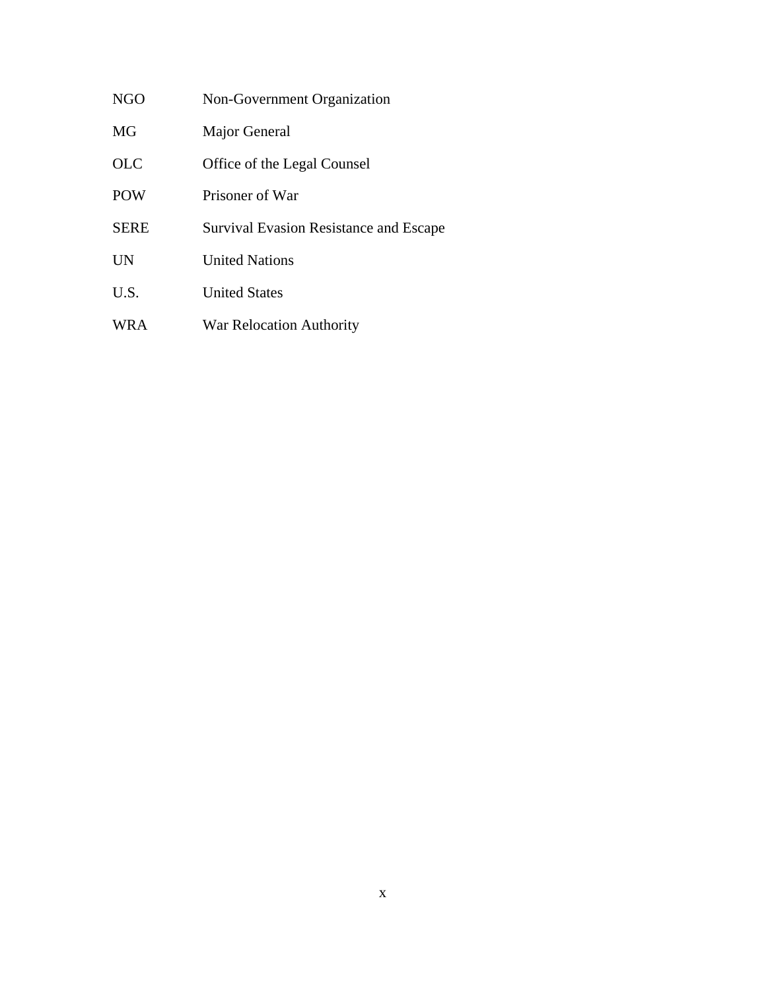| NGO         | Non-Government Organization                   |
|-------------|-----------------------------------------------|
| MG          | Major General                                 |
| <b>OLC</b>  | Office of the Legal Counsel                   |
| <b>POW</b>  | Prisoner of War                               |
| <b>SERE</b> | <b>Survival Evasion Resistance and Escape</b> |
| UN          | <b>United Nations</b>                         |
| U.S.        | <b>United States</b>                          |
| WR A        | War Relocation Authority                      |
|             |                                               |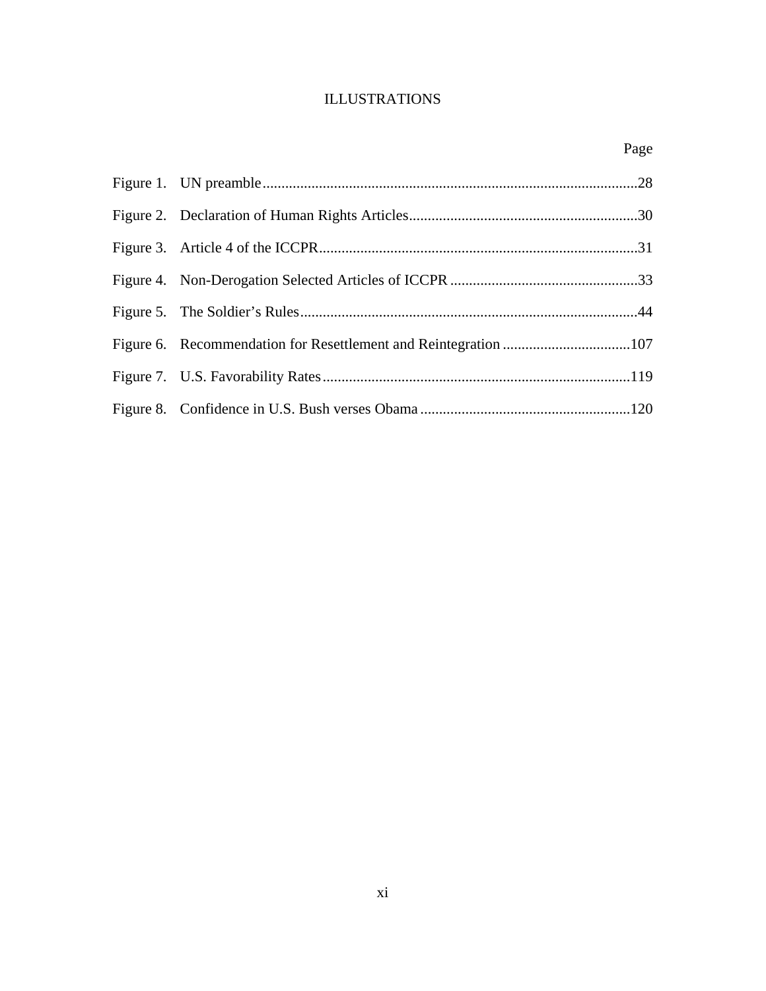# ILLUSTRATIONS

<span id="page-11-0"></span>

|  | Page |
|--|------|
|  |      |
|  |      |
|  |      |
|  |      |
|  |      |
|  |      |
|  |      |
|  |      |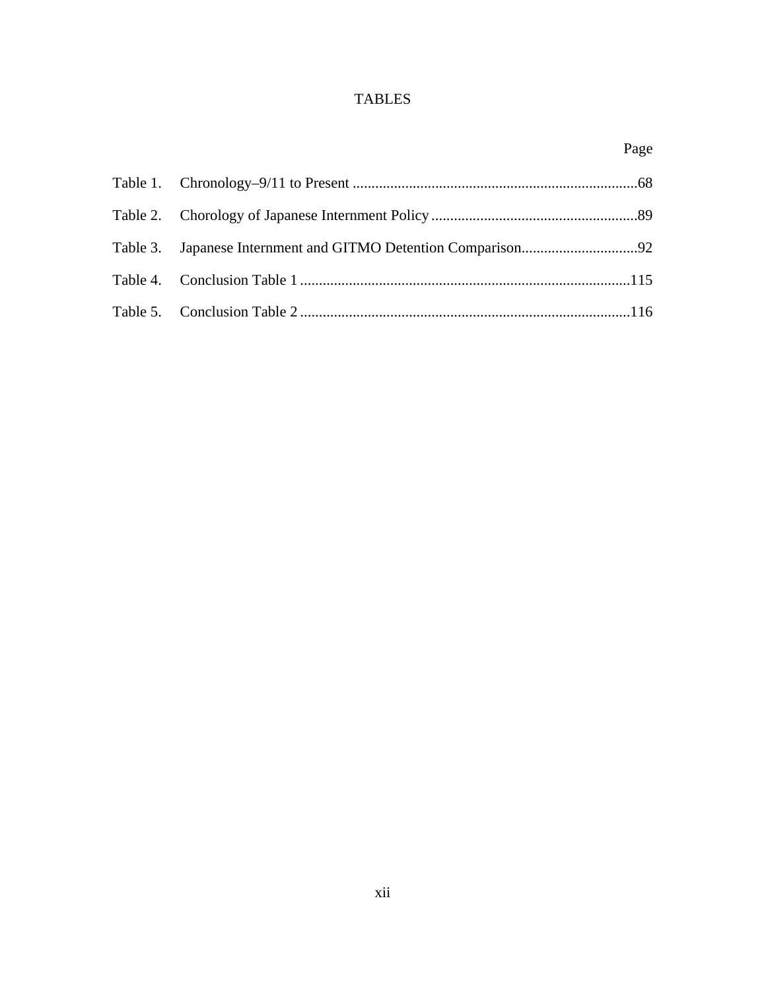# TABLES

<span id="page-12-0"></span>

|  | Page |
|--|------|
|  |      |
|  |      |
|  |      |
|  |      |
|  |      |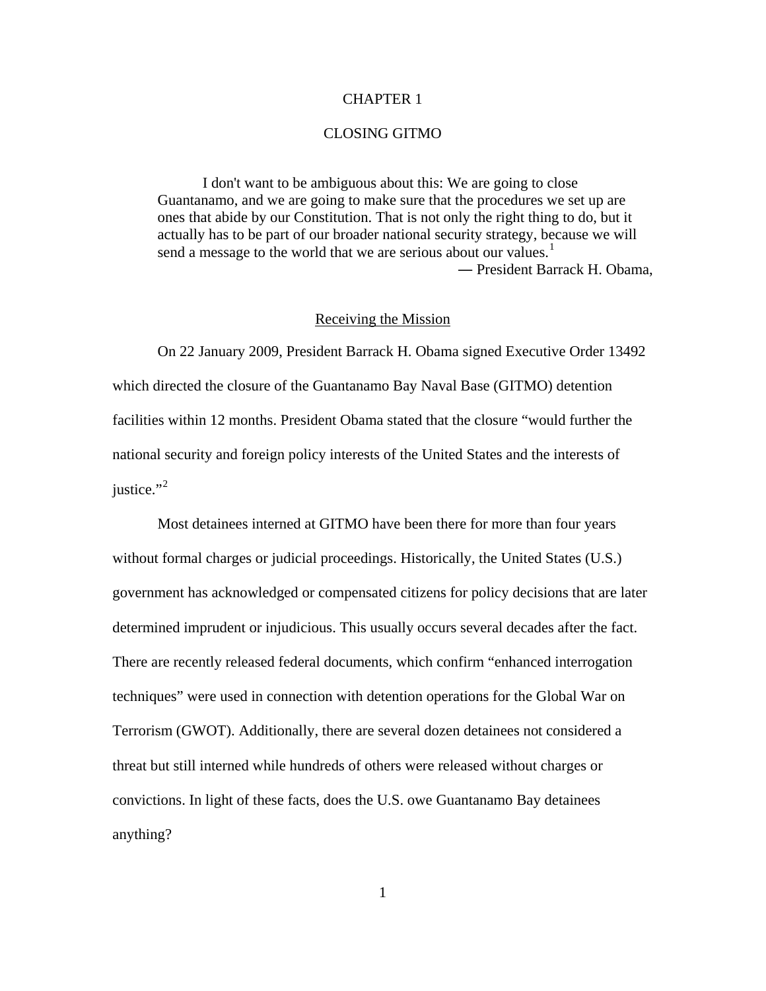### CHAPTER 1

## CLOSING GITMO

<span id="page-13-0"></span>I don't want to be ambiguous about this: We are going to close Guantanamo, and we are going to make sure that the procedures we set up are ones that abide by our Constitution. That is not only the right thing to do, but it actually has to be part of our broader national security strategy, because we will send a message to the world that we are serious about our values.<sup>[1](#page-150-1)</sup> ― President Barrack H. Obama,

#### Receiving the Mission

On 22 January 2009, President Barrack H. Obama signed Executive Order 13492 which directed the closure of the Guantanamo Bay Naval Base (GITMO) detention facilities within 12 months. President Obama stated that the closure "would further the national security and foreign policy interests of the United States and the interests of justice." $2$ 

Most detainees interned at GITMO have been there for more than four years without formal charges or judicial proceedings. Historically, the United States (U.S.) government has acknowledged or compensated citizens for policy decisions that are later determined imprudent or injudicious. This usually occurs several decades after the fact. There are recently released federal documents, which confirm "enhanced interrogation techniques" were used in connection with detention operations for the Global War on Terrorism (GWOT). Additionally, there are several dozen detainees not considered a threat but still interned while hundreds of others were released without charges or convictions. In light of these facts, does the U.S. owe Guantanamo Bay detainees anything?

1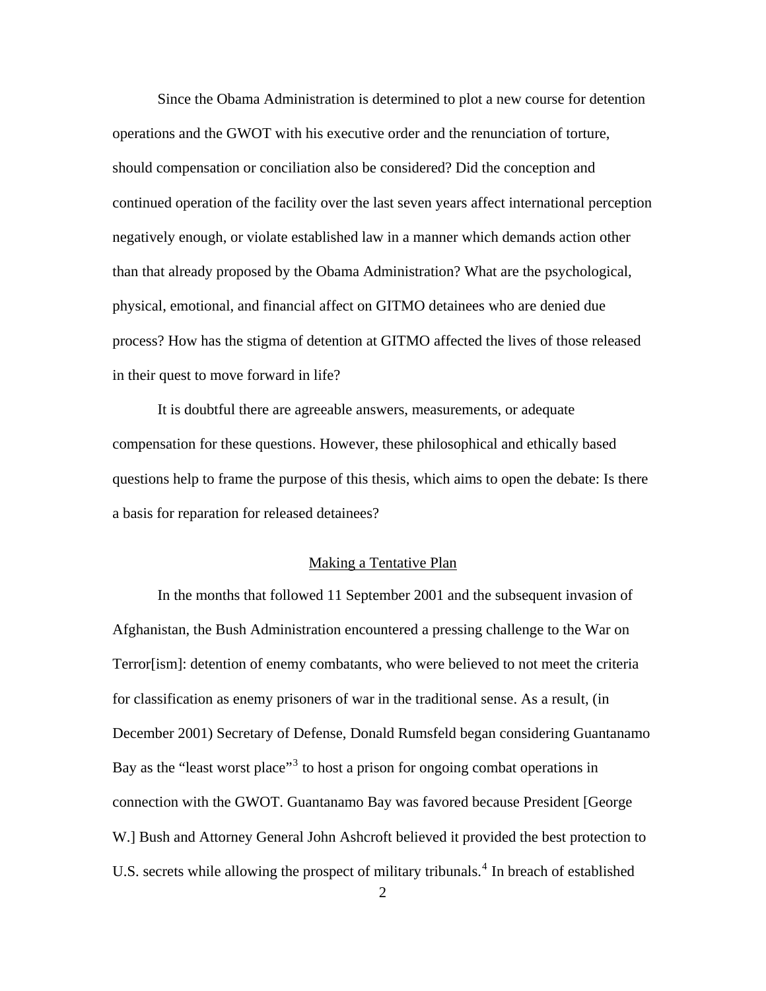<span id="page-14-0"></span>Since the Obama Administration is determined to plot a new course for detention operations and the GWOT with his executive order and the renunciation of torture, should compensation or conciliation also be considered? Did the conception and continued operation of the facility over the last seven years affect international perception negatively enough, or violate established law in a manner which demands action other than that already proposed by the Obama Administration? What are the psychological, physical, emotional, and financial affect on GITMO detainees who are denied due process? How has the stigma of detention at GITMO affected the lives of those released in their quest to move forward in life?

It is doubtful there are agreeable answers, measurements, or adequate compensation for these questions. However, these philosophical and ethically based questions help to frame the purpose of this thesis, which aims to open the debate: Is there a basis for reparation for released detainees?

# Making a Tentative Plan

In the months that followed 11 September 2001 and the subsequent invasion of Afghanistan, the Bush Administration encountered a pressing challenge to the War on Terror[ism]: detention of enemy combatants, who were believed to not meet the criteria for classification as enemy prisoners of war in the traditional sense. As a result, (in December 2001) Secretary of Defense, Donald Rumsfeld began considering Guantanamo Bay as the "least worst place"<sup>[3](#page-150-2)</sup> to host a prison for ongoing combat operations in connection with the GWOT. Guantanamo Bay was favored because President [George W.] Bush and Attorney General John Ashcroft believed it provided the best protection to U.S. secrets while allowing the prospect of military tribunals.<sup>[4](#page-150-2)</sup> In breach of established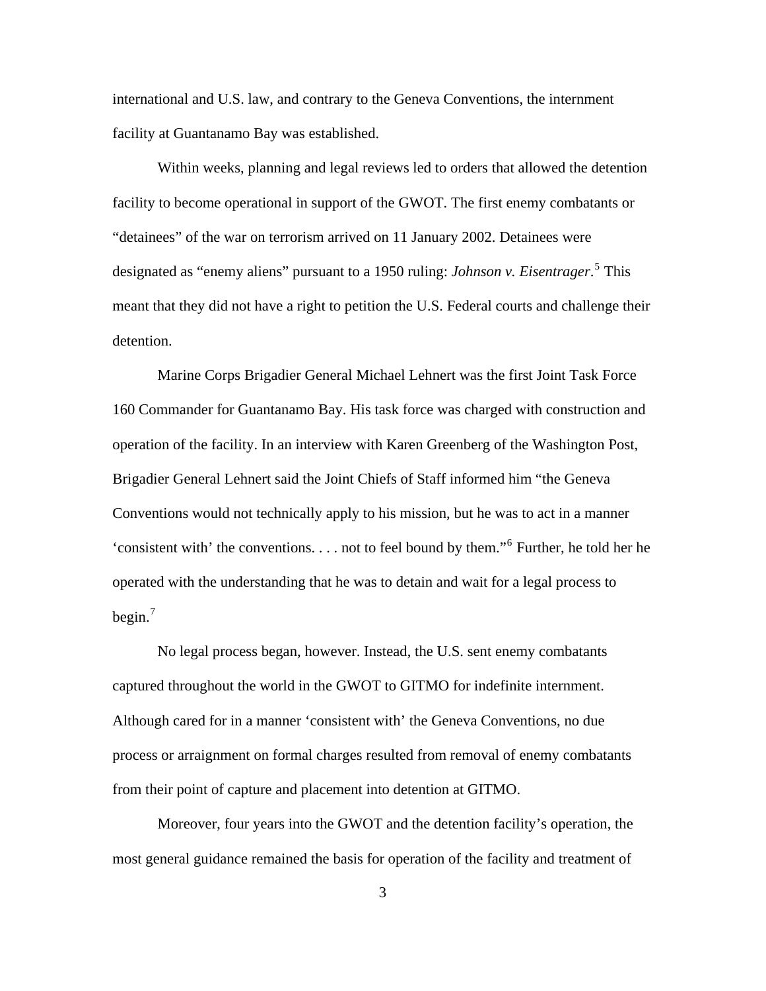international and U.S. law, and contrary to the Geneva Conventions, the internment facility at Guantanamo Bay was established.

Within weeks, planning and legal reviews led to orders that allowed the detention facility to become operational in support of the GWOT. The first enemy combatants or "detainees" of the war on terrorism arrived on 11 January 2002. Detainees were designated as "enemy aliens" pursuant to a 1950 ruling: *Johnson v. Eisentrager*. [5](#page-150-2) This meant that they did not have a right to petition the U.S. Federal courts and challenge their detention.

Marine Corps Brigadier General Michael Lehnert was the first Joint Task Force 160 Commander for Guantanamo Bay. His task force was charged with construction and operation of the facility. In an interview with Karen Greenberg of the Washington Post, Brigadier General Lehnert said the Joint Chiefs of Staff informed him "the Geneva Conventions would not technically apply to his mission, but he was to act in a manner 'consistent with' the conventions. . . . not to feel bound by them."[6](#page-150-2) Further, he told her he operated with the understanding that he was to detain and wait for a legal process to begin.<sup>[7](#page-150-2)</sup>

No legal process began, however. Instead, the U.S. sent enemy combatants captured throughout the world in the GWOT to GITMO for indefinite internment. Although cared for in a manner 'consistent with' the Geneva Conventions, no due process or arraignment on formal charges resulted from removal of enemy combatants from their point of capture and placement into detention at GITMO.

Moreover, four years into the GWOT and the detention facility's operation, the most general guidance remained the basis for operation of the facility and treatment of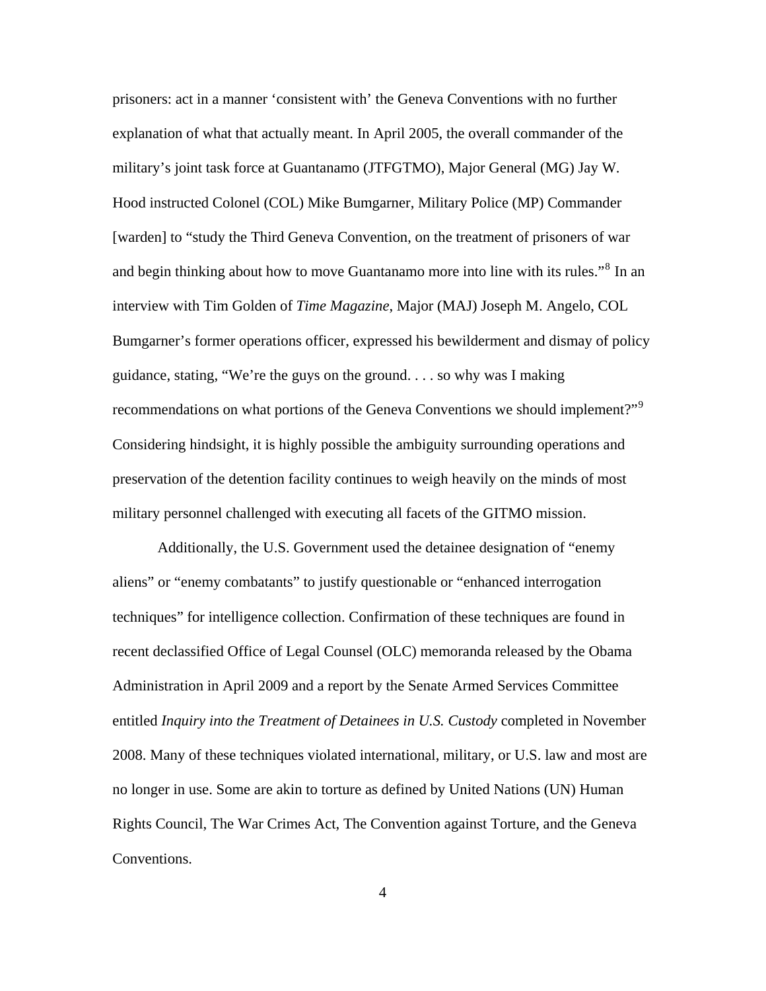prisoners: act in a manner 'consistent with' the Geneva Conventions with no further explanation of what that actually meant. In April 2005, the overall commander of the military's joint task force at Guantanamo (JTFGTMO), Major General (MG) Jay W. Hood instructed Colonel (COL) Mike Bumgarner, Military Police (MP) Commander [warden] to "study the Third Geneva Convention, on the treatment of prisoners of war and begin thinking about how to move Guantanamo more into line with its rules."<sup>[8](#page-150-2)</sup> In an interview with Tim Golden of *Time Magazine*, Major (MAJ) Joseph M. Angelo, COL Bumgarner's former operations officer, expressed his bewilderment and dismay of policy guidance, stating, "We're the guys on the ground. . . . so why was I making recommendations on what portions of the Geneva Conventions we should implement?"<sup>[9](#page-150-2)</sup> Considering hindsight, it is highly possible the ambiguity surrounding operations and preservation of the detention facility continues to weigh heavily on the minds of most military personnel challenged with executing all facets of the GITMO mission.

Additionally, the U.S. Government used the detainee designation of "enemy aliens" or "enemy combatants" to justify questionable or "enhanced interrogation techniques" for intelligence collection. Confirmation of these techniques are found in recent declassified Office of Legal Counsel (OLC) memoranda released by the Obama Administration in April 2009 and a report by the Senate Armed Services Committee entitled *Inquiry into the Treatment of Detainees in U.S. Custody* completed in November 2008. Many of these techniques violated international, military, or U.S. law and most are no longer in use. Some are akin to torture as defined by United Nations (UN) Human Rights Council, The War Crimes Act, The Convention against Torture, and the Geneva Conventions.

4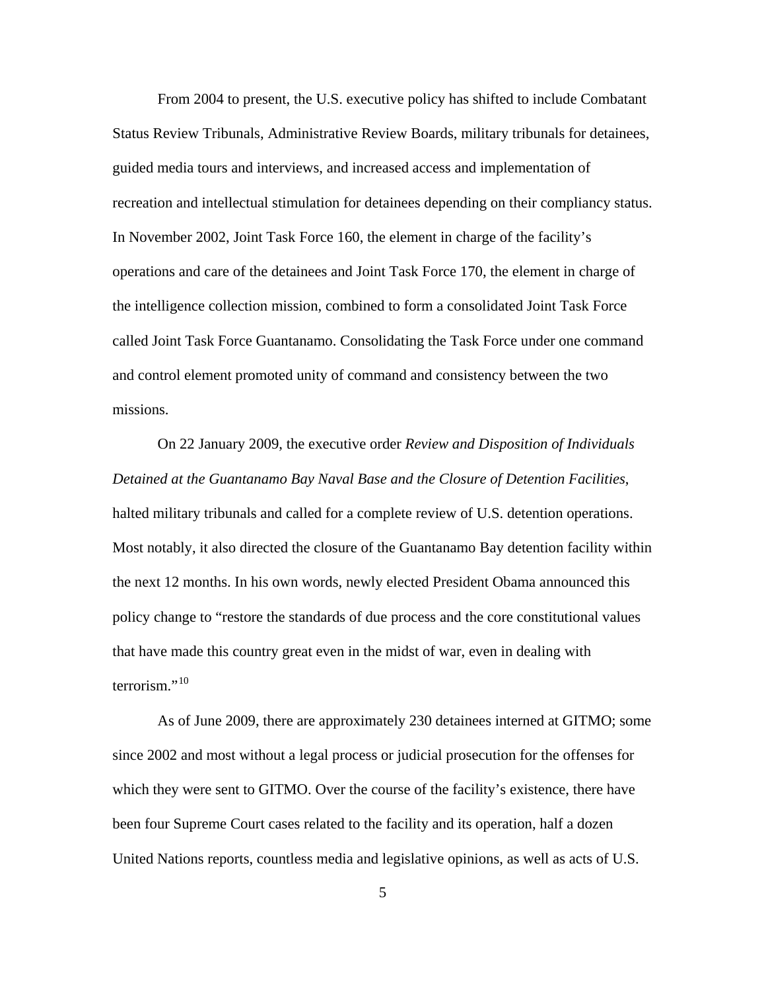From 2004 to present, the U.S. executive policy has shifted to include Combatant Status Review Tribunals, Administrative Review Boards, military tribunals for detainees, guided media tours and interviews, and increased access and implementation of recreation and intellectual stimulation for detainees depending on their compliancy status. In November 2002, Joint Task Force 160, the element in charge of the facility's operations and care of the detainees and Joint Task Force 170, the element in charge of the intelligence collection mission, combined to form a consolidated Joint Task Force called Joint Task Force Guantanamo. Consolidating the Task Force under one command and control element promoted unity of command and consistency between the two missions.

On 22 January 2009, the executive order *Review and Disposition of Individuals Detained at the Guantanamo Bay Naval Base and the Closure of Detention Facilities*, halted military tribunals and called for a complete review of U.S. detention operations. Most notably, it also directed the closure of the Guantanamo Bay detention facility within the next 12 months. In his own words, newly elected President Obama announced this policy change to "restore the standards of due process and the core constitutional values that have made this country great even in the midst of war, even in dealing with terrorism." $^{10}$  $^{10}$  $^{10}$ 

As of June 2009, there are approximately 230 detainees interned at GITMO; some since 2002 and most without a legal process or judicial prosecution for the offenses for which they were sent to GITMO. Over the course of the facility's existence, there have been four Supreme Court cases related to the facility and its operation, half a dozen United Nations reports, countless media and legislative opinions, as well as acts of U.S.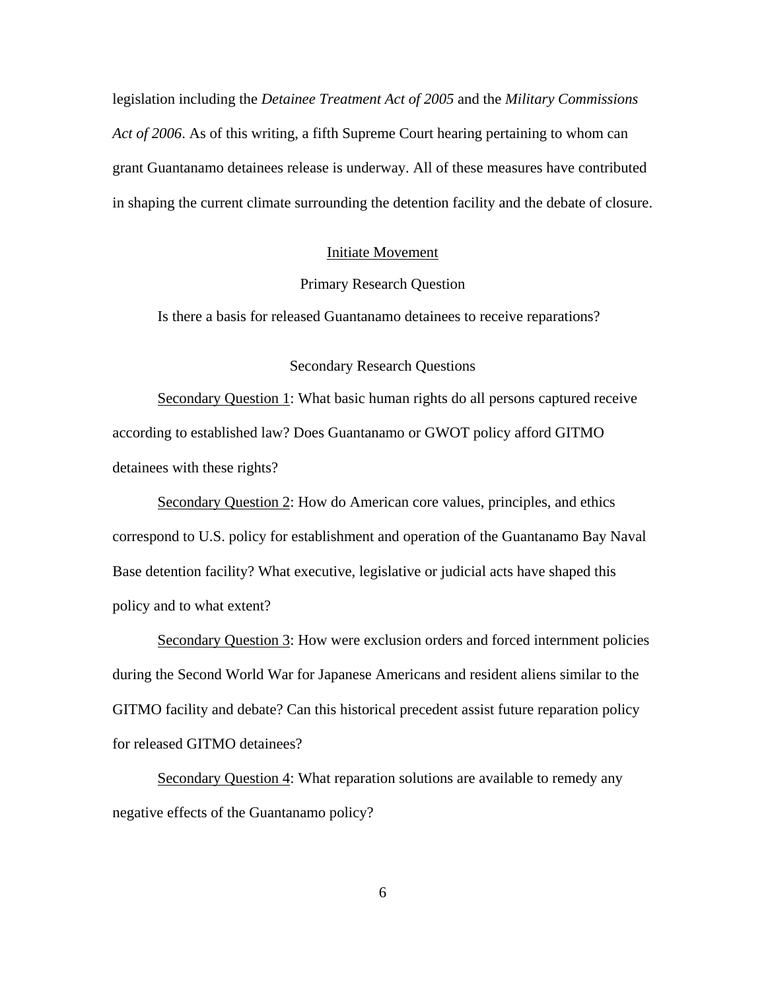<span id="page-18-0"></span>legislation including the *Detainee Treatment Act of 2005* and the *Military Commissions Act of 2006*. As of this writing, a fifth Supreme Court hearing pertaining to whom can grant Guantanamo detainees release is underway. All of these measures have contributed in shaping the current climate surrounding the detention facility and the debate of closure.

### Initiate Movement

# Primary Research Question

Is there a basis for released Guantanamo detainees to receive reparations?

# Secondary Research Questions

Secondary Question 1: What basic human rights do all persons captured receive according to established law? Does Guantanamo or GWOT policy afford GITMO detainees with these rights?

Secondary Question 2: How do American core values, principles, and ethics correspond to U.S. policy for establishment and operation of the Guantanamo Bay Naval Base detention facility? What executive, legislative or judicial acts have shaped this policy and to what extent?

Secondary Question 3: How were exclusion orders and forced internment policies during the Second World War for Japanese Americans and resident aliens similar to the GITMO facility and debate? Can this historical precedent assist future reparation policy for released GITMO detainees?

Secondary Question 4: What reparation solutions are available to remedy any negative effects of the Guantanamo policy?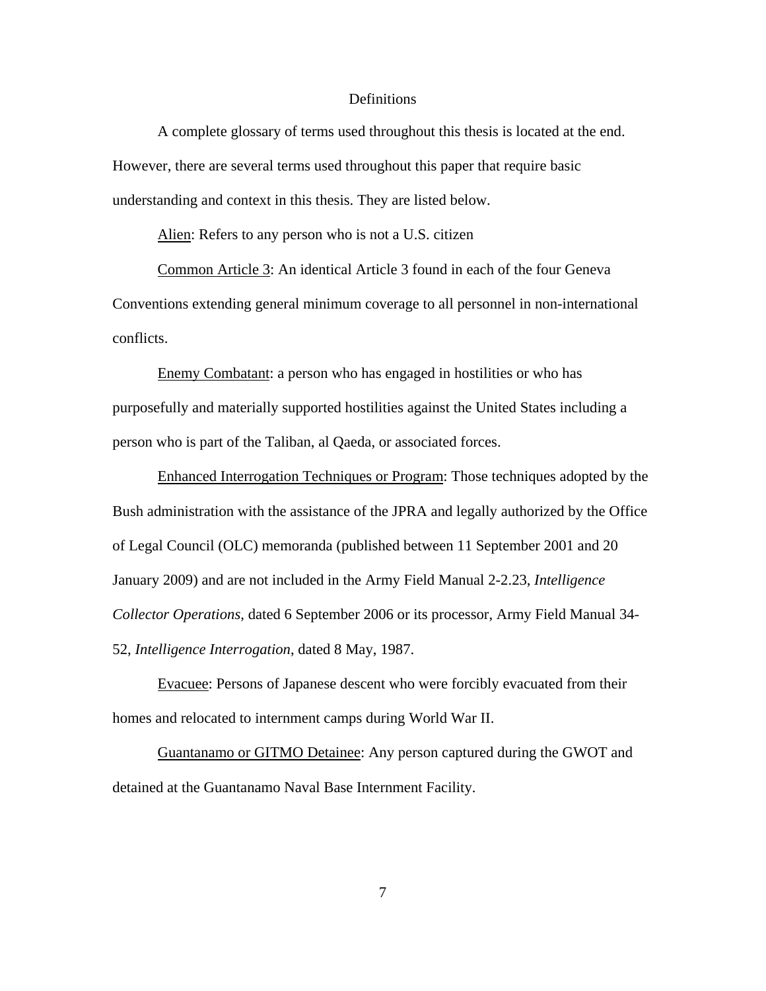#### Definitions

<span id="page-19-0"></span>A complete glossary of terms used throughout this thesis is located at the end. However, there are several terms used throughout this paper that require basic understanding and context in this thesis. They are listed below.

Alien: Refers to any person who is not a U.S. citizen

Common Article 3: An identical Article 3 found in each of the four Geneva Conventions extending general minimum coverage to all personnel in non-international conflicts.

Enemy Combatant: a person who has engaged in hostilities or who has purposefully and materially supported hostilities against the United States including a person who is part of the Taliban, al Qaeda, or associated forces.

Enhanced Interrogation Techniques or Program: Those techniques adopted by the Bush administration with the assistance of the JPRA and legally authorized by the Office of Legal Council (OLC) memoranda (published between 11 September 2001 and 20 January 2009) and are not included in the Army Field Manual 2-2.23, *Intelligence Collector Operations*, dated 6 September 2006 or its processor, Army Field Manual 34- 52, *Intelligence Interrogation*, dated 8 May, 1987.

Evacuee: Persons of Japanese descent who were forcibly evacuated from their homes and relocated to internment camps during World War II.

Guantanamo or GITMO Detainee: Any person captured during the GWOT and detained at the Guantanamo Naval Base Internment Facility.

7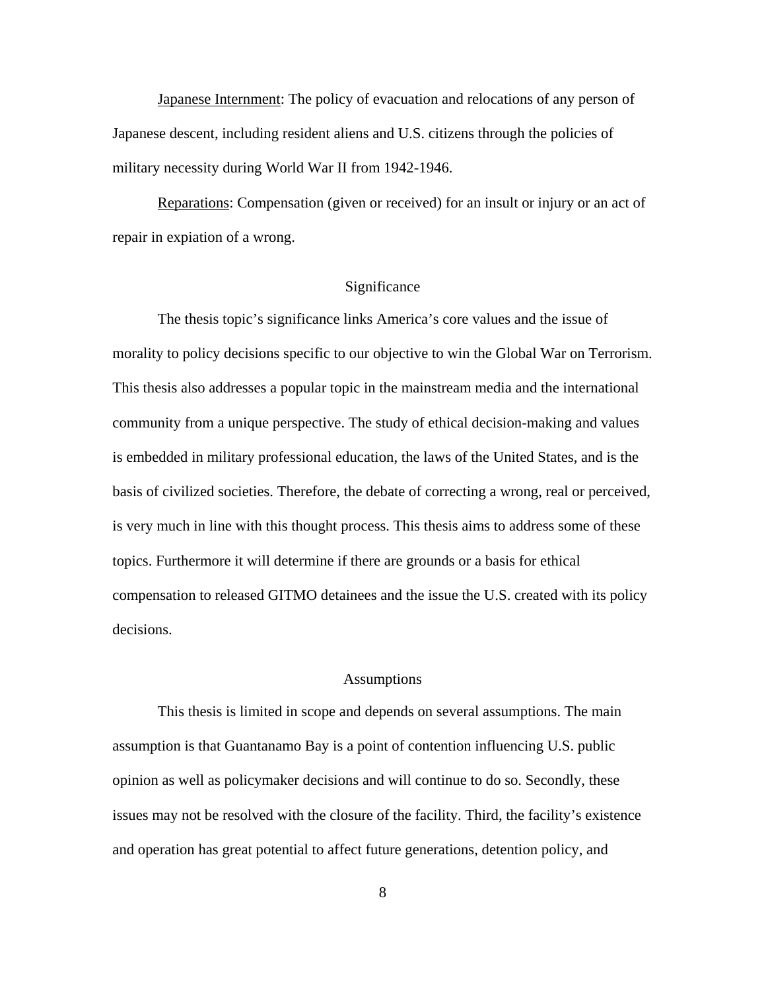<span id="page-20-0"></span>Japanese Internment: The policy of evacuation and relocations of any person of Japanese descent, including resident aliens and U.S. citizens through the policies of military necessity during World War II from 1942-1946.

Reparations: Compensation (given or received) for an insult or injury or an act of repair in expiation of a wrong.

#### Significance

The thesis topic's significance links America's core values and the issue of morality to policy decisions specific to our objective to win the Global War on Terrorism. This thesis also addresses a popular topic in the mainstream media and the international community from a unique perspective. The study of ethical decision-making and values is embedded in military professional education, the laws of the United States, and is the basis of civilized societies. Therefore, the debate of correcting a wrong, real or perceived, is very much in line with this thought process. This thesis aims to address some of these topics. Furthermore it will determine if there are grounds or a basis for ethical compensation to released GITMO detainees and the issue the U.S. created with its policy decisions.

#### Assumptions

This thesis is limited in scope and depends on several assumptions. The main assumption is that Guantanamo Bay is a point of contention influencing U.S. public opinion as well as policymaker decisions and will continue to do so. Secondly, these issues may not be resolved with the closure of the facility. Third, the facility's existence and operation has great potential to affect future generations, detention policy, and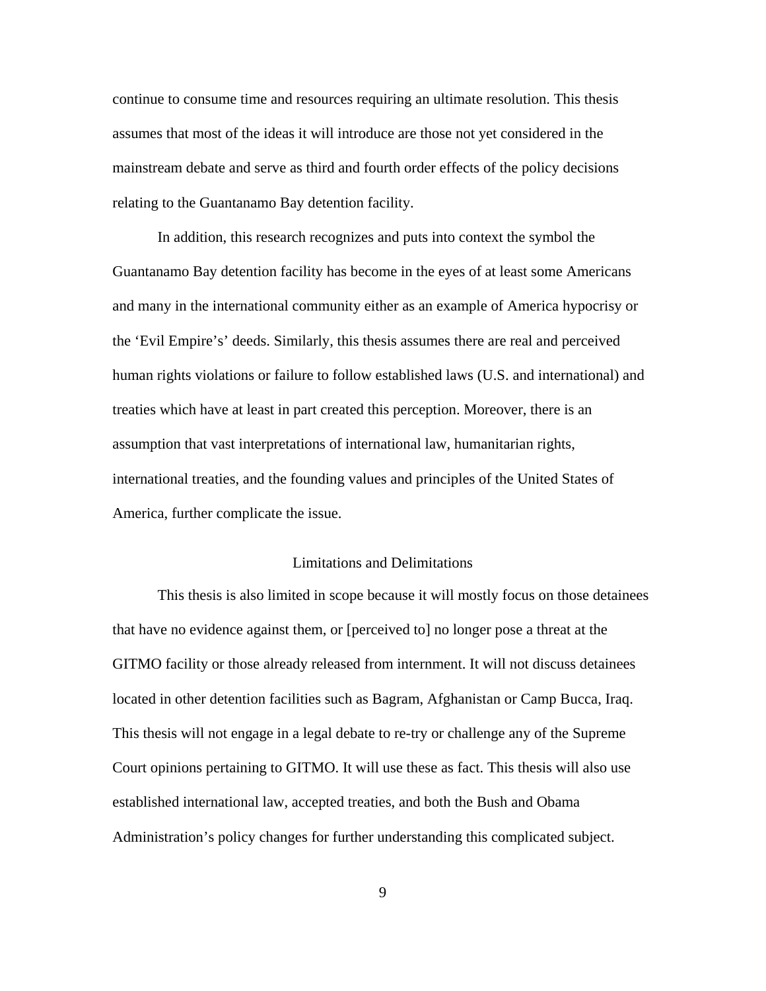<span id="page-21-0"></span>continue to consume time and resources requiring an ultimate resolution. This thesis assumes that most of the ideas it will introduce are those not yet considered in the mainstream debate and serve as third and fourth order effects of the policy decisions relating to the Guantanamo Bay detention facility.

In addition, this research recognizes and puts into context the symbol the Guantanamo Bay detention facility has become in the eyes of at least some Americans and many in the international community either as an example of America hypocrisy or the 'Evil Empire's' deeds. Similarly, this thesis assumes there are real and perceived human rights violations or failure to follow established laws (U.S. and international) and treaties which have at least in part created this perception. Moreover, there is an assumption that vast interpretations of international law, humanitarian rights, international treaties, and the founding values and principles of the United States of America, further complicate the issue.

# Limitations and Delimitations

This thesis is also limited in scope because it will mostly focus on those detainees that have no evidence against them, or [perceived to] no longer pose a threat at the GITMO facility or those already released from internment. It will not discuss detainees located in other detention facilities such as Bagram, Afghanistan or Camp Bucca, Iraq. This thesis will not engage in a legal debate to re-try or challenge any of the Supreme Court opinions pertaining to GITMO. It will use these as fact. This thesis will also use established international law, accepted treaties, and both the Bush and Obama Administration's policy changes for further understanding this complicated subject.

9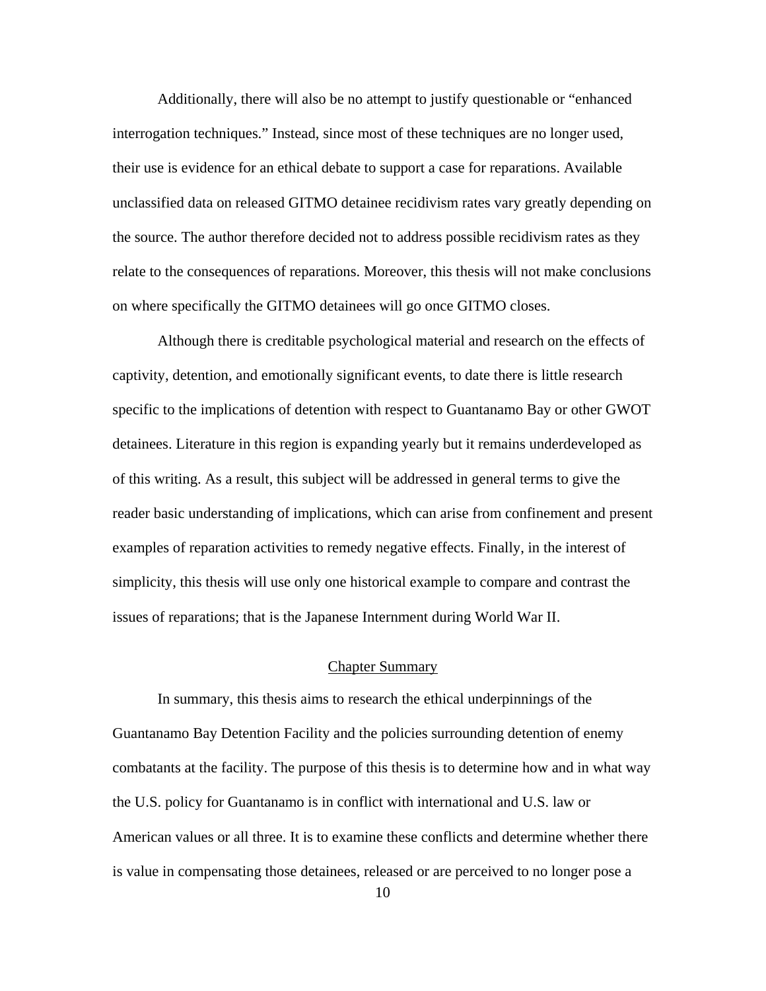<span id="page-22-0"></span>Additionally, there will also be no attempt to justify questionable or "enhanced interrogation techniques." Instead, since most of these techniques are no longer used, their use is evidence for an ethical debate to support a case for reparations. Available unclassified data on released GITMO detainee recidivism rates vary greatly depending on the source. The author therefore decided not to address possible recidivism rates as they relate to the consequences of reparations. Moreover, this thesis will not make conclusions on where specifically the GITMO detainees will go once GITMO closes.

Although there is creditable psychological material and research on the effects of captivity, detention, and emotionally significant events, to date there is little research specific to the implications of detention with respect to Guantanamo Bay or other GWOT detainees. Literature in this region is expanding yearly but it remains underdeveloped as of this writing. As a result, this subject will be addressed in general terms to give the reader basic understanding of implications, which can arise from confinement and present examples of reparation activities to remedy negative effects. Finally, in the interest of simplicity, this thesis will use only one historical example to compare and contrast the issues of reparations; that is the Japanese Internment during World War II.

#### Chapter Summary

In summary, this thesis aims to research the ethical underpinnings of the Guantanamo Bay Detention Facility and the policies surrounding detention of enemy combatants at the facility. The purpose of this thesis is to determine how and in what way the U.S. policy for Guantanamo is in conflict with international and U.S. law or American values or all three. It is to examine these conflicts and determine whether there is value in compensating those detainees, released or are perceived to no longer pose a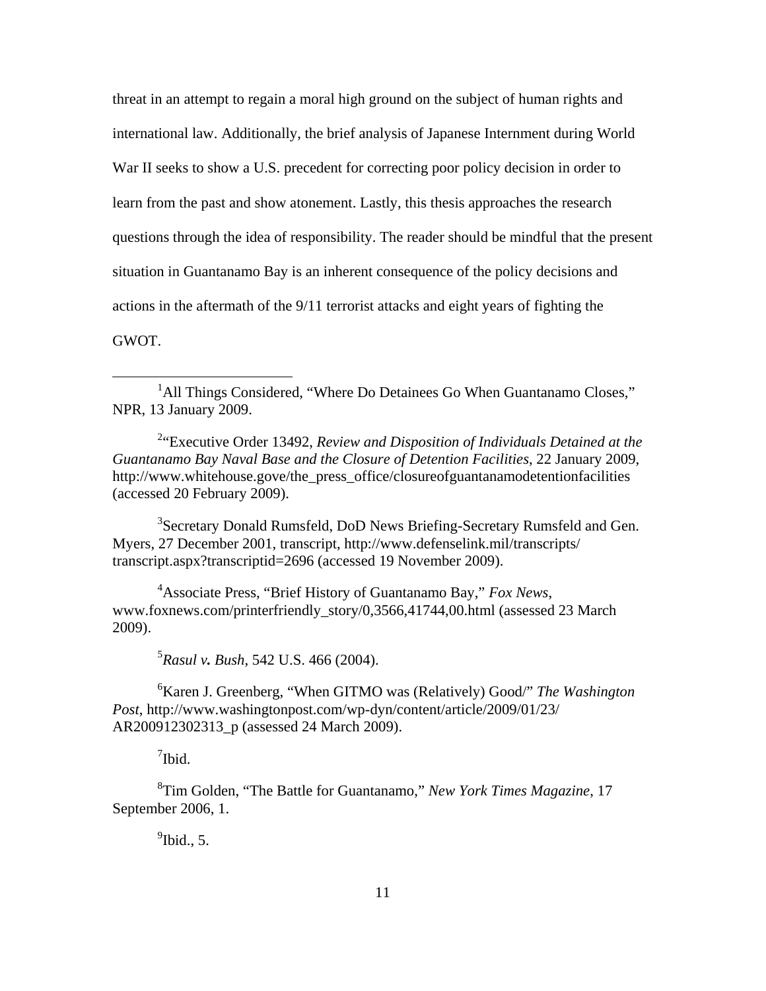threat in an attempt to regain a moral high ground on the subject of human rights and international law. Additionally, the brief analysis of Japanese Internment during World War II seeks to show a U.S. precedent for correcting poor policy decision in order to learn from the past and show atonement. Lastly, this thesis approaches the research questions through the idea of responsibility. The reader should be mindful that the present situation in Guantanamo Bay is an inherent consequence of the policy decisions and actions in the aftermath of the 9/11 terrorist attacks and eight years of fighting the GWOT.

<sup>1</sup>All Things Considered, "Where Do Detainees Go When Guantanamo Closes," NPR, 13 January 2009.

2 "Executive Order 13492, *Review and Disposition of Individuals Detained at the Guantanamo Bay Naval Base and the Closure of Detention Facilities*, 22 January 2009, http://www.whitehouse.gove/the\_press\_office/closureofguantanamodetentionfacilities (accessed 20 February 2009).

<sup>3</sup>Secretary Donald Rumsfeld, DoD News Briefing-Secretary Rumsfeld and Gen. Myers, 27 December 2001, transcript, http://www.defenselink.mil/transcripts/ transcript.aspx?transcriptid=2696 (accessed 19 November 2009).

4 Associate Press, "Brief History of Guantanamo Bay," *Fox News*, www.foxnews.com/printerfriendly\_story/0,3566,41744,00.html (assessed 23 March 2009).

5 *Rasul v. Bush*, 542 U.S. 466 (2004).

6 Karen J. Greenberg, "When GITMO was (Relatively) Good/" *The Washington Post*, http://www.washingtonpost.com/wp-dyn/content/article/2009/01/23/ AR200912302313\_p (assessed 24 March 2009).

<sup>7</sup>Ibid.

 $\overline{a}$ 

8 Tim Golden, "The Battle for Guantanamo," *New York Times Magazine*, 17 September 2006, 1.

 $<sup>9</sup>$ Ibid., 5.</sup>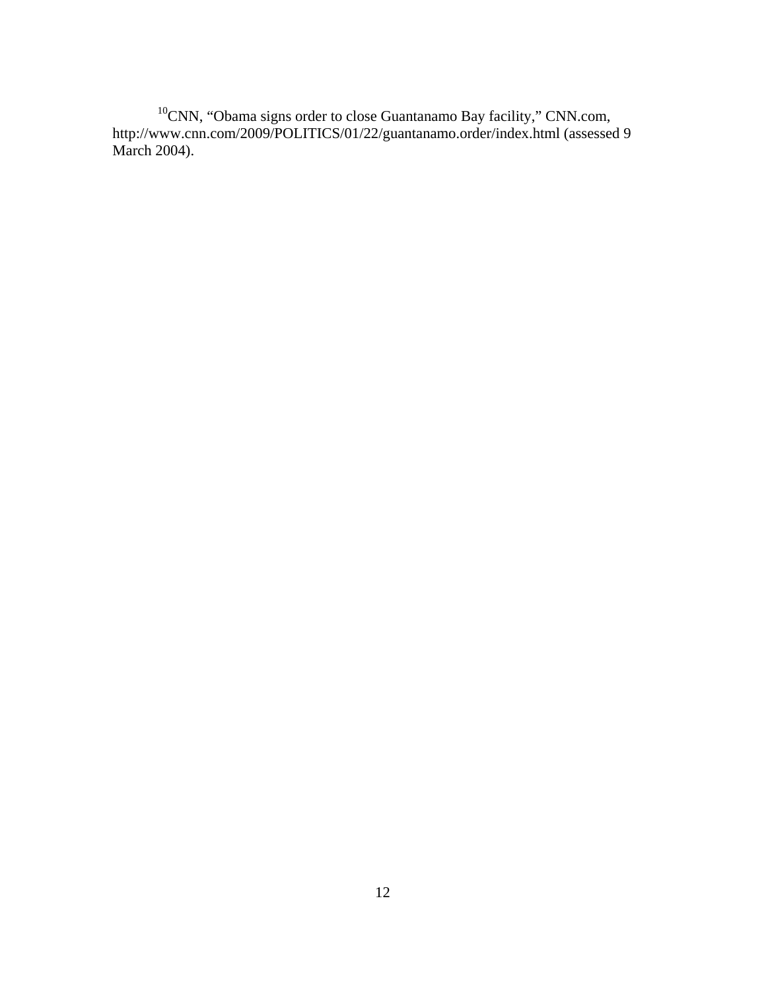$10$ CNN, "Obama signs order to close Guantanamo Bay facility," CNN.com, http://www.cnn.com/2009/POLITICS/01/22/guantanamo.order/index.html (assessed 9 March 2004).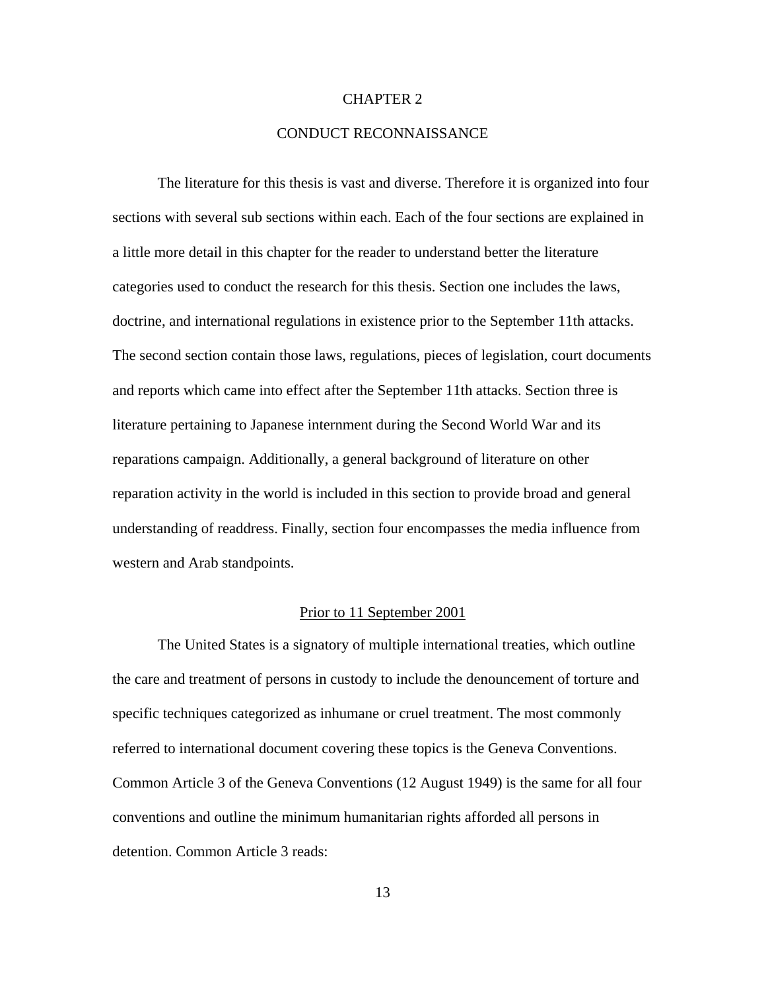#### CHAPTER 2

# CONDUCT RECONNAISSANCE

<span id="page-25-0"></span>The literature for this thesis is vast and diverse. Therefore it is organized into four sections with several sub sections within each. Each of the four sections are explained in a little more detail in this chapter for the reader to understand better the literature categories used to conduct the research for this thesis. Section one includes the laws, doctrine, and international regulations in existence prior to the September 11th attacks. The second section contain those laws, regulations, pieces of legislation, court documents and reports which came into effect after the September 11th attacks. Section three is literature pertaining to Japanese internment during the Second World War and its reparations campaign. Additionally, a general background of literature on other reparation activity in the world is included in this section to provide broad and general understanding of readdress. Finally, section four encompasses the media influence from western and Arab standpoints.

# Prior to 11 September 2001

The United States is a signatory of multiple international treaties, which outline the care and treatment of persons in custody to include the denouncement of torture and specific techniques categorized as inhumane or cruel treatment. The most commonly referred to international document covering these topics is the Geneva Conventions. Common Article 3 of the Geneva Conventions (12 August 1949) is the same for all four conventions and outline the minimum humanitarian rights afforded all persons in detention. Common Article 3 reads: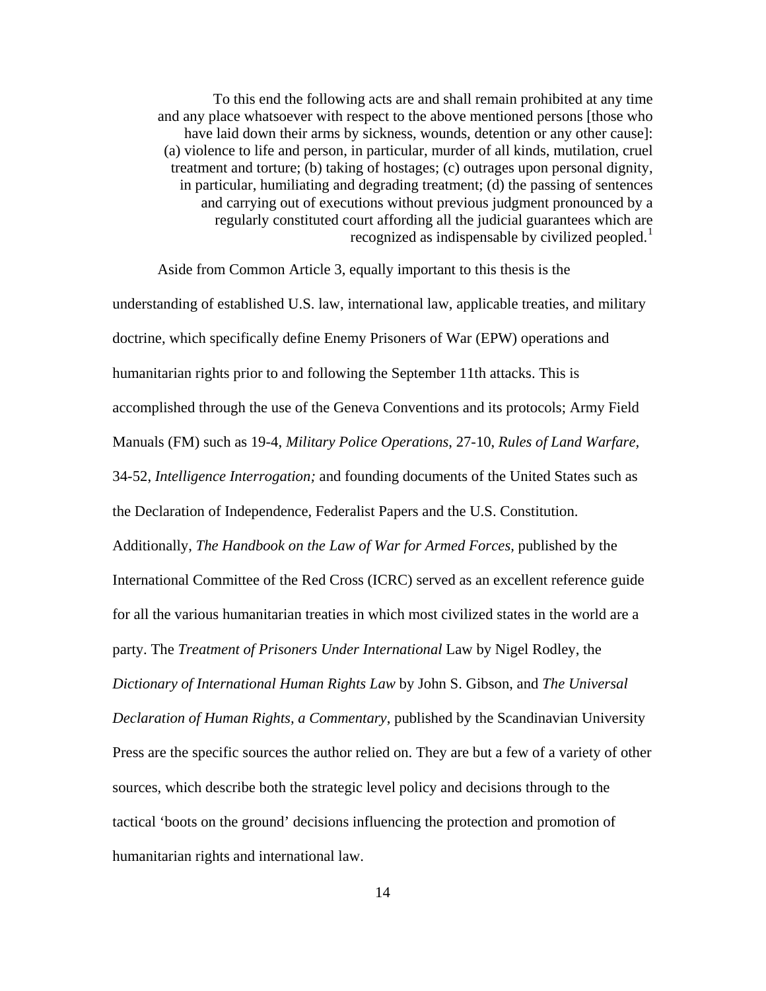To this end the following acts are and shall remain prohibited at any time and any place whatsoever with respect to the above mentioned persons [those who have laid down their arms by sickness, wounds, detention or any other cause]: (a) violence to life and person, in particular, murder of all kinds, mutilation, cruel treatment and torture; (b) taking of hostages; (c) outrages upon personal dignity, in particular, humiliating and degrading treatment; (d) the passing of sentences and carrying out of executions without previous judgment pronounced by a regularly constituted court affording all the judicial guarantees which are recognized as indispensable by civilized peopled.<sup>[1](#page-150-2)</sup>

Aside from Common Article 3, equally important to this thesis is the

understanding of established U.S. law, international law, applicable treaties, and military doctrine, which specifically define Enemy Prisoners of War (EPW) operations and humanitarian rights prior to and following the September 11th attacks. This is accomplished through the use of the Geneva Conventions and its protocols; Army Field Manuals (FM) such as 19-4, *Military Police Operations*, 27-10, *Rules of Land Warfare,*  34-52, *Intelligence Interrogation;* and founding documents of the United States such as the Declaration of Independence, Federalist Papers and the U.S. Constitution. Additionally, *The Handbook on the Law of War for Armed Forces,* published by the International Committee of the Red Cross (ICRC) served as an excellent reference guide for all the various humanitarian treaties in which most civilized states in the world are a party. The *Treatment of Prisoners Under International* Law by Nigel Rodley, the *Dictionary of International Human Rights Law* by John S. Gibson, and *The Universal Declaration of Human Rights, a Commentary*, published by the Scandinavian University Press are the specific sources the author relied on. They are but a few of a variety of other sources, which describe both the strategic level policy and decisions through to the tactical 'boots on the ground' decisions influencing the protection and promotion of humanitarian rights and international law.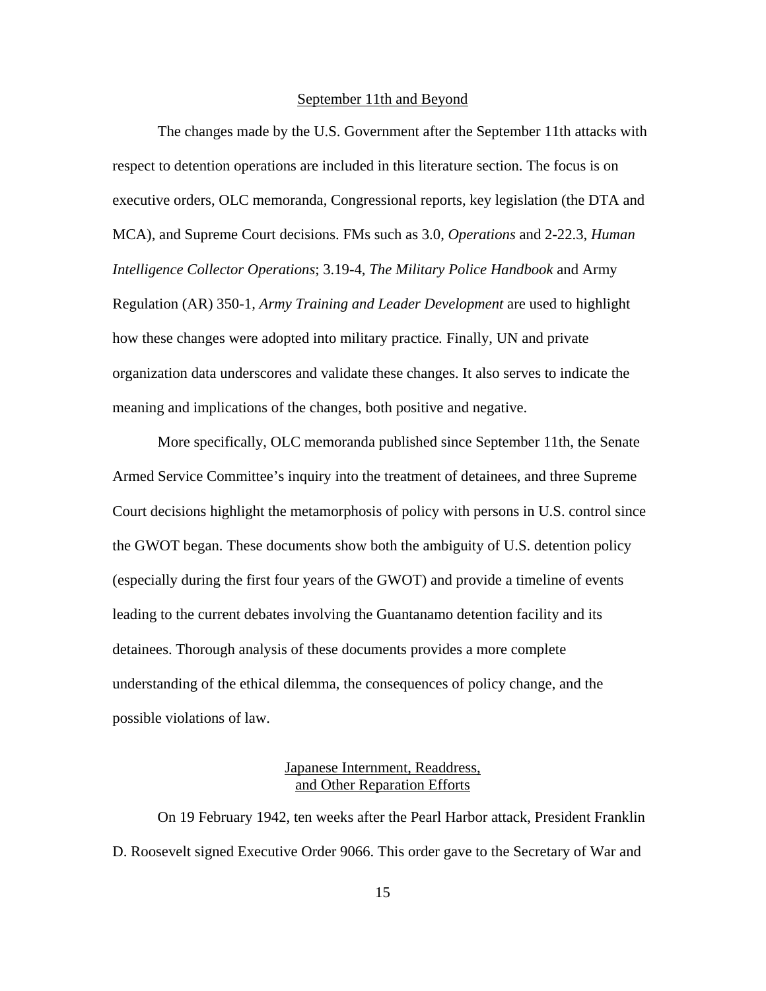#### September 11th and Beyond

<span id="page-27-0"></span>The changes made by the U.S. Government after the September 11th attacks with respect to detention operations are included in this literature section. The focus is on executive orders, OLC memoranda, Congressional reports, key legislation (the DTA and MCA), and Supreme Court decisions. FMs such as 3.0, *Operations* and 2-22.3, *Human Intelligence Collector Operations*; 3.19-4, *The Military Police Handbook* and Army Regulation (AR) 350-1*, Army Training and Leader Development* are used to highlight how these changes were adopted into military practice*.* Finally, UN and private organization data underscores and validate these changes. It also serves to indicate the meaning and implications of the changes, both positive and negative.

More specifically, OLC memoranda published since September 11th, the Senate Armed Service Committee's inquiry into the treatment of detainees, and three Supreme Court decisions highlight the metamorphosis of policy with persons in U.S. control since the GWOT began. These documents show both the ambiguity of U.S. detention policy (especially during the first four years of the GWOT) and provide a timeline of events leading to the current debates involving the Guantanamo detention facility and its detainees. Thorough analysis of these documents provides a more complete understanding of the ethical dilemma, the consequences of policy change, and the possible violations of law.

# Japanese Internment, Readdress, and Other Reparation Efforts

On 19 February 1942, ten weeks after the Pearl Harbor attack, President Franklin D. Roosevelt signed Executive Order 9066. This order gave to the Secretary of War and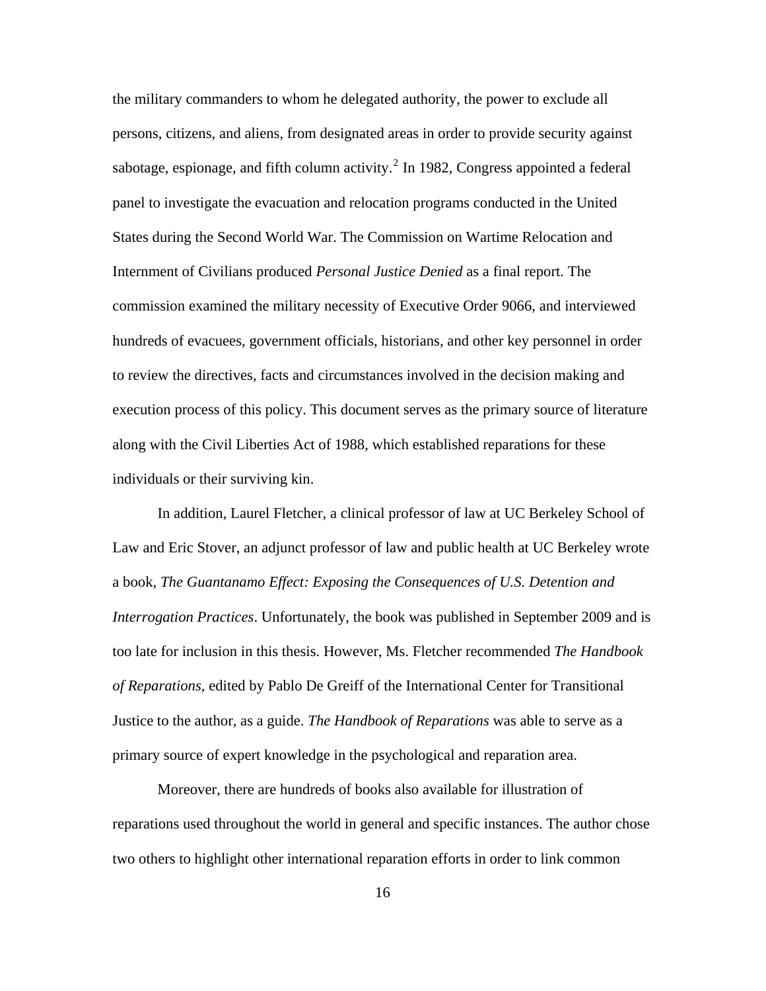the military commanders to whom he delegated authority, the power to exclude all persons, citizens, and aliens, from designated areas in order to provide security against sabotage, espionage, and fifth column activity.<sup>[2](#page-150-2)</sup> In 1982, Congress appointed a federal panel to investigate the evacuation and relocation programs conducted in the United States during the Second World War. The Commission on Wartime Relocation and Internment of Civilians produced *Personal Justice Denied* as a final report. The commission examined the military necessity of Executive Order 9066, and interviewed hundreds of evacuees, government officials, historians, and other key personnel in order to review the directives, facts and circumstances involved in the decision making and execution process of this policy. This document serves as the primary source of literature along with the Civil Liberties Act of 1988, which established reparations for these individuals or their surviving kin.

In addition, Laurel Fletcher, a clinical professor of law at UC Berkeley School of Law and Eric Stover, an adjunct professor of law and public health at UC Berkeley wrote a book, *The Guantanamo Effect: Exposing the Consequences of U.S. Detention and Interrogation Practices*. Unfortunately, the book was published in September 2009 and is too late for inclusion in this thesis. However, Ms. Fletcher recommended *The Handbook of Reparations,* edited by Pablo De Greiff of the International Center for Transitional Justice to the author, as a guide. *The Handbook of Reparations* was able to serve as a primary source of expert knowledge in the psychological and reparation area.

Moreover, there are hundreds of books also available for illustration of reparations used throughout the world in general and specific instances. The author chose two others to highlight other international reparation efforts in order to link common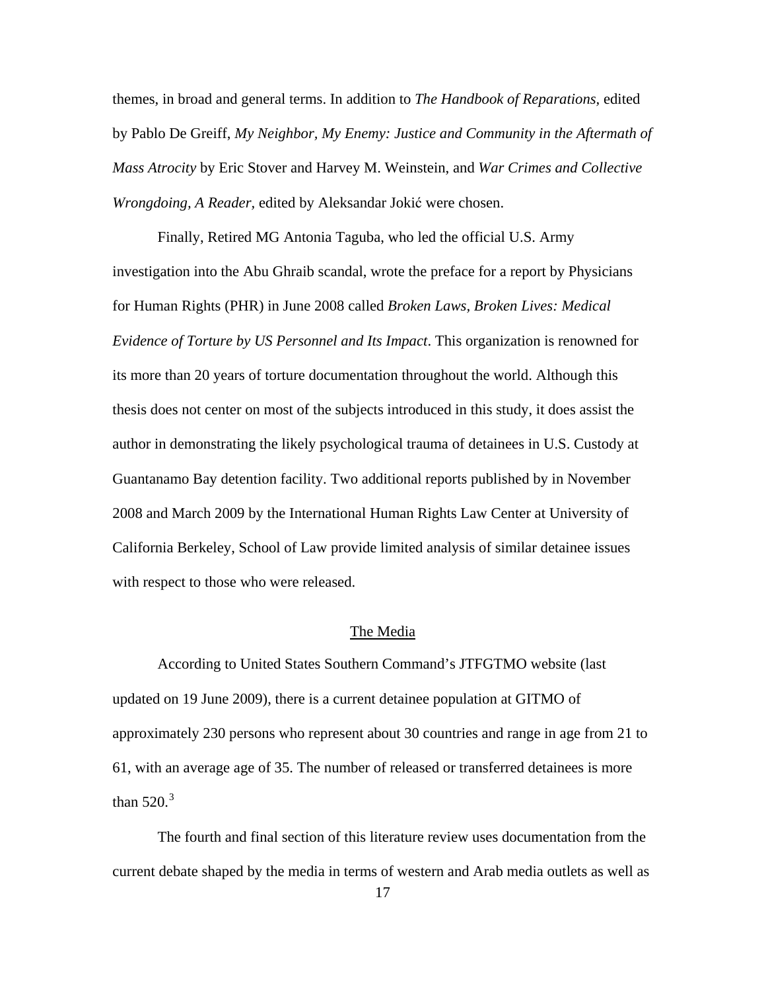<span id="page-29-0"></span>themes, in broad and general terms. In addition to *The Handbook of Reparations,* edited by Pablo De Greiff, *My Neighbor, My Enemy: Justice and Community in the Aftermath of Mass Atrocity* by Eric Stover and Harvey M. Weinstein, and *War Crimes and Collective Wrongdoing, A Reader,* edited by Aleksandar Jokić were chosen.

Finally, Retired MG Antonia Taguba, who led the official U.S. Army investigation into the Abu Ghraib scandal, wrote the preface for a report by Physicians for Human Rights (PHR) in June 2008 called *Broken Laws, Broken Lives: Medical Evidence of Torture by US Personnel and Its Impact*. This organization is renowned for its more than 20 years of torture documentation throughout the world. Although this thesis does not center on most of the subjects introduced in this study, it does assist the author in demonstrating the likely psychological trauma of detainees in U.S. Custody at Guantanamo Bay detention facility. Two additional reports published by in November 2008 and March 2009 by the International Human Rights Law Center at University of California Berkeley, School of Law provide limited analysis of similar detainee issues with respect to those who were released.

### The Media

According to United States Southern Command's JTFGTMO website (last updated on 19 June 2009), there is a current detainee population at GITMO of approximately 230 persons who represent about 30 countries and range in age from 21 to 61, with an average age of 35. The number of released or transferred detainees is more than  $520.<sup>3</sup>$  $520.<sup>3</sup>$  $520.<sup>3</sup>$ 

The fourth and final section of this literature review uses documentation from the current debate shaped by the media in terms of western and Arab media outlets as well as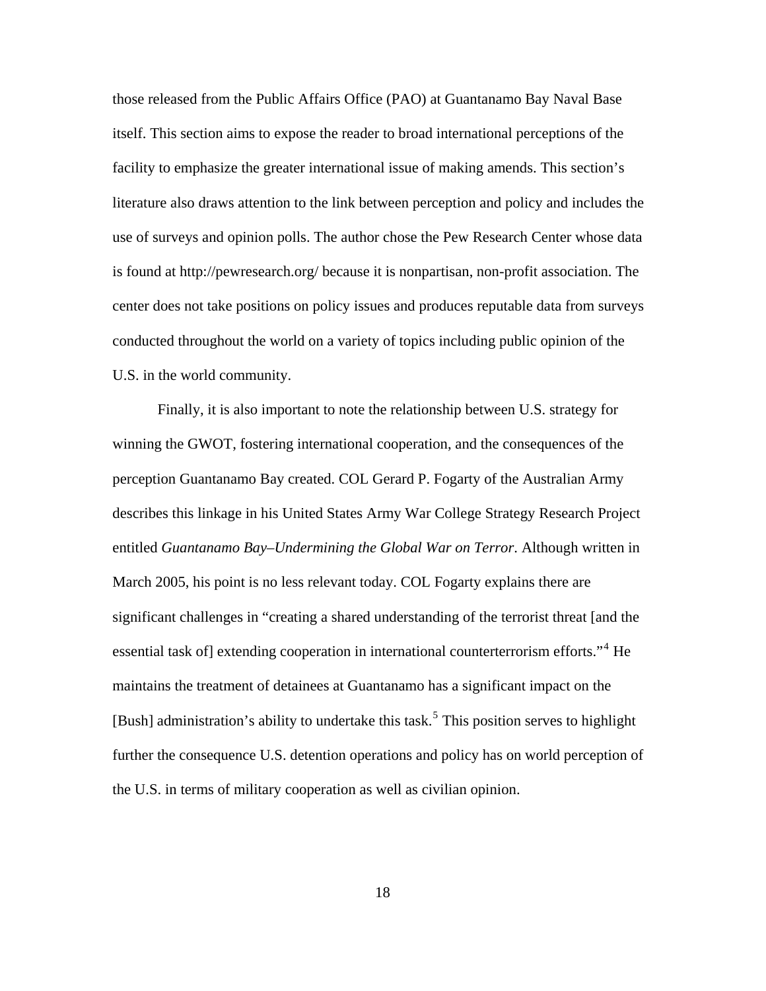those released from the Public Affairs Office (PAO) at Guantanamo Bay Naval Base itself. This section aims to expose the reader to broad international perceptions of the facility to emphasize the greater international issue of making amends. This section's literature also draws attention to the link between perception and policy and includes the use of surveys and opinion polls. The author chose the Pew Research Center whose data is found at http://pewresearch.org/ because it is nonpartisan, non-profit association. The center does not take positions on policy issues and produces reputable data from surveys conducted throughout the world on a variety of topics including public opinion of the U.S. in the world community.

Finally, it is also important to note the relationship between U.S. strategy for winning the GWOT, fostering international cooperation, and the consequences of the perception Guantanamo Bay created. COL Gerard P. Fogarty of the Australian Army describes this linkage in his United States Army War College Strategy Research Project entitled *Guantanamo Bay–Undermining the Global War on Terror*. Although written in March 2005, his point is no less relevant today. COL Fogarty explains there are significant challenges in "creating a shared understanding of the terrorist threat [and the essential task of] extending cooperation in international counterterrorism efforts."<sup>[4](#page-150-2)</sup> He maintains the treatment of detainees at Guantanamo has a significant impact on the [Bush] administration's ability to undertake this task.<sup>[5](#page-150-2)</sup> This position serves to highlight further the consequence U.S. detention operations and policy has on world perception of the U.S. in terms of military cooperation as well as civilian opinion.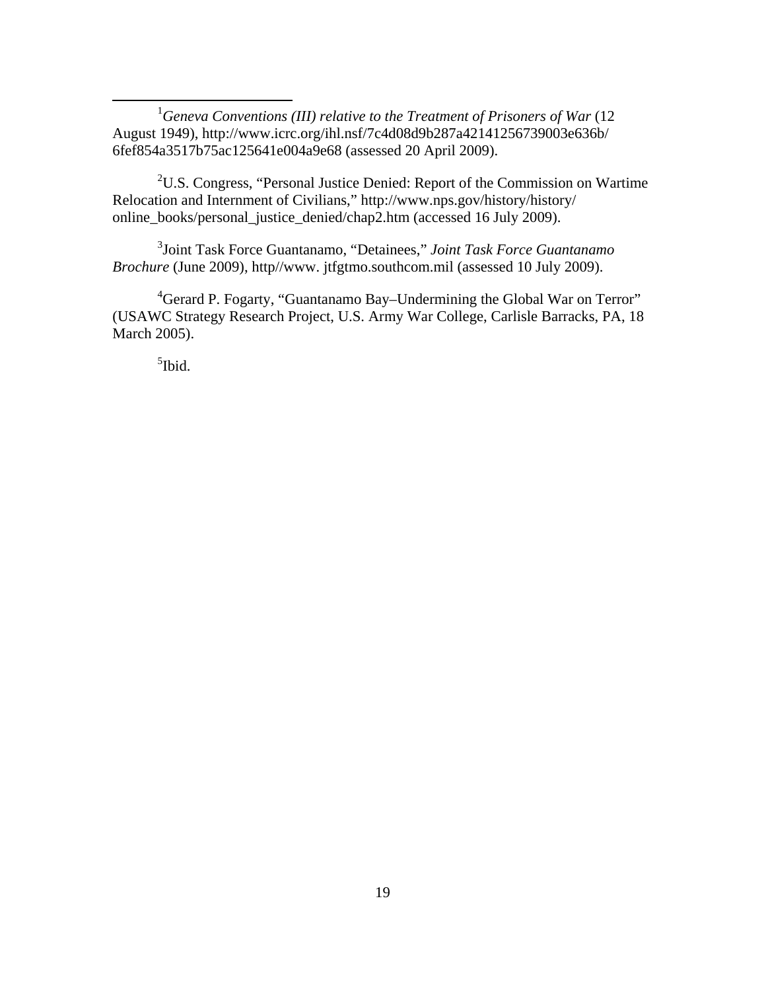<u>1</u> <sup>1</sup>Geneva Conventions (III) relative to the Treatment of Prisoners of War (12 August 1949), http://www.icrc.org/ihl.nsf/7c4d08d9b287a42141256739003e636b/ 6fef854a3517b75ac125641e004a9e68 (assessed 20 April 2009).

<sup>2</sup>U.S. Congress, "Personal Justice Denied: Report of the Commission on Wartime Relocation and Internment of Civilians," http://www.nps.gov/history/history/ online\_books/personal\_justice\_denied/chap2.htm (accessed 16 July 2009).

3 Joint Task Force Guantanamo, "Detainees," *Joint Task Force Guantanamo Brochure* (June 2009), http//www. jtfgtmo.southcom.mil (assessed 10 July 2009).

 ${}^{4}$ Gerard P. Fogarty, "Guantanamo Bay–Undermining the Global War on Terror" (USAWC Strategy Research Project, U.S. Army War College, Carlisle Barracks, PA, 18 March 2005).

<sup>5</sup>Ibid.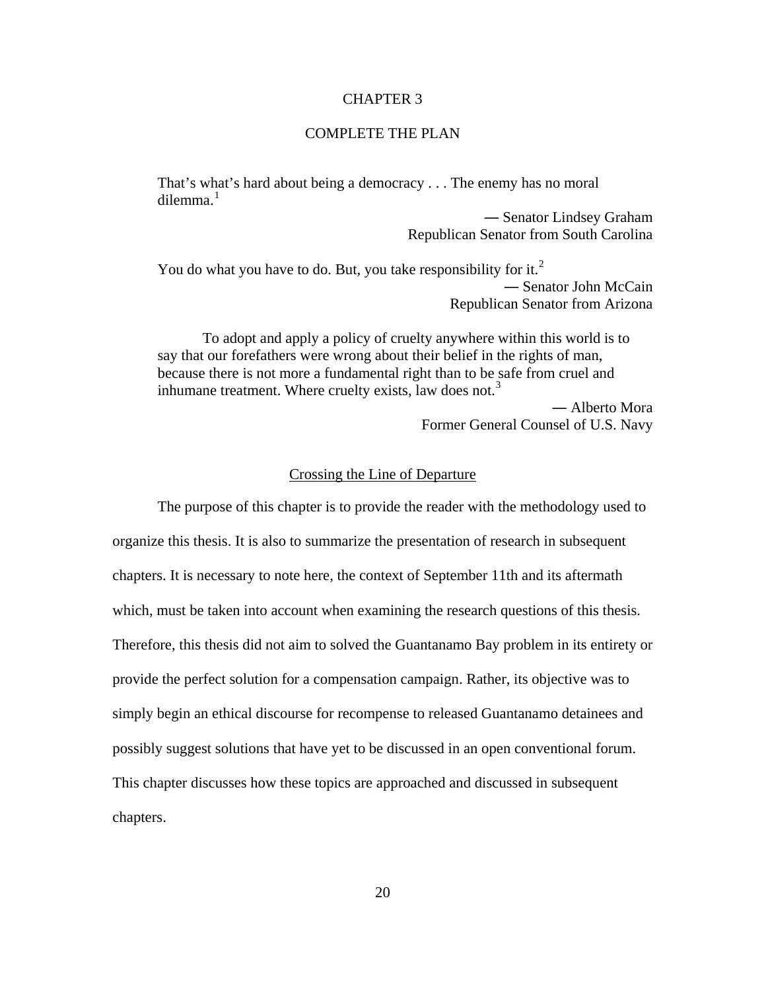#### CHAPTER 3

# COMPLETE THE PLAN

<span id="page-32-0"></span>That's what's hard about being a democracy . . . The enemy has no moral dilemma. $1$ 

> ― Senator Lindsey Graham Republican Senator from South Carolina

You do what you have to do. But, you take responsibility for it.<sup>[2](#page-150-3)</sup> ― Senator John McCain Republican Senator from Arizona

To adopt and apply a policy of cruelty anywhere within this world is to say that our forefathers were wrong about their belief in the rights of man, because there is not more a fundamental right than to be safe from cruel and inhumane treatment. Where cruelty exists, law does not.<sup>[3](#page-150-2)</sup> ― Alberto Mora

Former General Counsel of U.S. Navy

# Crossing the Line of Departure

The purpose of this chapter is to provide the reader with the methodology used to organize this thesis. It is also to summarize the presentation of research in subsequent chapters. It is necessary to note here, the context of September 11th and its aftermath which, must be taken into account when examining the research questions of this thesis. Therefore, this thesis did not aim to solved the Guantanamo Bay problem in its entirety or provide the perfect solution for a compensation campaign. Rather, its objective was to simply begin an ethical discourse for recompense to released Guantanamo detainees and possibly suggest solutions that have yet to be discussed in an open conventional forum. This chapter discusses how these topics are approached and discussed in subsequent chapters.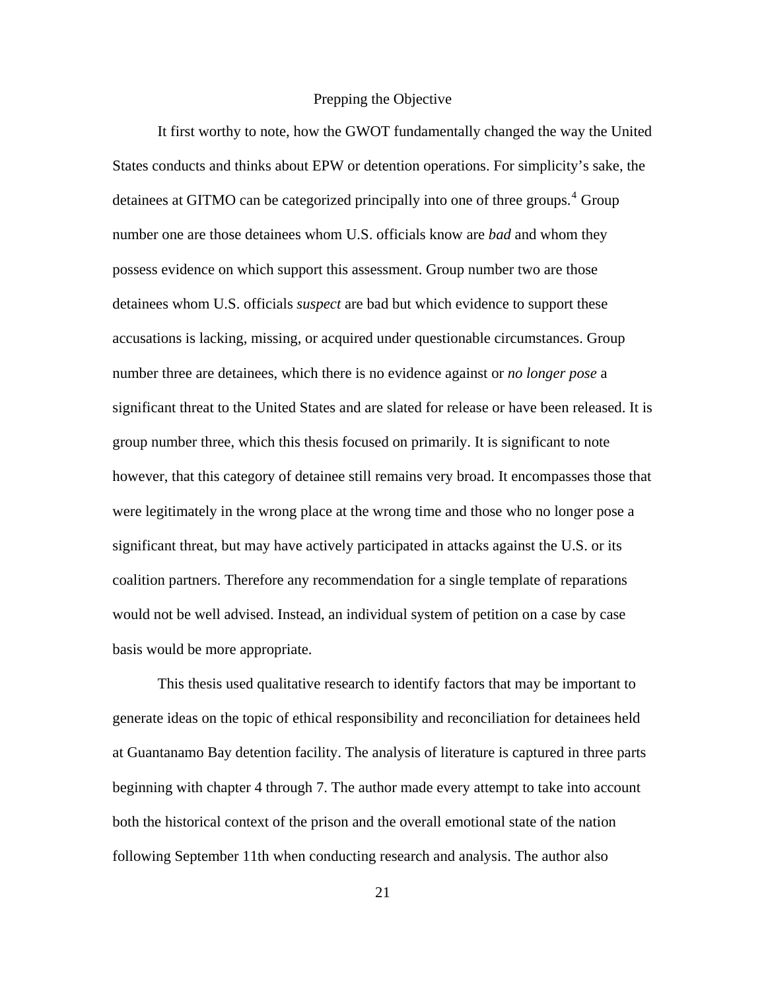## Prepping the Objective

<span id="page-33-0"></span>It first worthy to note, how the GWOT fundamentally changed the way the United States conducts and thinks about EPW or detention operations. For simplicity's sake, the detainees at GITMO can be categorized principally into one of three groups.<sup>[4](#page-150-2)</sup> Group number one are those detainees whom U.S. officials know are *bad* and whom they possess evidence on which support this assessment. Group number two are those detainees whom U.S. officials *suspect* are bad but which evidence to support these accusations is lacking, missing, or acquired under questionable circumstances. Group number three are detainees, which there is no evidence against or *no longer pose* a significant threat to the United States and are slated for release or have been released. It is group number three, which this thesis focused on primarily. It is significant to note however, that this category of detainee still remains very broad. It encompasses those that were legitimately in the wrong place at the wrong time and those who no longer pose a significant threat, but may have actively participated in attacks against the U.S. or its coalition partners. Therefore any recommendation for a single template of reparations would not be well advised. Instead, an individual system of petition on a case by case basis would be more appropriate.

This thesis used qualitative research to identify factors that may be important to generate ideas on the topic of ethical responsibility and reconciliation for detainees held at Guantanamo Bay detention facility. The analysis of literature is captured in three parts beginning with chapter 4 through 7. The author made every attempt to take into account both the historical context of the prison and the overall emotional state of the nation following September 11th when conducting research and analysis. The author also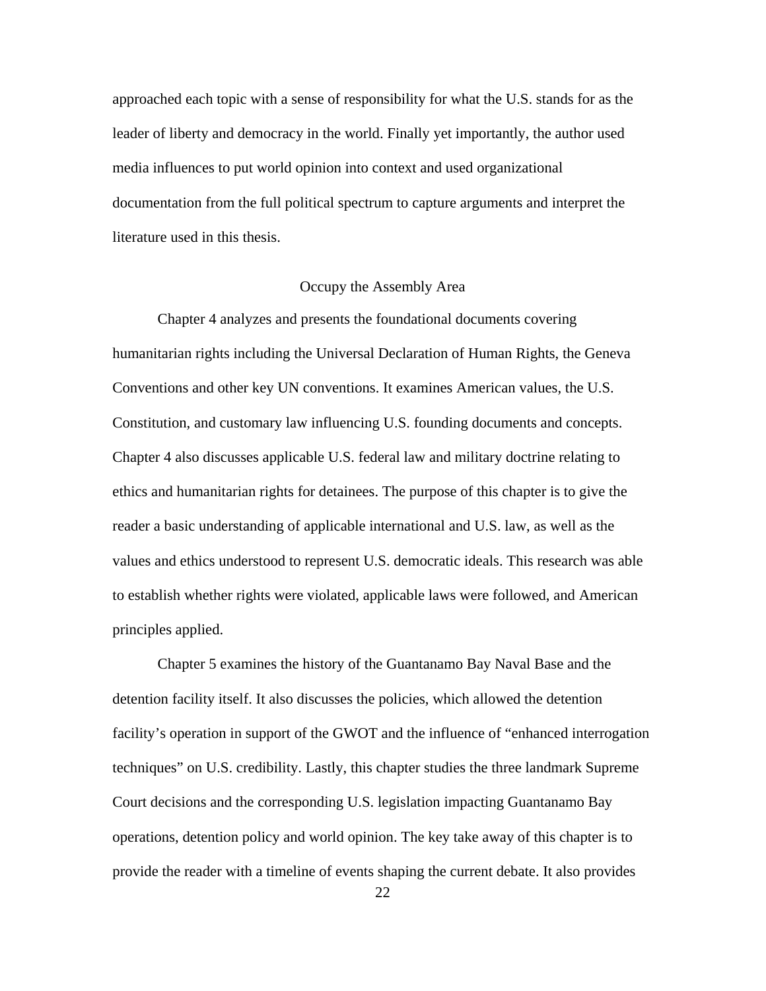<span id="page-34-0"></span>approached each topic with a sense of responsibility for what the U.S. stands for as the leader of liberty and democracy in the world. Finally yet importantly, the author used media influences to put world opinion into context and used organizational documentation from the full political spectrum to capture arguments and interpret the literature used in this thesis.

# Occupy the Assembly Area

Chapter 4 analyzes and presents the foundational documents covering humanitarian rights including the Universal Declaration of Human Rights, the Geneva Conventions and other key UN conventions. It examines American values, the U.S. Constitution, and customary law influencing U.S. founding documents and concepts. Chapter 4 also discusses applicable U.S. federal law and military doctrine relating to ethics and humanitarian rights for detainees. The purpose of this chapter is to give the reader a basic understanding of applicable international and U.S. law, as well as the values and ethics understood to represent U.S. democratic ideals. This research was able to establish whether rights were violated, applicable laws were followed, and American principles applied.

Chapter 5 examines the history of the Guantanamo Bay Naval Base and the detention facility itself. It also discusses the policies, which allowed the detention facility's operation in support of the GWOT and the influence of "enhanced interrogation techniques" on U.S. credibility. Lastly, this chapter studies the three landmark Supreme Court decisions and the corresponding U.S. legislation impacting Guantanamo Bay operations, detention policy and world opinion. The key take away of this chapter is to provide the reader with a timeline of events shaping the current debate. It also provides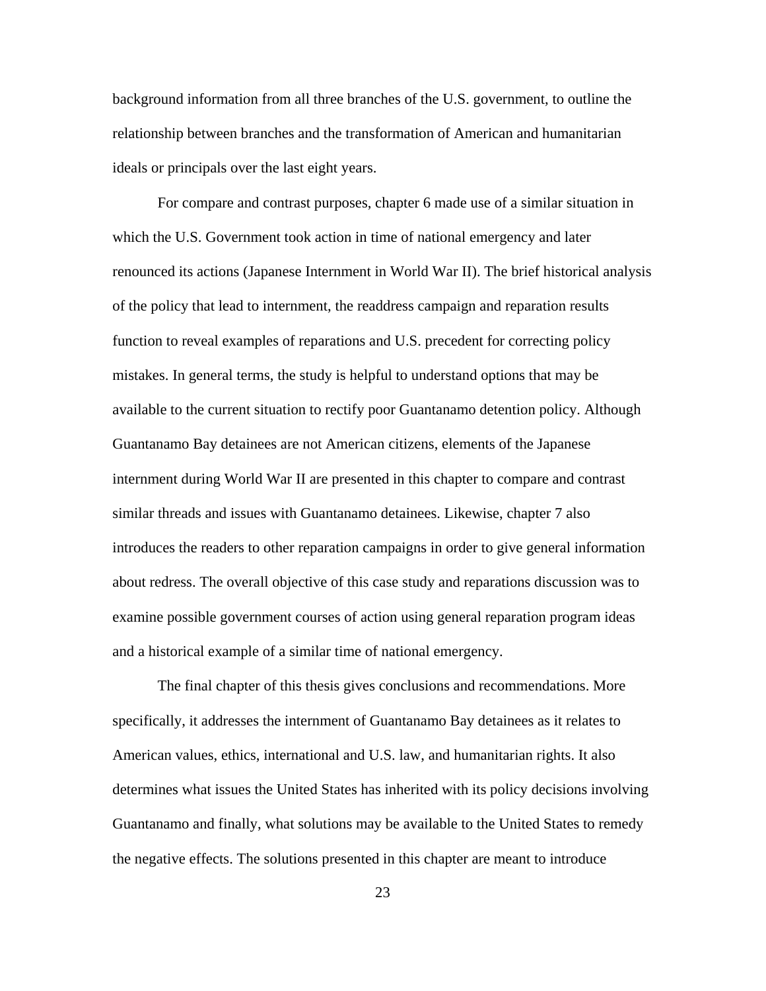background information from all three branches of the U.S. government, to outline the relationship between branches and the transformation of American and humanitarian ideals or principals over the last eight years.

For compare and contrast purposes, chapter 6 made use of a similar situation in which the U.S. Government took action in time of national emergency and later renounced its actions (Japanese Internment in World War II). The brief historical analysis of the policy that lead to internment, the readdress campaign and reparation results function to reveal examples of reparations and U.S. precedent for correcting policy mistakes. In general terms, the study is helpful to understand options that may be available to the current situation to rectify poor Guantanamo detention policy. Although Guantanamo Bay detainees are not American citizens, elements of the Japanese internment during World War II are presented in this chapter to compare and contrast similar threads and issues with Guantanamo detainees. Likewise, chapter 7 also introduces the readers to other reparation campaigns in order to give general information about redress. The overall objective of this case study and reparations discussion was to examine possible government courses of action using general reparation program ideas and a historical example of a similar time of national emergency.

The final chapter of this thesis gives conclusions and recommendations. More specifically, it addresses the internment of Guantanamo Bay detainees as it relates to American values, ethics, international and U.S. law, and humanitarian rights. It also determines what issues the United States has inherited with its policy decisions involving Guantanamo and finally, what solutions may be available to the United States to remedy the negative effects. The solutions presented in this chapter are meant to introduce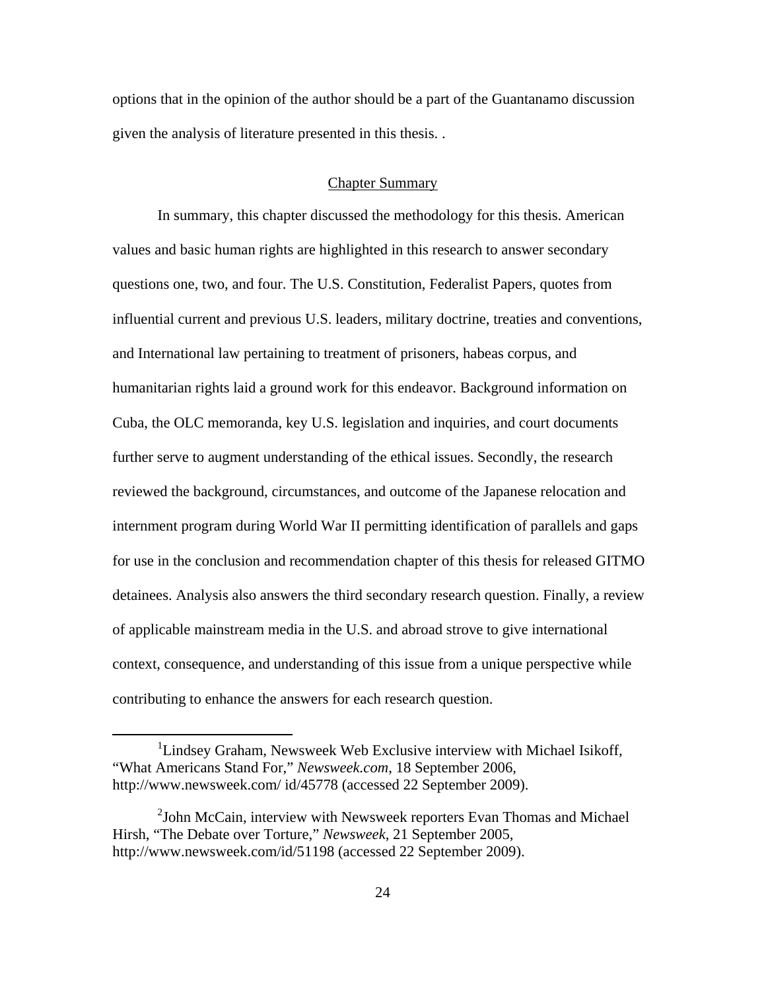options that in the opinion of the author should be a part of the Guantanamo discussion given the analysis of literature presented in this thesis. .

# Chapter Summary

In summary, this chapter discussed the methodology for this thesis. American values and basic human rights are highlighted in this research to answer secondary questions one, two, and four. The U.S. Constitution, Federalist Papers, quotes from influential current and previous U.S. leaders, military doctrine, treaties and conventions, and International law pertaining to treatment of prisoners, habeas corpus, and humanitarian rights laid a ground work for this endeavor. Background information on Cuba, the OLC memoranda, key U.S. legislation and inquiries, and court documents further serve to augment understanding of the ethical issues. Secondly, the research reviewed the background, circumstances, and outcome of the Japanese relocation and internment program during World War II permitting identification of parallels and gaps for use in the conclusion and recommendation chapter of this thesis for released GITMO detainees. Analysis also answers the third secondary research question. Finally, a review of applicable mainstream media in the U.S. and abroad strove to give international context, consequence, and understanding of this issue from a unique perspective while contributing to enhance the answers for each research question.

<sup>&</sup>lt;u>1</u> <sup>1</sup>Lindsey Graham, Newsweek Web Exclusive interview with Michael Isikoff, "What Americans Stand For," *Newsweek.com*, 18 September 2006, http://www.newsweek.com/ id/45778 (accessed 22 September 2009).

 $2$ John McCain, interview with Newsweek reporters Evan Thomas and Michael Hirsh, "The Debate over Torture," *Newsweek*, 21 September 2005, http://www.newsweek.com/id/51198 (accessed 22 September 2009).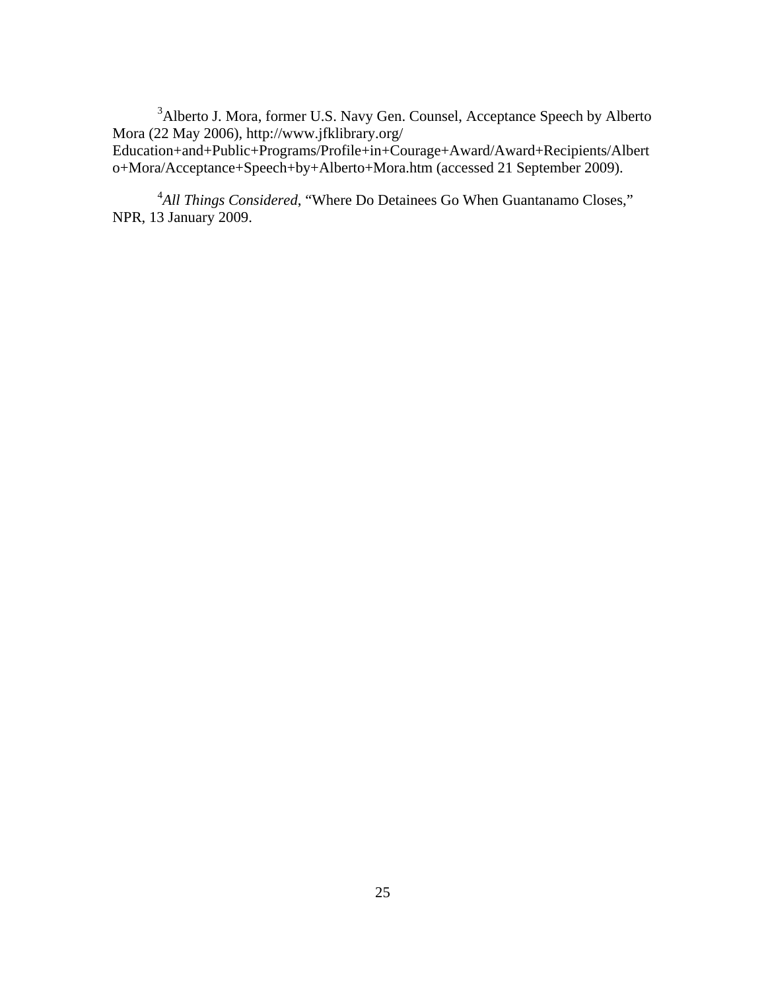<sup>3</sup>Alberto J. Mora, former U.S. Navy Gen. Counsel, Acceptance Speech by Alberto Mora (22 May 2006), http://www.jfklibrary.org/

Education+and+Public+Programs/Profile+in+Courage+Award/Award+Recipients/Albert o+Mora/Acceptance+Speech+by+Alberto+Mora.htm (accessed 21 September 2009).

<sup>4</sup>All Things Considered, "Where Do Detainees Go When Guantanamo Closes," NPR, 13 January 2009.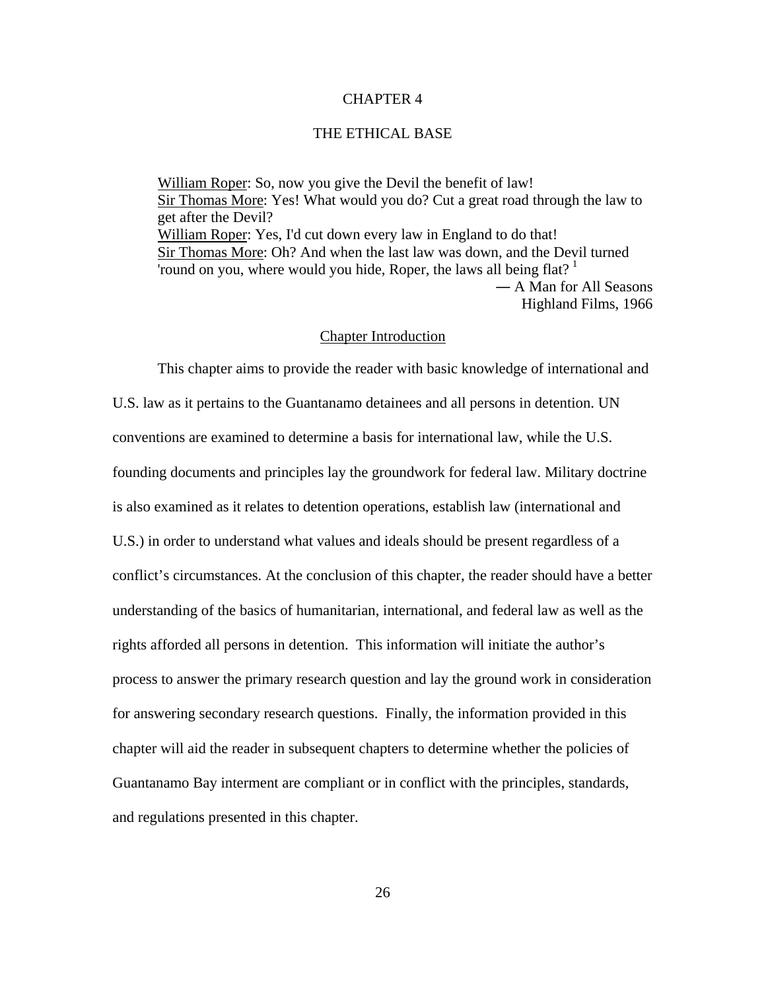#### CHAPTER 4

## THE ETHICAL BASE

[William Roper:](http://www.imdb.com/name/nm0714874/) So, now you give the Devil the benefit of law! [Sir Thomas More:](http://www.imdb.com/name/nm0006890/) Yes! What would you do? Cut a great road through the law to get after the Devil? [William Roper:](http://www.imdb.com/name/nm0714874/) Yes, I'd cut down every law in England to do that! [Sir Thomas More:](http://www.imdb.com/name/nm0006890/) Oh? And when the last law was down, and the Devil turned 'round on you, where would you hide, Roper, the laws all being flat?  $1$ ― A Man for All Seasons Highland Films, 1966

#### Chapter Introduction

This chapter aims to provide the reader with basic knowledge of international and U.S. law as it pertains to the Guantanamo detainees and all persons in detention. UN conventions are examined to determine a basis for international law, while the U.S. founding documents and principles lay the groundwork for federal law. Military doctrine is also examined as it relates to detention operations, establish law (international and U.S.) in order to understand what values and ideals should be present regardless of a conflict's circumstances. At the conclusion of this chapter, the reader should have a better understanding of the basics of humanitarian, international, and federal law as well as the rights afforded all persons in detention. This information will initiate the author's process to answer the primary research question and lay the ground work in consideration for answering secondary research questions. Finally, the information provided in this chapter will aid the reader in subsequent chapters to determine whether the policies of Guantanamo Bay interment are compliant or in conflict with the principles, standards, and regulations presented in this chapter.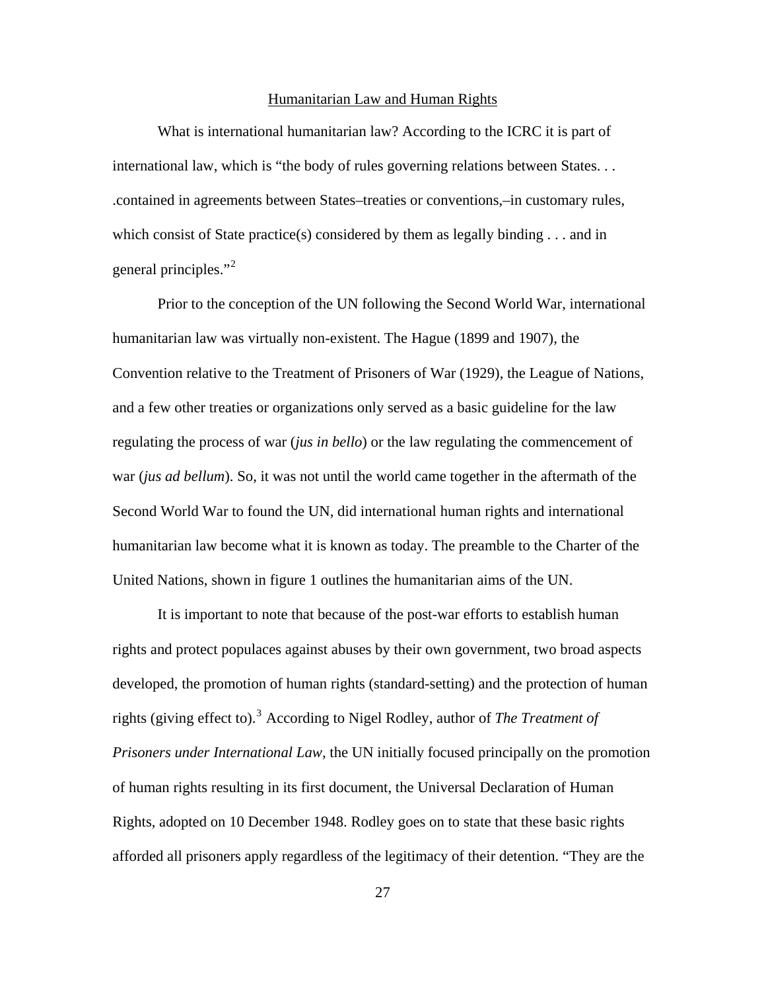## Humanitarian Law and Human Rights

What is international humanitarian law? According to the ICRC it is part of international law, which is "the body of rules governing relations between States. . . .contained in agreements between States–treaties or conventions,–in customary rules, which consist of State practice(s) considered by them as legally binding  $\dots$  and in general principles."<sup>[2](#page-150-1)</sup>

Prior to the conception of the UN following the Second World War, international humanitarian law was virtually non-existent. The Hague (1899 and 1907), the Convention relative to the Treatment of Prisoners of War (1929), the League of Nations, and a few other treaties or organizations only served as a basic guideline for the law regulating the process of war (*jus in bello*) or the law regulating the commencement of war (*jus ad bellum*). So, it was not until the world came together in the aftermath of the Second World War to found the UN, did international human rights and international humanitarian law become what it is known as today. The preamble to the Charter of the United Nations, shown in figure 1 outlines the humanitarian aims of the UN.

It is important to note that because of the post-war efforts to establish human rights and protect populaces against abuses by their own government, two broad aspects developed, the promotion of human rights (standard-setting) and the protection of human rights (giving effect to).<sup>[3](#page-150-0)</sup> According to Nigel Rodley, author of *The Treatment of Prisoners under International Law,* the UN initially focused principally on the promotion of human rights resulting in its first document, the Universal Declaration of Human Rights, adopted on 10 December 1948. Rodley goes on to state that these basic rights afforded all prisoners apply regardless of the legitimacy of their detention. "They are the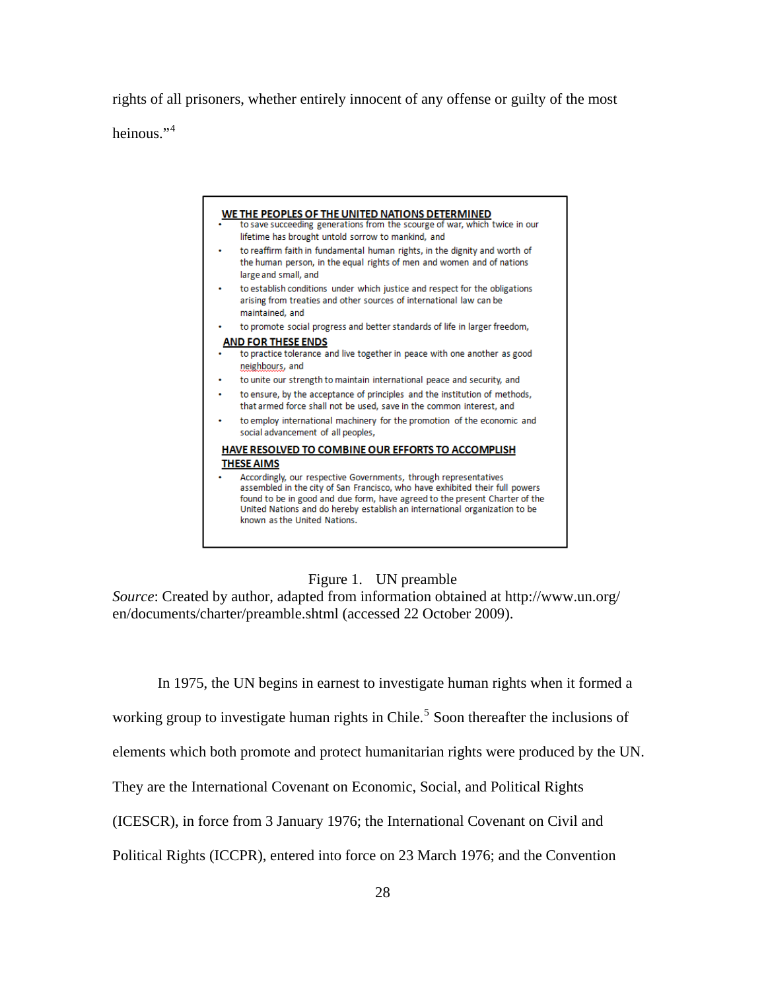rights of all prisoners, whether entirely innocent of any offense or guilty of the most heinous."<sup>[4](#page-150-0)</sup>



Figure 1. UN preamble

*Source*: Created by author, adapted from information obtained at http://www.un.org/ en/documents/charter/preamble.shtml (accessed 22 October 2009).

In 1975, the UN begins in earnest to investigate human rights when it formed a

working group to investigate human rights in Chile.<sup>[5](#page-150-0)</sup> Soon thereafter the inclusions of

elements which both promote and protect humanitarian rights were produced by the UN.

They are the International Covenant on Economic, Social, and Political Rights

(ICESCR), in force from 3 January 1976; the International Covenant on Civil and

Political Rights (ICCPR), entered into force on 23 March 1976; and the Convention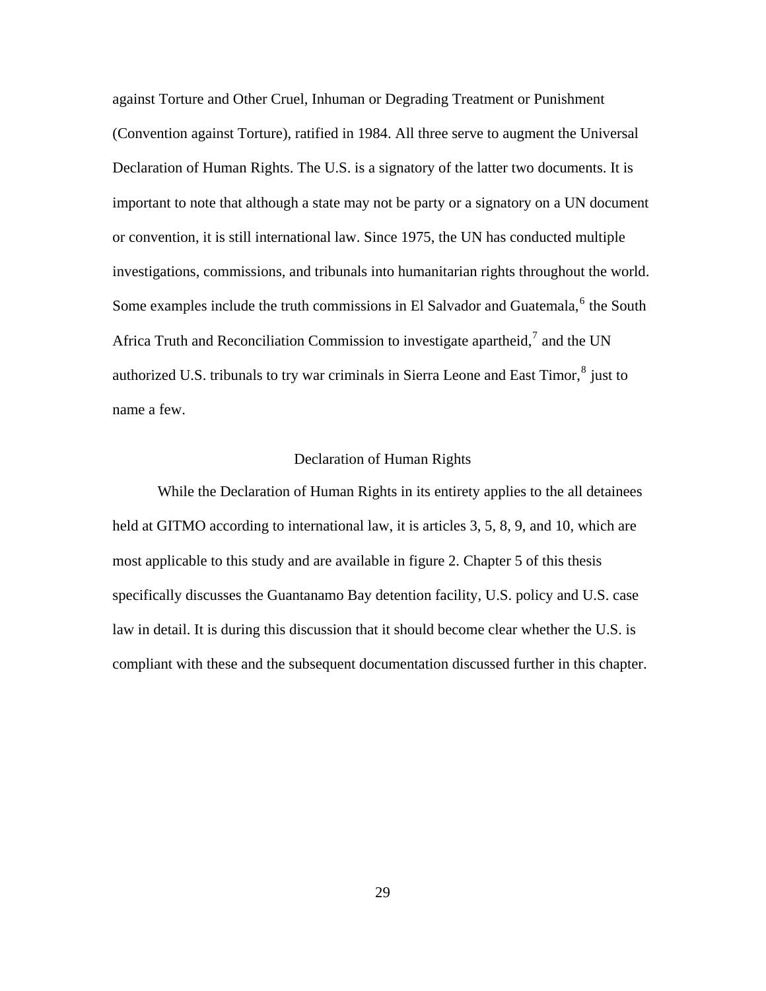against Torture and Other Cruel, Inhuman or Degrading Treatment or Punishment (Convention against Torture), ratified in 1984. All three serve to augment the Universal Declaration of Human Rights. The U.S. is a signatory of the latter two documents. It is important to note that although a state may not be party or a signatory on a UN document or convention, it is still international law. Since 1975, the UN has conducted multiple investigations, commissions, and tribunals into humanitarian rights throughout the world. Some examples include the truth commissions in El Salvador and Guatemala,  $6$  the South Africa Truth and Reconciliation Commission to investigate apartheid,<sup>[7](#page-150-0)</sup> and the UN authorized U.S. tribunals to try war criminals in Sierra Leone and East Timor,  $^8$  $^8$  just to name a few.

## Declaration of Human Rights

While the Declaration of Human Rights in its entirety applies to the all detainees held at GITMO according to international law, it is articles 3, 5, 8, 9, and 10, which are most applicable to this study and are available in figure 2. Chapter 5 of this thesis specifically discusses the Guantanamo Bay detention facility, U.S. policy and U.S. case law in detail. It is during this discussion that it should become clear whether the U.S. is compliant with these and the subsequent documentation discussed further in this chapter.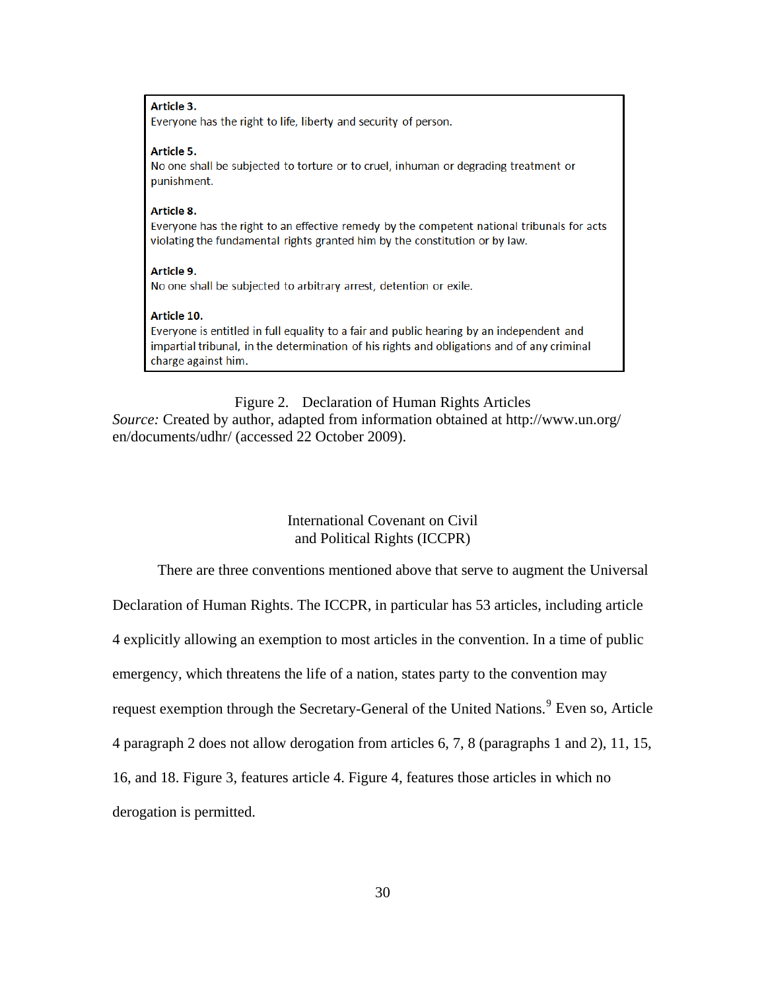#### Article 3.

Everyone has the right to life, liberty and security of person.

#### Article 5.

No one shall be subjected to torture or to cruel, inhuman or degrading treatment or punishment.

#### Article 8.

Everyone has the right to an effective remedy by the competent national tribunals for acts violating the fundamental rights granted him by the constitution or by law.

#### Article 9. No one shall be subjected to arbitrary arrest, detention or exile.

#### Article 10.

Everyone is entitled in full equality to a fair and public hearing by an independent and impartial tribunal, in the determination of his rights and obligations and of any criminal charge against him.

# Figure 2. Declaration of Human Rights Articles

*Source:* Created by author, adapted from information obtained at http://www.un.org/ en/documents/udhr/ (accessed 22 October 2009).

# International Covenant on Civil and Political Rights (ICCPR)

There are three conventions mentioned above that serve to augment the Universal

Declaration of Human Rights. The ICCPR, in particular has 53 articles, including article

4 explicitly allowing an exemption to most articles in the convention. In a time of public

emergency, which threatens the life of a nation, states party to the convention may

request exemption through the Secretary-General of the United Nations.<sup>[9](#page-150-0)</sup> Even so, Article

4 paragraph 2 does not allow derogation from articles 6, 7, 8 (paragraphs 1 and 2), 11, 15,

16, and 18. Figure 3, features article 4. Figure 4, features those articles in which no

derogation is permitted.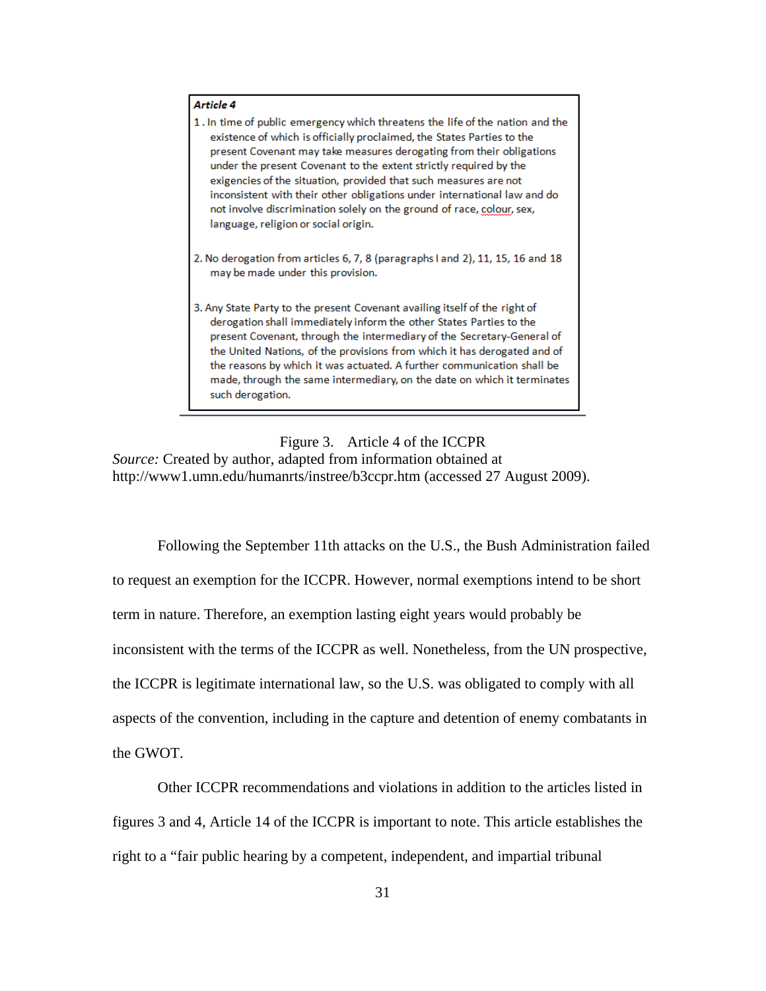#### Article 4

| 1. In time of public emergency which threatens the life of the nation and the |
|-------------------------------------------------------------------------------|
| existence of which is officially proclaimed, the States Parties to the        |
| present Covenant may take measures derogating from their obligations          |
| under the present Covenant to the extent strictly required by the             |
| exigencies of the situation, provided that such measures are not              |
| inconsistent with their other obligations under international law and do      |
| not involve discrimination solely on the ground of race, colour, sex,         |
| language, religion or social origin.                                          |

- 2. No derogation from articles 6, 7, 8 (paragraphs I and 2), 11, 15, 16 and 18 may be made under this provision.
- 3. Any State Party to the present Covenant availing itself of the right of derogation shall immediately inform the other States Parties to the present Covenant, through the intermediary of the Secretary-General of the United Nations, of the provisions from which it has derogated and of the reasons by which it was actuated. A further communication shall be made, through the same intermediary, on the date on which it terminates such derogation.

## Figure 3. Article 4 of the ICCPR

*Source:* Created by author, adapted from information obtained at http://www1.umn.edu/humanrts/instree/b3ccpr.htm (accessed 27 August 2009).

Following the September 11th attacks on the U.S., the Bush Administration failed to request an exemption for the ICCPR. However, normal exemptions intend to be short term in nature. Therefore, an exemption lasting eight years would probably be inconsistent with the terms of the ICCPR as well. Nonetheless, from the UN prospective, the ICCPR is legitimate international law, so the U.S. was obligated to comply with all aspects of the convention, including in the capture and detention of enemy combatants in the GWOT.

Other ICCPR recommendations and violations in addition to the articles listed in figures 3 and 4, Article 14 of the ICCPR is important to note. This article establishes the right to a "fair public hearing by a competent, independent, and impartial tribunal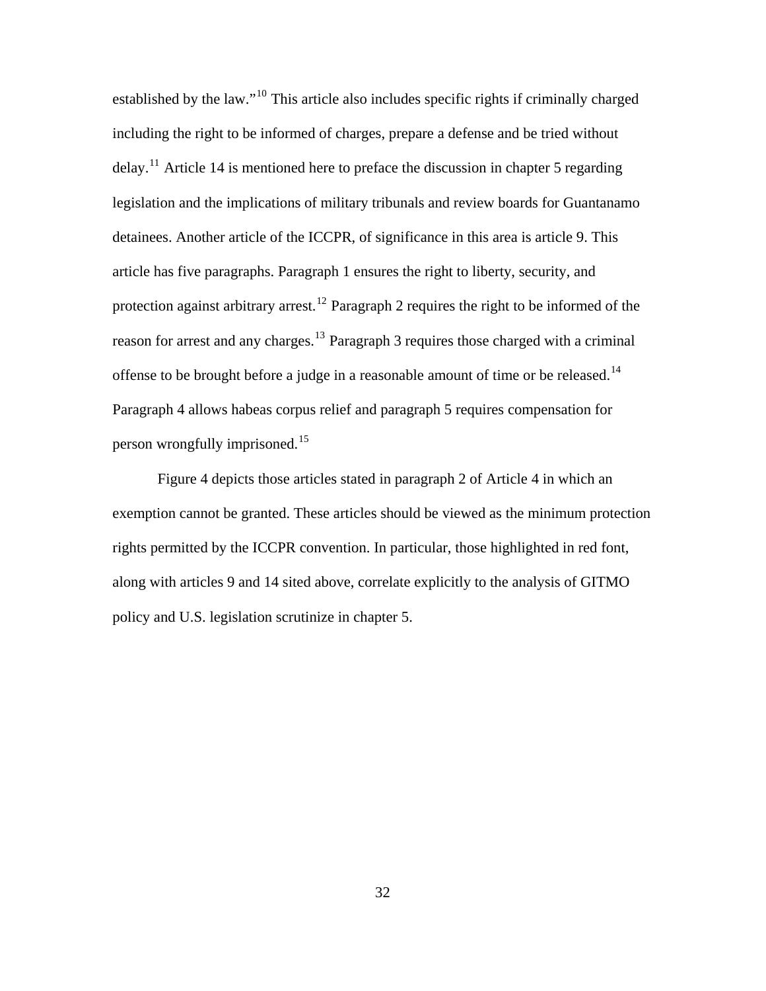established by the law."[10](#page-150-0) This article also includes specific rights if criminally charged including the right to be informed of charges, prepare a defense and be tried without delay.<sup>[11](#page-150-0)</sup> Article 14 is mentioned here to preface the discussion in chapter 5 regarding legislation and the implications of military tribunals and review boards for Guantanamo detainees. Another article of the ICCPR, of significance in this area is article 9. This article has five paragraphs. Paragraph 1 ensures the right to liberty, security, and protection against arbitrary arrest.<sup>[12](#page-150-0)</sup> Paragraph 2 requires the right to be informed of the reason for arrest and any charges.<sup>[13](#page-150-0)</sup> Paragraph 3 requires those charged with a criminal offense to be brought before a judge in a reasonable amount of time or be released.<sup>[14](#page-150-0)</sup> Paragraph 4 allows habeas corpus relief and paragraph 5 requires compensation for person wrongfully imprisoned.[15](#page-150-0)

Figure 4 depicts those articles stated in paragraph 2 of Article 4 in which an exemption cannot be granted. These articles should be viewed as the minimum protection rights permitted by the ICCPR convention. In particular, those highlighted in red font, along with articles 9 and 14 sited above, correlate explicitly to the analysis of GITMO policy and U.S. legislation scrutinize in chapter 5.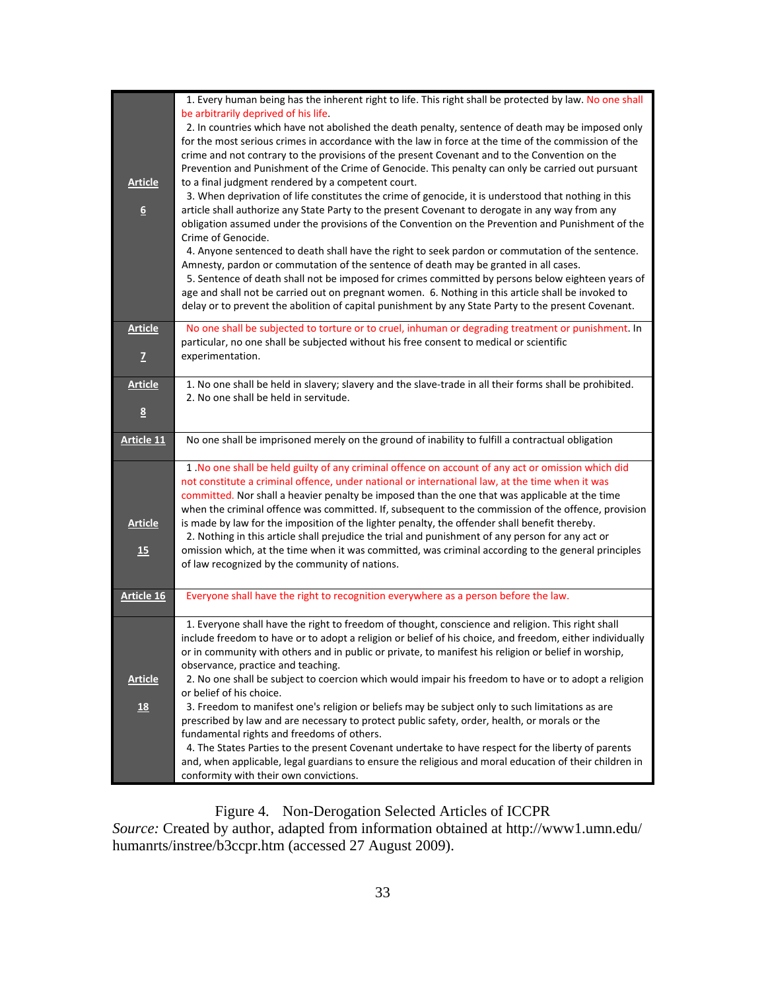| <b>Article</b><br>$6 \overline{6}$ | 1. Every human being has the inherent right to life. This right shall be protected by law. No one shall<br>be arbitrarily deprived of his life.<br>2. In countries which have not abolished the death penalty, sentence of death may be imposed only<br>for the most serious crimes in accordance with the law in force at the time of the commission of the<br>crime and not contrary to the provisions of the present Covenant and to the Convention on the<br>Prevention and Punishment of the Crime of Genocide. This penalty can only be carried out pursuant<br>to a final judgment rendered by a competent court.<br>3. When deprivation of life constitutes the crime of genocide, it is understood that nothing in this<br>article shall authorize any State Party to the present Covenant to derogate in any way from any<br>obligation assumed under the provisions of the Convention on the Prevention and Punishment of the<br>Crime of Genocide.<br>4. Anyone sentenced to death shall have the right to seek pardon or commutation of the sentence.<br>Amnesty, pardon or commutation of the sentence of death may be granted in all cases.<br>5. Sentence of death shall not be imposed for crimes committed by persons below eighteen years of<br>age and shall not be carried out on pregnant women. 6. Nothing in this article shall be invoked to<br>delay or to prevent the abolition of capital punishment by any State Party to the present Covenant. |
|------------------------------------|------------------------------------------------------------------------------------------------------------------------------------------------------------------------------------------------------------------------------------------------------------------------------------------------------------------------------------------------------------------------------------------------------------------------------------------------------------------------------------------------------------------------------------------------------------------------------------------------------------------------------------------------------------------------------------------------------------------------------------------------------------------------------------------------------------------------------------------------------------------------------------------------------------------------------------------------------------------------------------------------------------------------------------------------------------------------------------------------------------------------------------------------------------------------------------------------------------------------------------------------------------------------------------------------------------------------------------------------------------------------------------------------------------------------------------------------------------------------------|
|                                    |                                                                                                                                                                                                                                                                                                                                                                                                                                                                                                                                                                                                                                                                                                                                                                                                                                                                                                                                                                                                                                                                                                                                                                                                                                                                                                                                                                                                                                                                              |
| <b>Article</b><br>$\overline{z}$   | No one shall be subjected to torture or to cruel, inhuman or degrading treatment or punishment. In<br>particular, no one shall be subjected without his free consent to medical or scientific<br>experimentation.                                                                                                                                                                                                                                                                                                                                                                                                                                                                                                                                                                                                                                                                                                                                                                                                                                                                                                                                                                                                                                                                                                                                                                                                                                                            |
| <b>Article</b>                     | 1. No one shall be held in slavery; slavery and the slave-trade in all their forms shall be prohibited.                                                                                                                                                                                                                                                                                                                                                                                                                                                                                                                                                                                                                                                                                                                                                                                                                                                                                                                                                                                                                                                                                                                                                                                                                                                                                                                                                                      |
| $\underline{8}$                    | 2. No one shall be held in servitude.                                                                                                                                                                                                                                                                                                                                                                                                                                                                                                                                                                                                                                                                                                                                                                                                                                                                                                                                                                                                                                                                                                                                                                                                                                                                                                                                                                                                                                        |
| <b>Article 11</b>                  | No one shall be imprisoned merely on the ground of inability to fulfill a contractual obligation                                                                                                                                                                                                                                                                                                                                                                                                                                                                                                                                                                                                                                                                                                                                                                                                                                                                                                                                                                                                                                                                                                                                                                                                                                                                                                                                                                             |
| <u>Article</u><br>15               | 1. No one shall be held guilty of any criminal offence on account of any act or omission which did<br>not constitute a criminal offence, under national or international law, at the time when it was<br>committed. Nor shall a heavier penalty be imposed than the one that was applicable at the time<br>when the criminal offence was committed. If, subsequent to the commission of the offence, provision<br>is made by law for the imposition of the lighter penalty, the offender shall benefit thereby.<br>2. Nothing in this article shall prejudice the trial and punishment of any person for any act or<br>omission which, at the time when it was committed, was criminal according to the general principles<br>of law recognized by the community of nations.                                                                                                                                                                                                                                                                                                                                                                                                                                                                                                                                                                                                                                                                                                 |
| <b>Article 16</b>                  | Everyone shall have the right to recognition everywhere as a person before the law.                                                                                                                                                                                                                                                                                                                                                                                                                                                                                                                                                                                                                                                                                                                                                                                                                                                                                                                                                                                                                                                                                                                                                                                                                                                                                                                                                                                          |
| <u>Article</u><br>18               | 1. Everyone shall have the right to freedom of thought, conscience and religion. This right shall<br>include freedom to have or to adopt a religion or belief of his choice, and freedom, either individually<br>or in community with others and in public or private, to manifest his religion or belief in worship,<br>observance, practice and teaching.<br>2. No one shall be subject to coercion which would impair his freedom to have or to adopt a religion<br>or belief of his choice.<br>3. Freedom to manifest one's religion or beliefs may be subject only to such limitations as are<br>prescribed by law and are necessary to protect public safety, order, health, or morals or the<br>fundamental rights and freedoms of others.<br>4. The States Parties to the present Covenant undertake to have respect for the liberty of parents<br>and, when applicable, legal guardians to ensure the religious and moral education of their children in<br>conformity with their own convictions.                                                                                                                                                                                                                                                                                                                                                                                                                                                                  |

Figure 4. Non-Derogation Selected Articles of ICCPR *Source:* Created by author, adapted from information obtained at http://www1.umn.edu/ humanrts/instree/b3ccpr.htm (accessed 27 August 2009).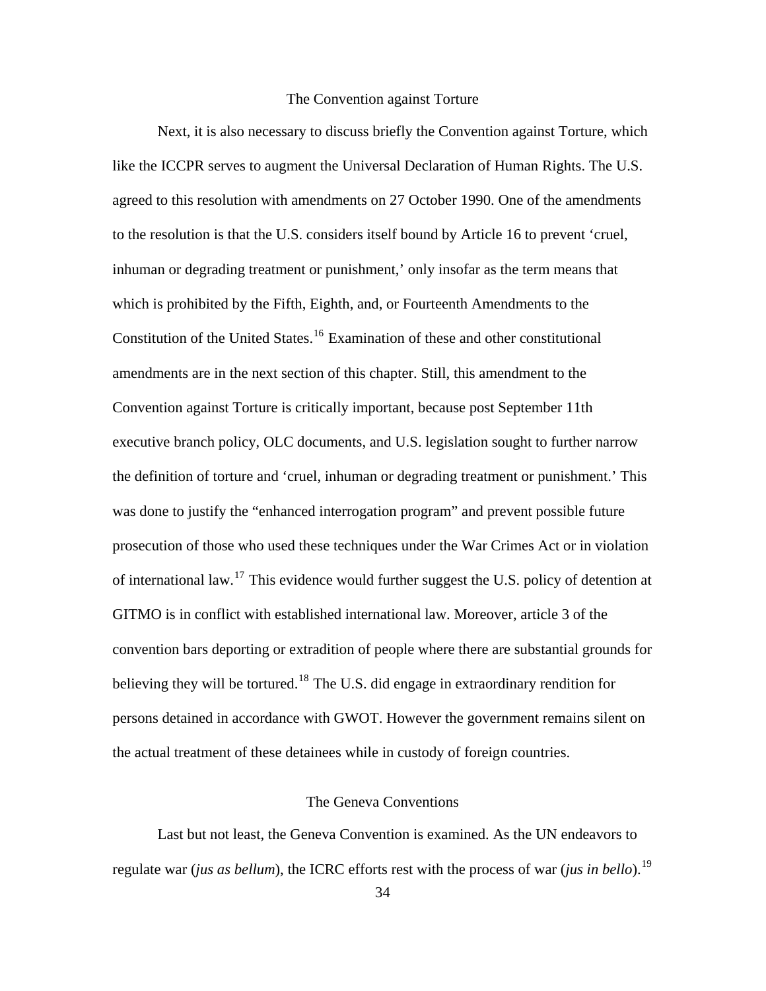## The Convention against Torture

Next, it is also necessary to discuss briefly the Convention against Torture, which like the ICCPR serves to augment the Universal Declaration of Human Rights. The U.S. agreed to this resolution with amendments on 27 October 1990. One of the amendments to the resolution is that the U.S. considers itself bound by Article 16 to prevent 'cruel, inhuman or degrading treatment or punishment,' only insofar as the term means that which is prohibited by the Fifth, Eighth, and, or Fourteenth Amendments to the Constitution of the United States.<sup>[16](#page-150-0)</sup> Examination of these and other constitutional amendments are in the next section of this chapter. Still, this amendment to the Convention against Torture is critically important, because post September 11th executive branch policy, OLC documents, and U.S. legislation sought to further narrow the definition of torture and 'cruel, inhuman or degrading treatment or punishment.' This was done to justify the "enhanced interrogation program" and prevent possible future prosecution of those who used these techniques under the War Crimes Act or in violation of international law.<sup>[17](#page-150-0)</sup> This evidence would further suggest the U.S. policy of detention at GITMO is in conflict with established international law. Moreover, article 3 of the convention bars deporting or extradition of people where there are substantial grounds for believing they will be tortured.<sup>[18](#page-150-0)</sup> The U.S. did engage in extraordinary rendition for persons detained in accordance with GWOT. However the government remains silent on the actual treatment of these detainees while in custody of foreign countries.

# The Geneva Conventions

Last but not least, the Geneva Convention is examined. As the UN endeavors to regulate war (*jus as bellum*), the ICRC efforts rest with the process of war (*jus in bello*).[19](#page-150-0)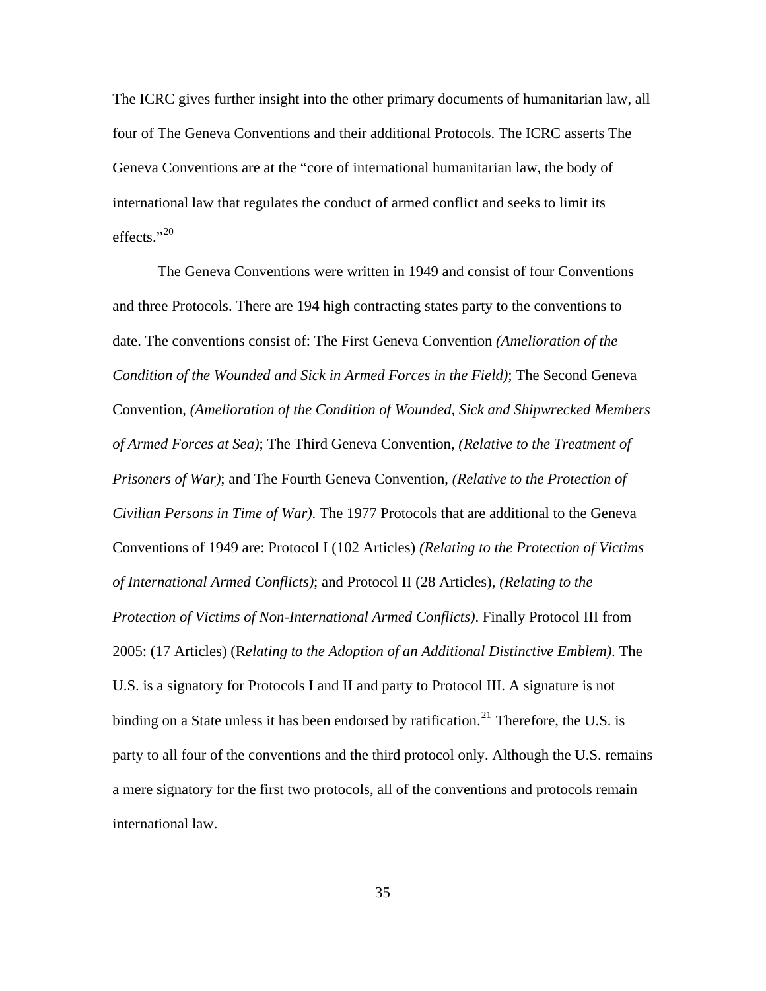The ICRC gives further insight into the other primary documents of humanitarian law, all four of The Geneva Conventions and their additional Protocols. The ICRC asserts The Geneva Conventions are at the "core of [international humanitarian law,](http://www.icrc.org/web/eng/siteeng0.nsf/html/ihl) the body of international law that regulates the conduct of armed conflict and seeks to limit its effects." $^{20}$  $^{20}$  $^{20}$ 

The Geneva Conventions were written in 1949 and consist of four Conventions and three Protocols. There are 194 high contracting states party to the conventions to date. The conventions consist of: The First Geneva Convention *(Amelioration of the Condition of the Wounded and Sick in Armed Forces in the Field)*; The Second Geneva Convention, *(Amelioration of the Condition of Wounded, Sick and Shipwrecked Members of Armed Forces at Sea)*; The Third Geneva Convention, *(Relative to the Treatment of Prisoners of War)*; and The Fourth Geneva Convention, *(Relative to the Protection of Civilian Persons in Time of War)*. The 1977 Protocols that are additional to the Geneva Conventions of 1949 are: Protocol I (102 Articles) *(Relating to the Protection of Victims of International Armed Conflicts)*; and Protocol II (28 Articles), *(Relating to the Protection of Victims of Non-International Armed Conflicts)*. Finally Protocol III from 2005: (17 Articles) (R*elating to the Adoption of an Additional Distinctive Emblem)*. The U.S. is a signatory for Protocols I and II and party to Protocol III. A signature is not binding on a State unless it has been endorsed by ratification.<sup>[21](#page-150-0)</sup> Therefore, the U.S. is party to all four of the conventions and the third protocol only. Although the U.S. remains a mere signatory for the first two protocols, all of the conventions and protocols remain international law.

35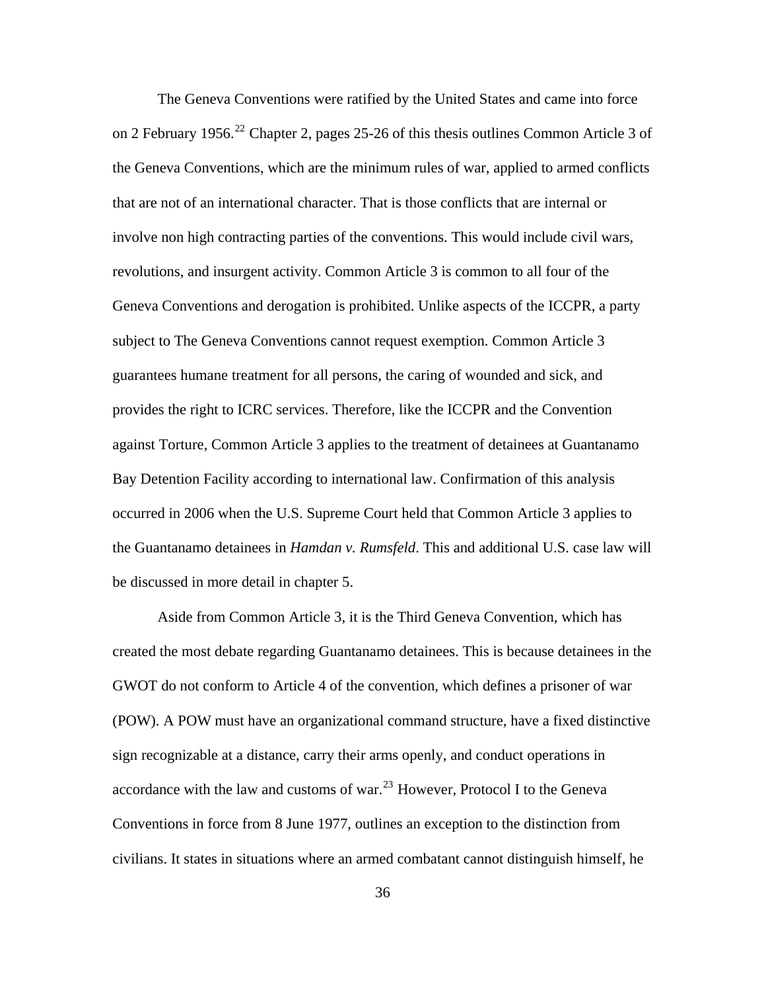The Geneva Conventions were ratified by the United States and came into force on 2 February 1956.<sup>[22](#page-150-0)</sup> Chapter 2, pages 25-26 of this thesis outlines Common Article 3 of the Geneva Conventions, which are the minimum rules of war, applied to armed conflicts that are not of an international character. That is those conflicts that are internal or involve non high contracting parties of the conventions. This would include civil wars, revolutions, and insurgent activity. Common Article 3 is common to all four of the Geneva Conventions and derogation is prohibited. Unlike aspects of the ICCPR, a party subject to The Geneva Conventions cannot request exemption. Common Article 3 guarantees humane treatment for all persons, the caring of wounded and sick, and provides the right to ICRC services. Therefore, like the ICCPR and the Convention against Torture, Common Article 3 applies to the treatment of detainees at Guantanamo Bay Detention Facility according to international law. Confirmation of this analysis occurred in 2006 when the U.S. Supreme Court held that Common Article 3 applies to the Guantanamo detainees in *Hamdan v. Rumsfeld*. This and additional U.S. case law will be discussed in more detail in chapter 5.

Aside from Common Article 3, it is the Third Geneva Convention, which has created the most debate regarding Guantanamo detainees. This is because detainees in the GWOT do not conform to Article 4 of the convention, which defines a prisoner of war (POW). A POW must have an organizational command structure, have a fixed distinctive sign recognizable at a distance, carry their arms openly, and conduct operations in accordance with the law and customs of war. $^{23}$  $^{23}$  $^{23}$  However, Protocol I to the Geneva Conventions in force from 8 June 1977, outlines an exception to the distinction from civilians. It states in situations where an armed combatant cannot distinguish himself, he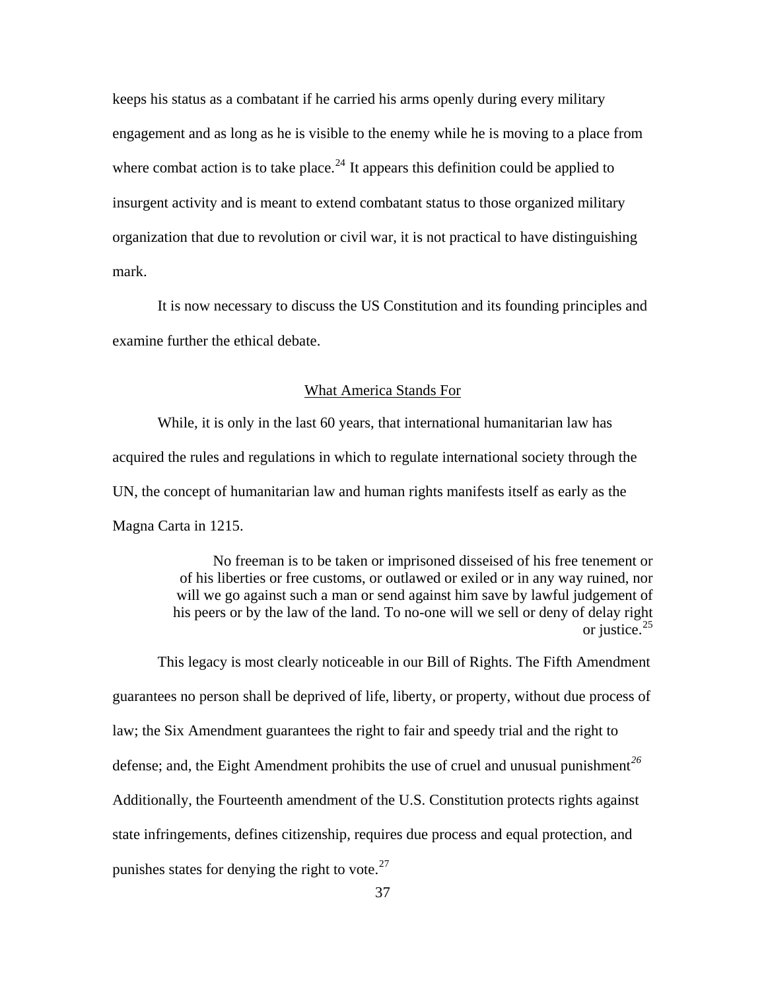keeps his status as a combatant if he carried his arms openly during every military engagement and as long as he is visible to the enemy while he is moving to a place from where combat action is to take place.<sup>[24](#page-150-0)</sup> It appears this definition could be applied to insurgent activity and is meant to extend combatant status to those organized military organization that due to revolution or civil war, it is not practical to have distinguishing mark.

It is now necessary to discuss the US Constitution and its founding principles and examine further the ethical debate.

#### What America Stands For

While, it is only in the last 60 years, that international humanitarian law has acquired the rules and regulations in which to regulate international society through the UN, the concept of humanitarian law and human rights manifests itself as early as the Magna Carta in 1215.

> No freeman is to be taken or imprisoned disseised of his free tenement or of his liberties or free customs, or outlawed or exiled or in any way ruined, nor will we go against such a man or send against him save by lawful judgement of his peers or by the law of the land. To no-one will we sell or deny of delay right or justice. $25$

This legacy is most clearly noticeable in our Bill of Rights. The Fifth Amendment guarantees no person shall be deprived of life, liberty, or property, without due process of law; the Six Amendment guarantees the right to fair and speedy trial and the right to defense; and, the Eight Amendment prohibits the use of cruel and unusual punishment*[26](#page-150-0)* Additionally, the Fourteenth amendment of the U.S. Constitution protects rights against state infringements, defines citizenship, requires due process and equal protection, and punishes states for denying the right to vote. $^{27}$  $^{27}$  $^{27}$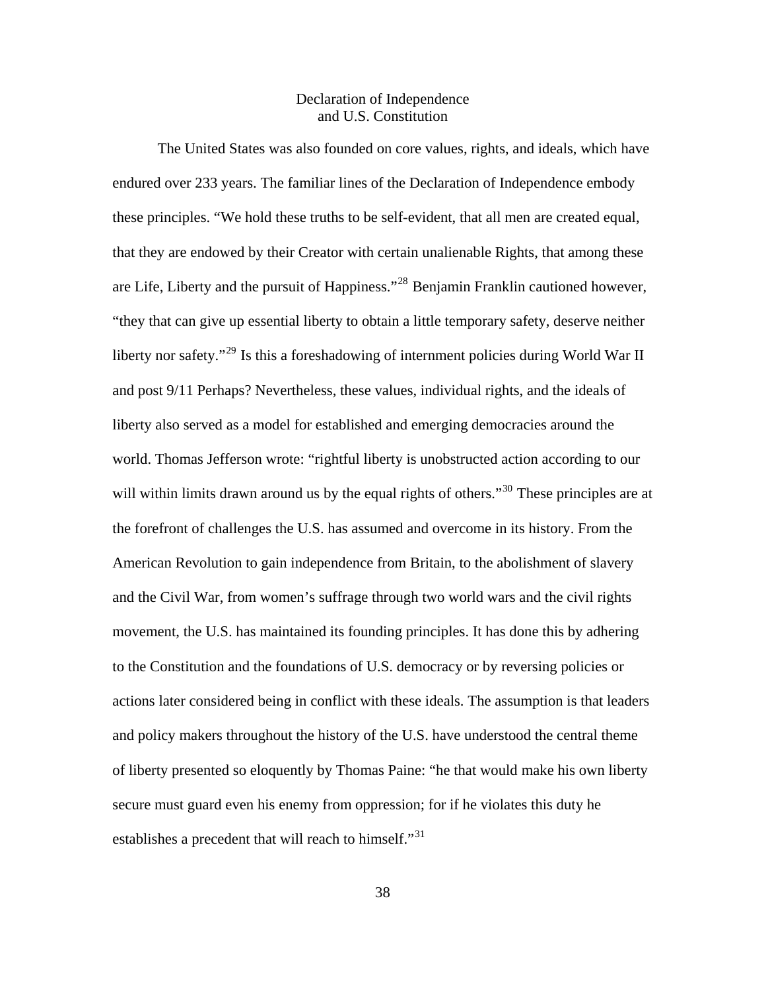# Declaration of Independence and U.S. Constitution

The United States was also founded on core values, rights, and ideals, which have endured over 233 years. The familiar lines of the Declaration of Independence embody these principles. "We hold these truths to be self-evident, that all men are created equal, that they are endowed by their Creator with certain unalienable Rights, that among these are Life, Liberty and the pursuit of Happiness."[28](#page-150-0) Benjamin Franklin cautioned however, "they that can give up essential liberty to obtain a little temporary safety, deserve neither liberty nor safety."<sup>[29](#page-150-0)</sup> Is this a foreshadowing of internment policies during World War II and post 9/11 Perhaps? Nevertheless, these values, individual rights, and the ideals of liberty also served as a model for established and emerging democracies around the world. Thomas Jefferson wrote: "rightful liberty is unobstructed action according to our will within limits drawn around us by the equal rights of others."<sup>[30](#page-150-0)</sup> These principles are at the forefront of challenges the U.S. has assumed and overcome in its history. From the American Revolution to gain independence from Britain, to the abolishment of slavery and the Civil War, from women's suffrage through two world wars and the civil rights movement, the U.S. has maintained its founding principles. It has done this by adhering to the Constitution and the foundations of U.S. democracy or by reversing policies or actions later considered being in conflict with these ideals. The assumption is that leaders and policy makers throughout the history of the U.S. have understood the central theme of liberty presented so eloquently by Thomas Paine: "he that would make his own liberty secure must guard even his enemy from oppression; for if he violates this duty he establishes a precedent that will reach to himself."<sup>[31](#page-150-0)</sup>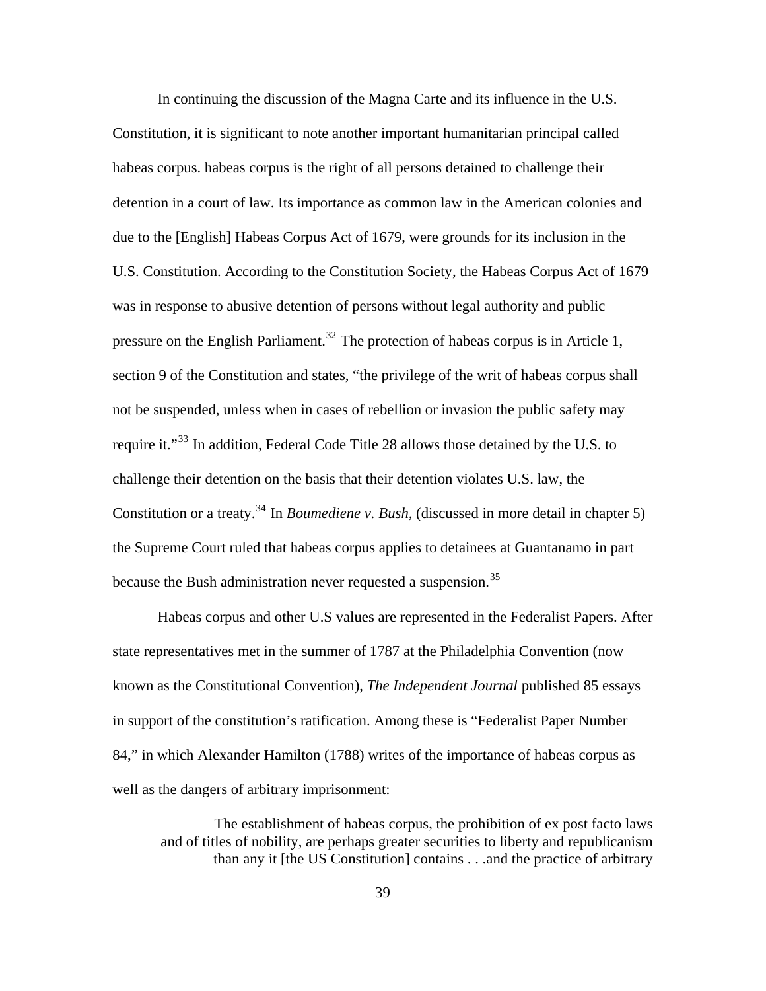In continuing the discussion of the Magna Carte and its influence in the U.S. Constitution, it is significant to note another important humanitarian principal called habeas corpus. habeas corpus is the right of all persons detained to challenge their detention in a court of law. Its importance as common law in the American colonies and due to the [English] Habeas Corpus Act of 1679, were grounds for its inclusion in the U.S. Constitution. According to the Constitution Society, the Habeas Corpus Act of 1679 was in response to abusive detention of persons without legal authority and public pressure on the English Parliament.<sup>[32](#page-150-0)</sup> The protection of habeas corpus is in Article 1, section 9 of the Constitution and states, "the privilege of the writ of habeas corpus shall not be suspended, unless when in cases of rebellion or invasion the public safety may require it."<sup>[33](#page-150-0)</sup> In addition, Federal Code Title 28 allows those detained by the U.S. to challenge their detention on the basis that their detention violates U.S. law, the Constitution or a treaty.<sup>[34](#page-150-0)</sup> In *Boumediene v. Bush*, (discussed in more detail in chapter 5) the Supreme Court ruled that habeas corpus applies to detainees at Guantanamo in part because the Bush administration never requested a suspension.<sup>[35](#page-150-0)</sup>

Habeas corpus and other U.S values are represented in the Federalist Papers. After state representatives met in the summer of 1787 at the Philadelphia Convention (now known as the Constitutional Convention), *The Independent Journal* published 85 essays in support of the constitution's ratification. Among these is "Federalist Paper Number 84," in which Alexander Hamilton (1788) writes of the importance of habeas corpus as well as the dangers of arbitrary imprisonment:

The establishment of habeas corpus, the prohibition of ex post facto laws and of titles of nobility, are perhaps greater securities to liberty and republicanism than any it [the US Constitution] contains . . .and the practice of arbitrary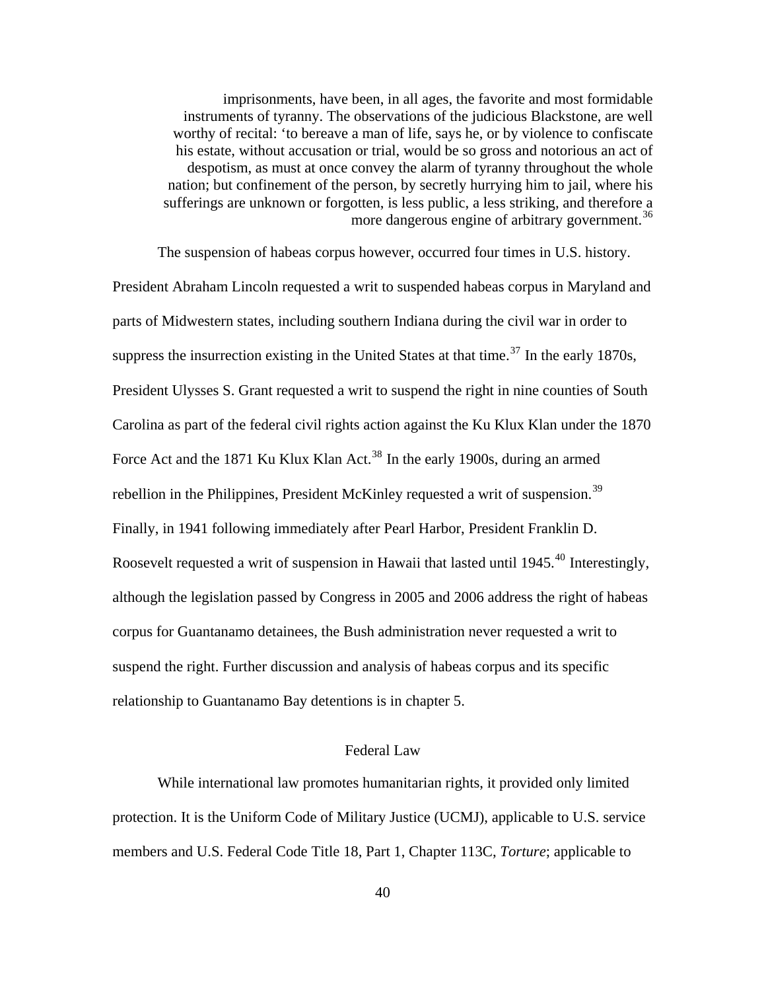imprisonments, have been, in all ages, the favorite and most formidable instruments of tyranny. The observations of the judicious Blackstone, are well worthy of recital: 'to bereave a man of life, says he, or by violence to confiscate his estate, without accusation or trial, would be so gross and notorious an act of despotism, as must at once convey the alarm of tyranny throughout the whole nation; but confinement of the person, by secretly hurrying him to jail, where his sufferings are unknown or forgotten, is less public, a less striking, and therefore a more dangerous engine of arbitrary government.<sup>[36](#page-150-0)</sup>

Roosevelt requested a writ of suspension in Hawaii that lasted until 1945.<sup>[40](#page-150-0)</sup> Interestingly, although the legislation passed by Congress in 2005 and 2006 address the right of habeas relationship to Guantanamo Bay detentions is in chapter 5. The suspension of habeas corpus however, occurred four times in U.S. history. President Abraham Lincoln requested a writ to suspended habeas corpus in Maryland and parts of Midwestern states, including southern Indiana during the civil war in order to suppress the insurrection existing in the United States at that time.<sup>[37](#page-150-0)</sup> In the early 1870s, President Ulysses S. Grant requested a writ to suspend the right in nine counties of South Carolina as part of the federal civil rights action against the Ku Klux Klan under the 1870 Force Act and the 1871 Ku Klux Klan Act.<sup>[38](#page-150-0)</sup> In the early 1900s, during an armed rebellion in the Philippines, President McKinley requested a writ of suspension.<sup>[39](#page-150-0)</sup> Finally, in 1941 following immediately after Pearl Harbor, President Franklin D. corpus for Guantanamo detainees, the Bush administration never requested a writ to suspend the right. Further discussion and analysis of habeas corpus and its specific

## Federal Law

While international law promotes humanitarian rights, it provided only limited protection. It is the Uniform Code of Military Justice (UCMJ), applicable to U.S. service members and U.S. Federal Code Title 18, Part 1, Chapter 113C, *Torture*; applicable to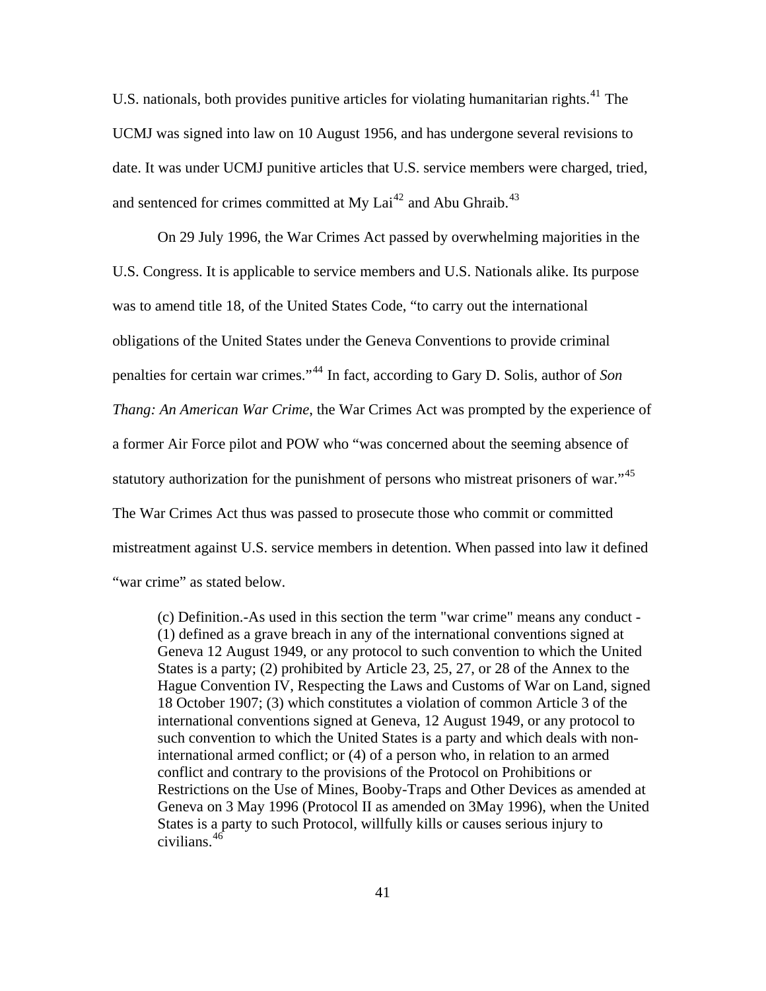U.S. nationals, both provides punitive articles for violating humanitarian rights.<sup>[41](#page-150-0)</sup> The UCMJ was signed into law on 10 August 1956, and has undergone several revisions to date. It was under UCMJ punitive articles that U.S. service members were charged, tried, and sentenced for crimes committed at My Lai<sup>[42](#page-150-0)</sup> and Abu Ghraib.<sup>[43](#page-150-0)</sup>

On 29 July 1996, the War Crimes Act passed by overwhelming majorities in the U.S. Congress. It is applicable to service members and U.S. Nationals alike. Its purpose was to amend title 18, of the United States Code, "to carry out the international obligations of the United States under the Geneva Conventions to provide criminal penalties for certain war crimes."[44](#page-150-0) In fact, according to Gary D. Solis, author of *Son Thang: An American War Crime*, the War Crimes Act was prompted by the experience of a former Air Force pilot and POW who "was concerned about the seeming absence of statutory authorization for the punishment of persons who mistreat prisoners of war."<sup>[45](#page-150-0)</sup> The War Crimes Act thus was passed to prosecute those who commit or committed mistreatment against U.S. service members in detention. When passed into law it defined "war crime" as stated below.

(c) Definition.-As used in this section the term "war crime" means any conduct - (1) defined as a grave breach in any of the international conventions signed at Geneva 12 August 1949, or any protocol to such convention to which the United States is a party; (2) prohibited by Article 23, 25, 27, or 28 of the Annex to the Hague Convention IV, Respecting the Laws and Customs of War on Land, signed 18 October 1907; (3) which constitutes a violation of common Article 3 of the international conventions signed at Geneva, 12 August 1949, or any protocol to such convention to which the United States is a party and which deals with noninternational armed conflict; or (4) of a person who, in relation to an armed conflict and contrary to the provisions of the Protocol on Prohibitions or Restrictions on the Use of Mines, Booby-Traps and Other Devices as amended at Geneva on 3 May 1996 (Protocol II as amended on 3May 1996), when the United States is a party to such Protocol, willfully kills or causes serious injury to civilians.[46](#page-150-0)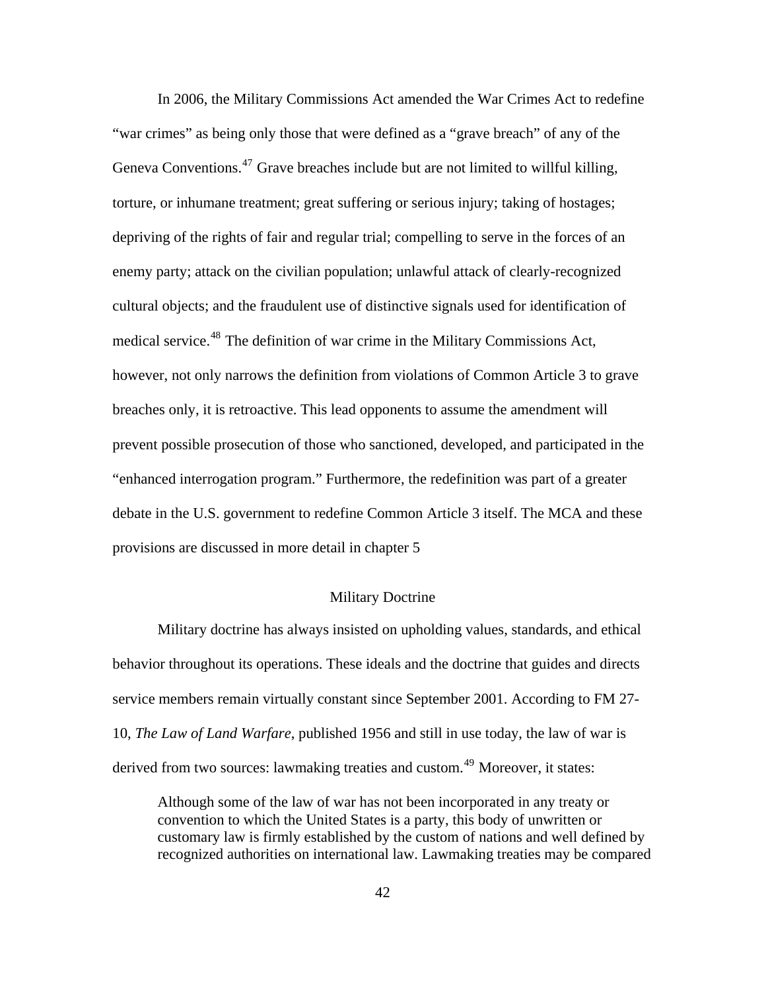In 2006, the Military Commissions Act amended the War Crimes Act to redefine "war crimes" as being only those that were defined as a "grave breach" of any of the Geneva Conventions.<sup>[47](#page-150-0)</sup> Grave breaches include but are not limited to willful killing, torture, or inhumane treatment; great suffering or serious injury; taking of hostages; depriving of the rights of fair and regular trial; compelling to serve in the forces of an enemy party; attack on the civilian population; unlawful attack of clearly-recognized cultural objects; and the fraudulent use of distinctive signals used for identification of medical service.<sup>[48](#page-150-0)</sup> The definition of war crime in the Military Commissions Act, however, not only narrows the definition from violations of Common Article 3 to grave breaches only, it is retroactive. This lead opponents to assume the amendment will prevent possible prosecution of those who sanctioned, developed, and participated in the "enhanced interrogation program." Furthermore, the redefinition was part of a greater debate in the U.S. government to redefine Common Article 3 itself. The MCA and these provisions are discussed in more detail in chapter 5

## Military Doctrine

Military doctrine has always insisted on upholding values, standards, and ethical behavior throughout its operations. These ideals and the doctrine that guides and directs service members remain virtually constant since September 2001. According to FM 27- 10, *The Law of Land Warfare*, published 1956 and still in use today, the law of war is derived from two sources: lawmaking treaties and custom.<sup>[49](#page-150-0)</sup> Moreover, it states:

Although some of the law of war has not been incorporated in any treaty or convention to which the United States is a party, this body of unwritten or customary law is firmly established by the custom of nations and well defined by recognized authorities on international law. Lawmaking treaties may be compared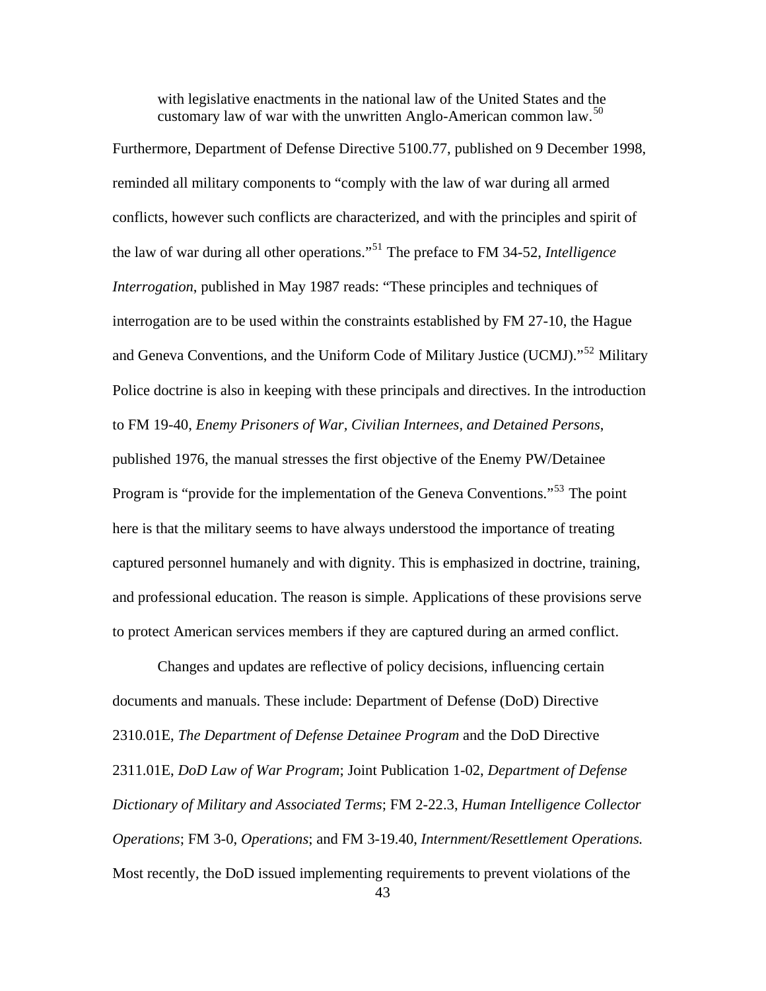with legislative enactments in the national law of the United States and the customary law of war with the unwritten Anglo-American common law.<sup>[50](#page-150-0)</sup>

Furthermore, Department of Defense Directive 5100.77, published on 9 December 1998, reminded all military components to "comply with the law of war during all armed conflicts, however such conflicts are characterized, and with the principles and spirit of the law of war during all other operations."[51](#page-150-0) The preface to FM 34-52, *Intelligence Interrogation*, published in May 1987 reads: "These principles and techniques of interrogation are to be used within the constraints established by FM 27-10, the Hague and Geneva Conventions, and the Uniform Code of Military Justice (UCMJ)."[52](#page-150-0) Military Police doctrine is also in keeping with these principals and directives. In the introduction to FM 19-40, *Enemy Prisoners of War, Civilian Internees, and Detained Persons*, published 1976, the manual stresses the first objective of the Enemy PW/Detainee Program is "provide for the implementation of the Geneva Conventions."<sup>[53](#page-150-0)</sup> The point here is that the military seems to have always understood the importance of treating captured personnel humanely and with dignity. This is emphasized in doctrine, training, and professional education. The reason is simple. Applications of these provisions serve to protect American services members if they are captured during an armed conflict.

Changes and updates are reflective of policy decisions, influencing certain documents and manuals. These include: Department of Defense (DoD) Directive 2310.01E, *The Department of Defense Detainee Program* and the DoD Directive 2311.01E, *DoD Law of War Program*; Joint Publication 1-02, *Department of Defense Dictionary of Military and Associated Terms*; FM 2-22.3, *Human Intelligence Collector Operations*; FM 3-0, *Operations*; and FM 3-19.40, *Internment/Resettlement Operations.* Most recently, the DoD issued implementing requirements to prevent violations of the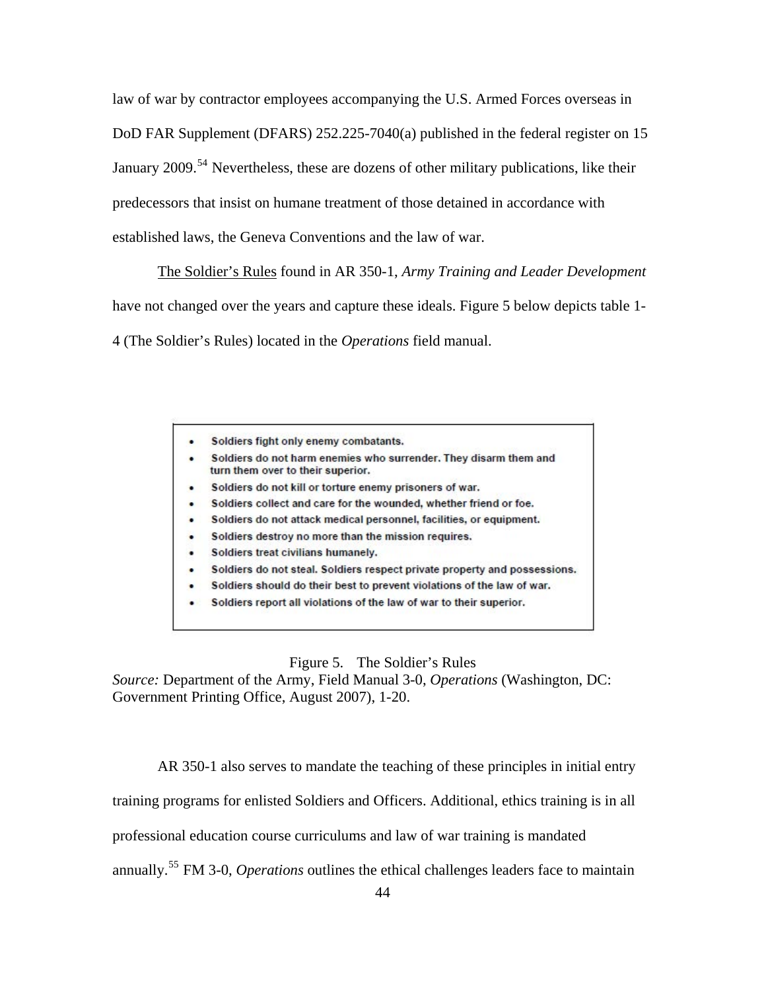law of war by contractor employees accompanying the U.S. Armed Forces overseas in DoD FAR Supplement (DFARS) 252.225-7040(a) published in the federal register on 15 January 2009.<sup>[54](#page-150-0)</sup> Nevertheless, these are dozens of other military publications, like their predecessors that insist on humane treatment of those detained in accordance with established laws, the Geneva Conventions and the law of war.

The Soldier's Rules found in AR 350-1, *Army Training and Leader Development* have not changed over the years and capture these ideals. Figure 5 below depicts table 1- 4 (The Soldier's Rules) located in the *Operations* field manual.

- Soldiers fight only enemy combatants.
- Soldiers do not harm enemies who surrender. They disarm them and turn them over to their superior.
- Soldiers do not kill or torture enemy prisoners of war.
- Soldiers collect and care for the wounded, whether friend or foe.
- Soldiers do not attack medical personnel, facilities, or equipment.
- Soldiers destroy no more than the mission requires.
- Soldiers treat civilians humanely.
- Soldiers do not steal. Soldiers respect private property and possessions.
- Soldiers should do their best to prevent violations of the law of war.
- Soldiers report all violations of the law of war to their superior.

## Figure 5. The Soldier's Rules

*Source:* Department of the Army, Field Manual 3-0, *Operations* (Washington, DC: Government Printing Office, August 2007), 1-20.

AR 350-1 also serves to mandate the teaching of these principles in initial entry

training programs for enlisted Soldiers and Officers. Additional, ethics training is in all

professional education course curriculums and law of war training is mandated

annually.[55](#page-150-0) FM 3-0, *Operations* outlines the ethical challenges leaders face to maintain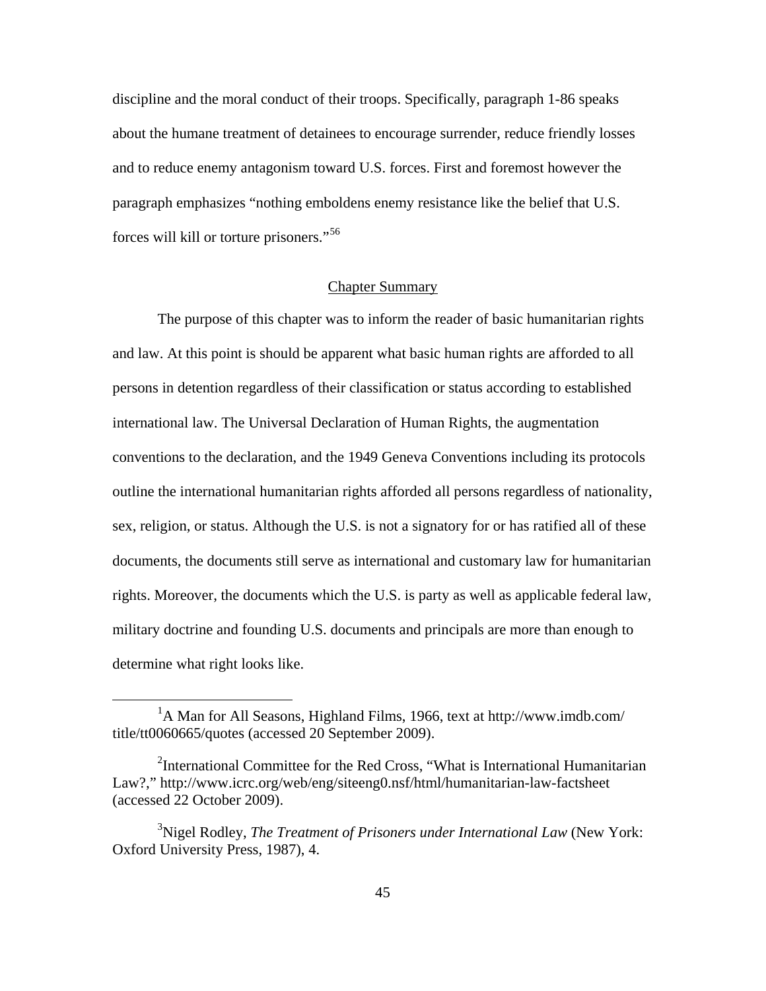discipline and the moral conduct of their troops. Specifically, paragraph 1-86 speaks about the humane treatment of detainees to encourage surrender, reduce friendly losses and to reduce enemy antagonism toward U.S. forces. First and foremost however the paragraph emphasizes "nothing emboldens enemy resistance like the belief that U.S. forces will kill or torture prisoners."[56](#page-150-0)

# Chapter Summary

The purpose of this chapter was to inform the reader of basic humanitarian rights and law. At this point is should be apparent what basic human rights are afforded to all persons in detention regardless of their classification or status according to established international law. The Universal Declaration of Human Rights, the augmentation conventions to the declaration, and the 1949 Geneva Conventions including its protocols outline the international humanitarian rights afforded all persons regardless of nationality, sex, religion, or status. Although the U.S. is not a signatory for or has ratified all of these documents, the documents still serve as international and customary law for humanitarian rights. Moreover, the documents which the U.S. is party as well as applicable federal law, military doctrine and founding U.S. documents and principals are more than enough to determine what right looks like.

<sup>&</sup>lt;u>1</u> <sup>1</sup>A Man for All Seasons, Highland Films, 1966, text at http://www.imdb.com/ title/tt0060665/quotes (accessed 20 September 2009).

<sup>&</sup>lt;sup>2</sup>International Committee for the Red Cross, "What is International Humanitarian Law?," http://www.icrc.org/web/eng/siteeng0.nsf/html/humanitarian-law-factsheet (accessed 22 October 2009).

<sup>3</sup> Nigel Rodley, *The Treatment of Prisoners under International Law* (New York: Oxford University Press, 1987), 4.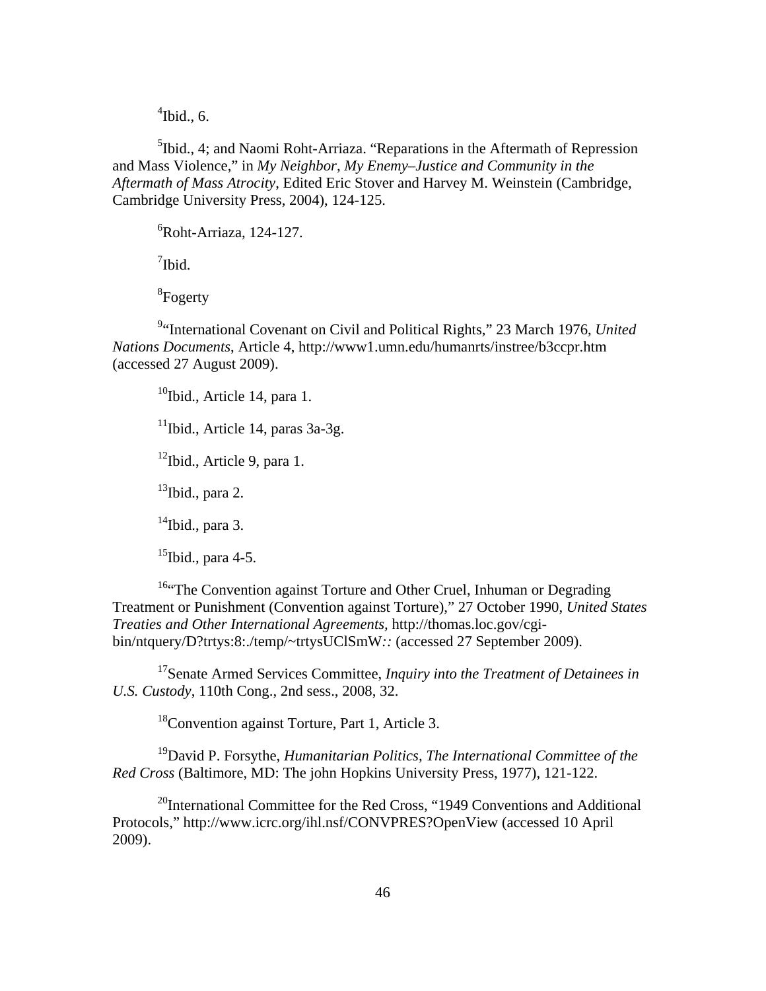$\mathrm{4}$ Ibid., 6.

<sup>5</sup>Ibid., 4; and Naomi Roht-Arriaza. "Reparations in the Aftermath of Repression and Mass Violence," in *My Neighbor, My Enemy–Justice and Community in the Aftermath of Mass Atrocity*, Edited Eric Stover and Harvey M. Weinstein (Cambridge, Cambridge University Press, 2004), 124-125.

6 Roht-Arriaza, 124-127.

<sup>7</sup>Ibid.

8 Fogerty

9 "International Covenant on Civil and Political Rights," 23 March 1976, *United Nations Documents*, Article 4, http://www1.umn.edu/humanrts/instree/b3ccpr.htm (accessed 27 August 2009).

Ibid., Article 14, para 1. Ibid., Article 14, paras 3a-3g. Ibid., Article 9, para 1. Ibid., para 2. Ibid., para 3. Ibid., para 4-5.

<sup>16.</sup>The Convention against Torture and Other Cruel, Inhuman or Degrading Treatment or Punishment (Convention against Torture)," 27 October 1990, *United States Treaties and Other International Agreements,* http://thomas.loc.gov/cgibin/ntquery/D?trtys:8:./temp/~trtysUClSmW*::* (accessed 27 September 2009).

<sup>17</sup>Senate Armed Services Committee, *Inquiry into the Treatment of Detainees in U.S. Custody*, 110th Cong., 2nd sess., 2008, 32.

 $18$ Convention against Torture, Part 1, Article 3.

19David P. Forsythe, *Humanitarian Politics, The International Committee of the Red Cross* (Baltimore, MD: The john Hopkins University Press, 1977), 121-122.

 $^{20}$ International Committee for the Red Cross, "1949 Conventions and Additional Protocols," http://www.icrc.org/ihl.nsf/CONVPRES?OpenView (accessed 10 April 2009).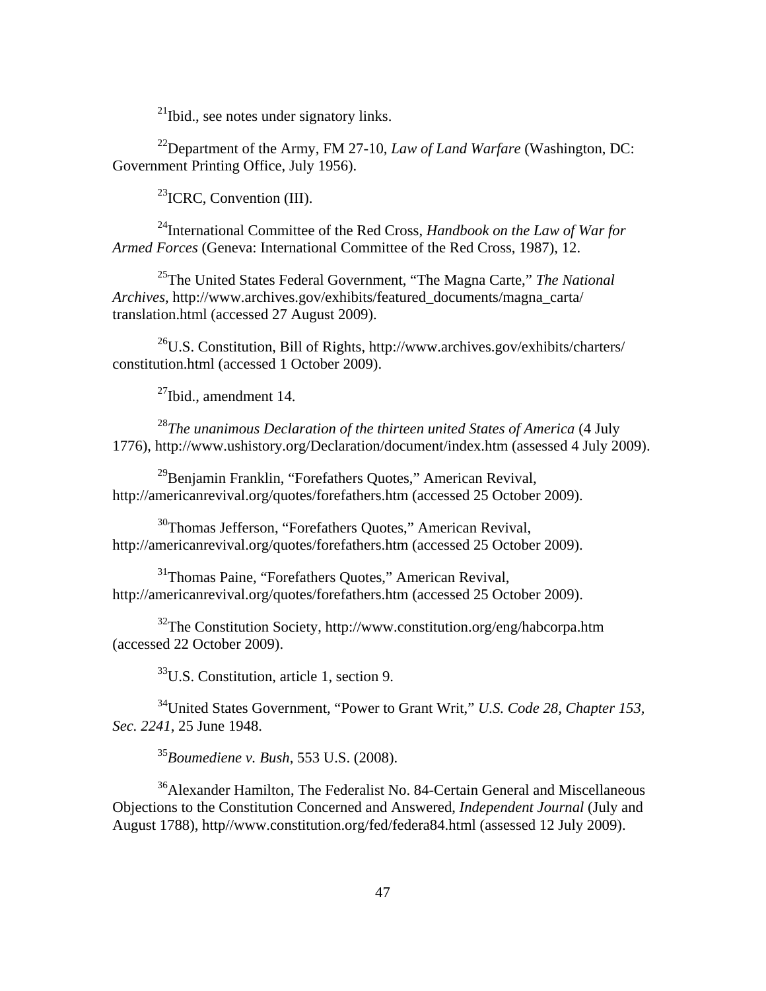21Ibid., see notes under signatory links.

22Department of the Army, FM 27-10, *Law of Land Warfare* (Washington, DC: Government Printing Office, July 1956).

 $^{23}$ ICRC, Convention (III).

24International Committee of the Red Cross, *Handbook on the Law of War for Armed Forces* (Geneva: International Committee of the Red Cross, 1987), 12.

25The United States Federal Government, "The Magna Carte," *The National Archives*, http://www.archives.gov/exhibits/featured\_documents/magna\_carta/ translation.html (accessed 27 August 2009).

26U.S. Constitution, Bill of Rights, http://www.archives.gov/exhibits/charters/ constitution.html (accessed 1 October 2009).

 $27$ Ibid., amendment 14.

<sup>28</sup>*The unanimous Declaration of the thirteen united States of America* (4 July 1776), http://www.ushistory.org/Declaration/document/index.htm (assessed 4 July 2009).

29Benjamin Franklin, "Forefathers Quotes," American Revival, <http://americanrevival.org/quotes/forefathers.htm>(accessed 25 October 2009).

30Thomas Jefferson, "Forefathers Quotes," American Revival, <http://americanrevival.org/quotes/forefathers.htm>(accessed 25 October 2009).

31Thomas Paine, "Forefathers Quotes," American Revival, http://americanrevival.org/quotes/forefathers.htm (accessed 25 October 2009).

32The Constitution Society, http://www.constitution.org/eng/habcorpa.htm (accessed 22 October 2009).

 $33$ U.S. Constitution, article 1, section 9.

34United States Government, "Power to Grant Writ," *U.S. Code 28, Chapter 153, Sec. 2241*, 25 June 1948.

<sup>35</sup>*Boumediene v. Bush*, 553 U.S. (2008).

36Alexander Hamilton, The Federalist No. 84-Certain General and Miscellaneous Objections to the Constitution Concerned and Answered, *Independent Journal* (July and August 1788), http//www.constitution.org/fed/federa84.html (assessed 12 July 2009).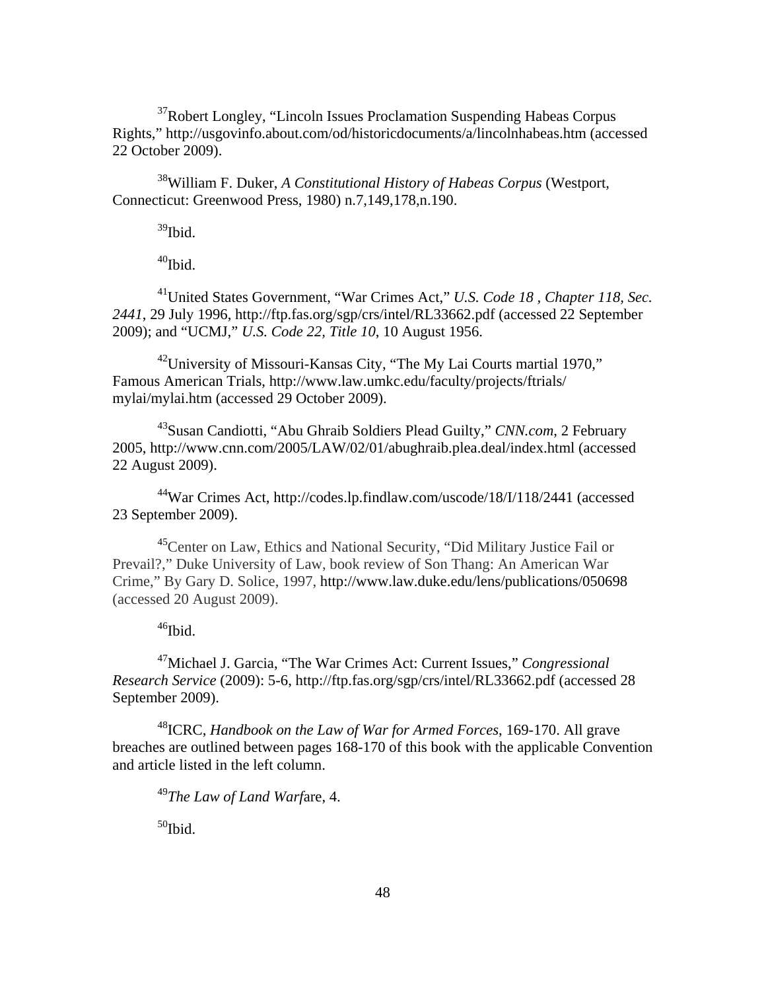<sup>37</sup>Robert Longley, "Lincoln Issues Proclamation Suspending Habeas Corpus Rights," <http://usgovinfo.about.com/od/historicdocuments/a/lincolnhabeas.htm>(accessed 22 October 2009).

38William F. Duker, *A Constitutional History of Habeas Corpus* (Westport, Connecticut: Greenwood Press, 1980) n.7,149,178,n.190.

39Ibid.

 $40$ Ibid.

41United States Government, "War Crimes Act," *U.S. Code 18 , Chapter 118, Sec. 2441*, 29 July 1996, http://ftp.fas.org/sgp/crs/intel/RL33662.pdf (accessed 22 September 2009); and "UCMJ," *U.S. Code 22, Title 10*, 10 August 1956.

42University of Missouri-Kansas City, "The My Lai Courts martial 1970," Famous American Trials, http://www.law.umkc.edu/faculty/projects/ftrials/ mylai/mylai.htm (accessed 29 October 2009).

43Susan Candiotti, "Abu Ghraib Soldiers Plead Guilty," *CNN.com*, 2 February 2005, <http://www.cnn.com/2005/LAW/02/01/abughraib.plea.deal/index.html>(accessed 22 August 2009).

44War Crimes Act, http://codes.lp.findlaw.com/uscode/18/I/118/2441 (accessed 23 September 2009).

<sup>45</sup>Center on Law, Ethics and National Security, "Did Military Justice Fail or Prevail?," Duke University of Law, book review of Son Thang: An American War Crime," By Gary D. Solice, 1997, http://www.law.duke.edu/lens/publications/050698 (accessed 20 August 2009).

 $46$ Ibid.

47Michael J. Garcia, "The War Crimes Act: Current Issues," *Congressional Research Service* (2009): 5-6, http://ftp.fas.org/sgp/crs/intel/RL33662.pdf (accessed 28 September 2009).

48ICRC, *Handbook on the Law of War for Armed Forces*, 169-170. All grave breaches are outlined between pages 168-170 of this book with the applicable Convention and article listed in the left column.

<sup>49</sup>*The Law of Land Warf*are, 4.

 $50$ Ibid.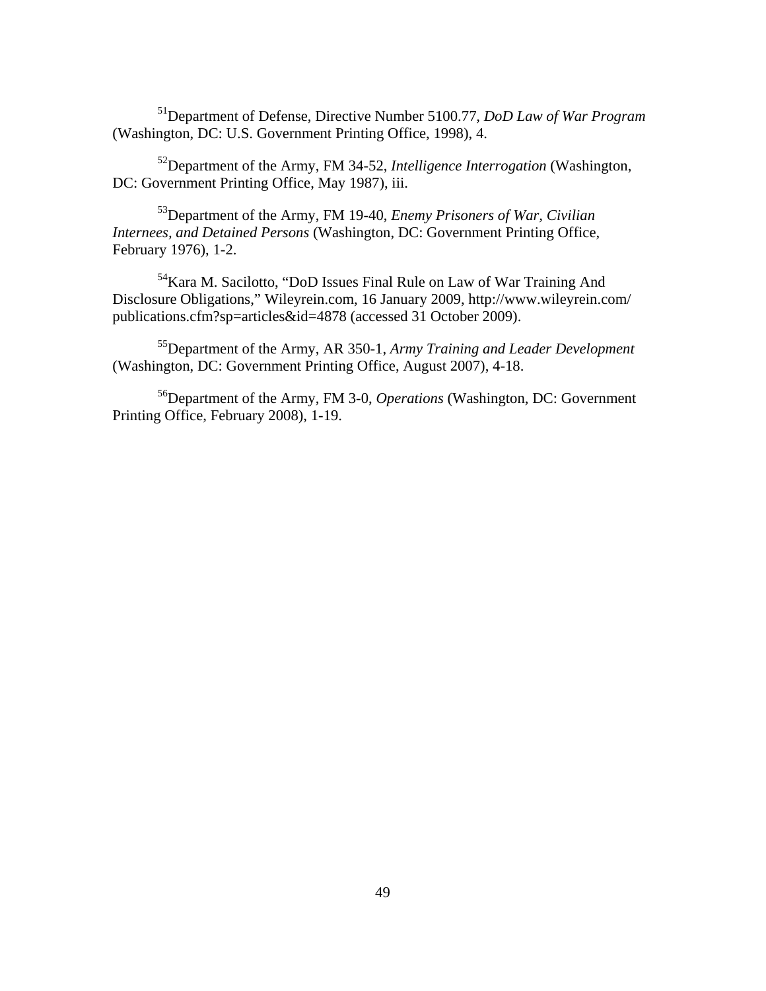51Department of Defense, Directive Number 5100.77*, DoD Law of War Program*  (Washington, DC: U.S. Government Printing Office, 1998), 4.

52Department of the Army, FM 34-52, *Intelligence Interrogation* (Washington, DC: Government Printing Office, May 1987), iii.

53Department of the Army, FM 19-40, *Enemy Prisoners of War, Civilian Internees, and Detained Persons* (Washington, DC: Government Printing Office, February 1976), 1-2.

5[4Kara M. Sacilotto,](http://www.wileyrein.com/professionals.cfm?sp=bio&id=266) "DoD Issues Final Rule on Law of War Training And Disclosure Obligations," Wileyrein.com, 16 January 2009, http://www.wileyrein.com/ publications.cfm?sp=articles&id=4878 (accessed 31 October 2009).

55Department of the Army, AR 350-1, *Army Training and Leader Development*  (Washington, DC: Government Printing Office, August 2007), 4-18.

56Department of the Army, FM 3-0, *Operations* (Washington, DC: Government Printing Office, February 2008), 1-19.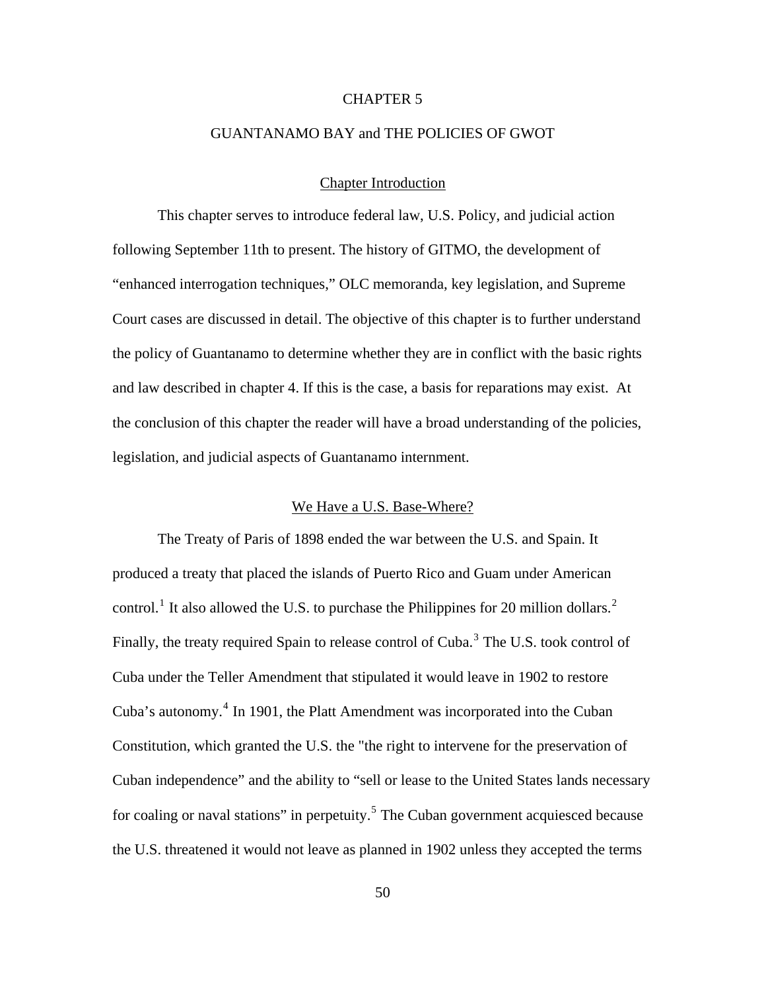## CHAPTER 5

# GUANTANAMO BAY and THE POLICIES OF GWOT

# Chapter Introduction

This chapter serves to introduce federal law, U.S. Policy, and judicial action following September 11th to present. The history of GITMO, the development of "enhanced interrogation techniques," OLC memoranda, key legislation, and Supreme Court cases are discussed in detail. The objective of this chapter is to further understand the policy of Guantanamo to determine whether they are in conflict with the basic rights and law described in chapter 4. If this is the case, a basis for reparations may exist. At the conclusion of this chapter the reader will have a broad understanding of the policies, legislation, and judicial aspects of Guantanamo internment.

# We Have a U.S. Base-Where?

The Treaty of Paris of 1898 ended the war between the U.S. and Spain. It produced a treaty that placed the islands of Puerto Rico and Guam under American control.<sup>[1](#page-150-2)</sup> It also allowed the U.S. to purchase the Philippines for [2](#page-150-0)0 million dollars.<sup>2</sup> Finally, the treaty required Spain to release control of Cuba.<sup>[3](#page-150-0)</sup> The U.S. took control of Cuba under the Teller Amendment that stipulated it would leave in 1902 to restore Cuba's autonomy.<sup>[4](#page-150-0)</sup> In 1901, the Platt Amendment was incorporated into the Cuban Constitution, which granted the U.S. the "the right to intervene for the preservation of Cuban independence" and the ability to "sell or lease to the United States lands necessary for coaling or naval stations" in perpetuity.<sup>[5](#page-150-0)</sup> The Cuban government acquiesced because the U.S. threatened it would not leave as planned in 1902 unless they accepted the terms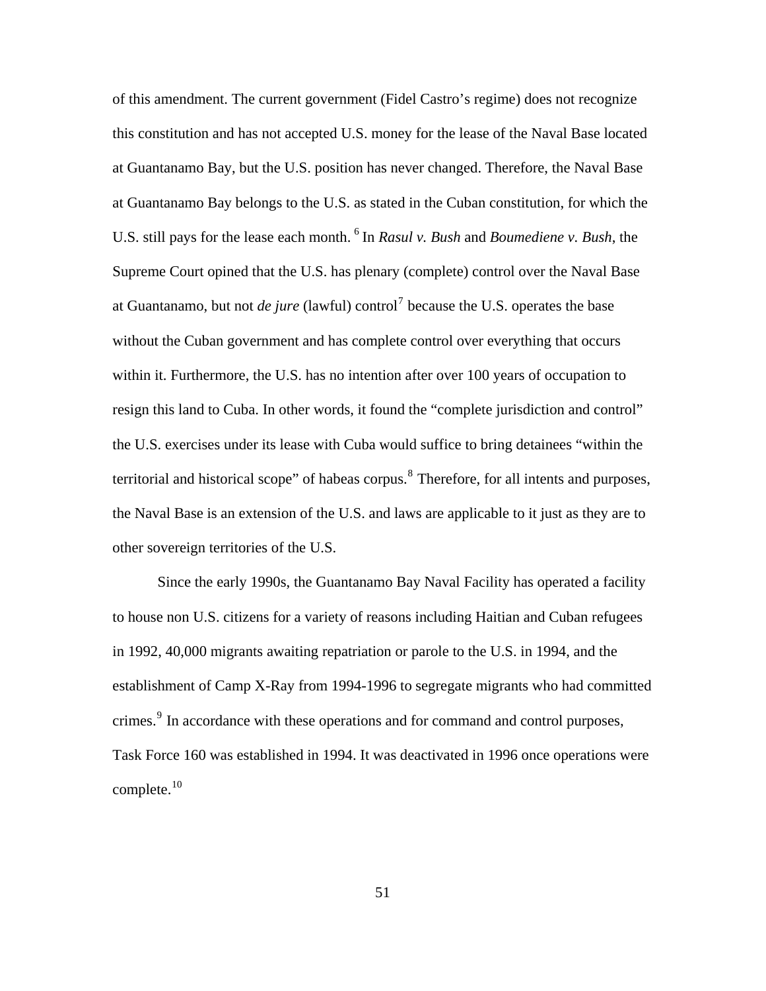of this amendment. The current government (Fidel Castro's regime) does not recognize this constitution and has not accepted U.S. money for the lease of the Naval Base located at Guantanamo Bay, but the U.S. position has never changed. Therefore, the Naval Base at Guantanamo Bay belongs to the U.S. as stated in the Cuban constitution, for which the U.S. still pays for the lease each month. [6](#page-150-0) In *Rasul v. Bush* and *Boumediene v. Bush*, the Supreme Court opined that the U.S. has plenary (complete) control over the Naval Base at Guantanamo, but not *de jure* (lawful) control<sup>[7](#page-150-0)</sup> because the U.S. operates the base without the Cuban government and has complete control over everything that occurs within it. Furthermore, the U.S. has no intention after over 100 years of occupation to resign this land to Cuba. In other words, it found the "complete jurisdiction and control" the U.S. exercises under its lease with Cuba would suffice to bring detainees "within the territorial and historical scope" of habeas corpus. <sup>[8](#page-150-0)</sup> Therefore, for all intents and purposes, the Naval Base is an extension of the U.S. and laws are applicable to it just as they are to other sovereign territories of the U.S.

Since the early 1990s, the Guantanamo Bay Naval Facility has operated a facility to house non U.S. citizens for a variety of reasons including Haitian and Cuban refugees in 1992, 40,000 migrants awaiting repatriation or parole to the U.S. in 1994, and the establishment of Camp X-Ray from 1994-1996 to segregate migrants who had committed crimes.<sup>[9](#page-150-0)</sup> In accordance with these operations and for command and control purposes, Task Force 160 was established in 1994. It was deactivated in 1996 once operations were complete. $10$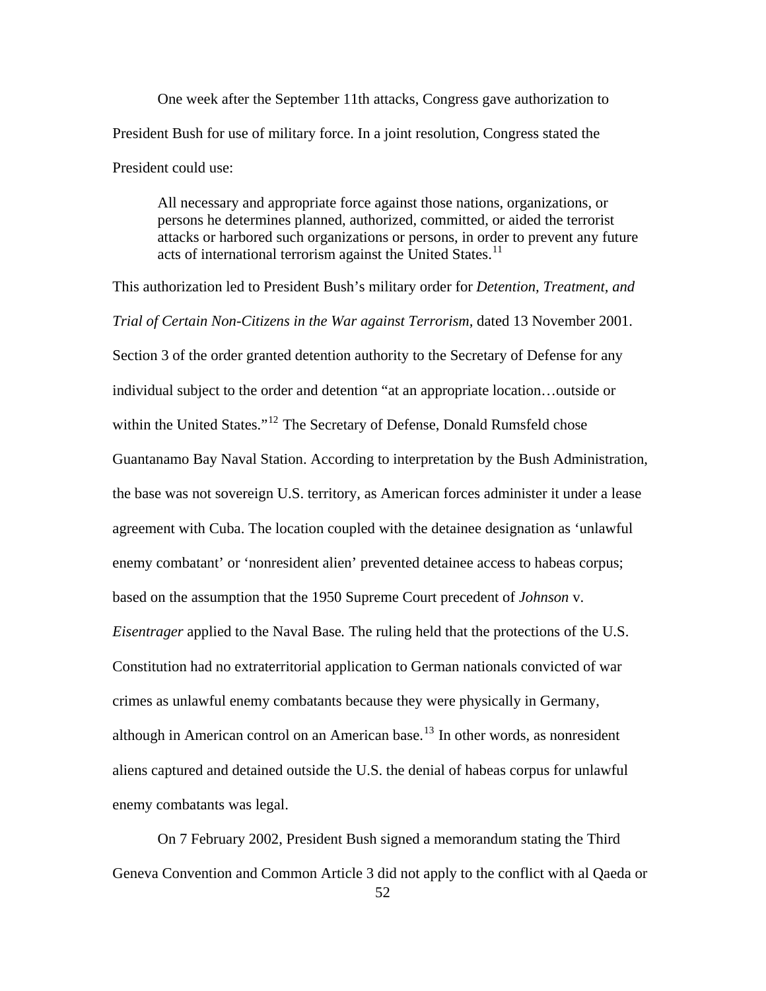One week after the September 11th attacks, Congress gave authorization to President Bush for use of military force. In a joint resolution, Congress stated the President could use:

All necessary and appropriate force against those nations, organizations, or persons he determines planned, authorized, committed, or aided the terrorist attacks or harbored such organizations or persons, in order to prevent any future acts of international terrorism against the United States.<sup>[11](#page-150-0)</sup>

This authorization led to President Bush's military order for *Detention, Treatment, and Trial of Certain Non-Citizens in the War against Terrorism,* dated 13 November 2001. Section 3 of the order granted detention authority to the Secretary of Defense for any individual subject to the order and detention "at an appropriate location…outside or within the United States."<sup>[12](#page-150-0)</sup> The Secretary of Defense, Donald Rumsfeld chose Guantanamo Bay Naval Station. According to interpretation by the Bush Administration, the base was not sovereign U.S. territory, as American forces administer it under a lease agreement with Cuba. The location coupled with the detainee designation as 'unlawful enemy combatant' or 'nonresident alien' prevented detainee access to habeas corpus; based on the assumption that the 1950 Supreme Court precedent of *Johnson* v. *Eisentrager* applied to the Naval Base*.* The ruling held that the protections of the U.S. Constitution had no extraterritorial application to German nationals convicted of war crimes as unlawful enemy combatants because they were physically in Germany, although in American control on an American base.<sup>[13](#page-150-0)</sup> In other words, as nonresident aliens captured and detained outside the U.S. the denial of habeas corpus for unlawful enemy combatants was legal.

On 7 February 2002, President Bush signed a memorandum stating the Third Geneva Convention and Common Article 3 did not apply to the conflict with al Qaeda or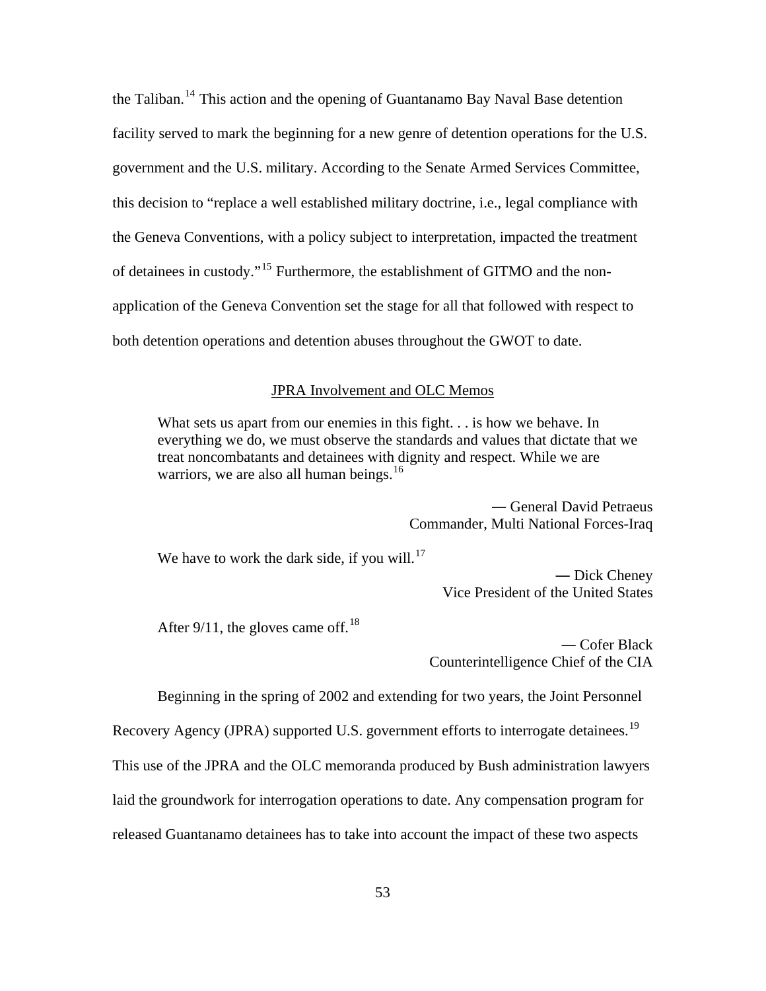the Taliban.<sup>[14](#page-150-0)</sup> This action and the opening of Guantanamo Bay Naval Base detention facility served to mark the beginning for a new genre of detention operations for the U.S. government and the U.S. military. According to the Senate Armed Services Committee, this decision to "replace a well established military doctrine, i.e., legal compliance with the Geneva Conventions, with a policy subject to interpretation, impacted the treatment of detainees in custody."[15](#page-150-0) Furthermore, the establishment of GITMO and the nonapplication of the Geneva Convention set the stage for all that followed with respect to both detention operations and detention abuses throughout the GWOT to date.

#### JPRA Involvement and OLC Memos

What sets us apart from our enemies in this fight. . . is how we behave. In everything we do, we must observe the standards and values that dictate that we treat noncombatants and detainees with dignity and respect. While we are warriors, we are also all human beings.<sup>[16](#page-150-0)</sup>

> ― General David Petraeus Commander, Multi National Forces-Iraq

We have to work the dark side, if you will.<sup>[17](#page-150-0)</sup>

― Dick Cheney Vice President of the United States

After 9/11, the gloves came off,  $18$ 

― Cofer Black Counterintelligence Chief of the CIA

Beginning in the spring of 2002 and extending for two years, the Joint Personnel

Recovery Agency (JPRA) supported U.S. government efforts to interrogate detainees.<sup>[19](#page-150-0)</sup>

This use of the JPRA and the OLC memoranda produced by Bush administration lawyers

laid the groundwork for interrogation operations to date. Any compensation program for

released Guantanamo detainees has to take into account the impact of these two aspects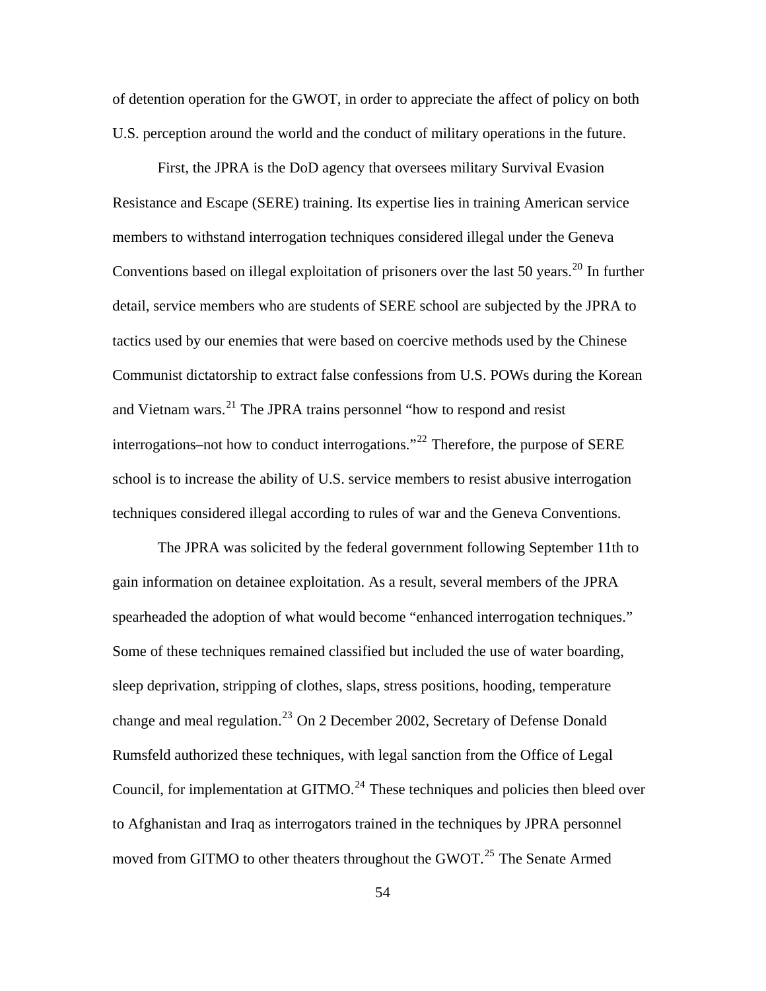of detention operation for the GWOT, in order to appreciate the affect of policy on both U.S. perception around the world and the conduct of military operations in the future.

First, the JPRA is the DoD agency that oversees military Survival Evasion Resistance and Escape (SERE) training. Its expertise lies in training American service members to withstand interrogation techniques considered illegal under the Geneva Conventions based on illegal exploitation of prisoners over the last 50 years.<sup>[20](#page-150-0)</sup> In further detail, service members who are students of SERE school are subjected by the JPRA to tactics used by our enemies that were based on coercive methods used by the Chinese Communist dictatorship to extract false confessions from U.S. POWs during the Korean and Vietnam wars.<sup>[21](#page-150-0)</sup> The JPRA trains personnel "how to respond and resist interrogations–not how to conduct interrogations."[22](#page-150-0) Therefore, the purpose of SERE school is to increase the ability of U.S. service members to resist abusive interrogation techniques considered illegal according to rules of war and the Geneva Conventions.

The JPRA was solicited by the federal government following September 11th to gain information on detainee exploitation. As a result, several members of the JPRA spearheaded the adoption of what would become "enhanced interrogation techniques." Some of these techniques remained classified but included the use of water boarding, sleep deprivation, stripping of clothes, slaps, stress positions, hooding, temperature change and meal regulation.<sup>[23](#page-150-0)</sup> On 2 December 2002, Secretary of Defense Donald Rumsfeld authorized these techniques, with legal sanction from the Office of Legal Council, for implementation at  $GITMO<sup>24</sup>$  $GITMO<sup>24</sup>$  $GITMO<sup>24</sup>$ . These techniques and policies then bleed over to Afghanistan and Iraq as interrogators trained in the techniques by JPRA personnel moved from GITMO to other theaters throughout the GWOT.<sup>[25](#page-150-0)</sup> The Senate Armed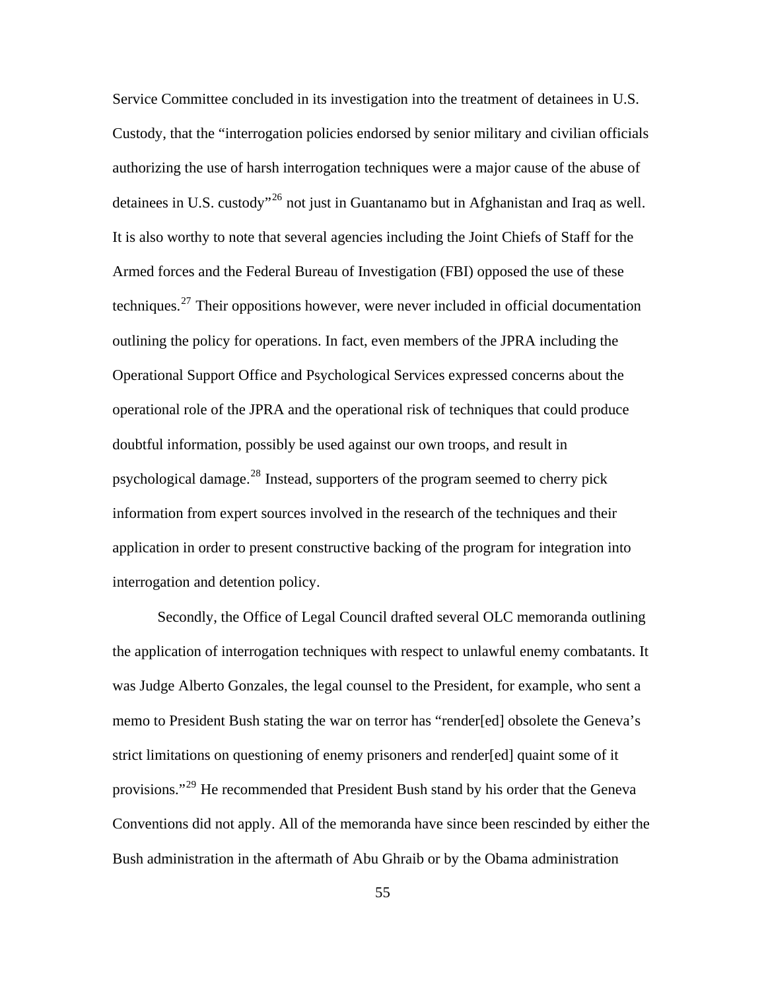Service Committee concluded in its investigation into the treatment of detainees in U.S. Custody, that the "interrogation policies endorsed by senior military and civilian officials authorizing the use of harsh interrogation techniques were a major cause of the abuse of detainees in U.S. custody<sup> $26$ </sup> not just in Guantanamo but in Afghanistan and Iraq as well. It is also worthy to note that several agencies including the Joint Chiefs of Staff for the Armed forces and the Federal Bureau of Investigation (FBI) opposed the use of these techniques.[27](#page-150-0) Their oppositions however, were never included in official documentation outlining the policy for operations. In fact, even members of the JPRA including the Operational Support Office and Psychological Services expressed concerns about the operational role of the JPRA and the operational risk of techniques that could produce doubtful information, possibly be used against our own troops, and result in psychological damage.<sup>[28](#page-150-0)</sup> Instead, supporters of the program seemed to cherry pick information from expert sources involved in the research of the techniques and their application in order to present constructive backing of the program for integration into interrogation and detention policy.

Secondly, the Office of Legal Council drafted several OLC memoranda outlining the application of interrogation techniques with respect to unlawful enemy combatants. It was Judge Alberto Gonzales, the legal counsel to the President, for example, who sent a memo to President Bush stating the war on terror has "render[ed] obsolete the Geneva's strict limitations on questioning of enemy prisoners and render[ed] quaint some of it provisions."<sup>[29](#page-150-0)</sup> He recommended that President Bush stand by his order that the Geneva Conventions did not apply. All of the memoranda have since been rescinded by either the Bush administration in the aftermath of Abu Ghraib or by the Obama administration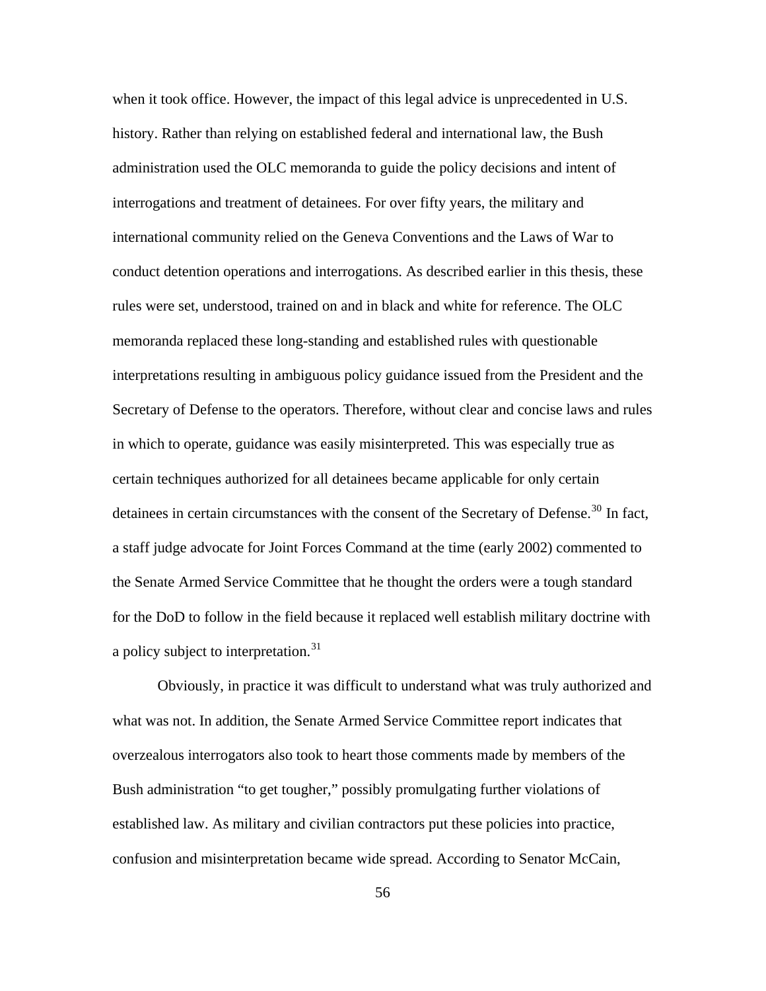when it took office. However, the impact of this legal advice is unprecedented in U.S. history. Rather than relying on established federal and international law, the Bush administration used the OLC memoranda to guide the policy decisions and intent of interrogations and treatment of detainees. For over fifty years, the military and international community relied on the Geneva Conventions and the Laws of War to conduct detention operations and interrogations. As described earlier in this thesis, these rules were set, understood, trained on and in black and white for reference. The OLC memoranda replaced these long-standing and established rules with questionable interpretations resulting in ambiguous policy guidance issued from the President and the Secretary of Defense to the operators. Therefore, without clear and concise laws and rules in which to operate, guidance was easily misinterpreted. This was especially true as certain techniques authorized for all detainees became applicable for only certain detainees in certain circumstances with the consent of the Secretary of Defense.<sup>[30](#page-150-0)</sup> In fact, a staff judge advocate for Joint Forces Command at the time (early 2002) commented to the Senate Armed Service Committee that he thought the orders were a tough standard for the DoD to follow in the field because it replaced well establish military doctrine with a policy subject to interpretation.<sup>[31](#page-150-0)</sup>

Obviously, in practice it was difficult to understand what was truly authorized and what was not. In addition, the Senate Armed Service Committee report indicates that overzealous interrogators also took to heart those comments made by members of the Bush administration "to get tougher," possibly promulgating further violations of established law. As military and civilian contractors put these policies into practice, confusion and misinterpretation became wide spread. According to Senator McCain,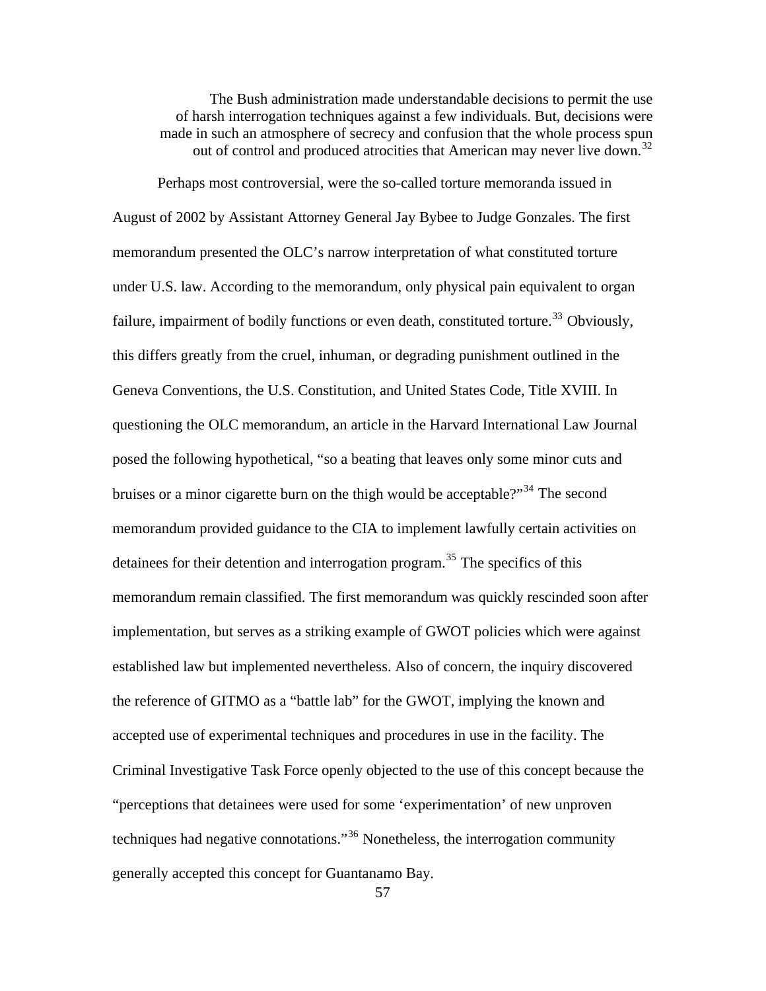The Bush administration made understandable decisions to permit the use of harsh interrogation techniques against a few individuals. But, decisions were made in such an atmosphere of secrecy and confusion that the whole process spun out of control and produced atrocities that American may never live down.<sup>[32](#page-150-0)</sup>

Perhaps most controversial, were the so-called torture memoranda issued in August of 2002 by Assistant Attorney General Jay Bybee to Judge Gonzales. The first memorandum presented the OLC's narrow interpretation of what constituted torture under U.S. law. According to the memorandum, only physical pain equivalent to organ failure, impairment of bodily functions or even death, constituted torture.<sup>[33](#page-150-0)</sup> Obviously, this differs greatly from the cruel, inhuman, or degrading punishment outlined in the Geneva Conventions, the U.S. Constitution, and United States Code, Title XVIII. In questioning the OLC memorandum, an article in the Harvard International Law Journal posed the following hypothetical, "so a beating that leaves only some minor cuts and bruises or a minor cigarette burn on the thigh would be acceptable?"<sup>[34](#page-150-0)</sup> The second memorandum provided guidance to the CIA to implement lawfully certain activities on detainees for their detention and interrogation program.<sup>[35](#page-150-0)</sup> The specifics of this memorandum remain classified. The first memorandum was quickly rescinded soon after implementation, but serves as a striking example of GWOT policies which were against established law but implemented nevertheless. Also of concern, the inquiry discovered the reference of GITMO as a "battle lab" for the GWOT, implying the known and accepted use of experimental techniques and procedures in use in the facility. The Criminal Investigative Task Force openly objected to the use of this concept because the "perceptions that detainees were used for some 'experimentation' of new unproven techniques had negative connotations."[36](#page-150-0) Nonetheless, the interrogation community generally accepted this concept for Guantanamo Bay.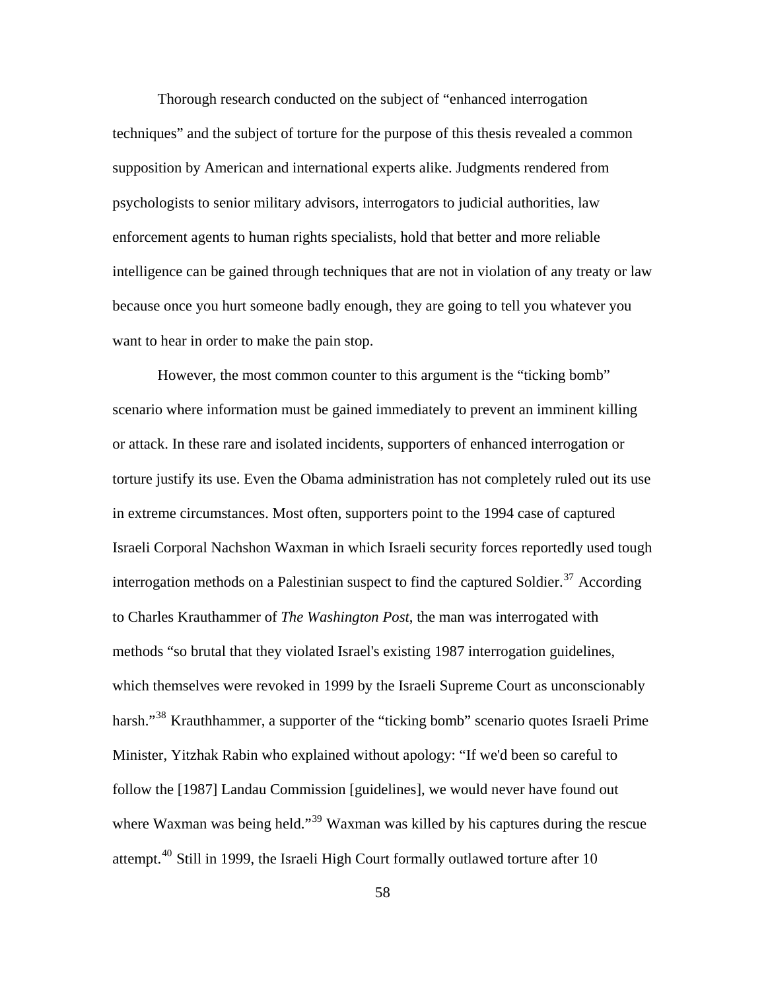Thorough research conducted on the subject of "enhanced interrogation techniques" and the subject of torture for the purpose of this thesis revealed a common supposition by American and international experts alike. Judgments rendered from psychologists to senior military advisors, interrogators to judicial authorities, law enforcement agents to human rights specialists, hold that better and more reliable intelligence can be gained through techniques that are not in violation of any treaty or law because once you hurt someone badly enough, they are going to tell you whatever you want to hear in order to make the pain stop.

However, the most common counter to this argument is the "ticking bomb" scenario where information must be gained immediately to prevent an imminent killing or attack. In these rare and isolated incidents, supporters of enhanced interrogation or torture justify its use. Even the Obama administration has not completely ruled out its use in extreme circumstances. Most often, supporters point to the 1994 case of captured Israeli Corporal Nachshon Waxman in which Israeli security forces reportedly used tough interrogation methods on a Palestinian suspect to find the captured Soldier.<sup>[37](#page-150-0)</sup> According to Charles Krauthammer of *The Washington Post*, the man was interrogated with methods "so brutal that they violated Israel's existing 1987 interrogation guidelines, which themselves were revoked in 1999 by the Israeli Supreme Court as unconscionably harsh."<sup>[38](#page-150-0)</sup> Krauthhammer, a supporter of the "ticking bomb" scenario quotes Israeli Prime Minister, Yitzhak Rabin who explained without apology: "If we'd been so careful to follow the [1987] Landau Commission [guidelines], we would never have found out where Waxman was being held."<sup>[39](#page-150-0)</sup> Waxman was killed by his captures during the rescue attempt.<sup>[40](#page-150-0)</sup> Still in 1999, the Israeli High Court formally outlawed torture after 10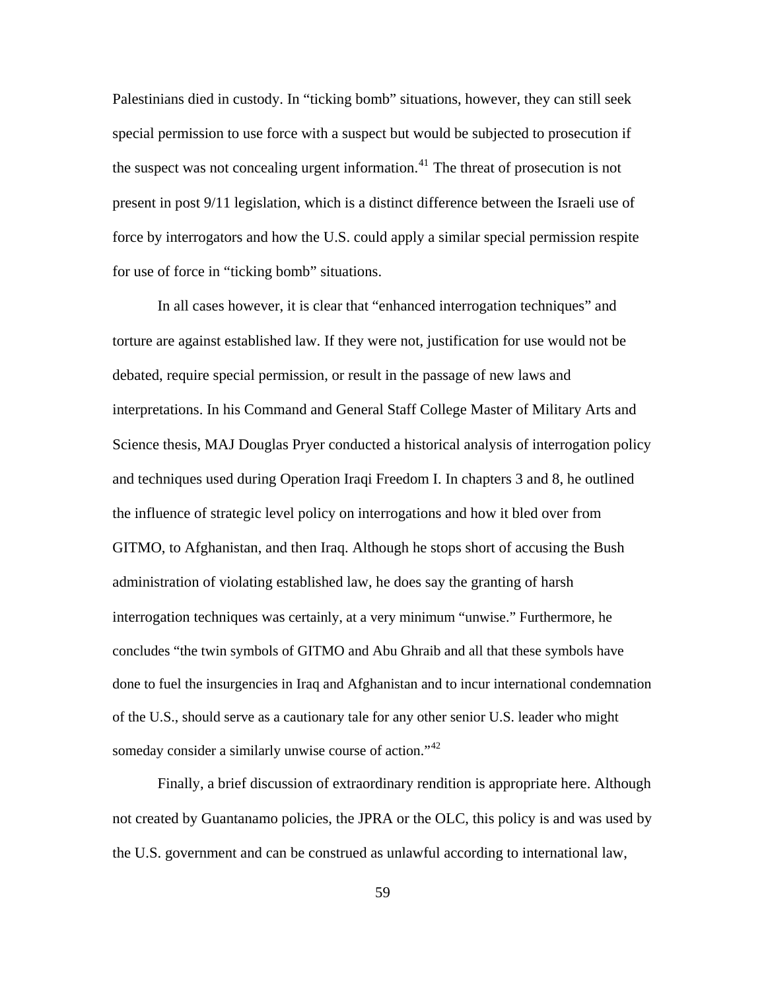Palestinians died in custody. In "ticking bomb" situations, however, they can still seek special permission to use force with a suspect but would be subjected to prosecution if the suspect was not concealing urgent information.<sup>[41](#page-150-0)</sup> The threat of prosecution is not present in post 9/11 legislation, which is a distinct difference between the Israeli use of force by interrogators and how the U.S. could apply a similar special permission respite for use of force in "ticking bomb" situations.

In all cases however, it is clear that "enhanced interrogation techniques" and torture are against established law. If they were not, justification for use would not be debated, require special permission, or result in the passage of new laws and interpretations. In his Command and General Staff College Master of Military Arts and Science thesis, MAJ Douglas Pryer conducted a historical analysis of interrogation policy and techniques used during Operation Iraqi Freedom I. In chapters 3 and 8, he outlined the influence of strategic level policy on interrogations and how it bled over from GITMO, to Afghanistan, and then Iraq. Although he stops short of accusing the Bush administration of violating established law, he does say the granting of harsh interrogation techniques was certainly, at a very minimum "unwise." Furthermore, he concludes "the twin symbols of GITMO and Abu Ghraib and all that these symbols have done to fuel the insurgencies in Iraq and Afghanistan and to incur international condemnation of the U.S., should serve as a cautionary tale for any other senior U.S. leader who might someday consider a similarly unwise course of action."<sup>[42](#page-150-0)</sup>

Finally, a brief discussion of extraordinary rendition is appropriate here. Although not created by Guantanamo policies, the JPRA or the OLC, this policy is and was used by the U.S. government and can be construed as unlawful according to international law,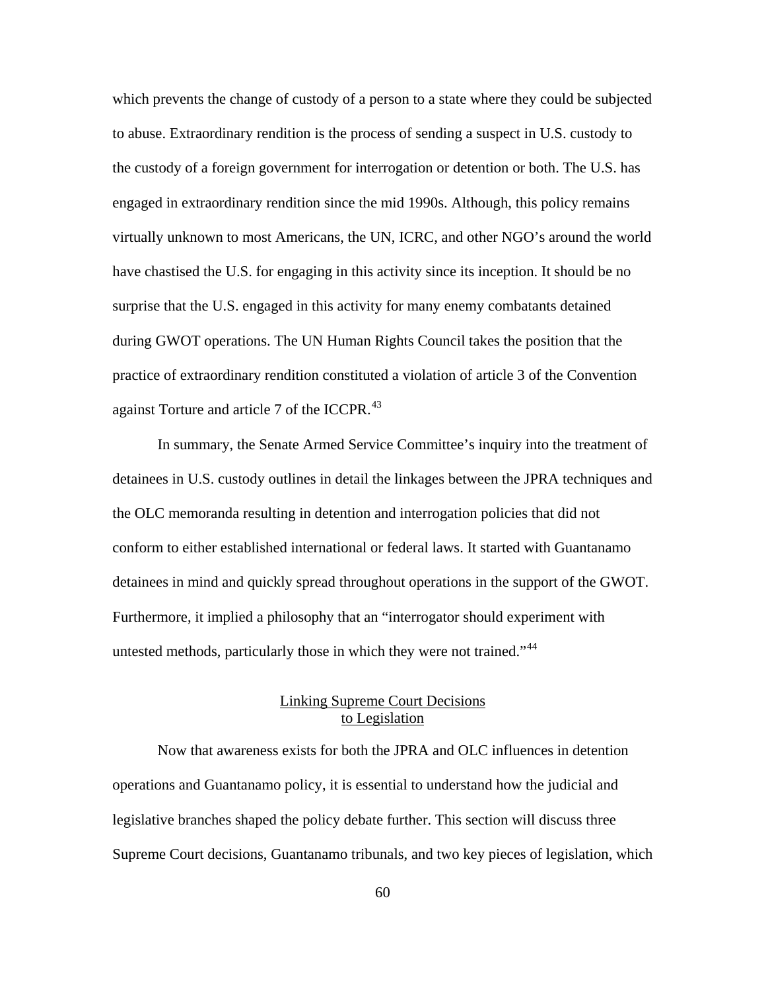which prevents the change of custody of a person to a state where they could be subjected to abuse. Extraordinary rendition is the process of sending a suspect in U.S. custody to the custody of a foreign government for interrogation or detention or both. The U.S. has engaged in extraordinary rendition since the mid 1990s. Although, this policy remains virtually unknown to most Americans, the UN, ICRC, and other NGO's around the world have chastised the U.S. for engaging in this activity since its inception. It should be no surprise that the U.S. engaged in this activity for many enemy combatants detained during GWOT operations. The UN Human Rights Council takes the position that the practice of extraordinary rendition constituted a violation of article 3 of the Convention against Torture and article 7 of the ICCPR.<sup>[43](#page-150-0)</sup>

In summary, the Senate Armed Service Committee's inquiry into the treatment of detainees in U.S. custody outlines in detail the linkages between the JPRA techniques and the OLC memoranda resulting in detention and interrogation policies that did not conform to either established international or federal laws. It started with Guantanamo detainees in mind and quickly spread throughout operations in the support of the GWOT. Furthermore, it implied a philosophy that an "interrogator should experiment with untested methods, particularly those in which they were not trained."<sup>[44](#page-150-0)</sup>

# Linking Supreme Court Decisions to Legislation

Now that awareness exists for both the JPRA and OLC influences in detention operations and Guantanamo policy, it is essential to understand how the judicial and legislative branches shaped the policy debate further. This section will discuss three Supreme Court decisions, Guantanamo tribunals, and two key pieces of legislation, which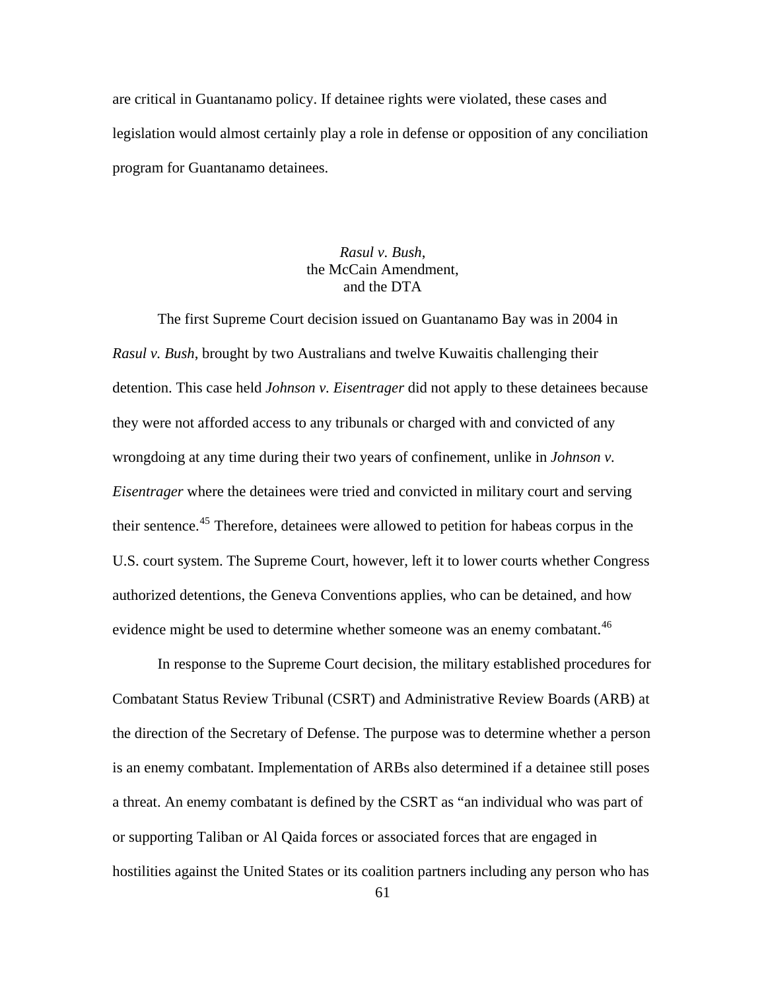are critical in Guantanamo policy. If detainee rights were violated, these cases and legislation would almost certainly play a role in defense or opposition of any conciliation program for Guantanamo detainees.

## *Rasul v. Bush*, the McCain Amendment, and the DTA

The first Supreme Court decision issued on Guantanamo Bay was in 2004 in *Rasul v. Bush*, brought by two Australians and twelve Kuwaitis challenging their detention. This case held *Johnson v. Eisentrager* did not apply to these detainees because they were not afforded access to any tribunals or charged with and convicted of any wrongdoing at any time during their two years of confinement, unlike in *Johnson v. Eisentrager* where the detainees were tried and convicted in military court and serving their sentence.<sup>[45](#page-150-0)</sup> Therefore, detainees were allowed to petition for habeas corpus in the U.S. court system. The Supreme Court, however, left it to lower courts whether Congress authorized detentions, the Geneva Conventions applies, who can be detained, and how evidence might be used to determine whether someone was an enemy combatant.<sup>[46](#page-150-0)</sup>

In response to the Supreme Court decision, the military established procedures for Combatant Status Review Tribunal (CSRT) and Administrative Review Boards (ARB) at the direction of the Secretary of Defense. The purpose was to determine whether a person is an enemy combatant. Implementation of ARBs also determined if a detainee still poses a threat. An enemy combatant is defined by the CSRT as "an individual who was part of or supporting Taliban or Al Qaida forces or associated forces that are engaged in hostilities against the United States or its coalition partners including any person who has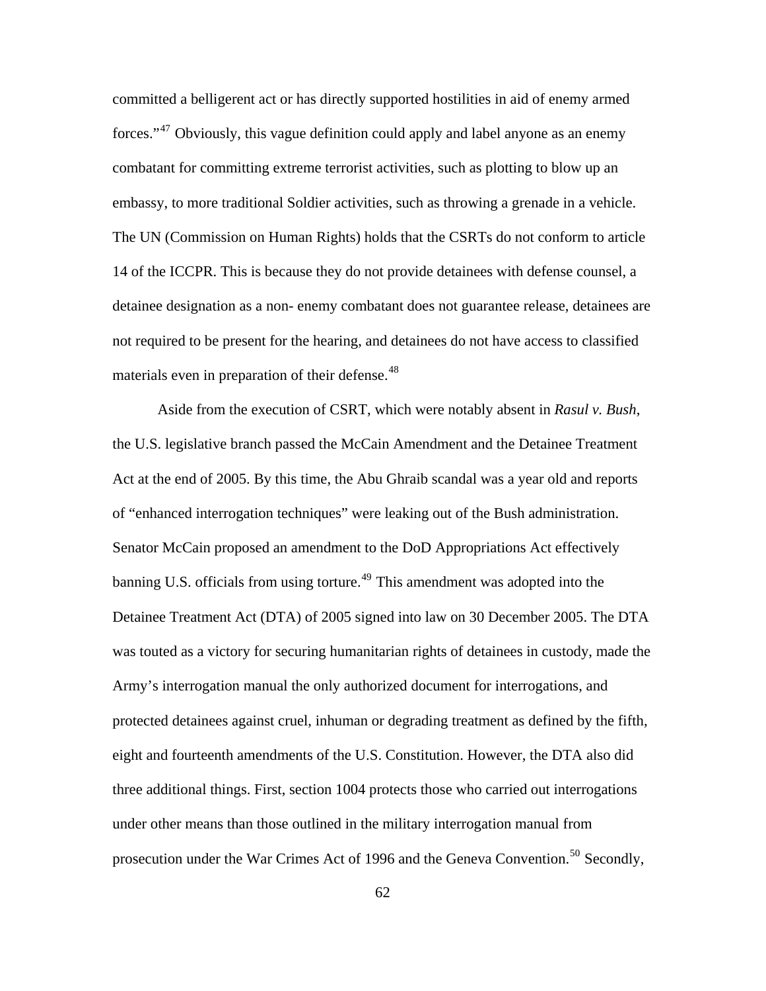committed a belligerent act or has directly supported hostilities in aid of enemy armed forces."<sup>[47](#page-150-0)</sup> Obviously, this vague definition could apply and label anyone as an enemy combatant for committing extreme terrorist activities, such as plotting to blow up an embassy, to more traditional Soldier activities, such as throwing a grenade in a vehicle. The UN (Commission on Human Rights) holds that the CSRTs do not conform to article 14 of the ICCPR. This is because they do not provide detainees with defense counsel, a detainee designation as a non- enemy combatant does not guarantee release, detainees are not required to be present for the hearing, and detainees do not have access to classified materials even in preparation of their defense.<sup>[48](#page-150-0)</sup>

Aside from the execution of CSRT, which were notably absent in *Rasul v. Bush*, the U.S. legislative branch passed the McCain Amendment and the Detainee Treatment Act at the end of 2005. By this time, the Abu Ghraib scandal was a year old and reports of "enhanced interrogation techniques" were leaking out of the Bush administration. Senator McCain proposed an amendment to the DoD Appropriations Act effectively banning U.S. officials from using torture.<sup>[49](#page-150-0)</sup> This amendment was adopted into the Detainee Treatment Act (DTA) of 2005 signed into law on 30 December 2005. The DTA was touted as a victory for securing humanitarian rights of detainees in custody, made the Army's interrogation manual the only authorized document for interrogations, and protected detainees against cruel, inhuman or degrading treatment as defined by the fifth, eight and fourteenth amendments of the U.S. Constitution. However, the DTA also did three additional things. First, section 1004 protects those who carried out interrogations under other means than those outlined in the military interrogation manual from prosecution under the War Crimes Act of 1996 and the Geneva Convention.<sup>[50](#page-150-0)</sup> Secondly,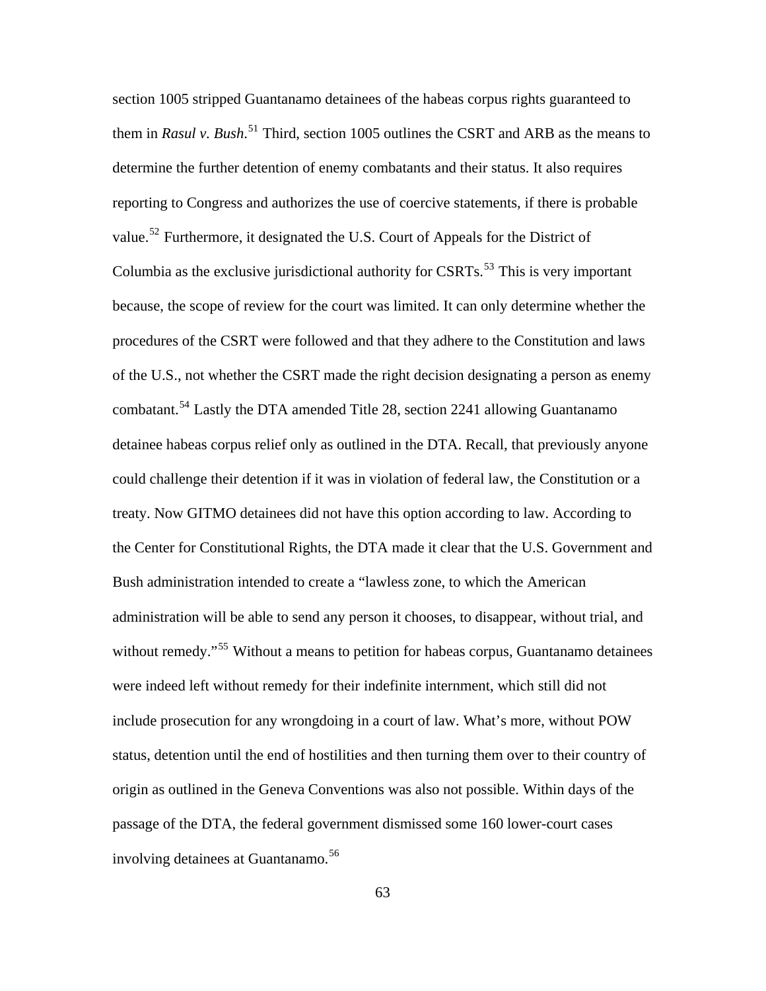of the U.S., not whether the CSRT made the right decision designating a person as enemy section 1005 stripped Guantanamo detainees of the habeas corpus rights guaranteed to them in *Rasul v. Bush*. [51](#page-150-0) Third, section 1005 outlines the CSRT and ARB as the means to determine the further detention of enemy combatants and their status. It also requires reporting to Congress and authorizes the use of coercive statements, if there is probable value.<sup>[52](#page-150-0)</sup> Furthermore, it designated the U.S. Court of Appeals for the District of Columbia as the exclusive jurisdictional authority for CSRTs.<sup>[53](#page-150-0)</sup> This is very important because, the scope of review for the court was limited. It can only determine whether the procedures of the CSRT were followed and that they adhere to the Constitution and laws combatant.[54](#page-150-0) Lastly the DTA amended Title 28, section 2241 allowing Guantanamo detainee habeas corpus relief only as outlined in the DTA. Recall, that previously anyone could challenge their detention if it was in violation of federal law, the Constitution or a treaty. Now GITMO detainees did not have this option according to law. According to the Center for Constitutional Rights, the DTA made it clear that the U.S. Government and Bush administration intended to create a "lawless zone, to which the American administration will be able to send any person it chooses, to disappear, without trial, and without remedy."<sup>[55](#page-150-0)</sup> Without a means to petition for habeas corpus, Guantanamo detainees were indeed left without remedy for their indefinite internment, which still did not include prosecution for any wrongdoing in a court of law. What's more, without POW status, detention until the end of hostilities and then turning them over to their country of origin as outlined in the Geneva Conventions was also not possible. Within days of the passage of the DTA, the federal government dismissed some 160 lower-court cases involving detainees at Guantanamo.<sup>[56](#page-150-0)</sup>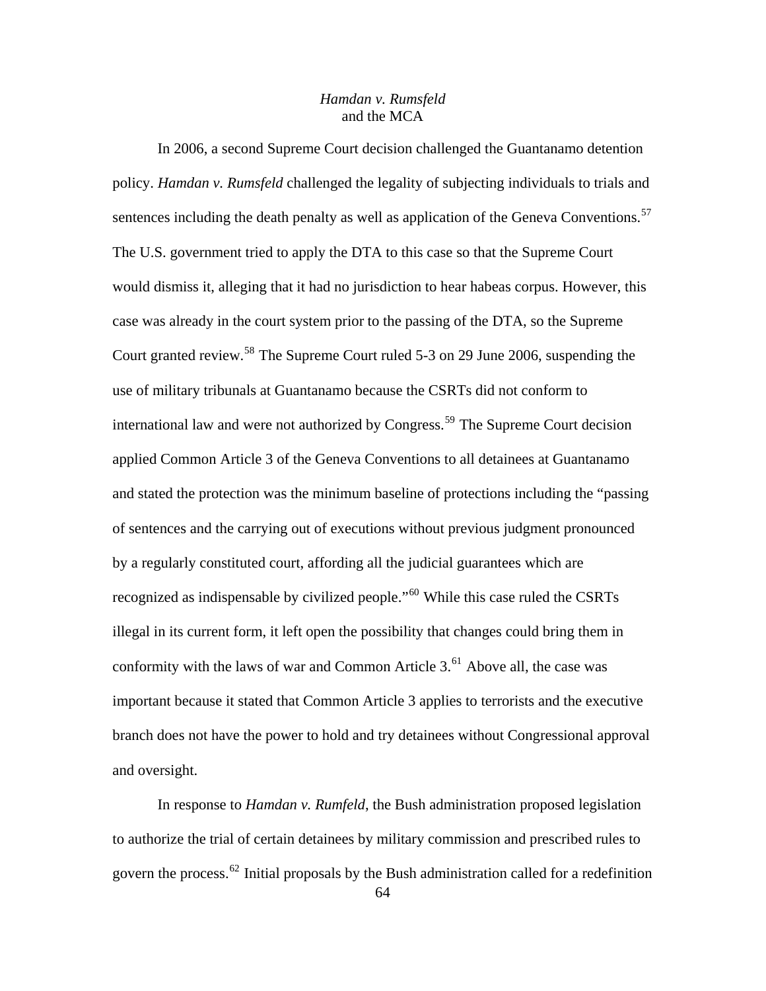## *Hamdan v. Rumsfeld*  and the MCA

In 2006, a second Supreme Court decision challenged the Guantanamo detention policy. *Hamdan v. Rumsfeld* challenged the legality of subjecting individuals to trials and sentences including the death penalty as well as application of the Geneva Conventions.<sup>[57](#page-150-0)</sup> The U.S. government tried to apply the DTA to this case so that the Supreme Court would dismiss it, alleging that it had no jurisdiction to hear habeas corpus. However, this case was already in the court system prior to the passing of the DTA, so the Supreme Court granted review.[58](#page-150-0) The Supreme Court ruled 5-3 on 29 June 2006, suspending the use of military tribunals at Guantanamo because the CSRTs did not conform to international law and were not authorized by Congress.<sup>[59](#page-150-0)</sup> The Supreme Court decision applied Common Article 3 of the Geneva Conventions to all detainees at Guantanamo and stated the protection was the minimum baseline of protections including the "passing of sentences and the carrying out of executions without previous judgment pronounced by a regularly constituted court, affording all the judicial guarantees which are recognized as indispensable by civilized people."<sup>[60](#page-150-0)</sup> While this case ruled the CSRTs illegal in its current form, it left open the possibility that changes could bring them in conformity with the laws of war and Common Article  $3<sup>61</sup>$  $3<sup>61</sup>$  $3<sup>61</sup>$  Above all, the case was important because it stated that Common Article 3 applies to terrorists and the executive branch does not have the power to hold and try detainees without Congressional approval and oversight.

In response to *Hamdan v. Rumfeld*, the Bush administration proposed legislation to authorize the trial of certain detainees by military commission and prescribed rules to govern the process.<sup>[62](#page-150-0)</sup> Initial proposals by the Bush administration called for a redefinition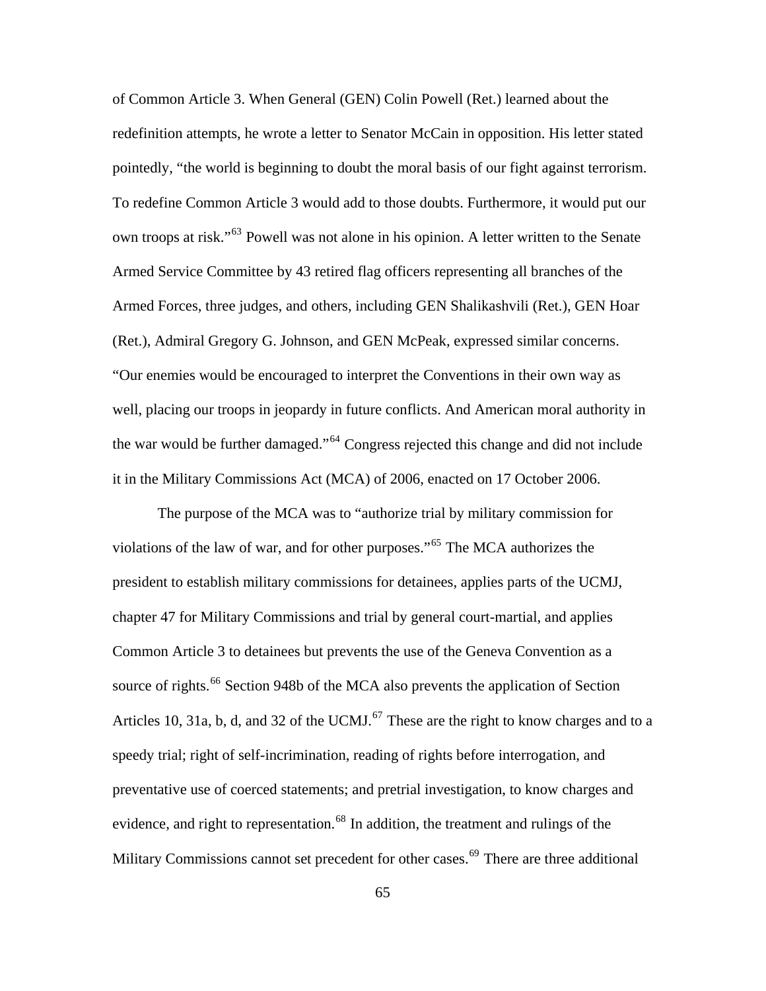of Common Article 3. When General (GEN) Colin Powell (Ret.) learned about the redefinition attempts, he wrote a letter to Senator McCain in opposition. His letter stated pointedly, "the world is beginning to doubt the moral basis of our fight against terrorism. To redefine Common Article 3 would add to those doubts. Furthermore, it would put our own troops at risk."[63](#page-150-0) Powell was not alone in his opinion. A letter written to the Senate Armed Service Committee by 43 retired flag officers representing all branches of the Armed Forces, three judges, and others, including GEN Shalikashvili (Ret.), GEN Hoar (Ret.), Admiral Gregory G. Johnson, and GEN McPeak, expressed similar concerns. "Our enemies would be encouraged to interpret the Conventions in their own way as well, placing our troops in jeopardy in future conflicts. And American moral authority in the war would be further damaged."[64](#page-150-0) Congress rejected this change and did not include it in the Military Commissions Act (MCA) of 2006, enacted on 17 October 2006.

preventative use of coerced statements; and pretrial investigation, to know charges and The purpose of the MCA was to "authorize trial by military commission for violations of the law of war, and for other purposes."[65](#page-150-0) The MCA authorizes the president to establish military commissions for detainees, applies parts of the UCMJ, chapter 47 for Military Commissions and trial by general court-martial, and applies Common Article 3 to detainees but prevents the use of the Geneva Convention as a source of rights.<sup>[66](#page-150-0)</sup> Section 948b of the MCA also prevents the application of Section Articles 10, 31a, b, d, and 32 of the UCMJ. $^{67}$  $^{67}$  $^{67}$  These are the right to know charges and to a speedy trial; right of self-incrimination, reading of rights before interrogation, and evidence, and right to representation.<sup>[68](#page-150-0)</sup> In addition, the treatment and rulings of the Military Commissions cannot set precedent for other cases.<sup>[69](#page-150-0)</sup> There are three additional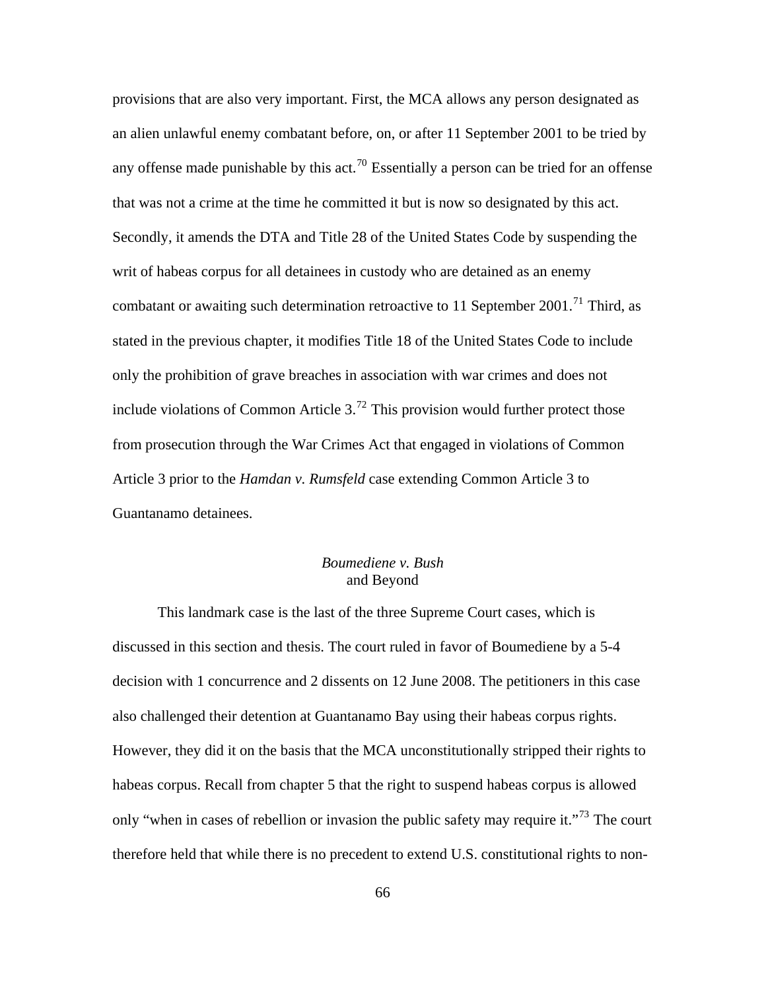an alien unlawful enemy combatant before, on, or after 11 September 2001 to be tried by any offense made punishable by this act.<sup>[70](#page-150-0)</sup> Essentially a person can be tried for an offense only the prohibition of grave breaches in association with war crimes and does not include violations of Common Article  $3<sup>72</sup>$  $3<sup>72</sup>$  $3<sup>72</sup>$  This provision would further protect those Guantanamo detainees. provisions that are also very important. First, the MCA allows any person designated as that was not a crime at the time he committed it but is now so designated by this act. Secondly, it amends the DTA and Title 28 of the United States Code by suspending the writ of habeas corpus for all detainees in custody who are detained as an enemy combatant or awaiting such determination retroactive to 11 September 2001.<sup>[71](#page-150-0)</sup> Third, as stated in the previous chapter, it modifies Title 18 of the United States Code to include from prosecution through the War Crimes Act that engaged in violations of Common Article 3 prior to the *Hamdan v. Rumsfeld* case extending Common Article 3 to

## *Boumediene v. Bush*  and Beyond

decision with 1 concurrence and 2 dissents on 12 June 2008. The petitioners in this case therefore held that while there is no precedent to extend U.S. constitutional rights to non-This landmark case is the last of the three Supreme Court cases, which is discussed in this section and thesis. The court ruled in favor of Boumediene by a 5-4 also challenged their detention at Guantanamo Bay using their habeas corpus rights. However, they did it on the basis that the MCA unconstitutionally stripped their rights to habeas corpus. Recall from chapter 5 that the right to suspend habeas corpus is allowed only "when in cases of rebellion or invasion the public safety may require it."<sup>[73](#page-150-0)</sup> The court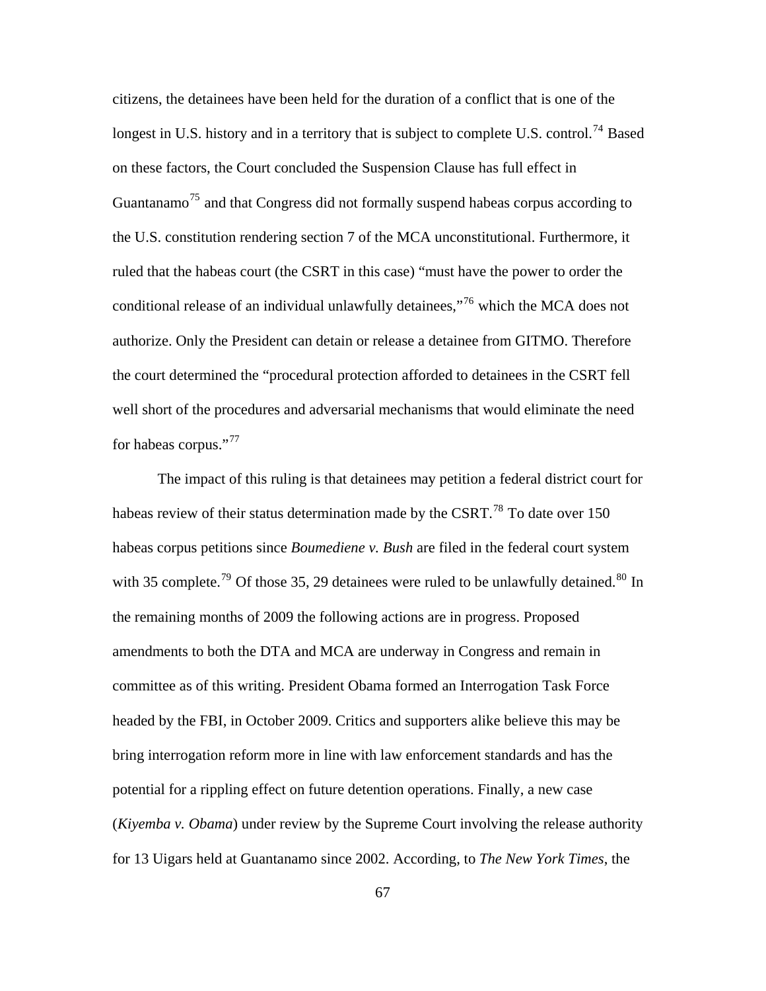longest in U.S. history and in a territory that is subject to complete U.S. control.<sup>74</sup> Based the U.S. constitution rendering section 7 of the MCA unconstitutional. Furthermore, it well short of the procedures and adversarial mechanisms that would eliminate the need for habeas corpus."<sup>[77](#page-150-0)</sup> citizens, the detainees have been held for the duration of a conflict that is one of the on these factors, the Court concluded the Suspension Clause has full effect in Guantanamo<sup>[75](#page-150-0)</sup> and that Congress did not formally suspend habeas corpus according to ruled that the habeas court (the CSRT in this case) "must have the power to order the conditional release of an individual unlawfully detainees,"<sup>[76](#page-150-0)</sup> which the MCA does not authorize. Only the President can detain or release a detainee from GITMO. Therefore the court determined the "procedural protection afforded to detainees in the CSRT fell

[The impact of this ruling is that detainees may petition a federal district cour](#page-150-0)t for [with 35 complete.](#page-150-0)<sup>79</sup> [Of those 35, 29 detainees were ruled to be unlawfully deta](#page-150-0)ined.<sup>80</sup> In [bring interrogation reform more in line with law enforcement standards and has t](#page-150-0)he (*Kiyemba v. Obama*[\) under review by the Supreme Court involving the release authorit](#page-150-0)y [habeas review of their status determination made by the CSRT.](#page-150-0)<sup>78</sup> To date over 150 habeas corpus petitions since *Boumediene v. Bush* [are filed in the federal court system](#page-150-0)  [the remaining months of 2009 the following actions are in progress. Proposed](#page-150-0)  [amendments to both the DTA and MCA are underway in Congress and remain in](#page-150-0)  [committee as of this writing. President Obama formed an Interrogation Task Force](#page-150-0)  [headed by the FBI, in October 2009. Critics and supporters alike believe this may be](#page-150-0) [potential for a rippling effect on future detention operations. Finally, a new case](#page-150-0)  [for 13 Uigars held at Guantanamo since 2002. According, to](#page-150-0) *The New York Times*, the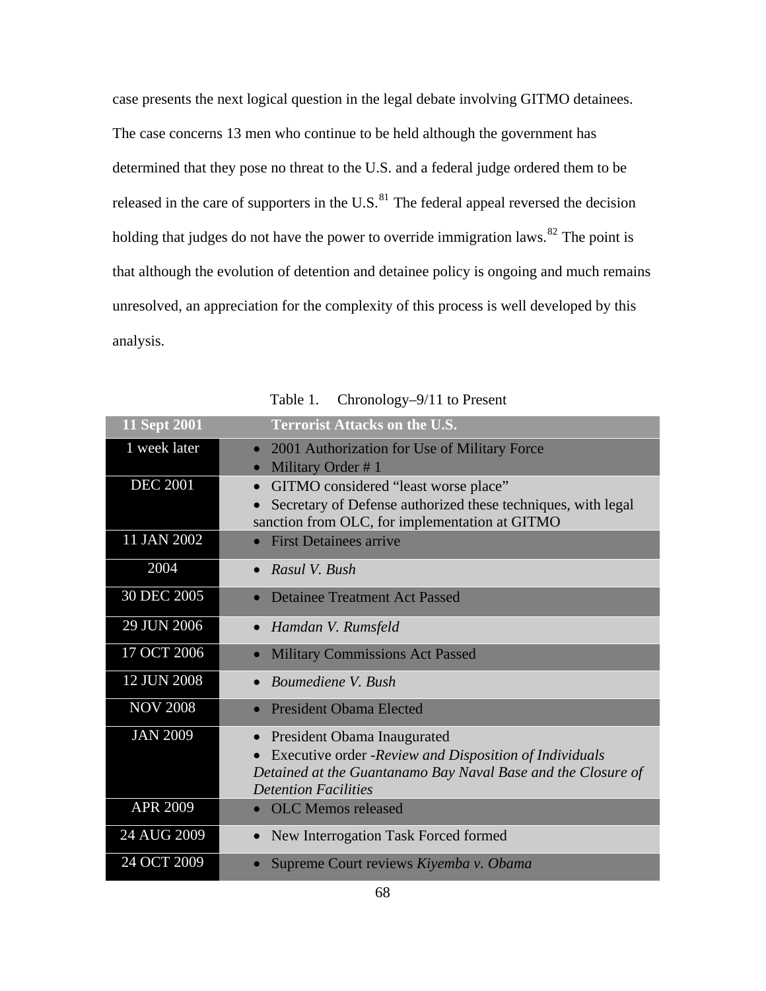[case presents the next logical question in the legal debate involving GITMO detai](#page-150-0)nees. [that although the evolution of detention and detainee policy is ongoing and much remain](#page-150-0)s [unresolve](#page-150-0)d, an appreciation for the complexity of this process is well developed by this analysis. [The case concerns 13 men who continue to be held although the government has](#page-150-0)  [determined that they pose no threat to the U.S. and a federal judge ordered them to be](#page-150-0)  [released in the care of supporters in the U.S.](#page-150-0) $^{81}$  The federal appeal reversed the decision [holding that judges do not have the power to override i](#page-150-0)mmigratio[n laws.](http://topics.nytimes.com/top/reference/timestopics/subjects/i/immigration_and_refugees/index.html?inline=nyt-classifier)<sup>82</sup> The point is

| <b>11 Sept 2001</b> | <b>Terrorist Attacks on the U.S.</b>                         |
|---------------------|--------------------------------------------------------------|
| 1 week later        | 2001 Authorization for Use of Military Force<br>$\bullet$    |
|                     | Military Order #1<br>$\bullet$                               |
| <b>DEC 2001</b>     | GITMO considered "least worse place"<br>$\bullet$            |
|                     | Secretary of Defense authorized these techniques, with legal |
|                     | sanction from OLC, for implementation at GITMO               |
| 11 JAN 2002         | <b>First Detainees arrive</b>                                |
| 2004                | Rasul V. Bush<br>$\bullet$                                   |
| 30 DEC 2005         | <b>Detainee Treatment Act Passed</b>                         |
| 29 JUN 2006         | Hamdan V. Rumsfeld<br>$\bullet$                              |
| 17 OCT 2006         | <b>Military Commissions Act Passed</b><br>$\bullet$          |
| 12 JUN 2008         | Boumediene V. Bush                                           |
| <b>NOV 2008</b>     | <b>President Obama Elected</b>                               |
| <b>JAN 2009</b>     | President Obama Inaugurated                                  |
|                     | Executive order -Review and Disposition of Individuals       |
|                     | Detained at the Guantanamo Bay Naval Base and the Closure of |
|                     | <b>Detention Facilities</b>                                  |
| <b>APR 2009</b>     | • OLC Memos released                                         |
| 24 AUG 2009         | New Interrogation Task Forced formed                         |
| 24 OCT 2009         | Supreme Court reviews Kiyemba v. Obama                       |

Table 1. Chronology-9/11 to Present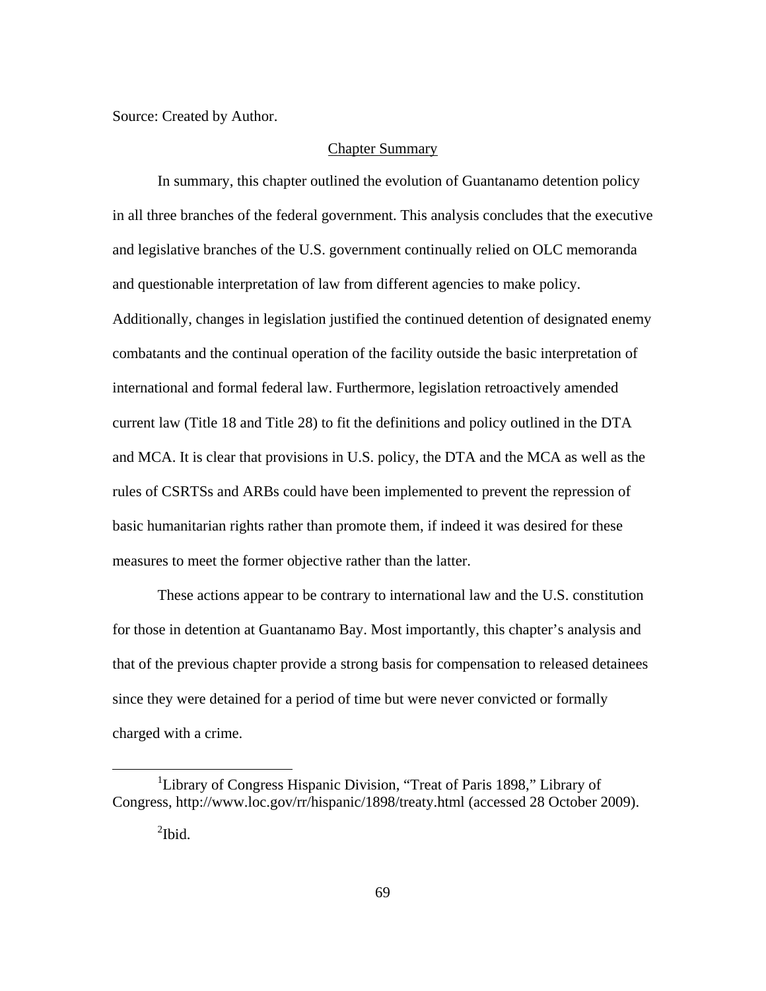Source: Created by Author.

#### Chapter Summary

In summary, this chapter outlined the evolution of Guantanamo detention policy in all three branches of the federal government. This analysis concludes that the executive and legislative branches of the U.S. government continually relied on OLC memoranda and questionable interpretation of law from different agencies to make policy. Additionally, changes in legislation justified the continued detention of designated enemy combatants and the continual operation of the facility outside the basic interpretation of international and formal federal law. Furthermore, legislation retroactively amended current law (Title 18 and Title 28) to fit the definitions and policy outlined in the DTA and MCA. It is clear that provisions in U.S. policy, the DTA and the MCA as well as the rules of CSRTSs and ARBs could have been implemented to prevent the repression of basic humanitarian rights rather than promote them, if indeed it was desired for these measures to meet the former objective rather than the latter.

These actions appear to be contrary to international law and the U.S. constitution for those in detention at Guantanamo Bay. Most importantly, this chapter's analysis and that of the previous chapter provide a strong basis for compensation to released detainees since they were detained for a period of time but were never convicted or formally charged with a crime.

 $\overline{a}$ 

<sup>&</sup>lt;sup>1</sup>Library of Congress Hispanic Division, "Treat of Paris 1898," Library of Congress, http://www.loc.gov/rr/hispanic/1898/treaty.html (accessed 28 October 2009).

 $^{2}$ Ibid.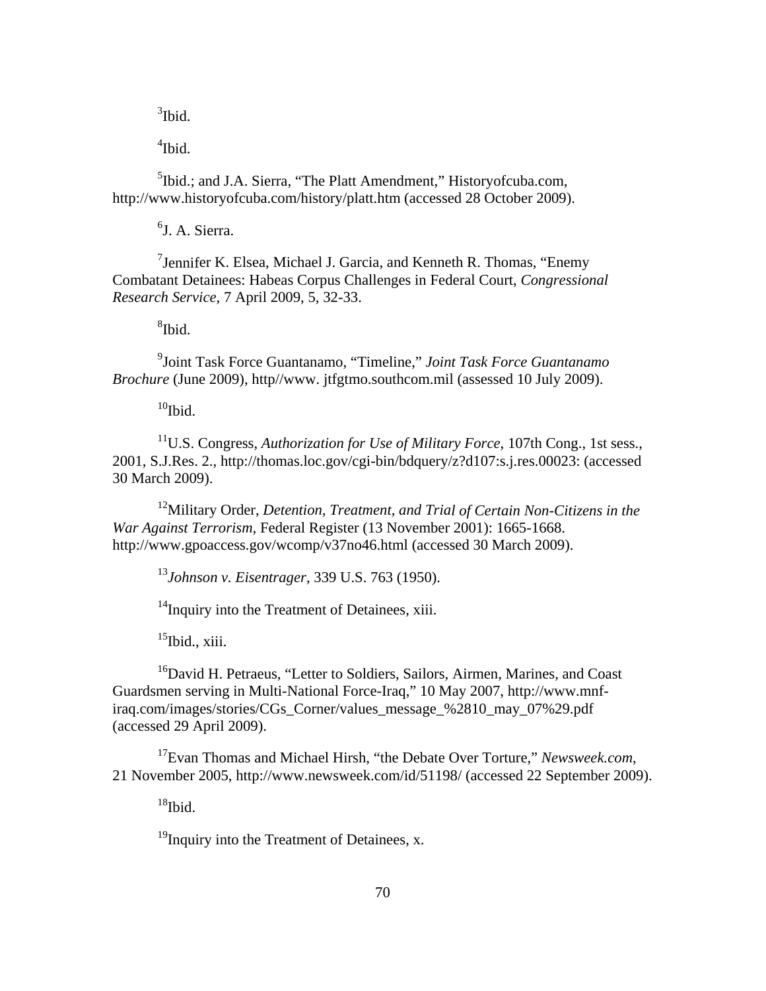$3$ Ibid.

 $\rm ^{4}Ibid.$ 

<sup>5</sup>Ibid.; and J.A. Sierra, "The Platt Amendment," Historyofcuba.com, http://w ww.historyofcuba.com/history/platt.htm (accessed 28 October 2009).

<sup>6</sup>J. A. Sierra.

<sup>7</sup> Jennifer K. Elsea, Michael J. Garcia, and Kenneth R. Thomas, "Enemy Combatant Detainees: Habeas Corpus Challenges in Federal Court, *Congressional Resear ch Service*, 7 April 2009, 5, 32-33.

 $8$ Ibid.

9 Joint Task Force Guantanamo, "Timeline," *Joint Task Force Guantanamo Brochu re* (June 2009), http//www. jtfgtmo.southcom.mil (assessed 10 July 2009).

 $10$ Ibid.

2001, S.J.Res. 2., http://thomas.loc.gov/cgi-bin/bdquery/z?d107:s.j.res.00023: (accessed 11U.S. Congress, *Authorization for Use of Military Force*, 107th Cong., 1st sess., 30 March 2009).

<sup>12</sup>Military Order, *Detention, Treatment, and Trial of Certain Non-Citizens in the War Against Terrorism,* Federal Register (13 November 2001): 1665-1668. http://www.gpoaccess.gov/wcomp/v37no46.html (accessed 30 March 2009).

*Eisentrager*, 339 U.S. 763 (1950). <sup>13</sup>*Johnson v.* 

<sup>14</sup>Inquiry into the Treatment of Detainees, xiii.

 $15$ Ibid., xiii.

<sup>16</sup>David H. Petraeus, "Letter to Soldiers, Sailors, Airmen, Marines, and Coast Guards men serving in Multi-National Force-Iraq," 10 May 2007, http://www.mnf-(accessed 29 April 2009). iraq.com/images/stories/CGs\_Corner/values\_message\_%2810\_may\_07%29.pdf

17Evan Thomas and Michael Hirsh, "the Debate Over Torture," *Newsweek.com*, 21 November 2005, http://www.newsweek.com/id/51198/ (accessed 22 September 2009).

 $18$ Ibid.

 $19$ Inquiry into the Treatment of Detainees, x.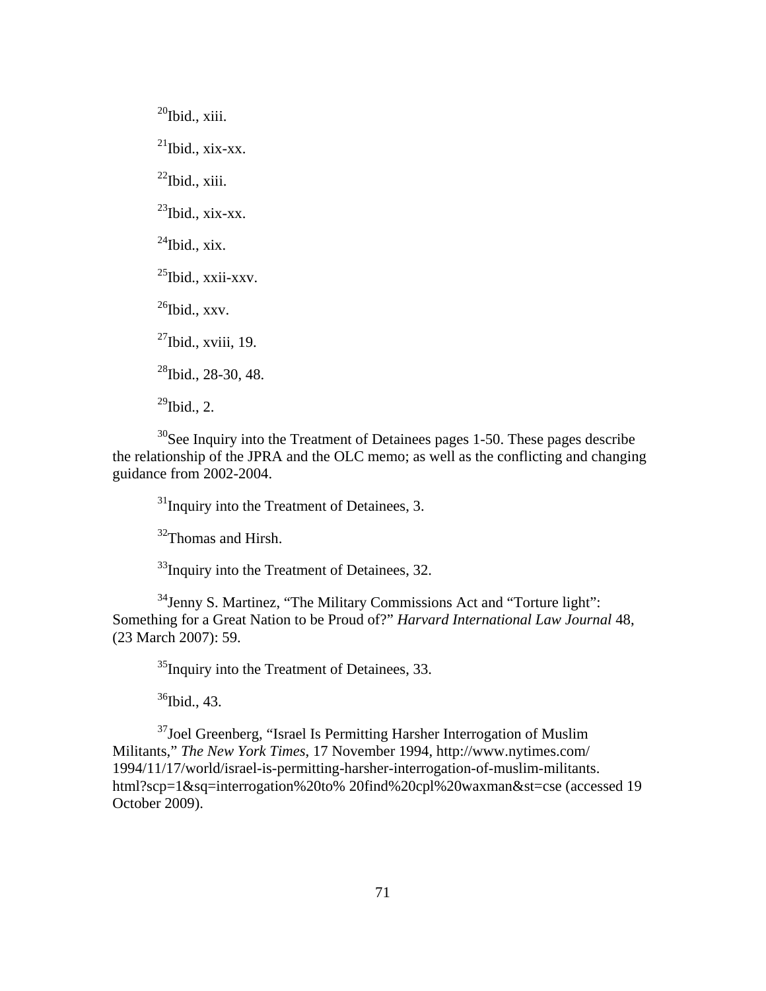$^{27}$ Ibid., xviii, 19.  $20$ Ibid., xiii.  $^{21}$ Ibid., xix-xx.  $^{22}$ Ibid., xiii.  $^{23}$ Ibid., xix-xx.  $^{24}$ Ibid., xix.  $^{25}$ Ibid., xxii-xxv.  $^{26}$ Ibid., xxv.  $^{28}$ Ibid., 28-30, 48.  $^{29}$ Ibid., 2.

 $30$ See Inquiry into the Treatment of Detainees pages 1-50. These pages describe the relationship of the JPRA and the OLC memo; as well as the conflicting and changing guidanc e from 2002-2004.

 $31$ Inquiry into the Treatment of Detainees, 3.

<sup>32</sup>Thomas and Hirsh.

 $33$ Inquiry into the Treatment of Detainees, 32.

 $34$ Jenny S. Martinez, "The Military Commissions Act and "Torture light": Something for a Great Nation to be Proud of?" *Harvard International Law Journal* 48, (23 March 2007): 59.

<sup>35</sup>Inquiry into the Treatment of Detainees, 33.

 $36$ Ibid., 43.

Militants," *The New York Times*, 17 November 1994, http://www.nytimes.com/ 1994/1 1/17/world/israel-is-permitting-harsher-interrogation-of-muslim-militants. html?scp=1&sq=interrogation%20to% 20find%20cpl%20waxman&st=cse (accessed 19 <sup>37</sup>Joel Greenberg, "Israel Is Permitting Harsher Interrogation of Muslim October 2009).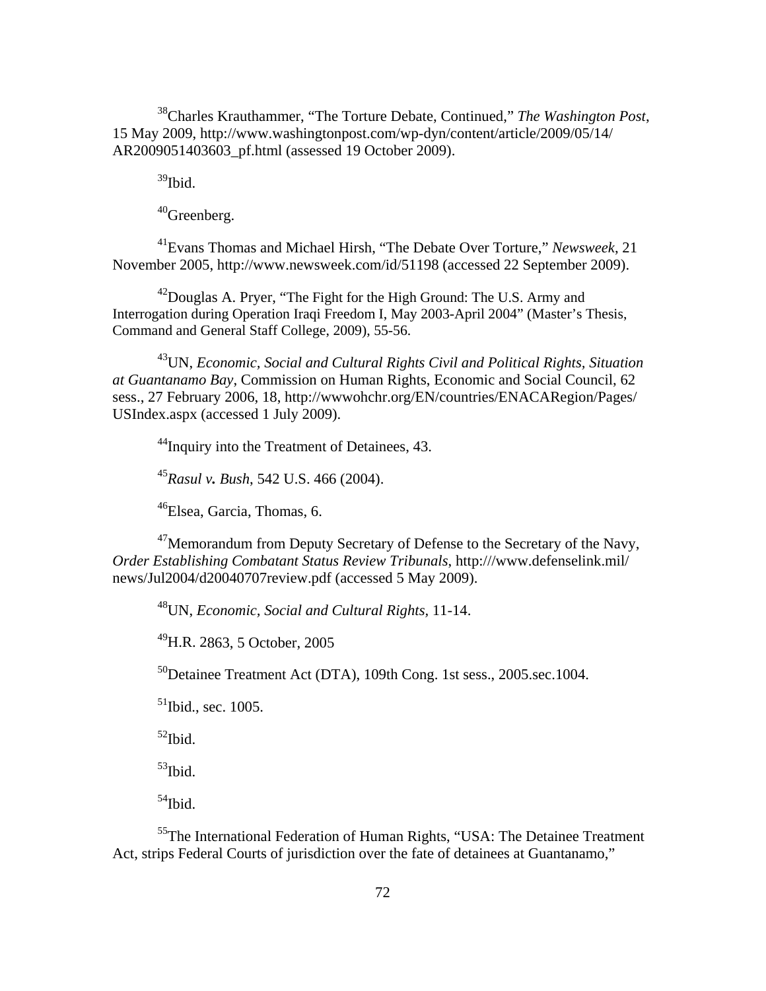<sup>38</sup>Charles Krauthammer, "The Torture Debate, Continued," *The Washington Post*, 15 May 2009, http://www.washingtonpost.com/wp-dyn/content/article/2009/05/14/ AR2009 051403603\_pf.html (assessed 19 October 2009).

 $39$ Ibid.

40Greenberg.

Evans Thomas and Michael Hirsh, "The Debate Over Torture," *Newsweek*, 21 41 Novem ber 2005, http://www.newsweek.com/id/51198 (accessed 22 September 2009).

Interrogation during Operation Iraqi Freedom I, May 2003-April 2004" (Master's Thesis, Command and General Staff College, 2009), 55-56.  $^{42}$ Douglas A. Pryer, "The Fight for the High Ground: The U.S. Army and

43UN, *Economic, Social and Cultural Rights Civil and Political Rights, Situation*  at Guantanamo Bay, Commission on Human Rights, Economic and Social Council, 62 sess., 27 February 2006, 18, http://wwwohchr.org/EN/countries/ENACARegion/Pages/ USIndex.aspx (accessed 1 July 2009).

<sup>44</sup>Inquiry into the Treatment of Detainees, 43.

<sup>45</sup>*Rasul v. Bush*, 542 U.S. 466 (2004).

<sup>46</sup>Elsea, Garcia, Thomas, 6.

 $^{47}$ Memorandum from Deputy Secretary of Defense to the Secretary of the Navy, *Order Establishing Combatant Status Review Tribunals*, http:///www.defenselink.mil/ news/Ju l2004/d20040707review.pdf (accessed 5 May 2009).

<sup>48</sup>UN, *Economic, Social and Cultural Rights*, 11-14.

 $^{49}$ H.R. 2863, 5 October, 2005

 $^{50}$ Detainee Treatment Act (DTA), 109th Cong. 1st sess., 2005.sec.1004.

 $<sup>51</sup>$ Ibid., sec. 1005.</sup>

 $52$ Ibid.

 $53$ Ibid.

 $54$ Ibid.

 $55$ The International Federation of Human Rights, "USA: The Detainee Treatment Act, strips Federal Courts of jurisdiction over the fate of detainees at Guantanamo,"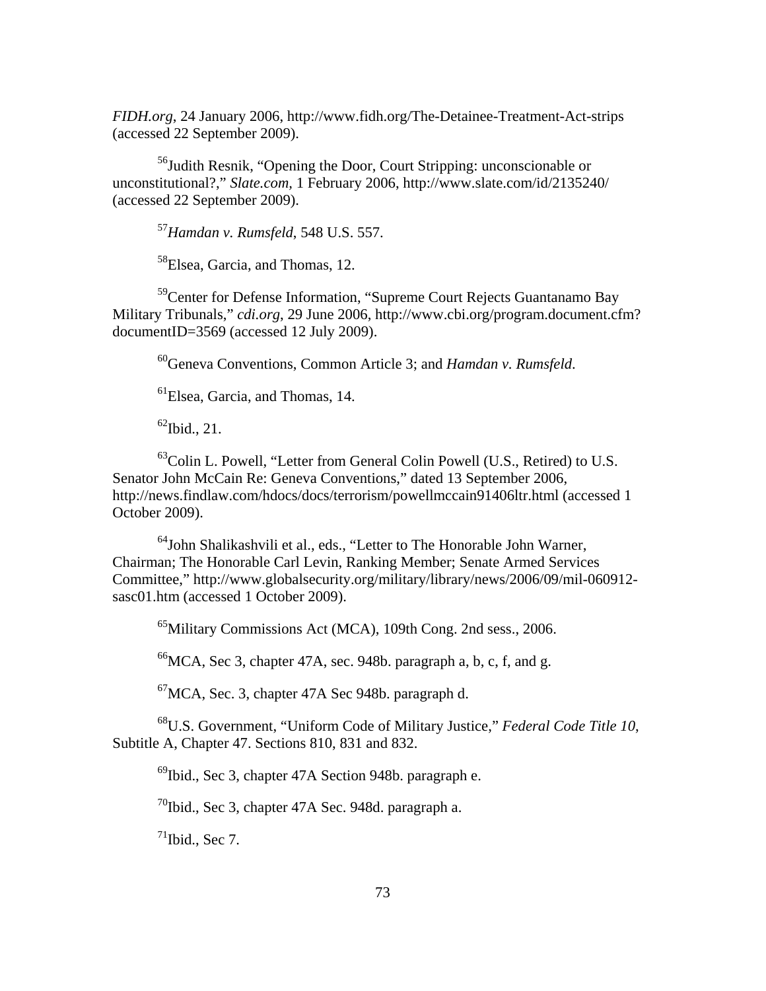*FIDH.org*, 24 January 2006, http://www.fidh.org/The-Detainee-Treatment-Act-strips (accessed 22 September 2009).

56Judith Resnik, "Opening the Door, Court Stripping: unconscionable or unconst itutional?," *Slate.com,* 1 February 2006, http://www.slate.com/id/2135240/ (accessed 22 September 2009).

<sup>57</sup> Hamdan v. Rumsfeld, 548 U.S. 557.

58Elsea, Garcia, and Thomas, 12.

59Center for Defense Information, "Supreme Court Rejects Guantanamo Bay Military Tribunals," *cdi.org*, 29 June 2006, http://www.cbi.org/program.document.cfm? documentID=3569 (accessed 12 July 2009).

60Geneva Conventions, Common Article 3; and *Hamdan v. Rumsfeld*.

 ${}^{61}$ Elsea, Garcia, and Thomas, 14.

 $^{62}$ Ibid., 21.

Senator John McCain Re: Geneva Conventions," dated 13 September 2006, http://news.findlaw.com/hdocs/docs/terrorism/powellmccain91406ltr.html (accessed 1 Octobe r 2009).  $^{63}$ Colin L. Powell, "Letter from General Colin Powell (U.S., Retired) to U.S.

<sup>64</sup>John Shalikashvili et al., eds., "Letter to The Honorable John Warner, Chairman; The Honorable Carl Levin, Ranking Member; Senate Armed Services Committee," http://www.globalsecurity.org/military/library/news/2006/09/mil-060912sasc01.htm (accessed 1 October 2009).

<sup>65</sup>Military Commissions Act (MCA), 109th Cong. 2nd sess., 2006.

 ${}^{66}$ MCA, Sec 3, chapter 47A, sec. 948b. paragraph a, b, c, f, and g.

 ${}^{67}$ MCA, Sec. 3, chapter 47A Sec 948b. paragraph d.

<sup>68</sup>U.S. Government, "Uniform Code of Military Justice," Federal Code Title 10, Subtitle A, Chapter 47. Sections 810, 831 and 832.

<sup>69</sup>Ibid., Sec 3, chapter 47A Section 948b. paragraph e.

 $^{70}$ Ibid., Sec 3, chapter 47A Sec. 948d. paragraph a.

 $71$ Ibid., Sec 7.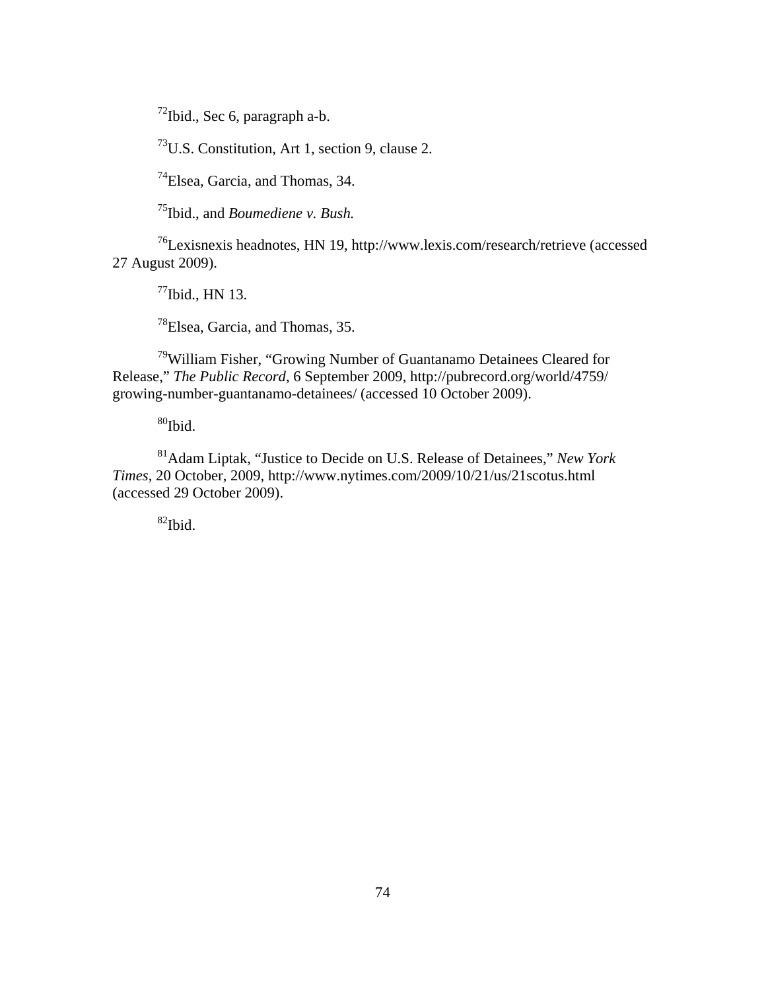$72$ Ibid., Sec 6, paragraph a-b.

 $73$ U.S. Constitution, Art 1, section 9, clause 2.

74Elsea, Garcia, and Thomas, 34.

75Ibid., and *Boumediene v. Bush.*

 $^{76}$ Lexisnexis headnotes, HN 19, http://www.lexis.com/research/retrieve (accessed 27 August 2009).

 $^{77}$ Ibid., HN 13.

78Elsea, Garcia, and Thomas, 35.

 $79$ William Fisher, "Growing Number of Guantanamo Detainees Cleared for growing-number-guantanamo-detainees/ (accessed 10 October 2009). Release," *The Public Record*, 6 September 2009, http://pubrecord.org/world/4759/

 $\rm{^{80}Hbid.}$ 

81Adam Liptak, "Justice to Decide on U.S. Release of Detainees," *New York Times*, 20 October, 2009, http://www.nytimes.com/2009/10/21/us/21scotus.html (accessed 29 October 2009).

82Ibid.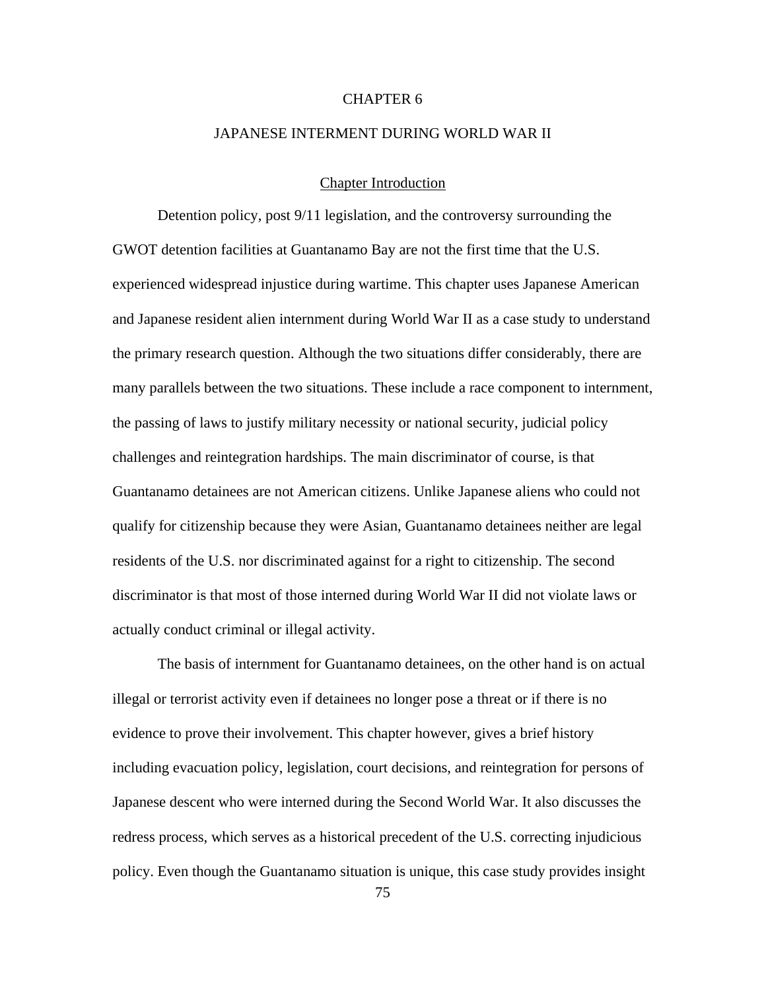#### CHAPTER 6

### JAPANESE INTERMENT DURING WORLD WAR II

### Chapter Introduction

Detention policy, post 9/11 legislation, and the controversy surrounding the GWOT detention facilities at Guantanamo Bay are not the first time that the U.S. experienced widespread injustice during wartime. This chapter uses Japanese American and Japanese resident alien internment during World War II as a case study to understand the primary research question. Although the two situations differ considerably, there are many parallels between the two situations. These include a race component to internment, the passing of laws to justify military necessity or national security, judicial policy challenges and reintegration hardships. The main discriminator of course, is that Guantanamo detainees are not American citizens. Unlike Japanese aliens who could not qualify for citizenship because they were Asian, Guantanamo detainees neither are legal residents of the U.S. nor discriminated against for a right to citizenship. The second discriminator is that most of those interned during World War II did not violate laws or actually conduct criminal or illegal activity.

The basis of internment for Guantanamo detainees, on the other hand is on actual illegal or terrorist activity even if detainees no longer pose a threat or if there is no evidence to prove their involvement. This chapter however, gives a brief history including evacuation policy, legislation, court decisions, and reintegration for persons of Japanese descent who were interned during the Second World War. It also discusses the redress process, which serves as a historical precedent of the U.S. correcting injudicious policy. Even though the Guantanamo situation is unique, this case study provides insight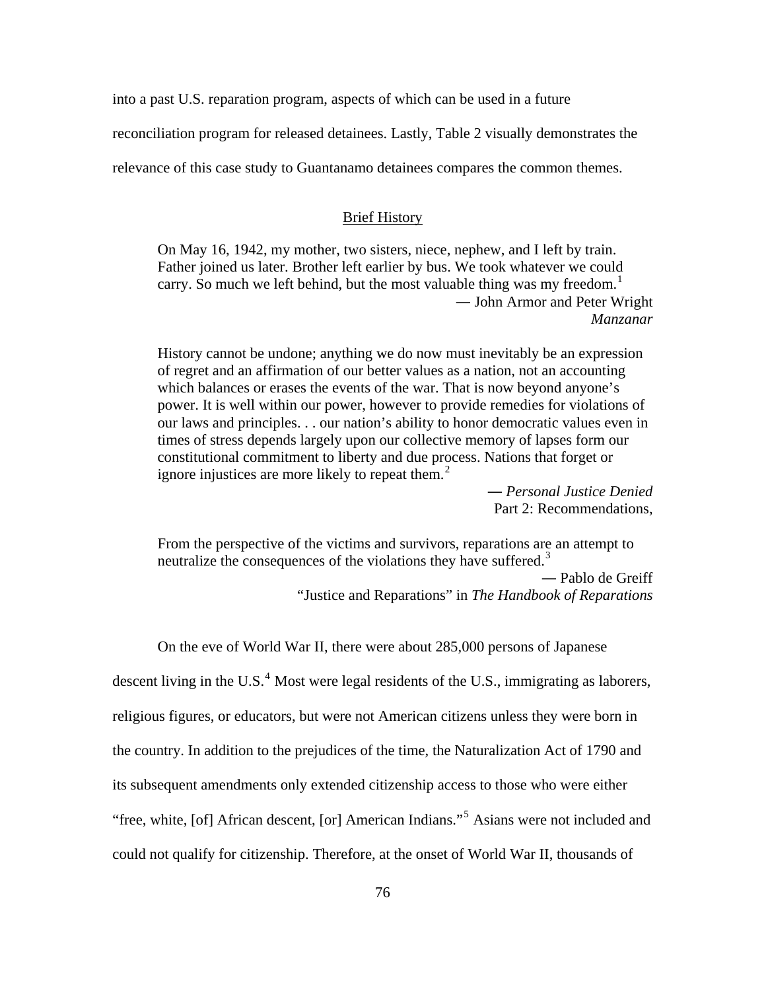into a past U.S. reparation program, aspects of which can be used in a future

reconciliation program for released detainees. Lastly, Table 2 visually demonstrates the

relevance of this case study to Guantanamo detainees compares the common themes.

### Brief History

On May 16, 1942, my mother, two sisters, niece, nephew, and I left by train. Father joined us later. Brother left earlier by bus. We took whatever we could carry. So much we left behind, but the most valuable thing was my freedom.<sup>[1](#page-150-0)</sup> ― John Armor and Peter Wright *Manzanar* 

History cannot be undone; anything we do now must inevitably be an expression of regret and an affirmation of our better values as a nation, not an accounting which balances or erases the events of the war. That is now beyond anyone's power. It is well within our power, however to provide remedies for violations of our laws and principles. . . our nation's ability to honor democratic values even in times of stress depends largely upon our collective memory of lapses form our constitutional commitment to liberty and due process. Nations that forget or ignore injustices are more likely to repeat them. $<sup>2</sup>$  $<sup>2</sup>$  $<sup>2</sup>$ </sup>

― *Personal Justice Denied*  Part 2: Recommendations,

From the perspective of the victims and survivors, reparations are an attempt to neutralize the consequences of the violations they have suffered.<sup>[3](#page-150-0)</sup> ― Pablo de Greiff "Justice and Reparations" in *The Handbook of Reparations*

On the eve of World War II, there were about 285,000 persons of Japanese descent living in the U.S. $<sup>4</sup>$  $<sup>4</sup>$  $<sup>4</sup>$  Most were legal residents of the U.S., immigrating as laborers,</sup> religious figures, or educators, but were not American citizens unless they were born in the country. In addition to the prejudices of the time, the Naturalization Act of 1790 and its subsequent amendments only extended citizenship access to those who were either "free, white, [of] African descent, [or] American Indians."<sup>[5](#page-150-0)</sup> Asians were not included and could not qualify for citizenship. Therefore, at the onset of World War II, thousands of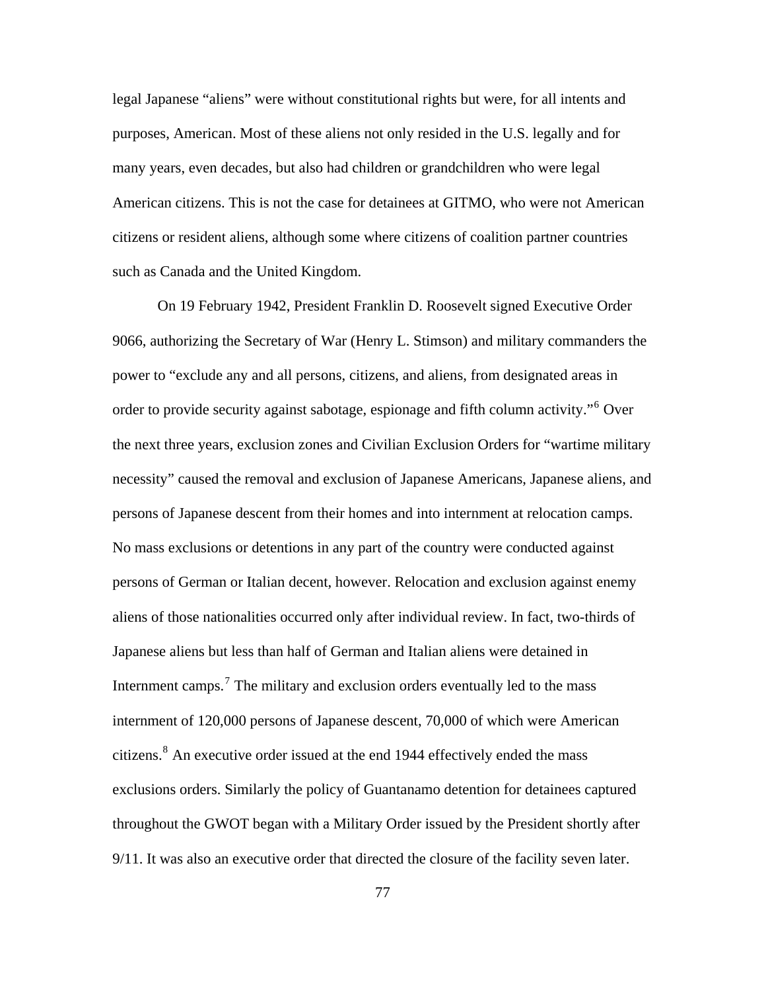legal Japanese "aliens" were without constitutional rights but were, for all intents and purposes, American. Most of these aliens not only resided in the U.S. legally and for many years, even decades, but also had children or grandchildren who were legal American citizens. This is not the case for detainees at GITMO, who were not American citizens or resident aliens, although some where citizens of coalition partner countries such as Canada and the United Kingdom.

On 19 February 1942, President Franklin D. Roosevelt signed Executive Order 9066, authorizing the Secretary of War (Henry L. Stimson) and military commanders the power to "exclude any and all persons, citizens, and aliens, from designated areas in order to provide security against sabotage, espionage and fifth column activity."<sup>[6](#page-150-0)</sup> Over the next three years, exclusion zones and Civilian Exclusion Orders for "wartime military necessity" caused the removal and exclusion of Japanese Americans, Japanese aliens, and persons of Japanese descent from their homes and into internment at relocation camps. No mass exclusions or detentions in any part of the country were conducted against persons of German or Italian decent, however. Relocation and exclusion against enemy aliens of those nationalities occurred only after individual review. In fact, two-thirds of Japanese aliens but less than half of German and Italian aliens were detained in Internment camps.<sup>[7](#page-150-0)</sup> The military and exclusion orders eventually led to the mass internment of 120,000 persons of Japanese descent, 70,000 of which were American citizens.<sup>[8](#page-150-0)</sup> An executive order issued at the end 1944 effectively ended the mass exclusions orders. Similarly the policy of Guantanamo detention for detainees captured throughout the GWOT began with a Military Order issued by the President shortly after 9/11. It was also an executive order that directed the closure of the facility seven later.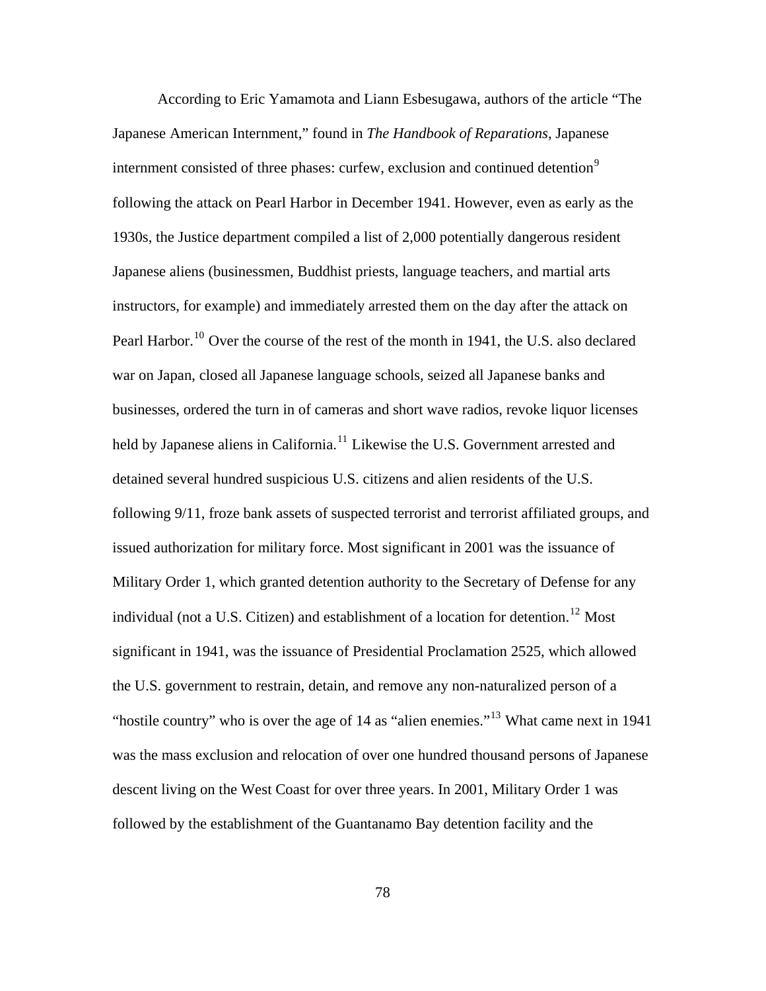According to Eric Yamamota and Liann Esbesugawa, authors of the article "The Japanese American Internment," found in *The Handbook of Reparations*, Japanese internment consisted of three phases: curfew, exclusion and continued detention<sup>[9](#page-150-0)</sup> following the attack on Pearl Harbor in December 1941. However, even as early as the 1930s, the Justice department compiled a list of 2,000 potentially dangerous resident Japanese aliens (businessmen, Buddhist priests, language teachers, and martial arts instructors, for example) and immediately arrested them on the day after the attack on Pearl Harbor.<sup>[10](#page-150-0)</sup> Over the course of the rest of the month in 1941, the U.S. also declared war on Japan, closed all Japanese language schools, seized all Japanese banks and businesses, ordered the turn in of cameras and short wave radios, revoke liquor licenses held by Japanese aliens in California.<sup>[11](#page-150-0)</sup> Likewise the U.S. Government arrested and detained several hundred suspicious U.S. citizens and alien residents of the U.S. following 9/11, froze bank assets of suspected terrorist and terrorist affiliated groups, and issued authorization for military force. Most significant in 2001 was the issuance of Military Order 1, which granted detention authority to the Secretary of Defense for any individual (not a U.S. Citizen) and establishment of a location for detention.<sup>[12](#page-150-0)</sup> Most significant in 1941, was the issuance of Presidential Proclamation 2525, which allowed the U.S. government to restrain, detain, and remove any non-naturalized person of a "hostile country" who is over the age of 14 as "alien enemies."<sup>[13](#page-150-0)</sup> What came next in 1941 was the mass exclusion and relocation of over one hundred thousand persons of Japanese descent living on the West Coast for over three years. In 2001, Military Order 1 was followed by the establishment of the Guantanamo Bay detention facility and the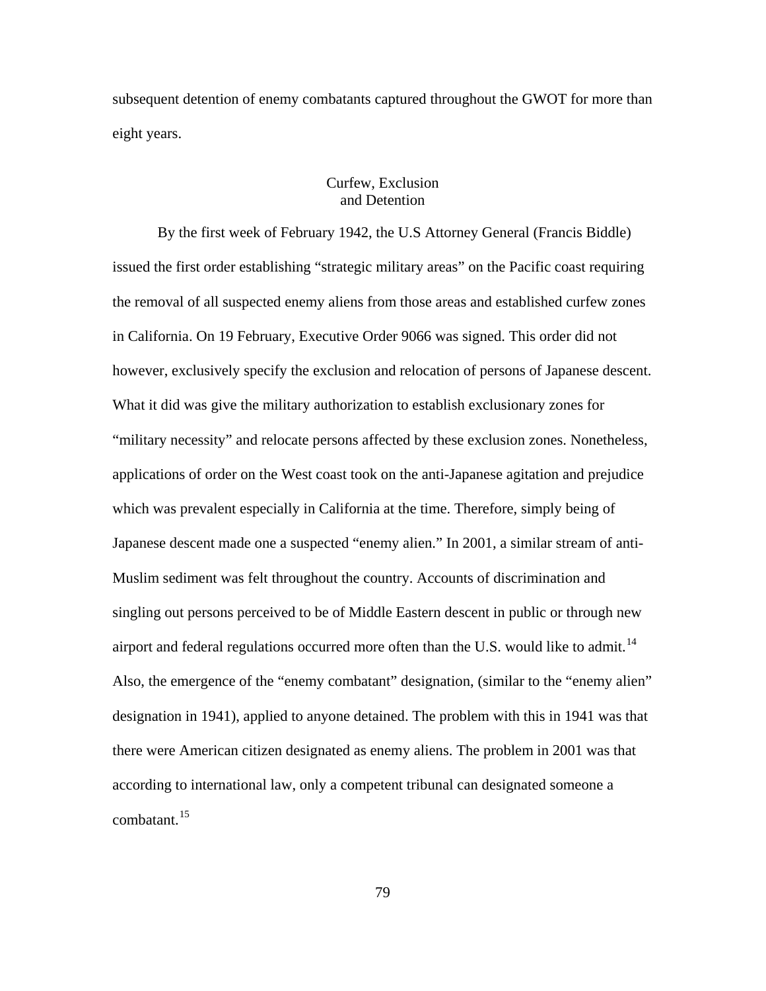subsequent detention of enemy combatants captured throughout the GWOT for more than eight years.

## Curfew, Exclusion and Detention

By the first week of February 1942, the U.S Attorney General (Francis Biddle) issued the first order establishing "strategic military areas" on the Pacific coast requiring the removal of all suspected enemy aliens from those areas and established curfew zones in California. On 19 February, Executive Order 9066 was signed. This order did not however, exclusively specify the exclusion and relocation of persons of Japanese descent. What it did was give the military authorization to establish exclusionary zones for "military necessity" and relocate persons affected by these exclusion zones. Nonetheless, applications of order on the West coast took on the anti-Japanese agitation and prejudice which was prevalent especially in California at the time. Therefore, simply being of Japanese descent made one a suspected "enemy alien." In 2001, a similar stream of anti-Muslim sediment was felt throughout the country. Accounts of discrimination and singling out persons perceived to be of Middle Eastern descent in public or through new airport and federal regulations occurred more often than the U.S. would like to admit.<sup>[14](#page-150-0)</sup> Also, the emergence of the "enemy combatant" designation, (similar to the "enemy alien" designation in 1941), applied to anyone detained. The problem with this in 1941 was that there were American citizen designated as enemy aliens. The problem in 2001 was that according to international law, only a competent tribunal can designated someone a combatant.<sup>[15](#page-150-0)</sup>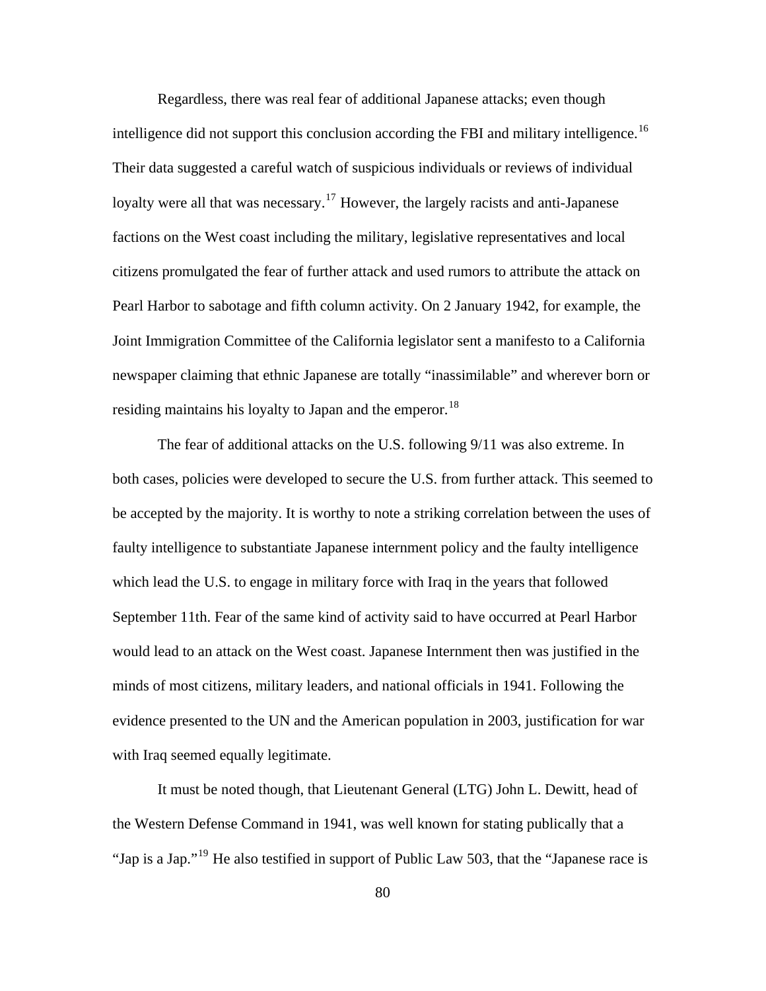Regardless, there was real fear of additional Japanese attacks; even though intelligence did not support this conclusion according the FBI and military intelligence.<sup>[16](#page-150-0)</sup> Their data suggested a careful watch of suspicious individuals or reviews of individual loyalty were all that was necessary.<sup>[17](#page-150-0)</sup> However, the largely racists and anti-Japanese factions on the West coast including the military, legislative representatives and local citizens promulgated the fear of further attack and used rumors to attribute the attack on Pearl Harbor to sabotage and fifth column activity. On 2 January 1942, for example, the Joint Immigration Committee of the California legislator sent a manifesto to a California newspaper claiming that ethnic Japanese are totally "inassimilable" and wherever born or residing maintains his loyalty to Japan and the emperor.<sup>[18](#page-150-0)</sup>

The fear of additional attacks on the U.S. following 9/11 was also extreme. In both cases, policies were developed to secure the U.S. from further attack. This seemed to be accepted by the majority. It is worthy to note a striking correlation between the uses of faulty intelligence to substantiate Japanese internment policy and the faulty intelligence which lead the U.S. to engage in military force with Iraq in the years that followed September 11th. Fear of the same kind of activity said to have occurred at Pearl Harbor would lead to an attack on the West coast. Japanese Internment then was justified in the minds of most citizens, military leaders, and national officials in 1941. Following the evidence presented to the UN and the American population in 2003, justification for war with Iraq seemed equally legitimate.

It must be noted though, that Lieutenant General (LTG) John L. Dewitt, head of the Western Defense Command in 1941, was well known for stating publically that a "Jap is a Jap."[19](#page-150-0) He also testified in support of Public Law 503, that the "Japanese race is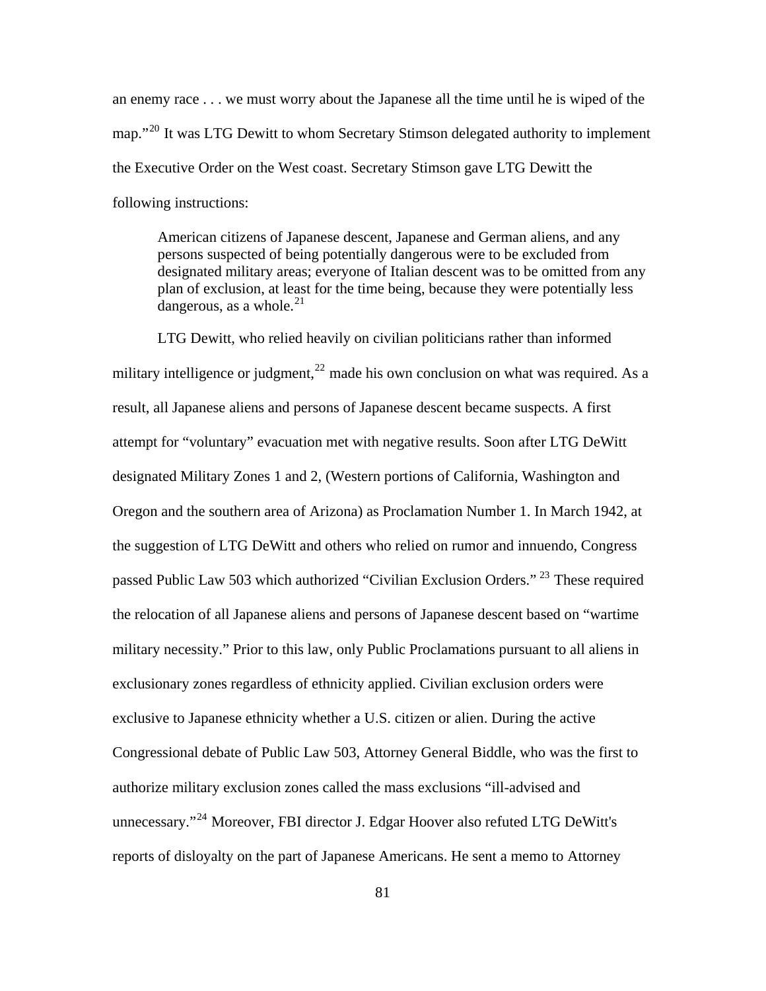an enemy race . . . we must worry about the Japanese all the time until he is wiped of the map."<sup>[20](#page-150-0)</sup> It was LTG Dewitt to whom Secretary Stimson delegated authority to implement the Executive Order on the West coast. Secretary Stimson gave LTG Dewitt the following instructions:

American citizens of Japanese descent, Japanese and German aliens, and any persons suspected of being potentially dangerous were to be excluded from designated military areas; everyone of Italian descent was to be omitted from any plan of exclusion, at least for the time being, because they were potentially less dangerous, as a whole. $^{21}$  $^{21}$  $^{21}$ 

LTG Dewitt, who relied heavily on civilian politicians rather than informed military intelligence or judgment,  $^{22}$  $^{22}$  $^{22}$  made his own conclusion on what was required. As a result, all Japanese aliens and persons of Japanese descent became suspects. A first attempt for "voluntary" evacuation met with negative results. Soon after LTG DeWitt designated Military Zones 1 and 2, (Western portions of California, Washington and Oregon and the southern area of Arizona) as Proclamation Number 1. In March 1942, at the suggestion of LTG DeWitt and others who relied on rumor and innuendo, Congress passed Public Law 503 which authorized "Civilian Exclusion Orders."<sup>[23](#page-150-0)</sup> These required the relocation of all Japanese aliens and persons of Japanese descent based on "wartime military necessity." Prior to this law, only Public Proclamations pursuant to all aliens in exclusionary zones regardless of ethnicity applied. Civilian exclusion orders were exclusive to Japanese ethnicity whether a U.S. citizen or alien. During the active Congressional debate of Public Law 503, Attorney General Biddle, who was the first to authorize military exclusion zones called the mass exclusions "ill-advised and unnecessary."<sup>[24](#page-150-0)</sup> Moreover, FBI director J. Edgar Hoover also refuted LTG DeWitt's reports of disloyalty on the part of Japanese Americans. He sent a memo to Attorney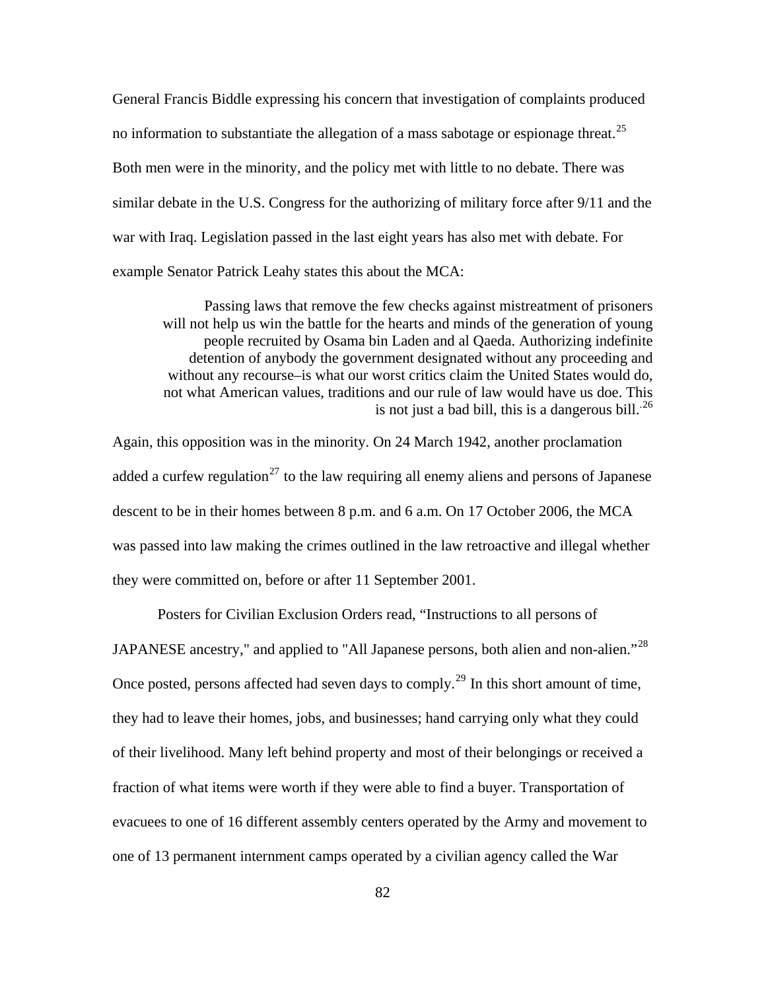General Francis Biddle expressing his concern that investigation of complaints produced no information to substantiate the allegation of a mass sabotage or espionage threat.<sup>[25](#page-150-0)</sup> Both men were in the minority, and the policy met with little to no debate. There was similar debate in the U.S. Congress for the authorizing of military force after 9/11 and the war with Iraq. Legislation passed in the last eight years has also met with debate. For example Senator Patrick Leahy states this about the MCA:

Passing laws that remove the few checks against mistreatment of prisoners will not help us win the battle for the hearts and minds of the generation of young people recruited by Osama bin Laden and al Qaeda. Authorizing indefinite detention of anybody the government designated without any proceeding and without any recourse–is what our worst critics claim the United States would do, not what American values, traditions and our rule of law would have us doe. This is not just a bad bill, this is a dangerous bill.<sup>26</sup>

Again, this opposition was in the minority. On 24 March 1942, another proclamation added a curfew regulation<sup>[27](#page-150-0)</sup> to the law requiring all enemy aliens and persons of Japanese descent to be in their homes between 8 p.m. and 6 a.m. On 17 October 2006, the MCA was passed into law making the crimes outlined in the law retroactive and illegal whether they were committed on, before or after 11 September 2001.

Posters for Civilian Exclusion Orders read, "Instructions to all persons of JAPANESE ancestry," and applied to "All Japanese persons, both alien and non-alien."<sup>[28](#page-150-0)</sup> Once posted, persons affected had seven days to comply.<sup>[29](#page-150-0)</sup> In this short amount of time, they had to leave their homes, jobs, and businesses; hand carrying only what they could of their livelihood. Many left behind property and most of their belongings or received a fraction of what items were worth if they were able to find a buyer. Transportation of evacuees to one of 16 different assembly centers operated by the Army and movement to one of 13 permanent internment camps operated by a civilian agency called the War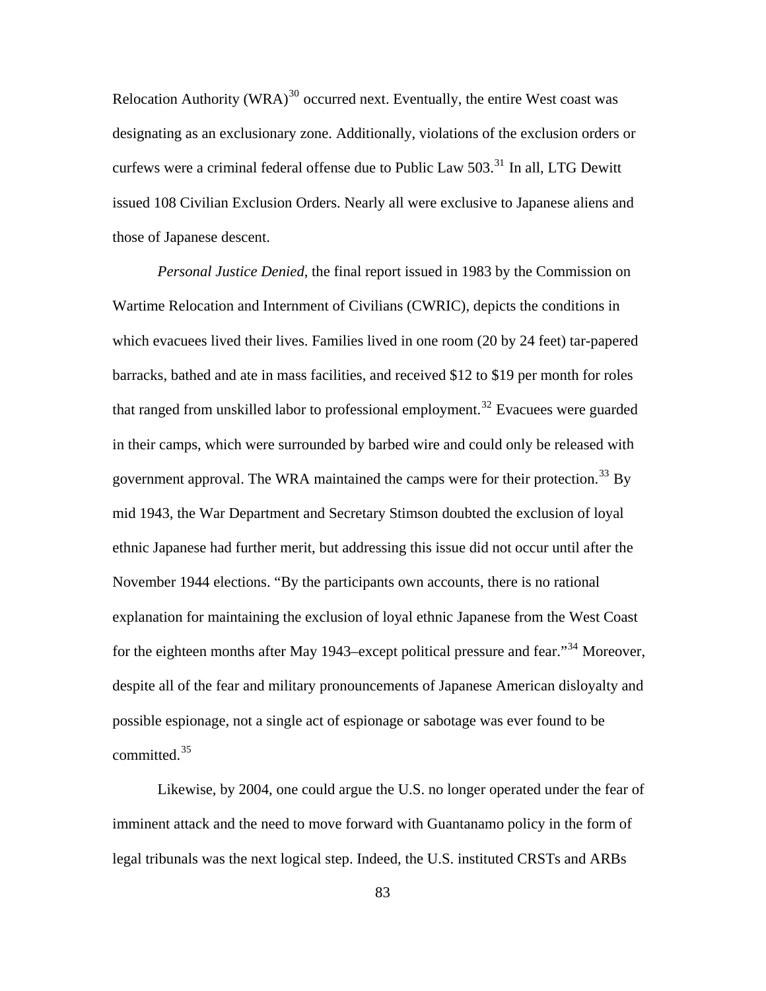Relocation Authority (WRA) $^{30}$  $^{30}$  $^{30}$  occurred next. Eventually, the entire West coast was designating as an exclusionary zone. Additionally, violations of the exclusion orders or curfews were a criminal federal offense due to Public Law 503.<sup>[31](#page-150-0)</sup> In all, LTG Dewitt issued 108 Civilian Exclusion Orders. Nearly all were exclusive to Japanese aliens and those of Japanese descent.

in their camps, which were surrounded by barbed wire and could only be released with *Personal Justice Denied*, the final report issued in 1983 by the Commission on Wartime Relocation and Internment of Civilians (CWRIC), depicts the conditions in which evacuees lived their lives. Families lived in one room (20 by 24 feet) tar-papered barracks, bathed and ate in mass facilities, and received \$12 to \$19 per month for roles that ranged from unskilled labor to professional employment.<sup>[32](#page-150-0)</sup> Evacuees were guarded government approval. The WRA maintained the camps were for their protection.<sup>[33](#page-150-0)</sup> By mid 1943, the War Department and Secretary Stimson doubted the exclusion of loyal ethnic Japanese had further merit, but addressing this issue did not occur until after the November 1944 elections. "By the participants own accounts, there is no rational explanation for maintaining the exclusion of loyal ethnic Japanese from the West Coast for the eighteen months after May 1943–except political pressure and fear.<sup>[34](#page-150-0)</sup> Moreover, despite all of the fear and military pronouncements of Japanese American disloyalty and possible espionage, not a single act of espionage or sabotage was ever found to be committed.[35](#page-150-0)

Likewise, by 2004, one could argue the U.S. no longer operated under the fear of imminent attack and the need to move forward with Guantanamo policy in the form of legal tribunals was the next logical step. Indeed, the U.S. instituted CRSTs and ARBs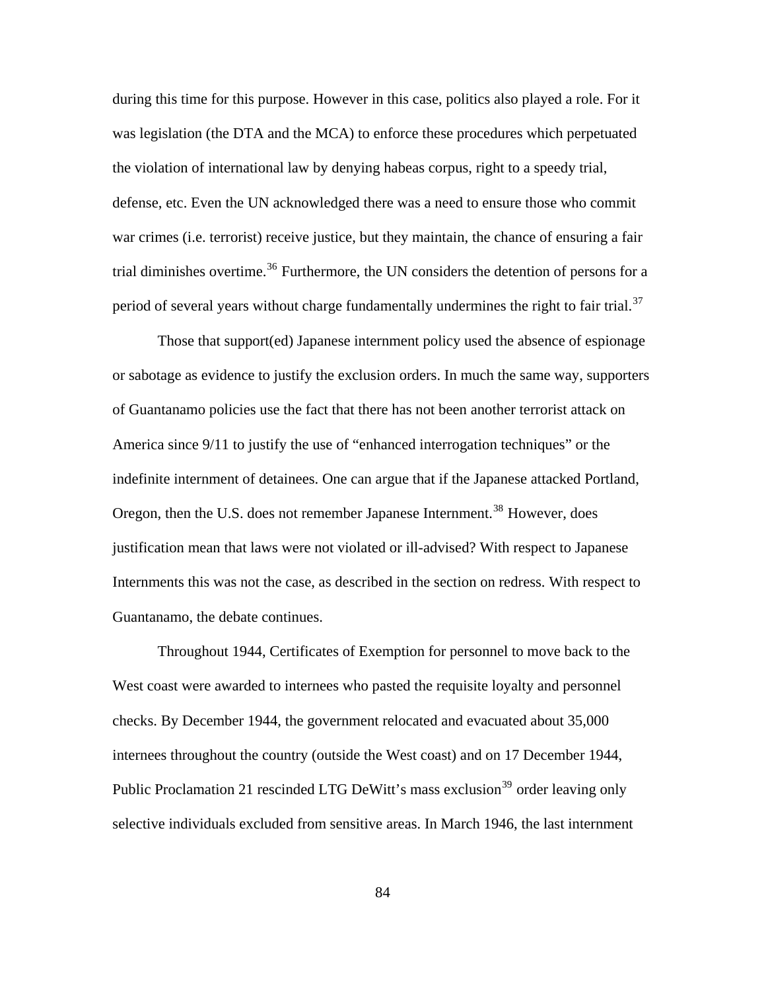during this time for this purpose. However in this case, politics also played a role. For it was legislation (the DTA and the MCA) to enforce these procedures which perpetuated the violation of international law by denying habeas corpus, right to a speedy trial, defense, etc. Even the UN acknowledged there was a need to ensure those who commit war crimes (i.e. terrorist) receive justice, but they maintain, the chance of ensuring a fair trial diminishes overtime.<sup>[36](#page-150-0)</sup> Furthermore, the UN considers the detention of persons for a period of several years without charge fundamentally undermines the right to fair trial.<sup>[37](#page-150-0)</sup>

Those that support(ed) Japanese internment policy used the absence of espionage or sabotage as evidence to justify the exclusion orders. In much the same way, supporters of Guantanamo policies use the fact that there has not been another terrorist attack on America since 9/11 to justify the use of "enhanced interrogation techniques" or the indefinite internment of detainees. One can argue that if the Japanese attacked Portland, Oregon, then the U.S. does not remember Japanese Internment.<sup>[38](#page-150-0)</sup> However, does justification mean that laws were not violated or ill-advised? With respect to Japanese Internments this was not the case, as described in the section on redress. With respect to Guantanamo, the debate continues.

Throughout 1944, Certificates of Exemption for personnel to move back to the West coast were awarded to internees who pasted the requisite loyalty and personnel checks. By December 1944, the government relocated and evacuated about 35,000 internees throughout the country (outside the West coast) and on 17 December 1944, Public Proclamation 21 rescinded LTG DeWitt's mass exclusion<sup>[39](#page-150-0)</sup> order leaving only selective individuals excluded from sensitive areas. In March 1946, the last internment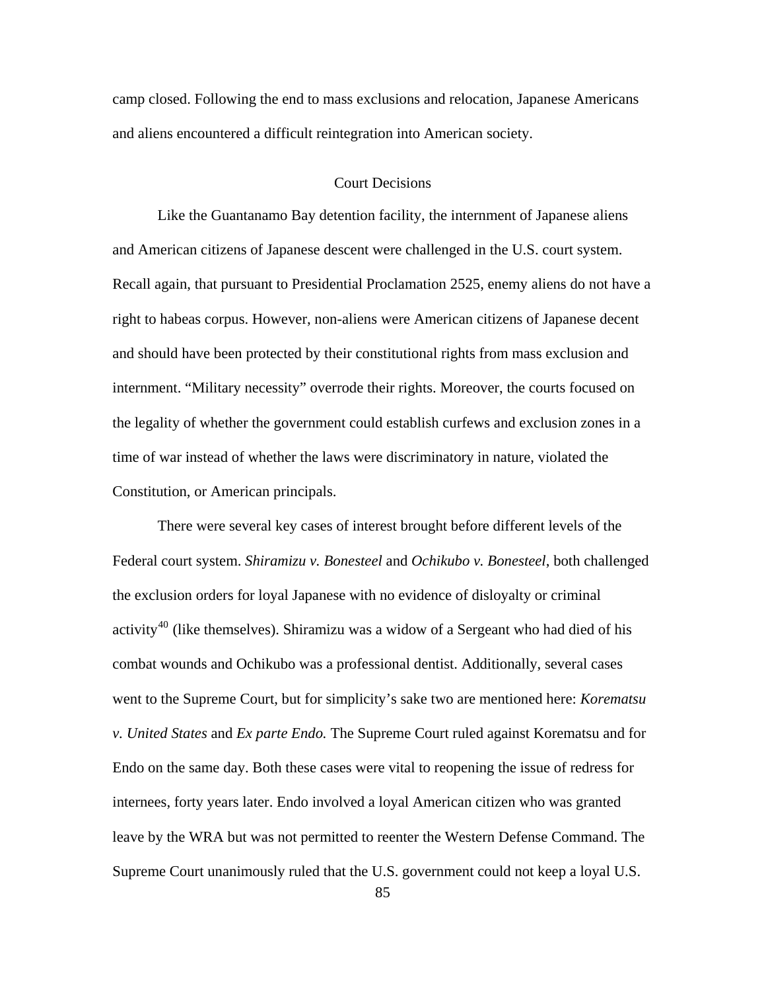camp closed. Following the end to mass exclusions and relocation, Japanese Americans and aliens encountered a difficult reintegration into American society.

### Court Decisions

Like the Guantanamo Bay detention facility, the internment of Japanese aliens and American citizens of Japanese descent were challenged in the U.S. court system. Recall again, that pursuant to Presidential Proclamation 2525, enemy aliens do not have a right to habeas corpus. However, non-aliens were American citizens of Japanese decent and should have been protected by their constitutional rights from mass exclusion and internment. "Military necessity" overrode their rights. Moreover, the courts focused on the legality of whether the government could establish curfews and exclusion zones in a time of war instead of whether the laws were discriminatory in nature, violated the Constitution, or American principals.

There were several key cases of interest brought before different levels of the Federal court system. *Shiramizu v. Bonesteel* and *Ochikubo v. Bonesteel*, both challenged the exclusion orders for loyal Japanese with no evidence of disloyalty or criminal activity<sup>[40](#page-150-0)</sup> (like themselves). Shiramizu was a widow of a Sergeant who had died of his combat wounds and Ochikubo was a professional dentist. Additionally, several cases went to the Supreme Court, but for simplicity's sake two are mentioned here: *Korematsu v. United States* and *Ex parte Endo.* The Supreme Court ruled against Korematsu and for Endo on the same day. Both these cases were vital to reopening the issue of redress for internees, forty years later. Endo involved a loyal American citizen who was granted leave by the WRA but was not permitted to reenter the Western Defense Command. The Supreme Court unanimously ruled that the U.S. government could not keep a loyal U.S.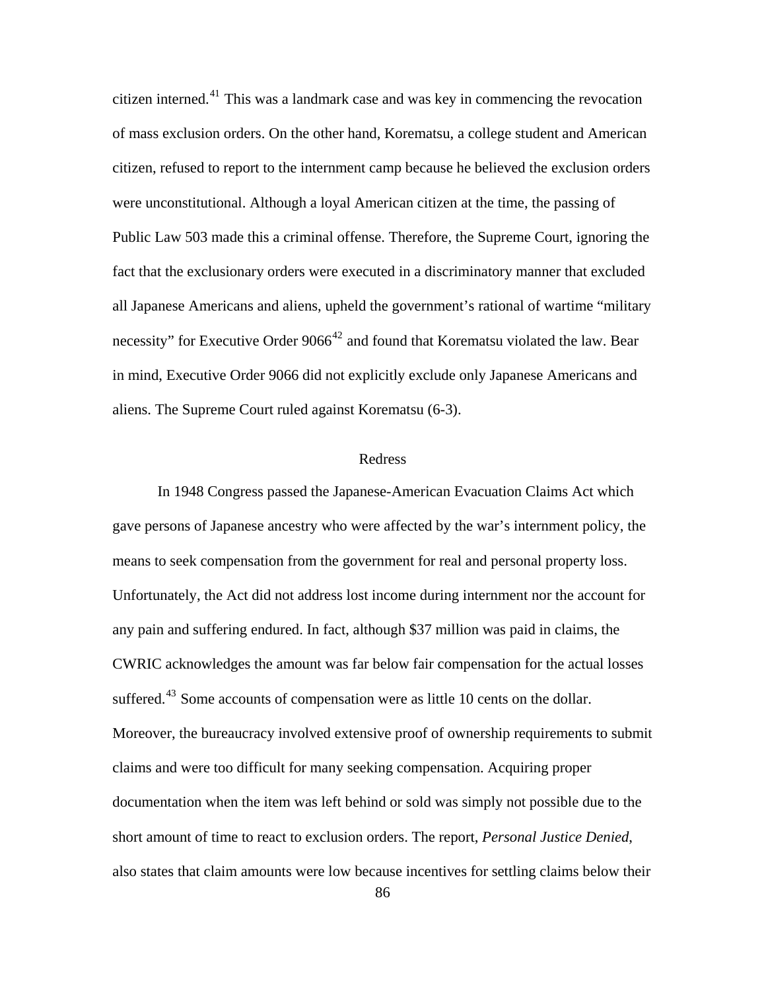in mind, Executive Order 9066 did not explicitly exclude only Japanese Americans and citizen interned.[41](#page-150-0) This was a landmark case and was key in commencing the revocation of mass exclusion orders. On the other hand, Korematsu, a college student and American citizen, refused to report to the internment camp because he believed the exclusion orders were unconstitutional. Although a loyal American citizen at the time, the passing of Public Law 503 made this a criminal offense. Therefore, the Supreme Court, ignoring the fact that the exclusionary orders were executed in a discriminatory manner that excluded all Japanese Americans and aliens, upheld the government's rational of wartime "military necessity" for Executive Order  $9066^{42}$  $9066^{42}$  $9066^{42}$  and found that Korematsu violated the law. Bear aliens. The Supreme Court ruled against Korematsu (6-3).

#### Redress

In 1948 Congress passed the Japanese-American Evacuation Claims Act which gave persons of Japanese ancestry who were affected by the war's internment policy, the means to seek compensation from the government for real and personal property loss. Unfortunately, the Act did not address lost income during internment nor the account for any pain and suffering endured. In fact, although \$37 million was paid in claims, the CWRIC acknowledges the amount was far below fair compensation for the actual losses suffered.<sup>[43](#page-150-0)</sup> Some accounts of compensation were as little 10 cents on the dollar. Moreover, the bureaucracy involved extensive proof of ownership requirements to submit claims and were too difficult for many seeking compensation. Acquiring proper documentation when the item was left behind or sold was simply not possible due to the short amount of time to react to exclusion orders. The report, *Personal Justice Denied*, also states that claim amounts were low because incentives for settling claims below their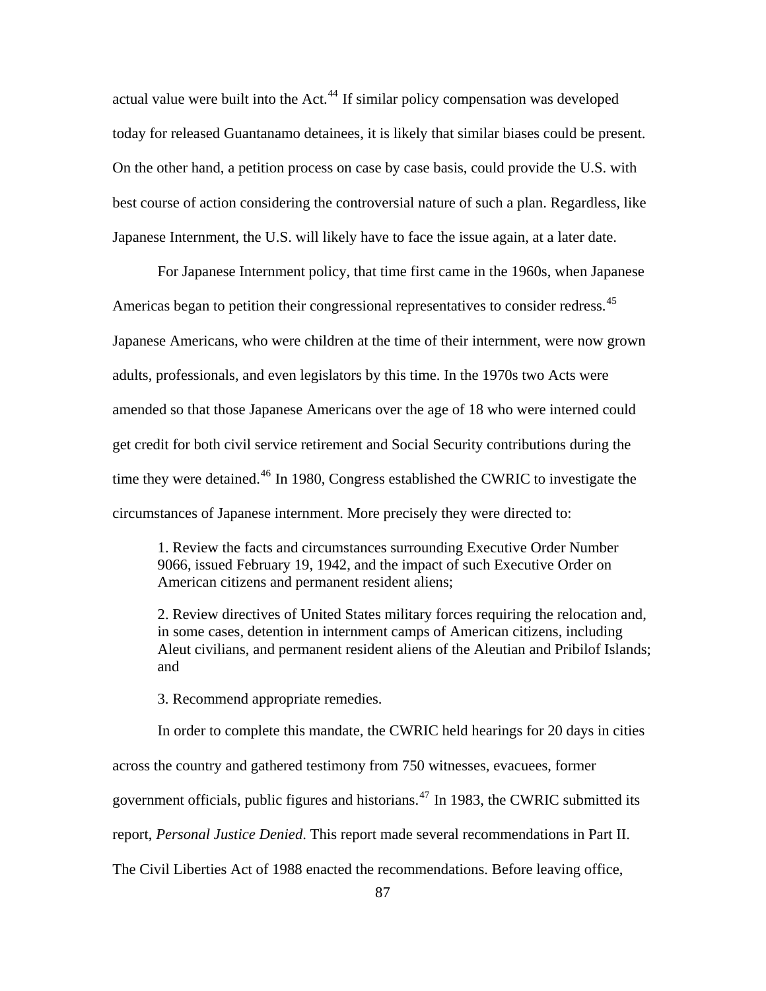actual value were built into the Act.<sup>[44](#page-150-0)</sup> If similar policy compensation was developed today for released Guantanamo detainees, it is likely that similar biases could be present. On the other hand, a petition process on case by case basis, could provide the U.S. with best course of action considering the controversial nature of such a plan. Regardless, like Japanese Internment, the U.S. will likely have to face the issue again, at a later date.

For Japanese Internment policy, that time first came in the 1960s, when Japanese Americas began to petition their congressional representatives to consider redress.<sup>[45](#page-150-0)</sup> Japanese Americans, who were children at the time of their internment, were now grown adults, professionals, and even legislators by this time. In the 1970s two Acts were amended so that those Japanese Americans over the age of 18 who were interned could get credit for both civil service retirement and Social Security contributions during the time they were detained.<sup>[46](#page-150-0)</sup> In 1980, Congress established the CWRIC to investigate the circumstances of Japanese internment. More precisely they were directed to:

1. Review the facts and circumstances surrounding Executive Order Number 9066, issued February 19, 1942, and the impact of such Executive Order on American citizens and permanent resident aliens;

2. Review directives of United States military forces requiring the relocation and, in some cases, detention in internment camps of American citizens, including Aleut civilians, and permanent resident aliens of the Aleutian and Pribilof Islands; and

3. Recommend appropriate remedies.

In order to complete this mandate, the CWRIC held hearings for 20 days in cities across the country and gathered testimony from 750 witnesses, evacuees, former government officials, public figures and historians.<sup> $47$ </sup> In 1983, the CWRIC submitted its report, *Personal Justice Denied*. This report made several recommendations in Part II. The Civil Liberties Act of 1988 enacted the recommendations. Before leaving office,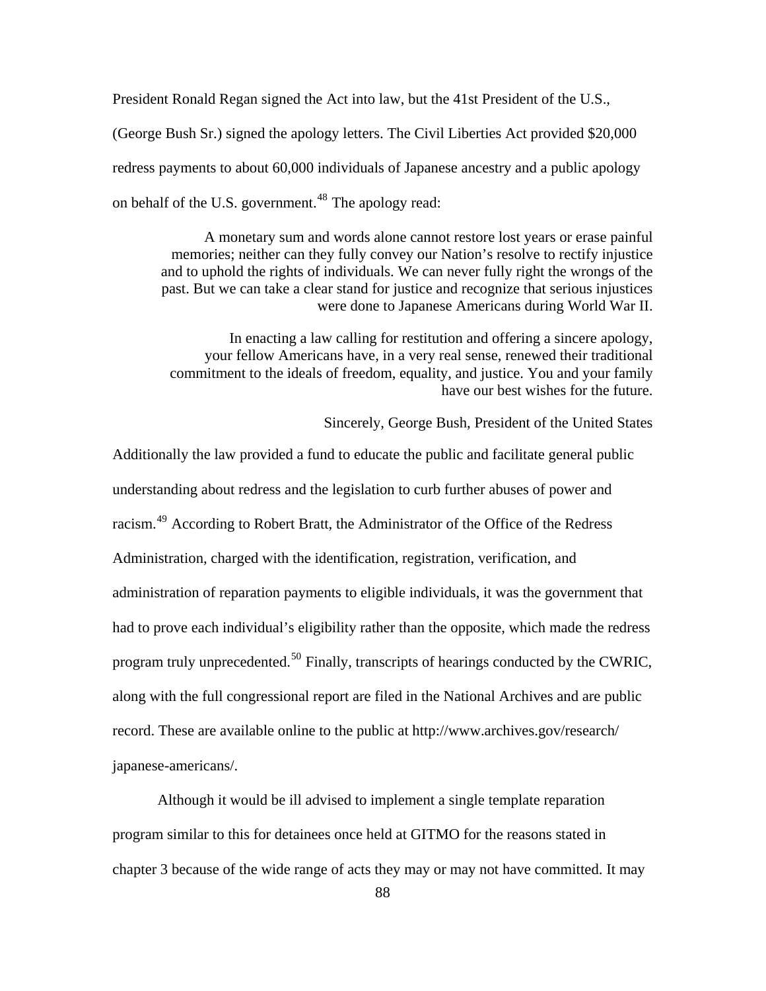President Ronald Regan signed the Act into law, but the 41st President of the U.S.,

(George Bush Sr.) signed the apology letters. The Civil Liberties Act provided \$20,000 redress payments to about 60,000 individuals of Japanese ancestry and a public apology on behalf of the U.S. government.<sup>[48](#page-150-0)</sup> The apology read:

A monetary sum and words alone cannot restore lost years or erase painful memories; neither can they fully convey our Nation's resolve to rectify injustice and to uphold the rights of individuals. We can never fully right the wrongs of the past. But we can take a clear stand for justice and recognize that serious injustices were done to Japanese Americans during World War II.

In enacting a law calling for restitution and offering a sincere apology, your fellow Americans have, in a very real sense, renewed their traditional commitment to the ideals of freedom, equality, and justice. You and your family have our best wishes for the future.

Sincerely, George Bush, President of the United States

Additionally the law provided a fund to educate the public and facilitate general public understanding about redress and the legislation to curb further abuses of power and racism.[49](#page-150-0) According to Robert Bratt, the Administrator of the Office of the Redress Administration, charged with the identification, registration, verification, and administration of reparation payments to eligible individuals, it was the government that had to prove each individual's eligibility rather than the opposite, which made the redress program truly unprecedented.<sup>[50](#page-150-0)</sup> Finally, transcripts of hearings conducted by the CWRIC, along with the full congressional report are filed in the National Archives and are public record. These are available online to the public at http://www.archives.gov/research/ japanese-americans/.

Although it would be ill advised to implement a single template reparation program similar to this for detainees once held at GITMO for the reasons stated in chapter 3 because of the wide range of acts they may or may not have committed. It may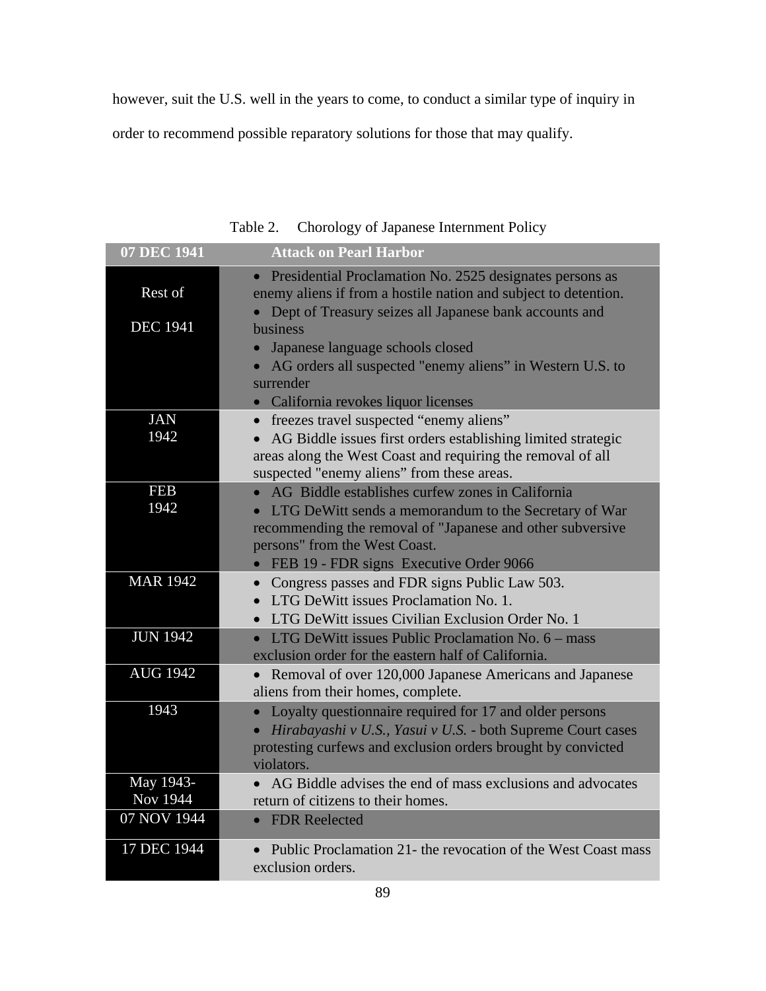however, suit the U.S. well in the years to come, to conduct a similar type of inquiry in

order to recommend possible reparatory solutions for those that may qualify.

| 07 DEC 1941     | <b>Attack on Pearl Harbor</b>                                                                                               |
|-----------------|-----------------------------------------------------------------------------------------------------------------------------|
| Rest of         | Presidential Proclamation No. 2525 designates persons as<br>enemy aliens if from a hostile nation and subject to detention. |
| <b>DEC</b> 1941 | Dept of Treasury seizes all Japanese bank accounts and<br>business                                                          |
|                 | Japanese language schools closed                                                                                            |
|                 | AG orders all suspected "enemy aliens" in Western U.S. to                                                                   |
|                 | surrender                                                                                                                   |
|                 | California revokes liquor licenses                                                                                          |
| <b>JAN</b>      | freezes travel suspected "enemy aliens"<br>$\bullet$                                                                        |
| 1942            | AG Biddle issues first orders establishing limited strategic                                                                |
|                 | areas along the West Coast and requiring the removal of all                                                                 |
|                 | suspected "enemy aliens" from these areas.                                                                                  |
| <b>FEB</b>      | AG Biddle establishes curfew zones in California                                                                            |
| 1942            | LTG DeWitt sends a memorandum to the Secretary of War                                                                       |
|                 | recommending the removal of "Japanese and other subversive                                                                  |
|                 | persons" from the West Coast.                                                                                               |
|                 | FEB 19 - FDR signs Executive Order 9066                                                                                     |
| <b>MAR 1942</b> | Congress passes and FDR signs Public Law 503.<br>$\bullet$                                                                  |
|                 | LTG DeWitt issues Proclamation No. 1.<br>$\bullet$                                                                          |
|                 | • LTG DeWitt issues Civilian Exclusion Order No. 1                                                                          |
| <b>JUN 1942</b> | • LTG DeWitt issues Public Proclamation No. $6 - \text{mass}$                                                               |
|                 | exclusion order for the eastern half of California.                                                                         |
| <b>AUG 1942</b> | • Removal of over 120,000 Japanese Americans and Japanese                                                                   |
|                 | aliens from their homes, complete.                                                                                          |
| 1943            | Loyalty questionnaire required for 17 and older persons<br>$\bullet$                                                        |
|                 | Hirabayashi v U.S., Yasui v U.S. - both Supreme Court cases                                                                 |
|                 | protesting curfews and exclusion orders brought by convicted                                                                |
|                 | violators.                                                                                                                  |
| May 1943-       | AG Biddle advises the end of mass exclusions and advocates                                                                  |
| Nov 1944        | return of citizens to their homes.                                                                                          |
| 07 NOV 1944     | <b>FDR</b> Reelected<br>$\bullet$                                                                                           |
| 17 DEC 1944     | Public Proclamation 21- the revocation of the West Coast mass                                                               |
|                 | exclusion orders.                                                                                                           |

Table 2. Chorology of Japanese Internment Policy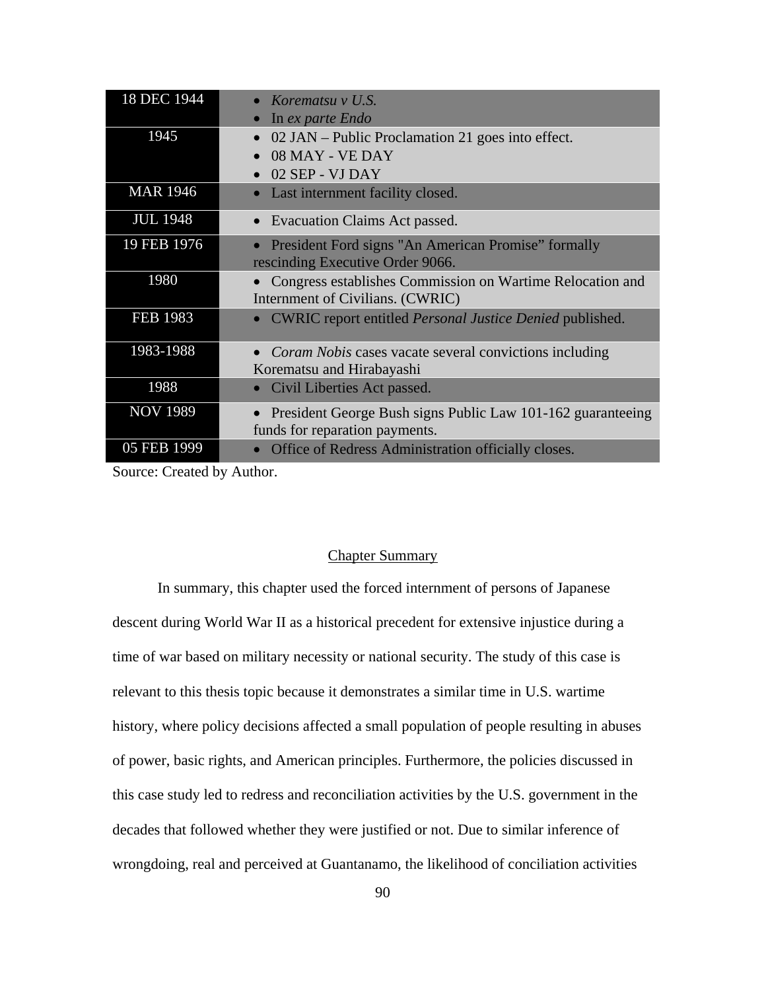| 18 DEC 1944     | Korematsu v U.S.                                                       |
|-----------------|------------------------------------------------------------------------|
|                 | In ex parte Endo                                                       |
| 1945            | 02 JAN – Public Proclamation 21 goes into effect.                      |
|                 | 08 MAY - VE DAY                                                        |
|                 | 02 SEP - VJ DAY                                                        |
| <b>MAR 1946</b> | Last internment facility closed.<br>$\bullet$                          |
| <b>JUL 1948</b> | Evacuation Claims Act passed.                                          |
| 19 FEB 1976     | President Ford signs "An American Promise" formally                    |
|                 | rescinding Executive Order 9066.                                       |
| 1980            | Congress establishes Commission on Wartime Relocation and              |
|                 | Internment of Civilians. (CWRIC)                                       |
| <b>FEB 1983</b> | <b>CWRIC</b> report entitled <i>Personal Justice Denied</i> published. |
| 1983-1988       | <i>Coram Nobis</i> cases vacate several convictions including          |
|                 | Korematsu and Hirabayashi                                              |
| 1988            | Civil Liberties Act passed.                                            |
| <b>NOV 1989</b> | President George Bush signs Public Law 101-162 guaranteeing            |
|                 | funds for reparation payments.                                         |
| 05 FEB 1999     | Office of Redress Administration officially closes.                    |

Source: Created by Author.

### Chapter Summary

In summary, this chapter used the forced internment of persons of Japanese descent during World War II as a historical precedent for extensive injustice during a time of war based on military necessity or national security. The study of this case is relevant to this thesis topic because it demonstrates a similar time in U.S. wartime history, where policy decisions affected a small population of people resulting in abuses of power, basic rights, and American principles. Furthermore, the policies discussed in this case study led to redress and reconciliation activities by the U.S. government in the decades that followed whether they were justified or not. Due to similar inference of wrongdoing, real and perceived at Guantanamo, the likelihood of conciliation activities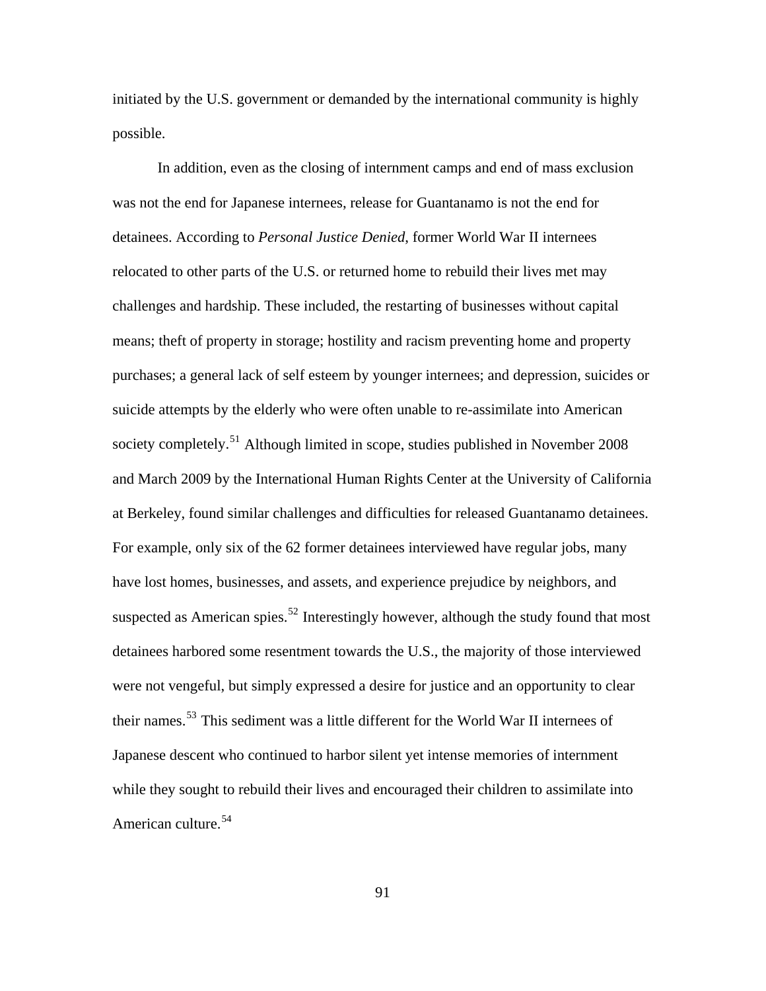initiated by the U.S. government or demanded by the international community is highly possible.

. at Berkeley, found similar challenges and difficulties for released Guantanamo detainees In addition, even as the closing of internment camps and end of mass exclusion was not the end for Japanese internees, release for Guantanamo is not the end for detainees. According to *Personal Justice Denied*, former World War II internees relocated to other parts of the U.S. or returned home to rebuild their lives met may challenges and hardship. These included, the restarting of businesses without capital means; theft of property in storage; hostility and racism preventing home and property purchases; a general lack of self esteem by younger internees; and depression, suicides or suicide attempts by the elderly who were often unable to re-assimilate into American society completely.<sup>[51](#page-150-0)</sup> Although limited in scope, studies published in November 2008 and March 2009 by the International Human Rights Center at the University of California For example, only six of the 62 former detainees interviewed have regular jobs, many have lost homes, businesses, and assets, and experience prejudice by neighbors, and suspected as American spies.<sup>[52](#page-150-0)</sup> Interestingly however, although the study found that most detainees harbored some resentment towards the U.S., the majority of those interviewed were not vengeful, but simply expressed a desire for justice and an opportunity to clear their names.[53](#page-150-0) This sediment was a little different for the World War II internees of Japanese descent who continued to harbor silent yet intense memories of internment while they sought to rebuild their lives and encouraged their children to assimilate into American culture.<sup>[54](#page-150-0)</sup>

91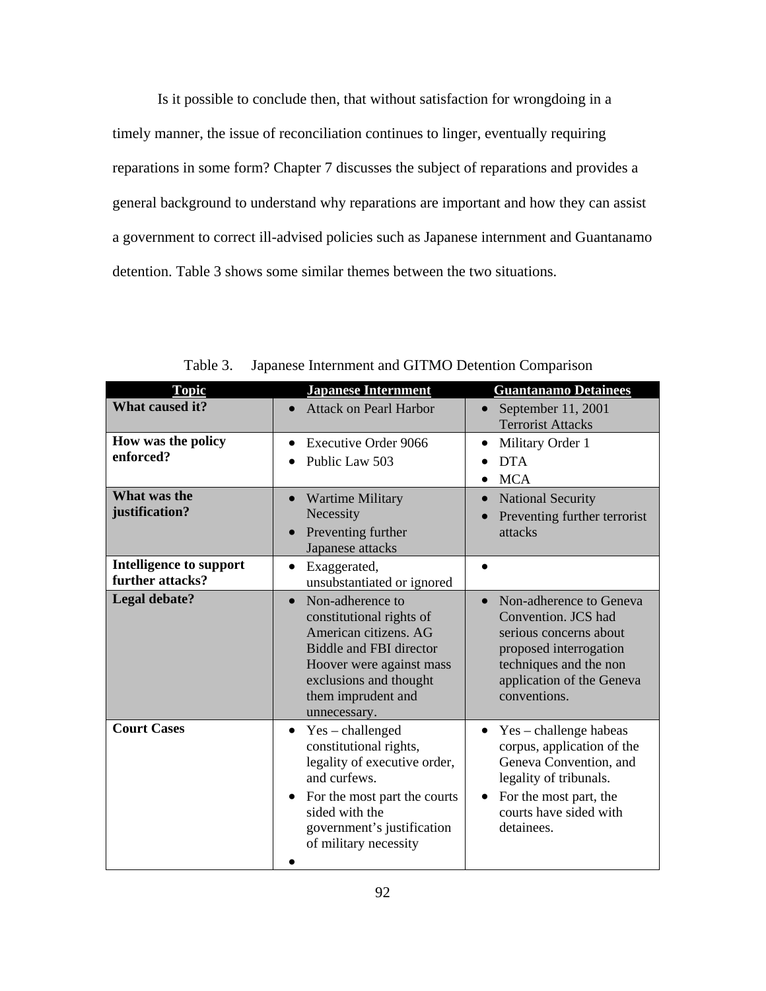Is it possible to conclude then, that without satisfaction for wrongdoing in a timely manner, the issue of reconciliation continues to linger, eventually requiring reparations in some form? Chapter 7 discusses the subject of reparations and provides a general background to understand why reparations are important and how they can assist a government to correct ill-advised policies such as Japanese internment and Guantanamo detention. Table 3 shows some similar themes between the two situations.

| <b>Topic</b>                                       | <b>Japanese Internment</b>                                                                                                                                                                                                     | <b>Guantanamo Detainees</b>                                                                                                                                                            |
|----------------------------------------------------|--------------------------------------------------------------------------------------------------------------------------------------------------------------------------------------------------------------------------------|----------------------------------------------------------------------------------------------------------------------------------------------------------------------------------------|
| What caused it?                                    | <b>Attack on Pearl Harbor</b><br>$\bullet$                                                                                                                                                                                     | September 11, 2001<br>$\bullet$<br><b>Terrorist Attacks</b>                                                                                                                            |
| How was the policy<br>enforced?                    | <b>Executive Order 9066</b><br>$\bullet$<br>Public Law 503<br>$\bullet$                                                                                                                                                        | Military Order 1<br><b>DTA</b><br><b>MCA</b>                                                                                                                                           |
| What was the<br>justification?                     | <b>Wartime Military</b><br>Necessity<br>Preventing further<br>Japanese attacks                                                                                                                                                 | <b>National Security</b><br>Preventing further terrorist<br>attacks                                                                                                                    |
| <b>Intelligence to support</b><br>further attacks? | Exaggerated,<br>$\bullet$<br>unsubstantiated or ignored                                                                                                                                                                        |                                                                                                                                                                                        |
| <b>Legal debate?</b>                               | Non-adherence to<br>$\bullet$<br>constitutional rights of<br>American citizens, AG<br><b>Biddle and FBI director</b><br>Hoover were against mass<br>exclusions and thought<br>them imprudent and<br>unnecessary.               | Non-adherence to Geneva<br>$\bullet$<br>Convention. JCS had<br>serious concerns about<br>proposed interrogation<br>techniques and the non<br>application of the Geneva<br>conventions. |
| <b>Court Cases</b>                                 | $Yes - challenge$<br>$\bullet$<br>constitutional rights,<br>legality of executive order,<br>and curfews.<br>For the most part the courts<br>$\bullet$<br>sided with the<br>government's justification<br>of military necessity | Yes – challenge habeas<br>corpus, application of the<br>Geneva Convention, and<br>legality of tribunals.<br>For the most part, the<br>courts have sided with<br>detainees.             |

Table 3. Japanese Internment and GITMO Detention Comparison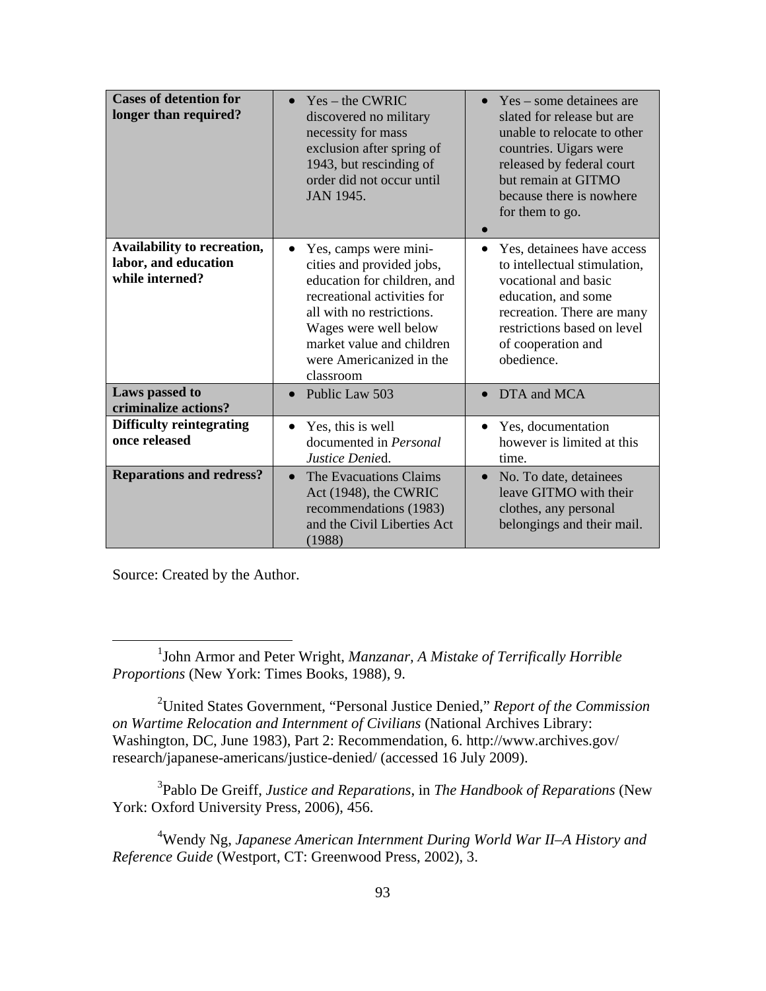| <b>Cases of detention for</b><br>longer than required?                 | $Yes - the CWRIC$<br>$\bullet$<br>discovered no military<br>necessity for mass<br>exclusion after spring of<br>1943, but rescinding of<br>order did not occur until<br>JAN 1945.                                                                          | Yes – some detainees are<br>$\bullet$<br>slated for release but are<br>unable to relocate to other<br>countries. Uigars were<br>released by federal court<br>but remain at GITMO<br>because there is nowhere<br>for them to go. |
|------------------------------------------------------------------------|-----------------------------------------------------------------------------------------------------------------------------------------------------------------------------------------------------------------------------------------------------------|---------------------------------------------------------------------------------------------------------------------------------------------------------------------------------------------------------------------------------|
| Availability to recreation,<br>labor, and education<br>while interned? | Yes, camps were mini-<br>$\bullet$<br>cities and provided jobs,<br>education for children, and<br>recreational activities for<br>all with no restrictions.<br>Wages were well below<br>market value and children<br>were Americanized in the<br>classroom | Yes, detainees have access<br>$\bullet$<br>to intellectual stimulation,<br>vocational and basic<br>education, and some<br>recreation. There are many<br>restrictions based on level<br>of cooperation and<br>obedience.         |
| Laws passed to<br>criminalize actions?                                 | Public Law 503<br>$\bullet$                                                                                                                                                                                                                               | DTA and MCA<br>$\bullet$                                                                                                                                                                                                        |
| <b>Difficulty reintegrating</b><br>once released                       | Yes, this is well<br>$\bullet$<br>documented in Personal<br>Justice Denied.                                                                                                                                                                               | Yes, documentation<br>however is limited at this<br>time.                                                                                                                                                                       |
| <b>Reparations and redress?</b>                                        | The Evacuations Claims<br>$\bullet$<br>Act (1948), the CWRIC<br>recommendations (1983)<br>and the Civil Liberties Act<br>(1988)                                                                                                                           | No. To date, detainees<br>$\bullet$<br>leave GITMO with their<br>clothes, any personal<br>belongings and their mail.                                                                                                            |

Source: Created by the Author.

2 United States Government, "Personal Justice Denied," *Report of the Commission on Wartime Relocation and Internment of Civilians* (National Archives Library: Washington, DC, June 1983), Part 2: Recommendation, 6. http://www.archives.gov/ research/japanese-americans/justice-denied/ (accessed 16 July 2009).

3 Pablo De Greiff, *Justice and Reparations*, in *The Handbook of Reparations* (New York: Oxford University Press, 2006), 456.

4 Wendy Ng, *Japanese American Internment During World War II–A History and Reference Guide* (Westport, CT: Greenwood Press, 2002), 3.

<sup>&</sup>lt;u>1</u> <sup>1</sup>John Armor and Peter Wright, *Manzanar*, *A Mistake of Terrifically Horrible Proportions* (New York: Times Books, 1988), 9.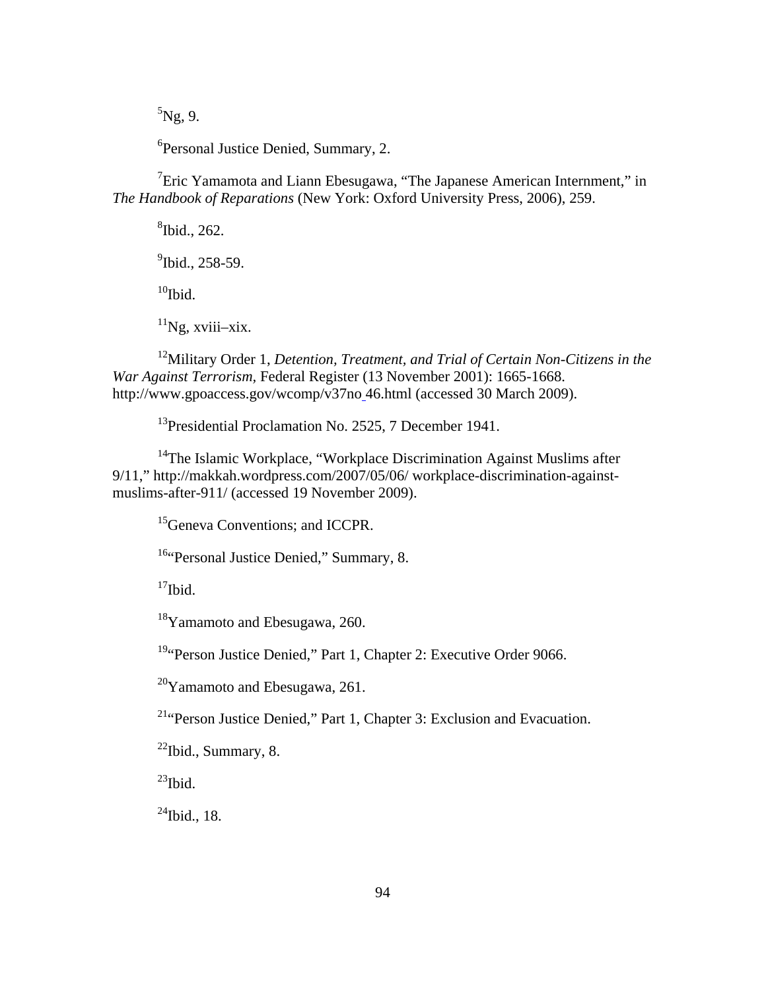${}^{5}$ Ng, 9.

<sup>6</sup>Personal Justice Denied, Summary, 2.

<sup>7</sup> Eric Yamamota and Liann Ebesugawa, "The Japanese American Internment," in *The Handbook of Reparations* (New York: Oxford University Press, 2006), 259.

8 Ibid., 262.

 $^{9}$ Ibid., 258-59.

 $10$ Ibid.

 $11$ Ng, xviii–xix.

12Military Order 1, *Detention, Treatment, and Trial of Certain Non-Citizens in the War Against Terrorism,* Federal Register (13 November 2001): 1665-1668. http://www.gpoaccess.gov/wcomp/v37no 46.html (accessed 30 March 2009).

<sup>13</sup>Presidential Proclamation No. 2525, 7 December 1941.

<sup>14</sup>The Islamic Workplace, "Workplace Discrimination Against Muslims after 9/11," http://makkah.wordpress.com/2007/05/06/ workplace-discrimination-againstmuslims-after-911/ (accessed 19 November 2009).

<sup>15</sup>Geneva Conventions; and ICCPR.

<sup>16</sup>"Personal Justice Denied," Summary, 8.

 $17$ Ibid.

18Yamamoto and Ebesugawa, 260.

<sup>19</sup>"Person Justice Denied," Part 1, Chapter 2: Executive Order 9066.

 $20$ Yamamoto and Ebesugawa, 261.

21"Person Justice Denied," Part 1, Chapter 3: Exclusion and Evacuation.

 $22$ Ibid., Summary, 8.

 $^{23}$ Ibid.

 $^{24}$ Ibid., 18.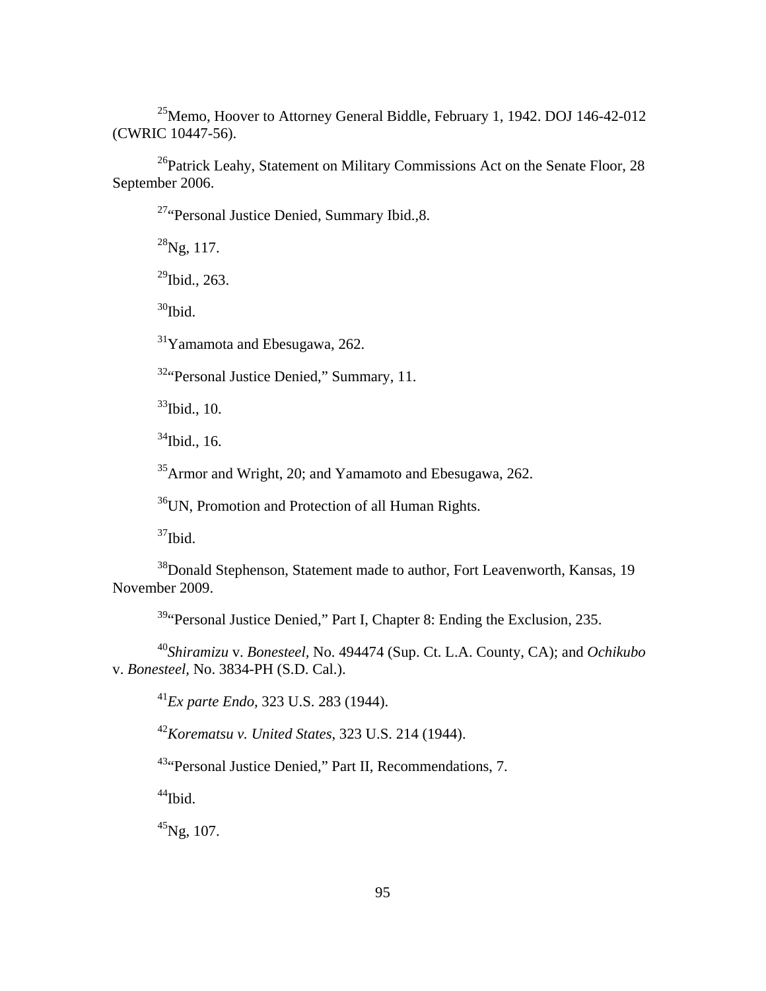25Memo, Hoover to Attorney General Biddle, February 1, 1942. DOJ 146-42-012 (CWRIC 10447-56).

 $^{26}$ Patrick Leahy, Statement on Military Commissions Act on the Senate Floor, 28 September 2006.

<sup>27</sup>"Personal Justice Denied, Summary Ibid., 8.

 $^{28}$ Ng, 117.

 $^{29}$ Ibid., 263.

 $30$ Ibid.

31Yamamota and Ebesugawa, 262.

32"Personal Justice Denied," Summary, 11.

 $33$ Ibid., 10.

 $34$ Ibid., 16.

<sup>35</sup>Armor and Wright, 20; and Yamamoto and Ebesugawa, 262.

36UN, Promotion and Protection of all Human Rights.

 $37$ Ibid.

<sup>38</sup>Donald Stephenson, Statement made to author, Fort Leavenworth, Kansas, 19 November 2009.

<sup>39</sup> Personal Justice Denied," Part I, Chapter 8: Ending the Exclusion, 235.

<sup>40</sup>*Shiramizu* v. *Bonesteel,* No. 494474 (Sup. Ct. L.A. County, CA); and *Ochikubo* v. *Bonesteel,* No. 3834-PH (S.D. Cal.).

<sup>41</sup>*Ex parte Endo,* 323 U.S. 283 (1944).

<sup>42</sup>*Korematsu v. United States*, [323 U.S. 214](http://en.wikipedia.org/wiki/Case_citation) (1944).

<sup>43</sup>"Personal Justice Denied," Part II, Recommendations, 7.

 $^{44}$ Ibid.

<sup>45</sup>Ng, 107.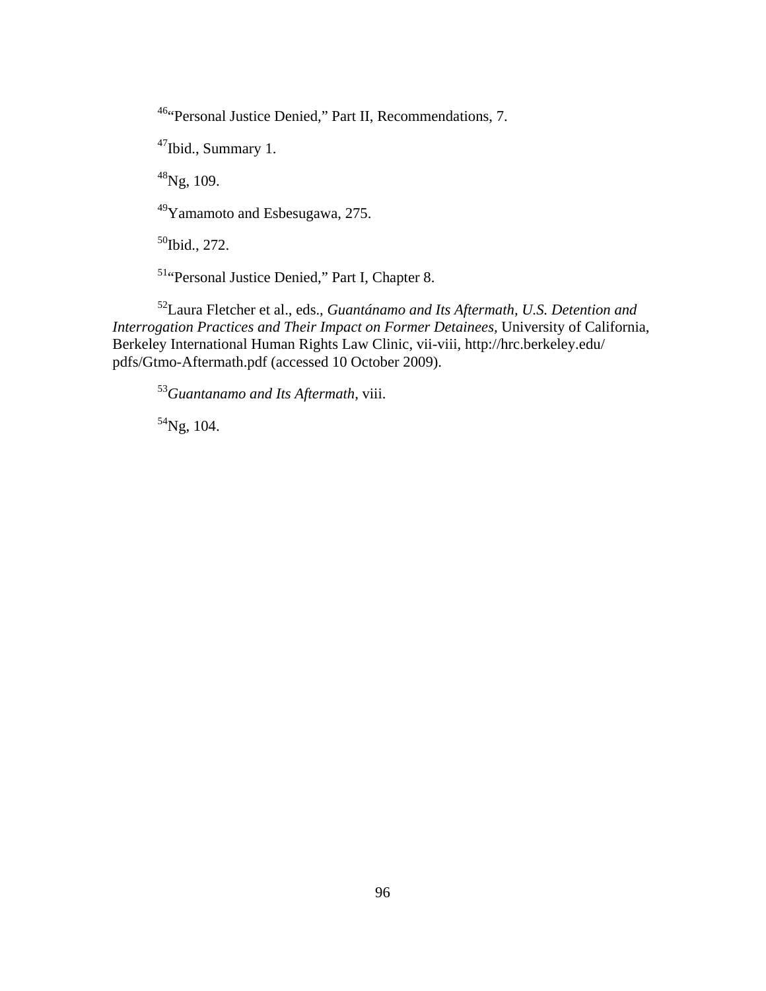46"Personal Justice Denied," Part II, Recommendations, 7.

47Ibid., Summary 1.

 $48$ Ng, 109.

49Yamamoto and Esbesugawa, 275.

<sup>50</sup>Ibid., 272.

51"Personal Justice Denied," Part I, Chapter 8.

52Laura Fletcher et al., eds., *Guantánamo and Its Aftermath, U.S. Detention and Interrogation Practices and Their Impact on Former Detainees,* University of California, Berkeley International Human Rights Law Clinic, vii-viii, http://hrc.berkeley.edu/ pdfs/Gtmo-Aftermath.pdf (accessed 10 October 2009).

<sup>53</sup>*Guantanamo and Its Aftermath*, viii.

 $54$ Ng, 104.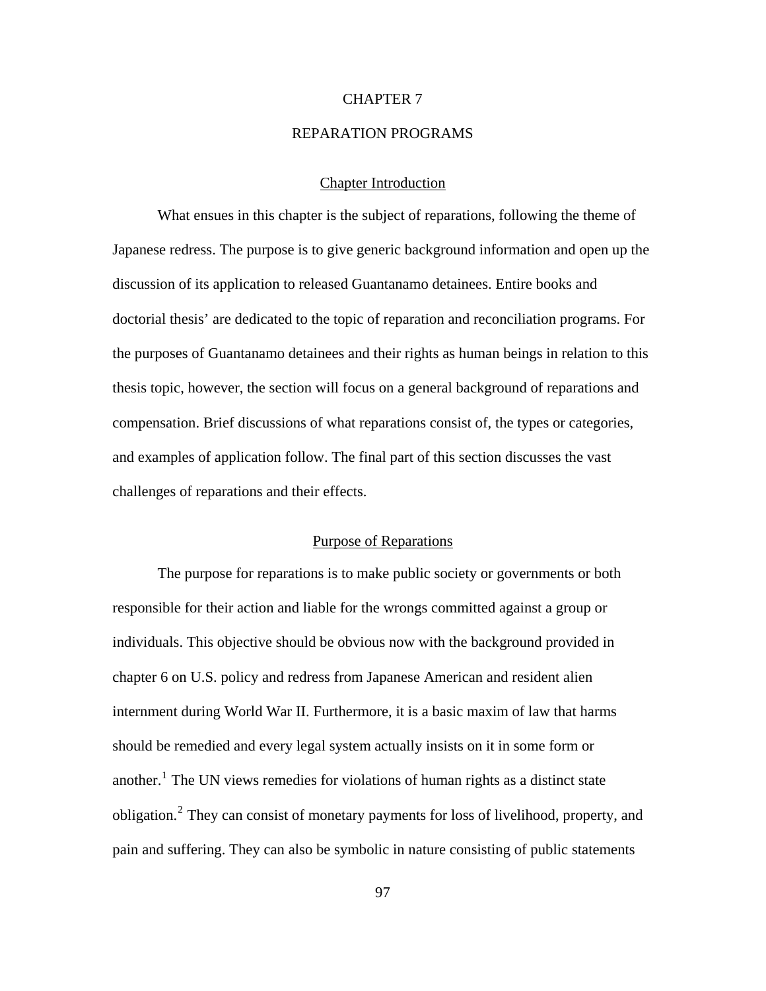### CHAPTER 7

# REPARATION PROGRAMS

# Chapter Introduction

What ensues in this chapter is the subject of reparations, following the theme of Japanese redress. The purpose is to give generic background information and open up the discussion of its application to released Guantanamo detainees. Entire books and doctorial thesis' are dedicated to the topic of reparation and reconciliation programs. For the purposes of Guantanamo detainees and their rights as human beings in relation to this thesis topic, however, the section will focus on a general background of reparations and compensation. Brief discussions of what reparations consist of, the types or categories, and examples of application follow. The final part of this section discusses the vast challenges of reparations and their effects.

## Purpose of Reparations

The purpose for reparations is to make public society or governments or both responsible for their action and liable for the wrongs committed against a group or individuals. This objective should be obvious now with the background provided in chapter 6 on U.S. policy and redress from Japanese American and resident alien internment during World War II. Furthermore, it is a basic maxim of law that harms should be remedied and every legal system actually insists on it in some form or another.<sup>[1](#page-150-0)</sup> The UN views remedies for violations of human rights as a distinct state obligation.<sup>[2](#page-150-0)</sup> They can consist of monetary payments for loss of livelihood, property, and pain and suffering. They can also be symbolic in nature consisting of public statements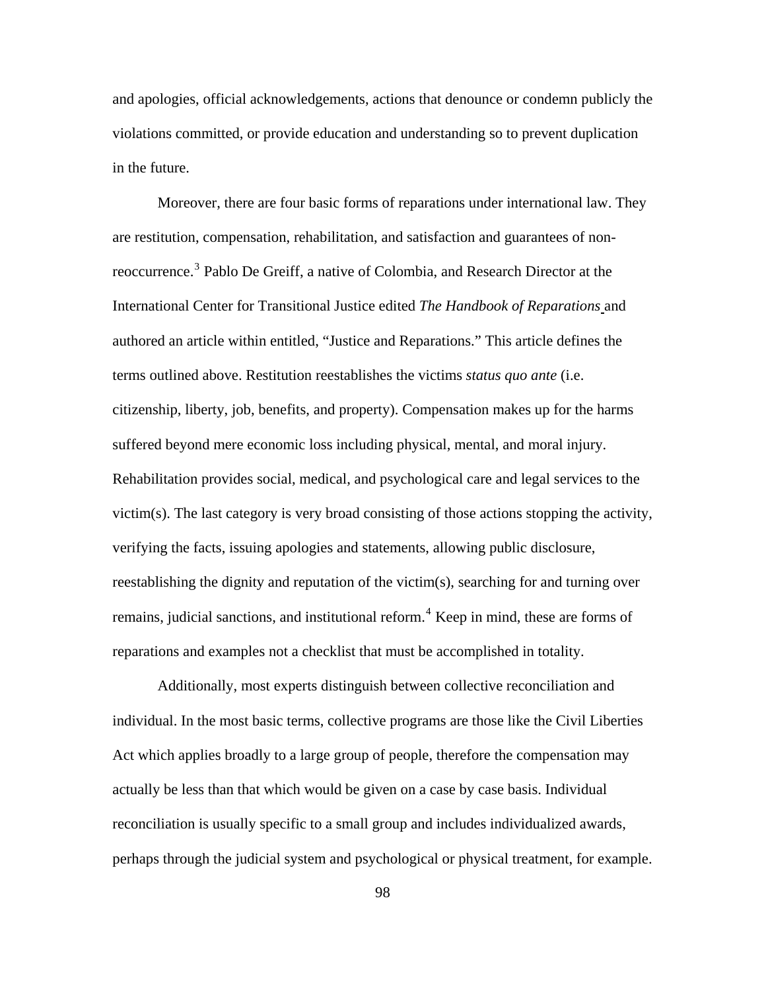and apologies, official acknowledgements, actions that denounce or condemn publicly the violations committed, or provide education and understanding so to prevent duplication in the future.

Moreover, there are four basic forms of reparations under international law. They are restitution, compensation, rehabilitation, and satisfaction and guarantees of non-reoccurrence.<sup>[3](#page-150-0)</sup> Pablo De Greiff, a native of Colombia, and Research Director at the International Center for Transitional Justice edited *The Handbook of Reparations* and authored an article within entitled, "Justice and Reparations." This article defines the terms outlined above. Restitution reestablishes the victims *status quo ante* (i.e. citizenship, liberty, job, benefits, and property). Compensation makes up for the harms suffered beyond mere economic loss including physical, mental, and moral injury. Rehabilitation provides social, medical, and psychological care and legal services to the victim(s). The last category is very broad consisting of those actions stopping the activity, verifying the facts, issuing apologies and statements, allowing public disclosure, reestablishing the dignity and reputation of the victim(s), searching for and turning over remains, judicial sanctions, and institutional reform.<sup>[4](#page-150-0)</sup> Keep in mind, these are forms of reparations and examples not a checklist that must be accomplished in totality.

Additionally, most experts distinguish between collective reconciliation and individual. In the most basic terms, collective programs are those like the Civil Liberties Act which applies broadly to a large group of people, therefore the compensation may actually be less than that which would be given on a case by case basis. Individual reconciliation is usually specific to a small group and includes individualized awards, perhaps through the judicial system and psychological or physical treatment, for example.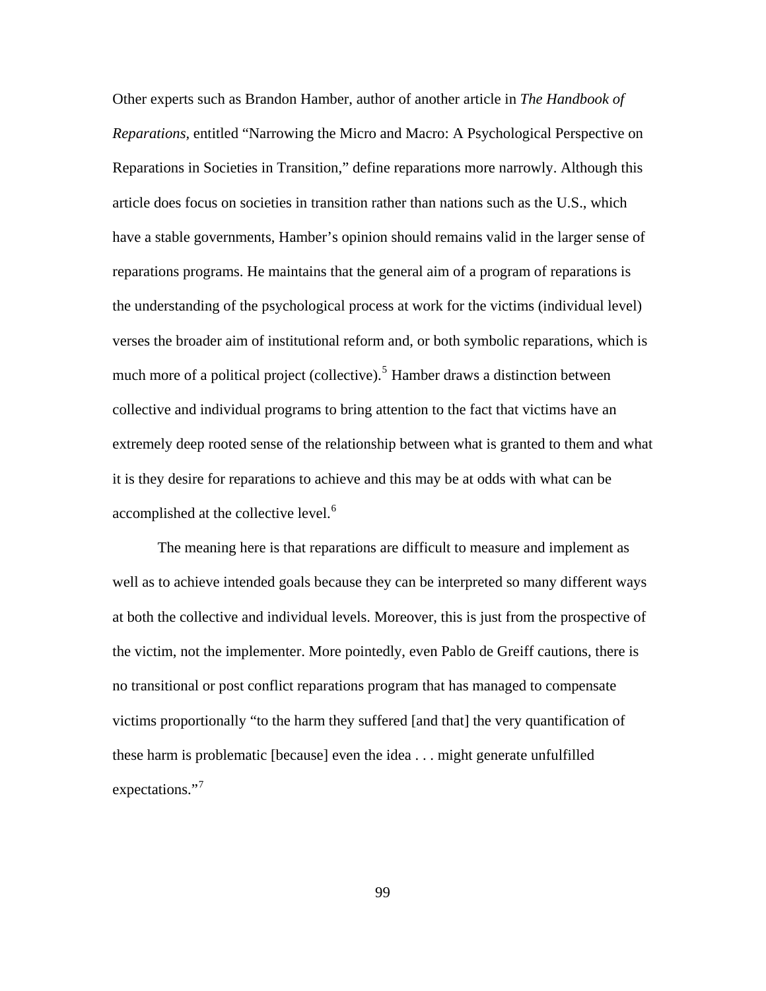Other experts such as Brandon Hamber, author of another article in *The Handbook of Reparations,* entitled "Narrowing the Micro and Macro: A Psychological Perspective on Reparations in Societies in Transition," define reparations more narrowly. Although this article does focus on societies in transition rather than nations such as the U.S., which have a stable governments, Hamber's opinion should remains valid in the larger sense of reparations programs. He maintains that the general aim of a program of reparations is the understanding of the psychological process at work for the victims (individual level) verses the broader aim of institutional reform and, or both symbolic reparations, which is much more of a political project (collective).<sup>[5](#page-150-0)</sup> Hamber draws a distinction between collective and individual programs to bring attention to the fact that victims have an extremely deep rooted sense of the relationship between what is granted to them and what it is they desire for reparations to achieve and this may be at odds with what can be accomplished at the collective level.<sup>[6](#page-150-0)</sup>

The meaning here is that reparations are difficult to measure and implement as well as to achieve intended goals because they can be interpreted so many different ways at both the collective and individual levels. Moreover, this is just from the prospective of the victim, not the implementer. More pointedly, even Pablo de Greiff cautions, there is no transitional or post conflict reparations program that has managed to compensate victims proportionally "to the harm they suffered [and that] the very quantification of these harm is problematic [because] even the idea . . . might generate unfulfilled expectations."<sup>[7](#page-150-0)</sup>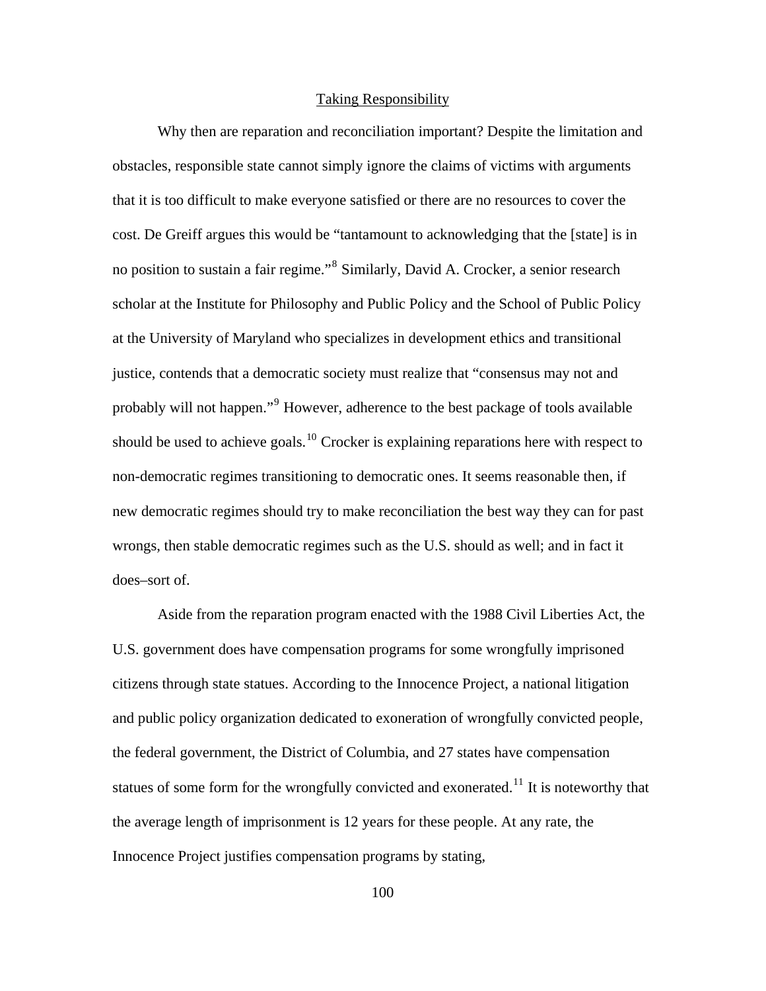## Taking Responsibility

Why then are reparation and reconciliation important? Despite the limitation and obstacles, responsible state cannot simply ignore the claims of victims with arguments that it is too difficult to make everyone satisfied or there are no resources to cover the cost. De Greiff argues this would be "tantamount to acknowledging that the [state] is in no position to sustain a fair regime."<sup>[8](#page-150-0)</sup> Similarly, David A. Crocker, a senior research scholar at the Institute for Philosophy and Public Policy and the School of Public Policy at the University of Maryland who specializes in development ethics and transitional justice, contends that a democratic society must realize that "consensus may not and probably will not happen."<sup>[9](#page-150-0)</sup> However, adherence to the best package of tools available should be used to achieve goals.<sup>[10](#page-150-0)</sup> Crocker is explaining reparations here with respect to non-democratic regimes transitioning to democratic ones. It seems reasonable then, if new democratic regimes should try to make reconciliation the best way they can for past wrongs, then stable democratic regimes such as the U.S. should as well; and in fact it does–sort of.

Aside from the reparation program enacted with the 1988 Civil Liberties Act, the U.S. government does have compensation programs for some wrongfully imprisoned citizens through state statues. According to the Innocence Project, a national litigation and public policy organization dedicated to exoneration of wrongfully convicted people, the federal government, the District of Columbia, and 27 states have compensation statues of some form for the wrongfully convicted and exonerated.<sup>[11](#page-150-0)</sup> It is noteworthy that the average length of imprisonment is 12 years for these people. At any rate, the Innocence Project justifies compensation programs by stating,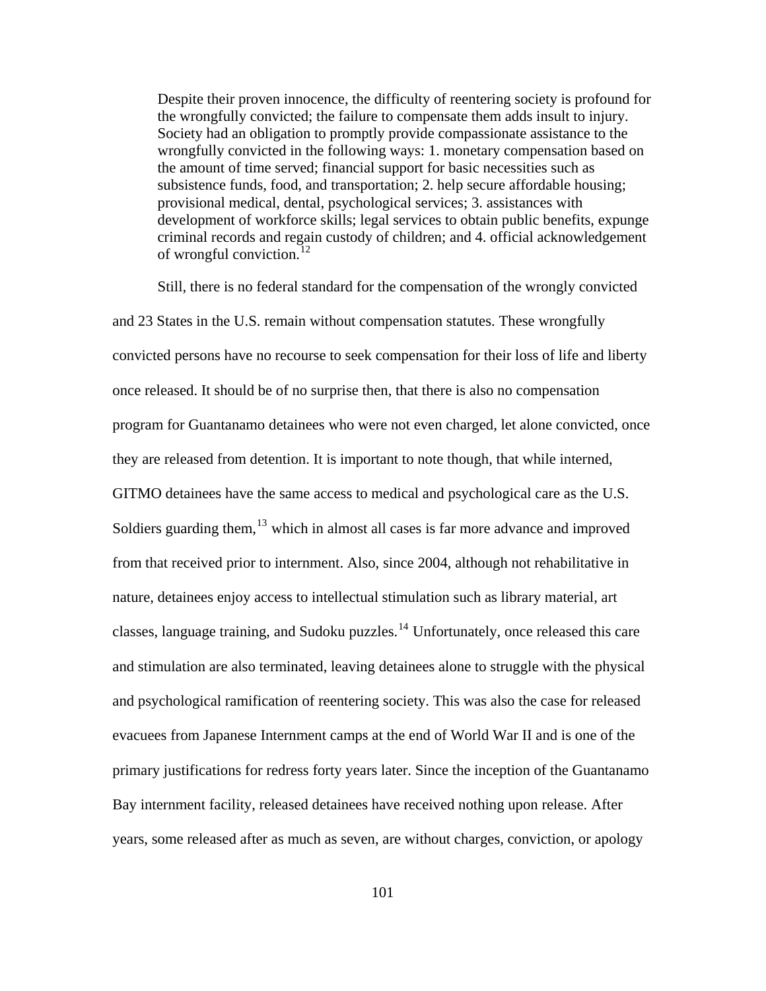Despite their proven innocence, the difficulty of reentering society is profound for the wrongfully convicted; the failure to compensate them adds insult to injury. Society had an obligation to promptly provide compassionate assistance to the wrongfully convicted in the following ways: 1. monetary compensation based on the amount of time served; financial support for basic necessities such as subsistence funds, food, and transportation; 2. help secure affordable housing; provisional medical, dental, psychological services; 3. assistances with development of workforce skills; legal services to obtain public benefits, expunge criminal records and regain custody of children; and 4. official acknowledgement of wrongful conviction.<sup>[12](#page-150-0)</sup>

Still, there is no federal standard for the compensation of the wrongly convicted and 23 States in the U.S. remain without compensation statutes. These wrongfully convicted persons have no recourse to seek compensation for their loss of life and liberty once released. It should be of no surprise then, that there is also no compensation program for Guantanamo detainees who were not even charged, let alone convicted, once they are released from detention. It is important to note though, that while interned, GITMO detainees have the same access to medical and psychological care as the U.S. Soldiers guarding them,  $^{13}$  $^{13}$  $^{13}$  which in almost all cases is far more advance and improved from that received prior to internment. Also, since 2004, although not rehabilitative in nature, detainees enjoy access to intellectual stimulation such as library material, art classes, language training, and Sudoku puzzles.<sup>[14](#page-150-0)</sup> Unfortunately, once released this care and stimulation are also terminated, leaving detainees alone to struggle with the physical and psychological ramification of reentering society. This was also the case for released evacuees from Japanese Internment camps at the end of World War II and is one of the primary justifications for redress forty years later. Since the inception of the Guantanamo Bay internment facility, released detainees have received nothing upon release. After years, some released after as much as seven, are without charges, conviction, or apology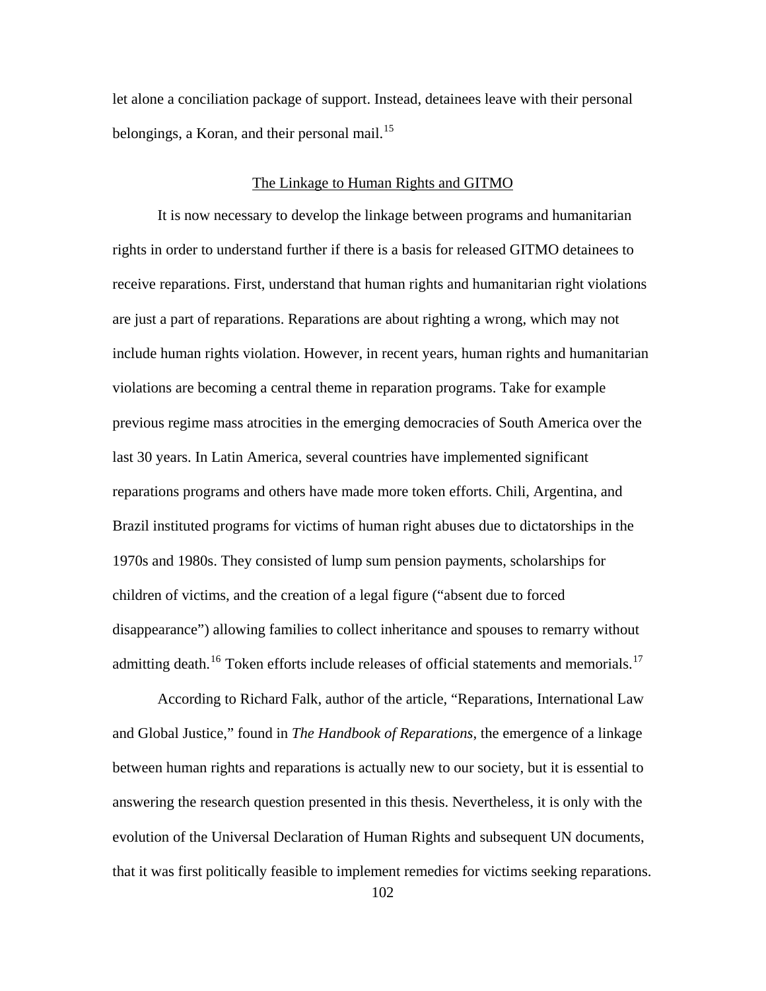let alone a conciliation package of support. Instead, detainees leave with their personal belongings, a Koran, and their personal mail.<sup>[15](#page-150-0)</sup>

## The Linkage to Human Rights and GITMO

It is now necessary to develop the linkage between programs and humanitarian rights in order to understand further if there is a basis for released GITMO detainees to receive reparations. First, understand that human rights and humanitarian right violations are just a part of reparations. Reparations are about righting a wrong, which may not include human rights violation. However, in recent years, human rights and humanitarian violations are becoming a central theme in reparation programs. Take for example previous regime mass atrocities in the emerging democracies of South America over the last 30 years. In Latin America, several countries have implemented significant reparations programs and others have made more token efforts. Chili, Argentina, and Brazil instituted programs for victims of human right abuses due to dictatorships in the 1970s and 1980s. They consisted of lump sum pension payments, scholarships for children of victims, and the creation of a legal figure ("absent due to forced disappearance") allowing families to collect inheritance and spouses to remarry without admitting death.<sup>[16](#page-150-0)</sup> Token efforts include releases of official statements and memorials.<sup>[17](#page-150-0)</sup>

According to Richard Falk, author of the article, "Reparations, International Law and Global Justice," found in *The Handbook of Reparations*, the emergence of a linkage between human rights and reparations is actually new to our society, but it is essential to answering the research question presented in this thesis. Nevertheless, it is only with the evolution of the Universal Declaration of Human Rights and subsequent UN documents, that it was first politically feasible to implement remedies for victims seeking reparations.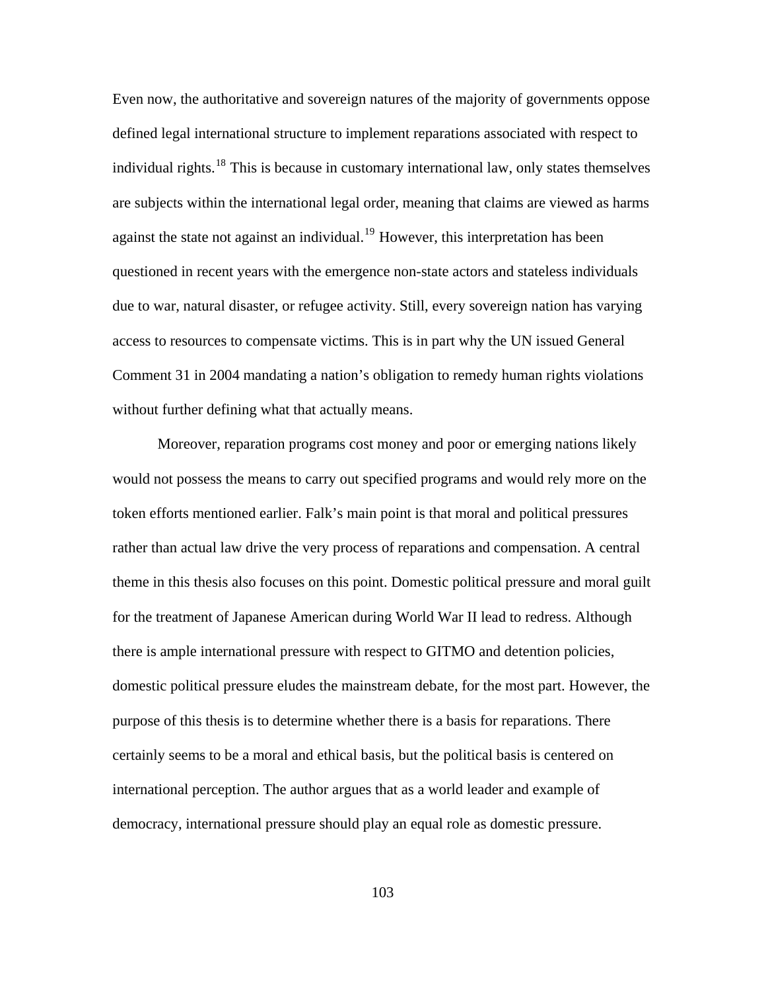Even now, the authoritative and sovereign natures of the majority of governments oppose defined legal international structure to implement reparations associated with respect to individual rights.<sup>[18](#page-150-0)</sup> This is because in customary international law, only states themselves are subjects within the international legal order, meaning that claims are viewed as harms against the state not against an individual.<sup>[19](#page-150-0)</sup> However, this interpretation has been questioned in recent years with the emergence non-state actors and stateless individuals due to war, natural disaster, or refugee activity. Still, every sovereign nation has varying access to resources to compensate victims. This is in part why the UN issued General Comment 31 in 2004 mandating a nation's obligation to remedy human rights violations without further defining what that actually means.

Moreover, reparation programs cost money and poor or emerging nations likely would not possess the means to carry out specified programs and would rely more on the token efforts mentioned earlier. Falk's main point is that moral and political pressures rather than actual law drive the very process of reparations and compensation. A central theme in this thesis also focuses on this point. Domestic political pressure and moral guilt for the treatment of Japanese American during World War II lead to redress. Although there is ample international pressure with respect to GITMO and detention policies, domestic political pressure eludes the mainstream debate, for the most part. However, the purpose of this thesis is to determine whether there is a basis for reparations. There certainly seems to be a moral and ethical basis, but the political basis is centered on international perception. The author argues that as a world leader and example of democracy, international pressure should play an equal role as domestic pressure.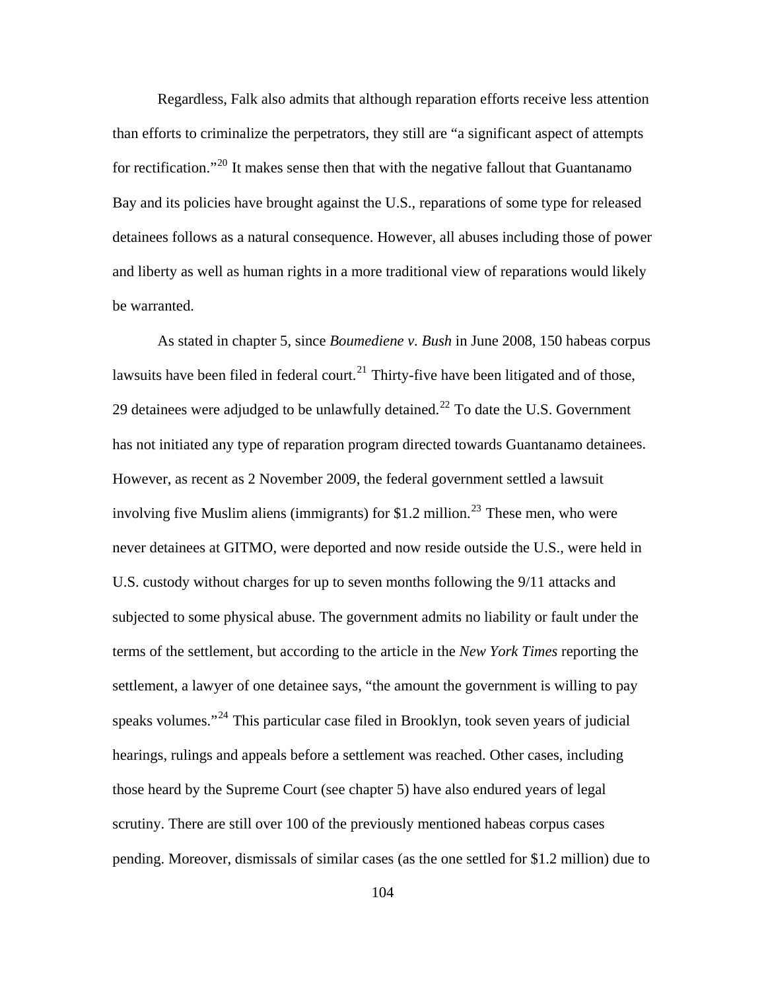Regardless, Falk also admits that although reparation efforts receive less attention than efforts to criminalize the perpetrators, they still are "a significant aspect of attempts for rectification."<sup>[20](#page-150-0)</sup> It makes sense then that with the negative fallout that Guantanamo Bay and its policies have brought against the U.S., reparations of some type for released detainees follows as a natural consequence. However, all abuses including those of power and liberty as well as human rights in a more traditional view of reparations would likely be warranted.

has not initiated any type of reparation program directed towards Guantanamo detainees. As stated in chapter 5, since *Boumediene v. Bush* in June 2008, 150 habeas corpus lawsuits have been filed in federal court.<sup>[21](#page-150-0)</sup> Thirty-five have been litigated and of those, 29 detainees were adjudged to be unlawfully detained.<sup>[22](#page-150-0)</sup> To date the U.S. Government However, as recent as 2 November 2009, the federal government settled a lawsuit involving five Muslim aliens (immigrants) for \$1.2 million.<sup>[23](#page-150-0)</sup> These men, who were never detainees at GITMO, were deported and now reside outside the U.S., were held in U.S. custody without charges for up to seven months following the 9/11 attacks and subjected to some physical abuse. The government admits no liability or fault under the terms of the settlement, but according to the article in the *New York Times* reporting the settlement, a lawyer of one detainee says, "the amount the government is willing to pay speaks volumes."<sup>[24](#page-150-0)</sup> This particular case filed in Brooklyn, took seven years of judicial hearings, rulings and appeals before a settlement was reached. Other cases, including those heard by the Supreme Court (see chapter 5) have also endured years of legal scrutiny. There are still over 100 of the previously mentioned habeas corpus cases pending. Moreover, dismissals of similar cases (as the one settled for \$1.2 million) due to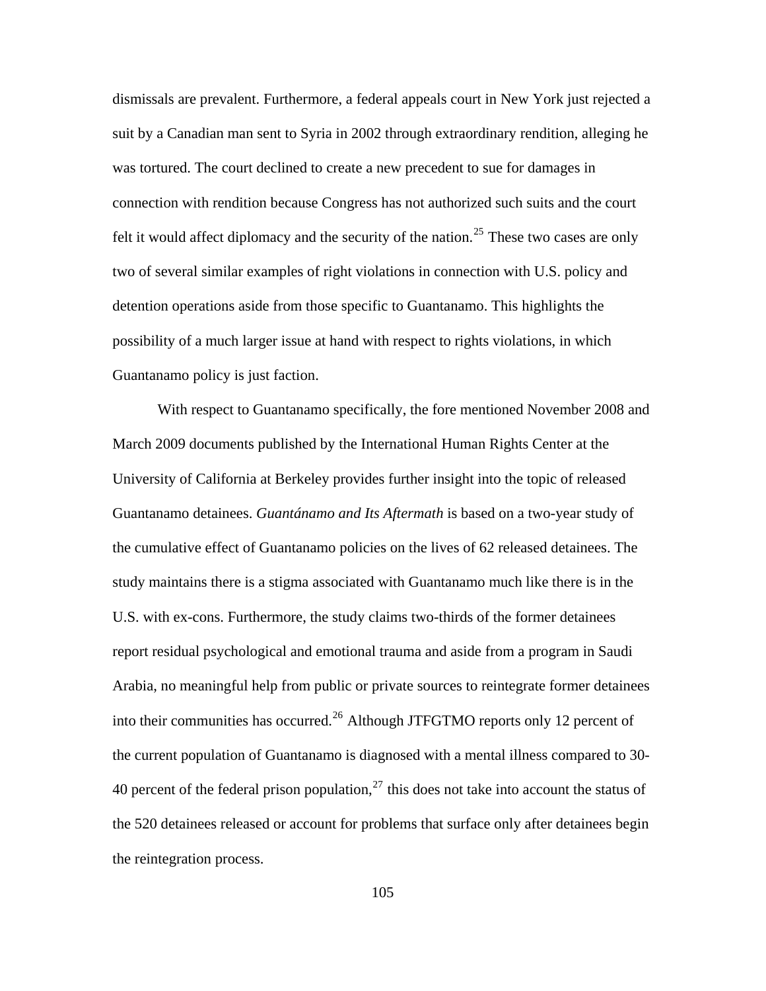dismissals are prevalent. Furthermore, a federal appeals court in New York just rejected a suit by a Canadian man sent to Syria in 2002 through extraordinary rendition, alleging he was tortured. The court declined to create a new precedent to sue for damages in connection with rendition because Congress has not authorized such suits and the court felt it would affect diplomacy and the security of the nation.<sup>[25](#page-150-0)</sup> These two cases are only two of several similar examples of right violations in connection with U.S. policy and detention operations aside from those specific to Guantanamo. This highlights the possibility of a much larger issue at hand with respect to rights violations, in which Guantanamo policy is just faction.

With respect to Guantanamo specifically, the fore mentioned November 2008 and March 2009 documents published by the International Human Rights Center at the University of California at Berkeley provides further insight into the topic of released Guantanamo detainees. *Guantánamo and Its Aftermath* is based on a two-year study of the cumulative effect of Guantanamo policies on the lives of 62 released detainees. The study maintains there is a stigma associated with Guantanamo much like there is in the U.S. with ex-cons. Furthermore, the study claims two-thirds of the former detainees report residual psychological and emotional trauma and aside from a program in Saudi Arabia, no meaningful help from public or private sources to reintegrate former detainees into their communities has occurred.<sup>[26](#page-150-0)</sup> Although JTFGTMO reports only 12 percent of the current population of Guantanamo is diagnosed with a mental illness compared to 30- 40 percent of the federal prison population,  $27$  this does not take into account the status of the 520 detainees released or account for problems that surface only after detainees begin the reintegration process.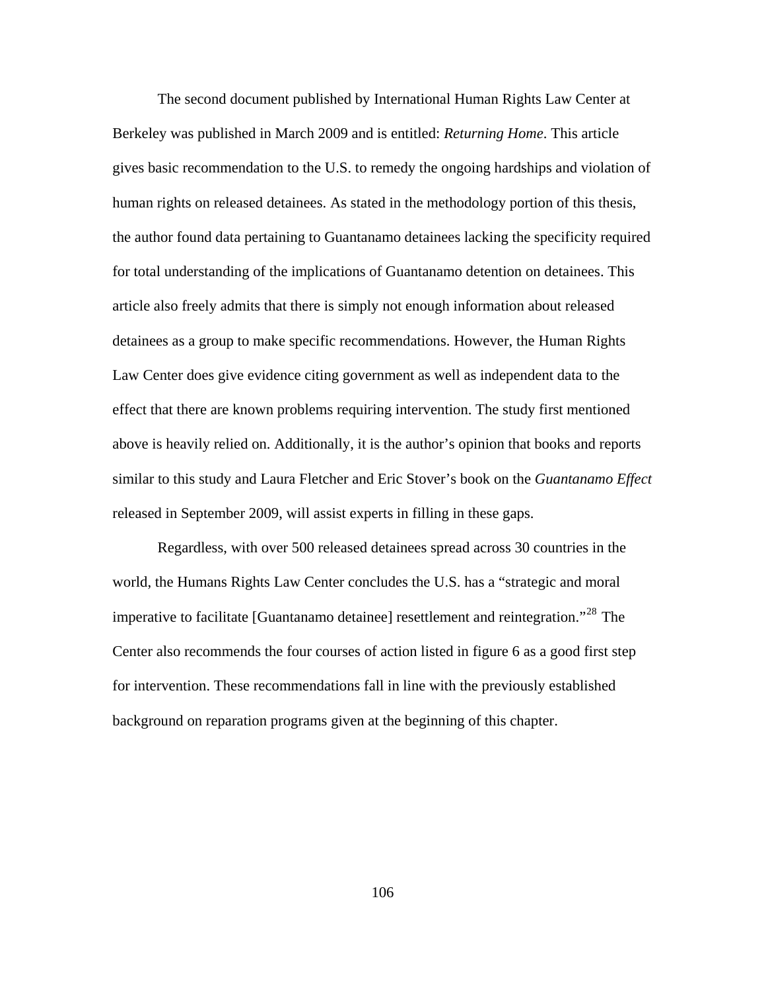The second document published by International Human Rights Law Center at Berkeley was published in March 2009 and is entitled: *Returning Home*. This article gives basic recommendation to the U.S. to remedy the ongoing hardships and violation of human rights on released detainees. As stated in the methodology portion of this thesis, the author found data pertaining to Guantanamo detainees lacking the specificity required for total understanding of the implications of Guantanamo detention on detainees. This article also freely admits that there is simply not enough information about released detainees as a group to make specific recommendations. However, the Human Rights Law Center does give evidence citing government as well as independent data to the effect that there are known problems requiring intervention. The study first mentioned above is heavily relied on. Additionally, it is the author's opinion that books and reports similar to this study and Laura Fletcher and Eric Stover's book on the *Guantanamo Effect* released in September 2009, will assist experts in filling in these gaps.

Regardless, with over 500 released detainees spread across 30 countries in the world, the Humans Rights Law Center concludes the U.S. has a "strategic and moral imperative to facilitate [Guantanamo detainee] resettlement and reintegration."<sup>[28](#page-150-0)</sup> The Center also recommends the four courses of action listed in figure 6 as a good first step for intervention. These recommendations fall in line with the previously established background on reparation programs given at the beginning of this chapter.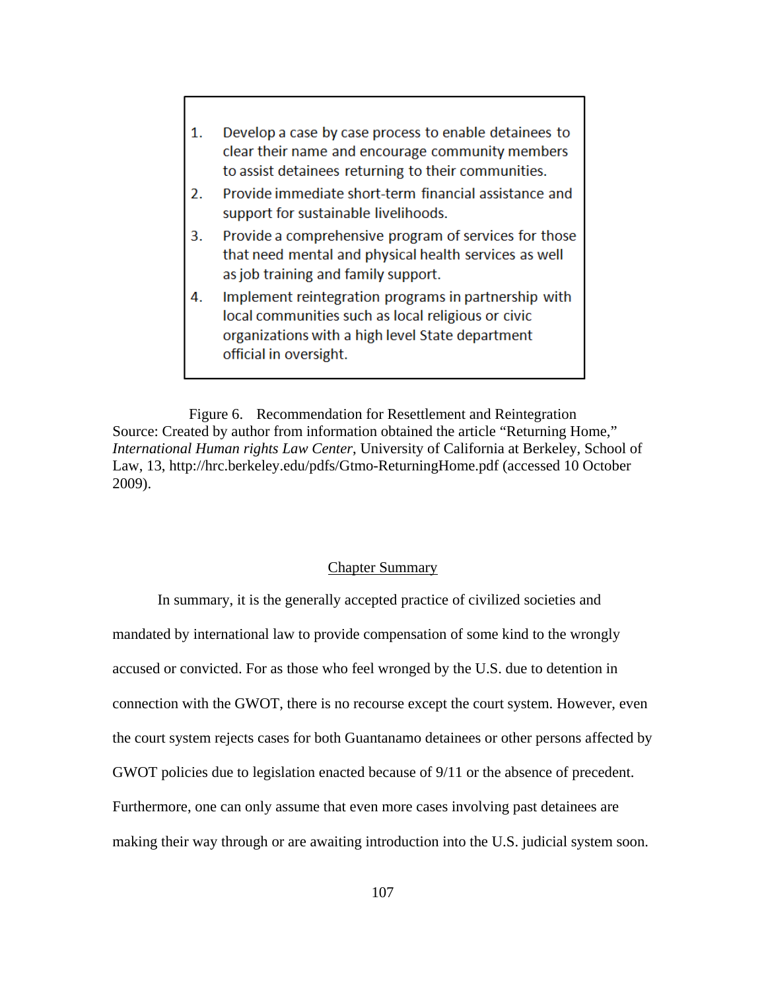| 1. | Develop a case by case process to enable detainees to<br>clear their name and encourage community members<br>to assist detainees returning to their communities. |
|----|------------------------------------------------------------------------------------------------------------------------------------------------------------------|
| 2. | Provide immediate short-term financial assistance and<br>support for sustainable livelihoods.                                                                    |
| 3. | Provide a comprehensive program of services for those<br>that need mental and physical health services as well<br>as job training and family support.            |
| 4. | Implement reintegration programs in partnership with<br>local communities such as local religious or civic<br>organizations with a high level State department   |

Figure 6. Recommendation for Resettlement and Reintegration Source: Created by author from information obtained the article "Returning Home," *International Human rights Law Center*, University of California at Berkeley, School of Law, 13, http://hrc.berkeley.edu/pdfs/Gtmo-ReturningHome.pdf (accessed 10 October 2009).

official in oversight.

# Chapter Summary

In summary, it is the generally accepted practice of civilized societies and mandated by international law to provide compensation of some kind to the wrongly accused or convicted. For as those who feel wronged by the U.S. due to detention in connection with the GWOT, there is no recourse except the court system. However, even the court system rejects cases for both Guantanamo detainees or other persons affected by GWOT policies due to legislation enacted because of 9/11 or the absence of precedent. Furthermore, one can only assume that even more cases involving past detainees are making their way through or are awaiting introduction into the U.S. judicial system soon.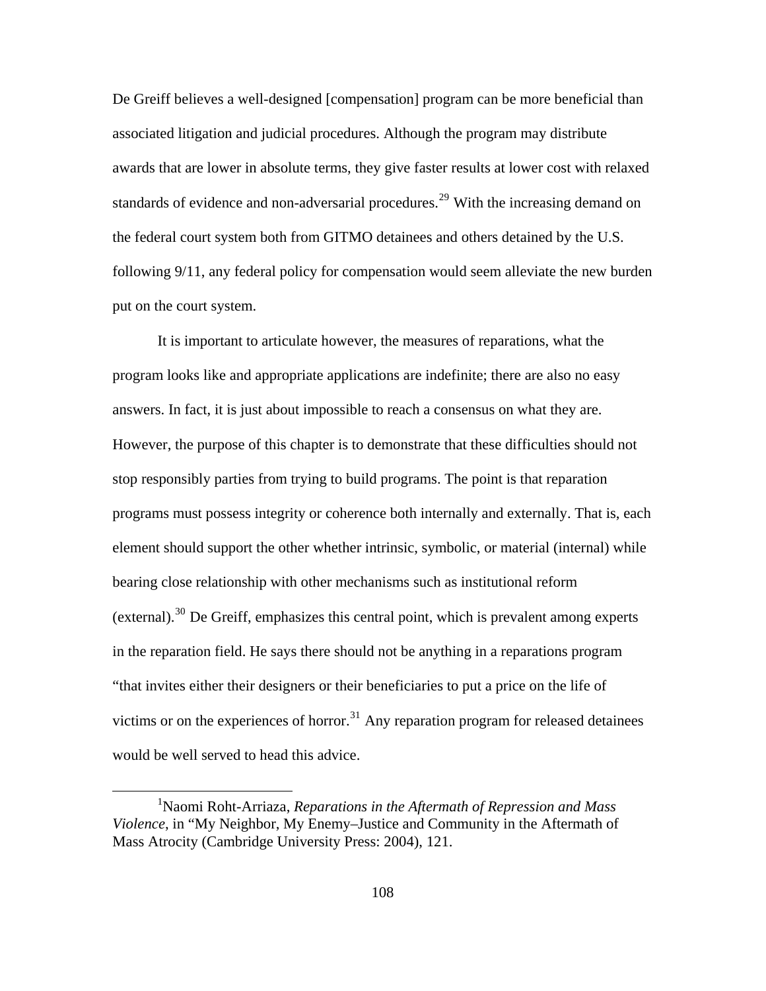De Greiff believes a well-designed [compensation] program can be more beneficial than associated litigation and judicial procedures. Although the program may distribute awards that are lower in absolute terms, they give faster results at lower cost with relaxed standards of evidence and non-adversarial procedures.<sup>[29](#page-150-0)</sup> With the increasing demand on the federal court system both from GITMO detainees and others detained by the U.S. following 9/11, any federal policy for compensation would seem alleviate the new burden put on the court system.

would be well served to head this advice. It is important to articulate however, the measures of reparations, what the program looks like and appropriate applications are indefinite; there are also no easy answers. In fact, it is just about impossible to reach a consensus on what they are. However, the purpose of this chapter is to demonstrate that these difficulties should not stop responsibly parties from trying to build programs. The point is that reparation programs must possess integrity or coherence both internally and externally. That is, each element should support the other whether intrinsic, symbolic, or material (internal) while bearing close relationship with other mechanisms such as institutional reform (external).<sup>[30](#page-150-1)</sup> De Greiff, emphasizes this central point, which is prevalent among experts in the reparation field. He says there should not be anything in a reparations program "that invites either their designers or their beneficiaries to put a price on the life of victims or on the experiences of horror.<sup>[31](#page-150-2)</sup> Any reparation program for released detainees

1

<sup>1</sup> Naomi Roht-Arriaza, *Reparations in the Aftermath of Repression and Mass Violence*, in "My Neighbor, My Enemy–Justice and Community in the Aftermath of Mass Atrocity (Cambridge University Press: 2004), 121.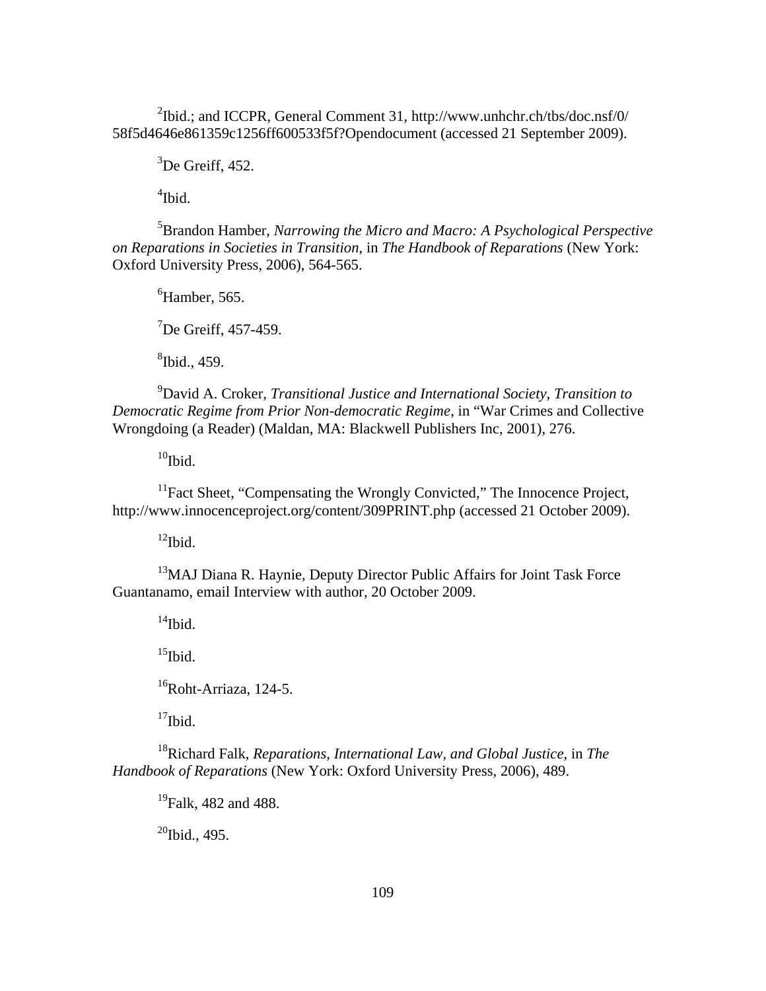$2^2$ Ibid.; and ICCPR, General Comment 31, http://www.unhchr.ch/tbs/doc.nsf/0/ 58f5d4646e861359c1256ff600533f5f?Opendocument (accessed 21 September 2009).

 $3$ De Greiff, 452.

4 Ibid.

5 Brandon Hamber, *Narrowing the Micro and Macro: A Psychological Perspective on Reparations in Societies in Transition*, in *The Handbook of Reparations* (New York: Oxford University Press, 2006), 564-565.

6 Hamber, 565.

<sup>7</sup>De Greiff, 457-459.

8 Ibid., 459.

9 David A. Croker, *Transitional Justice and International Society, Transition to Democratic Regime from Prior Non-democratic Regime*, in "War Crimes and Collective Wrongdoing (a Reader) (Maldan, MA: Blackwell Publishers Inc, 2001), 276.

 $10$ Ibid.

<sup>11</sup>Fact Sheet, "Compensating the Wrongly Convicted," The Innocence Project, http://www.innocenceproject.org/content/309PRINT.php (accessed 21 October 2009).

 $12$ Ibid.

<sup>13</sup>MAJ Diana R. Haynie, Deputy Director Public Affairs for Joint Task Force Guantanamo, email Interview with author, 20 October 2009.

 $14$ Ibid.

 $15$ Ibid.

 $16R$ oht-Arriaza, 124-5.

 $17$ Ibid.

18Richard Falk, *Reparations, International Law, and Global Justice*, in *The Handbook of Reparations* (New York: Oxford University Press, 2006), 489.

 $^{19}$ Falk, 482 and 488.

 $^{20}$ Ibid., 495.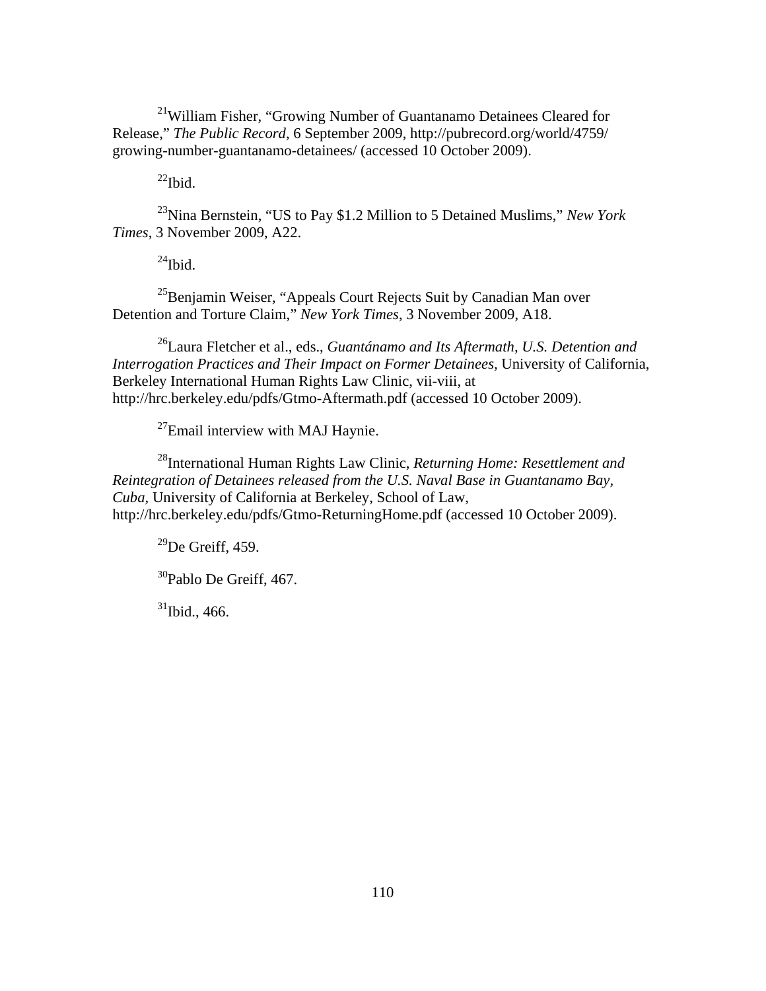<sup>21</sup>William Fisher, "Growing Number of Guantanamo Detainees Cleared for Release," *The Public Record*, 6 September 2009, http://pubrecord.org/world/4759/ growing-number-guantanamo-detainees/ (accessed 10 October 2009).

 $^{22}$ Ibid.

23Nina Bernstein, "US to Pay \$1.2 Million to 5 Detained Muslims," *New York Times*, 3 November 2009, A22.

 $^{24}$ Ibid.

<sup>25</sup>Benjamin Weiser, "Appeals Court Rejects Suit by Canadian Man over Detention and Torture Claim," *New York Times*, 3 November 2009, A18.

26Laura Fletcher et al., eds., *Guantánamo and Its Aftermath, U.S. Detention and Interrogation Practices and Their Impact on Former Detainees,* University of California, Berkeley International Human Rights Law Clinic, vii-viii, at http://hrc.berkeley.edu/pdfs/Gtmo-Aftermath.pdf (accessed 10 October 2009).

<sup>27</sup>Email interview with MAJ Haynie.

28International Human Rights Law Clinic, *Returning Home: Resettlement and Reintegration of Detainees released from the U.S. Naval Base in Guantanamo Bay, Cuba,* University of California at Berkeley, School of Law, http://hrc.berkeley.edu/pdfs/Gtmo-ReturningHome.pdf (accessed 10 October 2009).

 $^{29}$ De Greiff, 459.

30Pablo De Greiff, 467.

 $31$ Ibid., 466.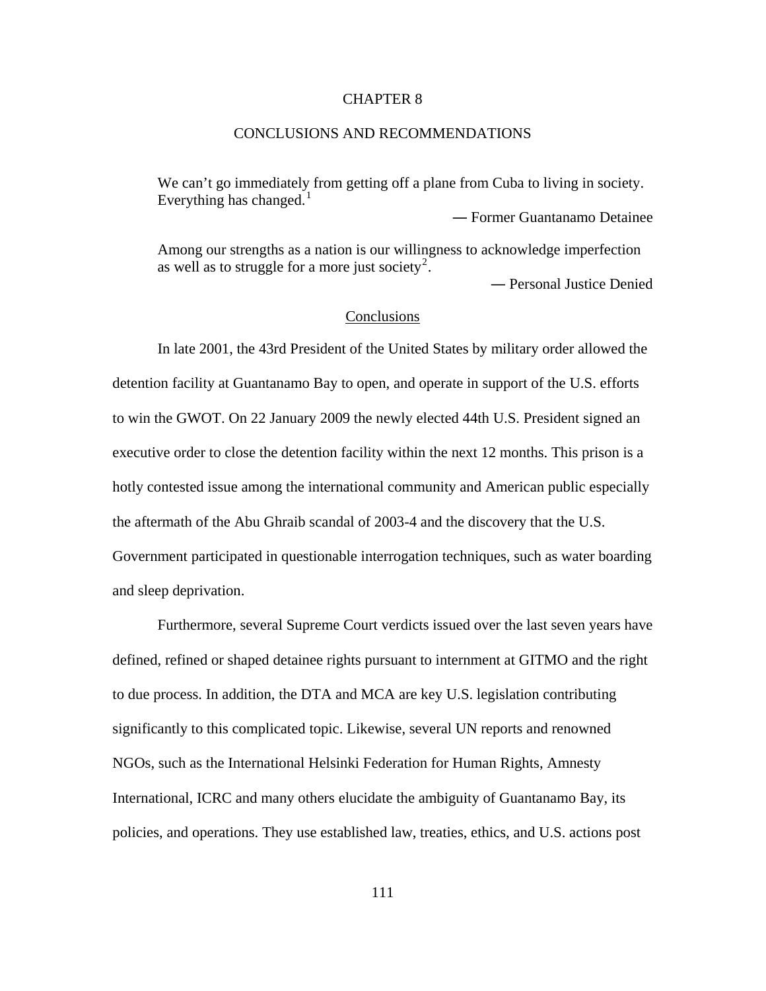### CHAPTER 8

# CONCLUSIONS AND RECOMMENDATIONS

We can't go immediately from getting off a plane from Cuba to living in society. Everything has changed.<sup>[1](#page-150-3)</sup>

Among our strengths as a nation is our willingness to acknowledge imperfection as well as to struggle for a more just society<sup>[2](#page-150-0)</sup>.

― Personal Justice Denied

― Former Guantanamo Detainee

# Conclusions

In late 2001, the 43rd President of the United States by military order allowed the detention facility at Guantanamo Bay to open, and operate in support of the U.S. efforts to win the GWOT. On 22 January 2009 the newly elected 44th U.S. President signed an executive order to close the detention facility within the next 12 months. This prison is a hotly contested issue among the international community and American public especially the aftermath of the Abu Ghraib scandal of 2003-4 and the discovery that the U.S. Government participated in questionable interrogation techniques, such as water boarding and sleep deprivation.

Furthermore, several Supreme Court verdicts issued over the last seven years have defined, refined or shaped detainee rights pursuant to internment at GITMO and the right to due process. In addition, the DTA and MCA are key U.S. legislation contributing significantly to this complicated topic. Likewise, several UN reports and renowned NGOs, such as the International Helsinki Federation for Human Rights, Amnesty International, ICRC and many others elucidate the ambiguity of Guantanamo Bay, its policies, and operations. They use established law, treaties, ethics, and U.S. actions post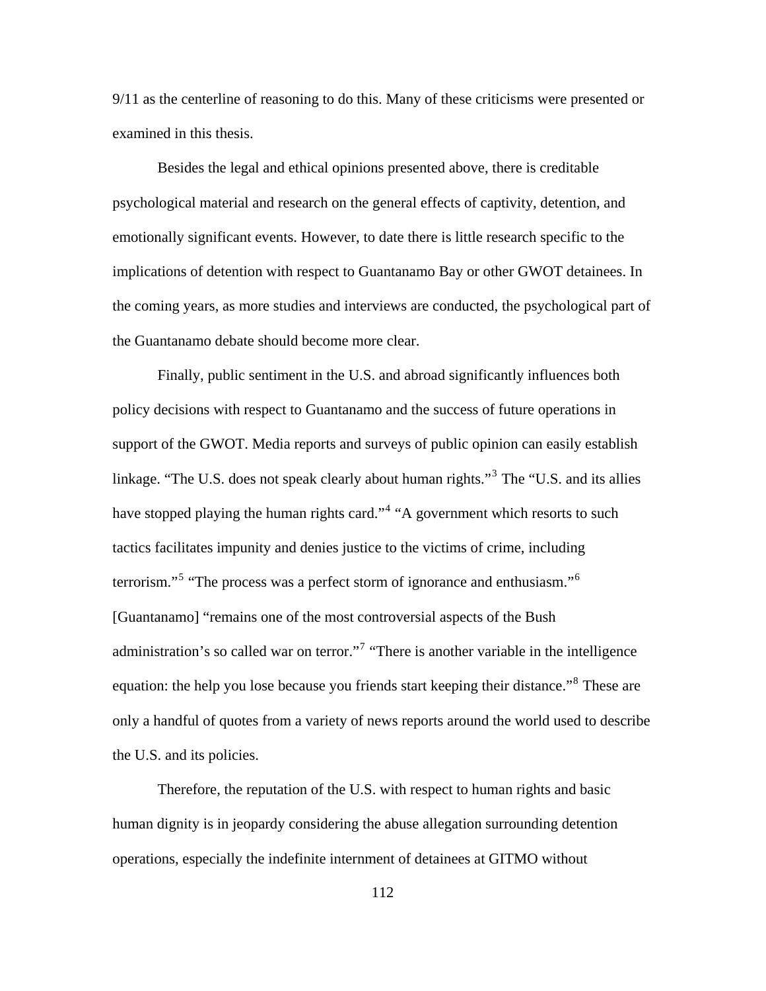9/11 as the centerline of reasoning to do this. Many of these criticisms were presented or examined in this thesis.

Besides the legal and ethical opinions presented above, there is creditable psychological material and research on the general effects of captivity, detention, and emotionally significant events. However, to date there is little research specific to the implications of detention with respect to Guantanamo Bay or other GWOT detainees. In the coming years, as more studies and interviews are conducted, the psychological part of the Guantanamo debate should become more clear.

Finally, public sentiment in the U.S. and abroad significantly influences both policy decisions with respect to Guantanamo and the success of future operations in support of the GWOT. Media reports and surveys of public opinion can easily establish linkage. "The U.S. does not speak clearly about human rights."<sup>[3](#page-150-0)</sup> The "U.S. and its allies have stopped playing the human rights card."<sup>[4](#page-150-0)</sup> "A government which resorts to such tactics facilitates impunity and denies justice to the victims of crime, including terrorism."<sup>[5](#page-150-0)</sup> "The process was a perfect storm of ignorance and enthusiasm."<sup>[6](#page-150-0)</sup> [Guantanamo] "remains one of the most controversial aspects of the Bush administration's so called war on terror."<sup>[7](#page-150-0)</sup> "There is another variable in the intelligence equation: the help you lose because you friends start keeping their distance."<sup>[8](#page-150-0)</sup> These are only a handful of quotes from a variety of news reports around the world used to describe the U.S. and its policies.

Therefore, the reputation of the U.S. with respect to human rights and basic human dignity is in jeopardy considering the abuse allegation surrounding detention operations, especially the indefinite internment of detainees at GITMO without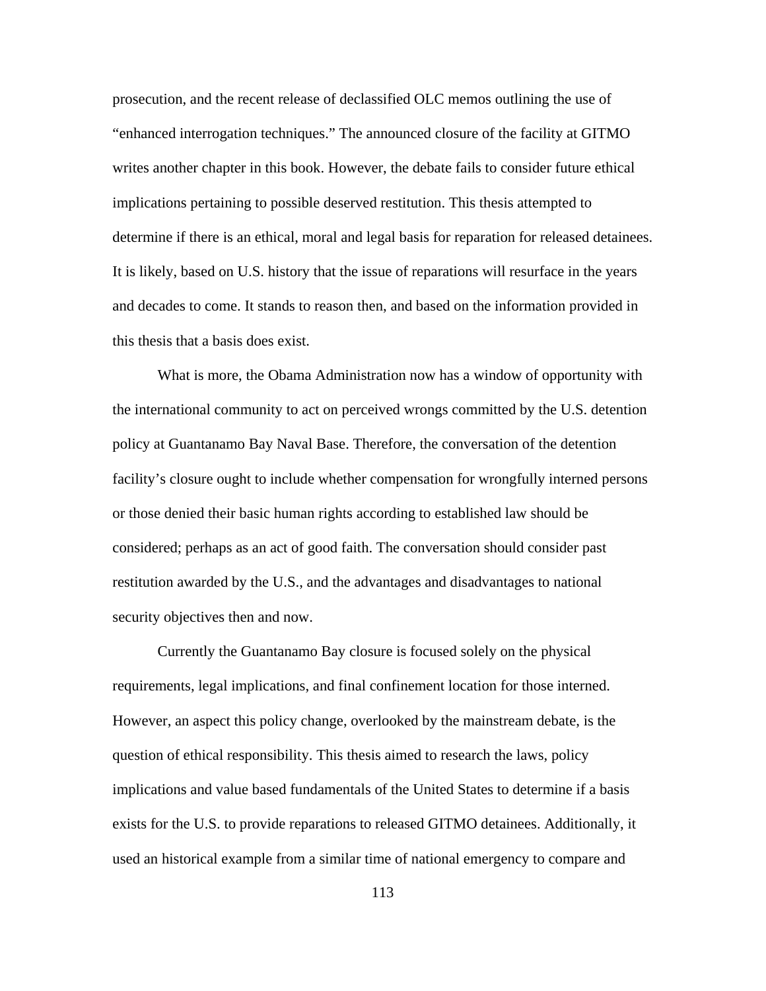prosecution, and the recent release of declassified OLC memos outlining the use of "enhanced interrogation techniques." The announced closure of the facility at GITMO writes another chapter in this book. However, the debate fails to consider future ethical implications pertaining to possible deserved restitution. This thesis attempted to determine if there is an ethical, moral and legal basis for reparation for released detainees. It is likely, based on U.S. history that the issue of reparations will resurface in the years and decades to come. It stands to reason then, and based on the information provided in this thesis that a basis does exist.

What is more, the Obama Administration now has a window of opportunity with the international community to act on perceived wrongs committed by the U.S. detention policy at Guantanamo Bay Naval Base. Therefore, the conversation of the detention facility's closure ought to include whether compensation for wrongfully interned persons or those denied their basic human rights according to established law should be considered; perhaps as an act of good faith. The conversation should consider past restitution awarded by the U.S., and the advantages and disadvantages to national security objectives then and now.

Currently the Guantanamo Bay closure is focused solely on the physical requirements, legal implications, and final confinement location for those interned. However, an aspect this policy change, overlooked by the mainstream debate, is the question of ethical responsibility. This thesis aimed to research the laws, policy implications and value based fundamentals of the United States to determine if a basis exists for the U.S. to provide reparations to released GITMO detainees. Additionally, it used an historical example from a similar time of national emergency to compare and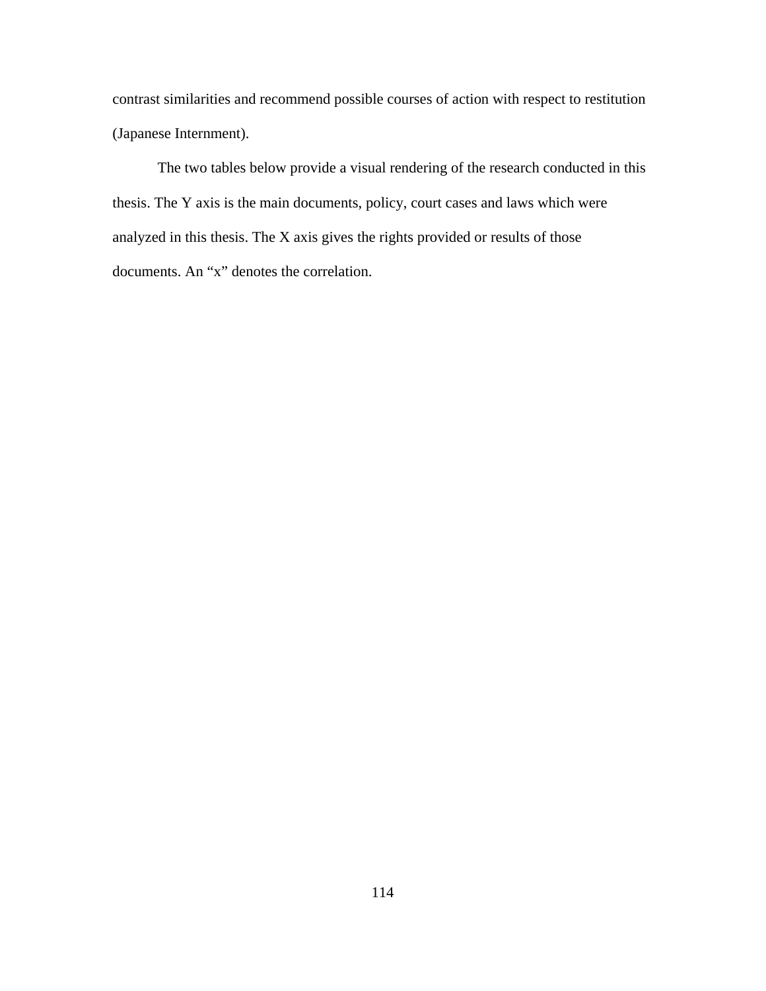contrast similarities and recommend possible courses of action with respect to restitution (Japanese Internment).

The two tables below provide a visual rendering of the research conducted in this thesis. The Y axis is the main documents, policy, court cases and laws which were analyzed in this thesis. The X axis gives the rights provided or results of those documents. An "x" denotes the correlation.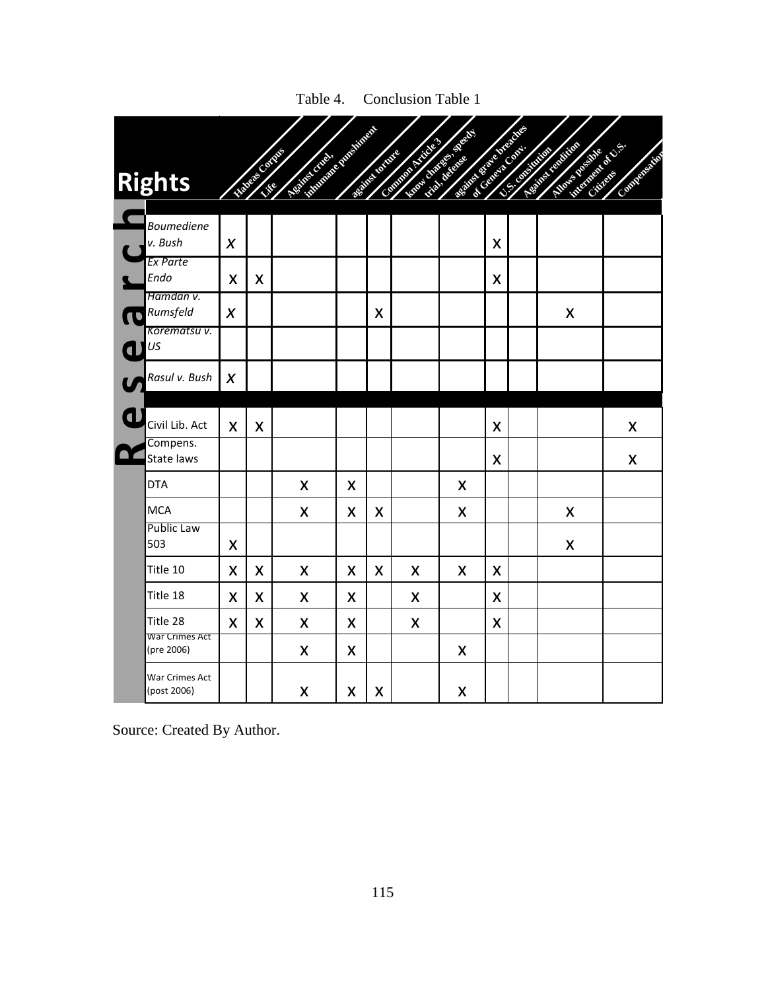| Rights           |                               |                  | <b>CONTRACTOR</b> | <b>CONTRACTOR</b> | <b>All Contracts</b> |   | <b>Charles Contract on Contract on Contract on Contract on Contract on Contract on Contract on Contract on Contract on Contract on Contract on Contract on Contract on Contract on Contract on Contract on Contract on Contract </b> | <b>Contract Contract Contract Contract Contract Contract Contract Contract Contract Contract Contract Contract Contract Contract Contract Contract Contract Contract Contract Contract Contract Contract Contract Contract Contr</b> |                  | <b>SILINE</b> | <b>CONTRACTOR</b><br><b>September 1999</b> | <b>CONTROLLER</b> |
|------------------|-------------------------------|------------------|-------------------|-------------------|----------------------|---|--------------------------------------------------------------------------------------------------------------------------------------------------------------------------------------------------------------------------------------|--------------------------------------------------------------------------------------------------------------------------------------------------------------------------------------------------------------------------------------|------------------|---------------|--------------------------------------------|-------------------|
| v. Bush          | <b>Boumediene</b>             | $\boldsymbol{X}$ |                   |                   |                      |   |                                                                                                                                                                                                                                      |                                                                                                                                                                                                                                      | X                |               |                                            |                   |
| Endo             | Ex Parte                      | X                | X                 |                   |                      |   |                                                                                                                                                                                                                                      |                                                                                                                                                                                                                                      | X                |               |                                            |                   |
| Rumsfeld         | Hamdan v.                     | $\boldsymbol{X}$ |                   |                   |                      | X |                                                                                                                                                                                                                                      |                                                                                                                                                                                                                                      |                  |               | $\boldsymbol{X}$                           |                   |
| $\mathbf{d}$ Jus | Korematsu v.                  |                  |                   |                   |                      |   |                                                                                                                                                                                                                                      |                                                                                                                                                                                                                                      |                  |               |                                            |                   |
|                  | Rasul v. Bush                 | $\boldsymbol{x}$ |                   |                   |                      |   |                                                                                                                                                                                                                                      |                                                                                                                                                                                                                                      |                  |               |                                            |                   |
| d                | Civil Lib. Act                | X                | X                 |                   |                      |   |                                                                                                                                                                                                                                      |                                                                                                                                                                                                                                      | X                |               |                                            | X                 |
|                  | Compens.<br>State laws        |                  |                   |                   |                      |   |                                                                                                                                                                                                                                      |                                                                                                                                                                                                                                      | X                |               |                                            | X                 |
| <b>DTA</b>       |                               |                  |                   | X                 | X                    |   |                                                                                                                                                                                                                                      | X                                                                                                                                                                                                                                    |                  |               |                                            |                   |
| <b>MCA</b>       |                               |                  |                   | X                 | X                    | X |                                                                                                                                                                                                                                      | X                                                                                                                                                                                                                                    |                  |               | X                                          |                   |
| 503              | Public Law                    | X                |                   |                   |                      |   |                                                                                                                                                                                                                                      |                                                                                                                                                                                                                                      |                  |               | $\boldsymbol{X}$                           |                   |
| Title 10         |                               | X                | X                 | X                 | X                    | X | X                                                                                                                                                                                                                                    | X                                                                                                                                                                                                                                    | X                |               |                                            |                   |
| Title 18         |                               | X                | X                 | X                 | X                    |   | X                                                                                                                                                                                                                                    |                                                                                                                                                                                                                                      | X                |               |                                            |                   |
| Title 28         |                               | X                | X                 | X                 | X                    |   | $\boldsymbol{X}$                                                                                                                                                                                                                     |                                                                                                                                                                                                                                      | $\boldsymbol{X}$ |               |                                            |                   |
|                  | War Crimes Act<br>(pre 2006)  |                  |                   | X                 | X                    |   |                                                                                                                                                                                                                                      | X                                                                                                                                                                                                                                    |                  |               |                                            |                   |
|                  | War Crimes Act<br>(post 2006) |                  |                   | X                 | X                    | X |                                                                                                                                                                                                                                      | X                                                                                                                                                                                                                                    |                  |               |                                            |                   |

Table 4. Conclusion Table 1

Source: Created By Author.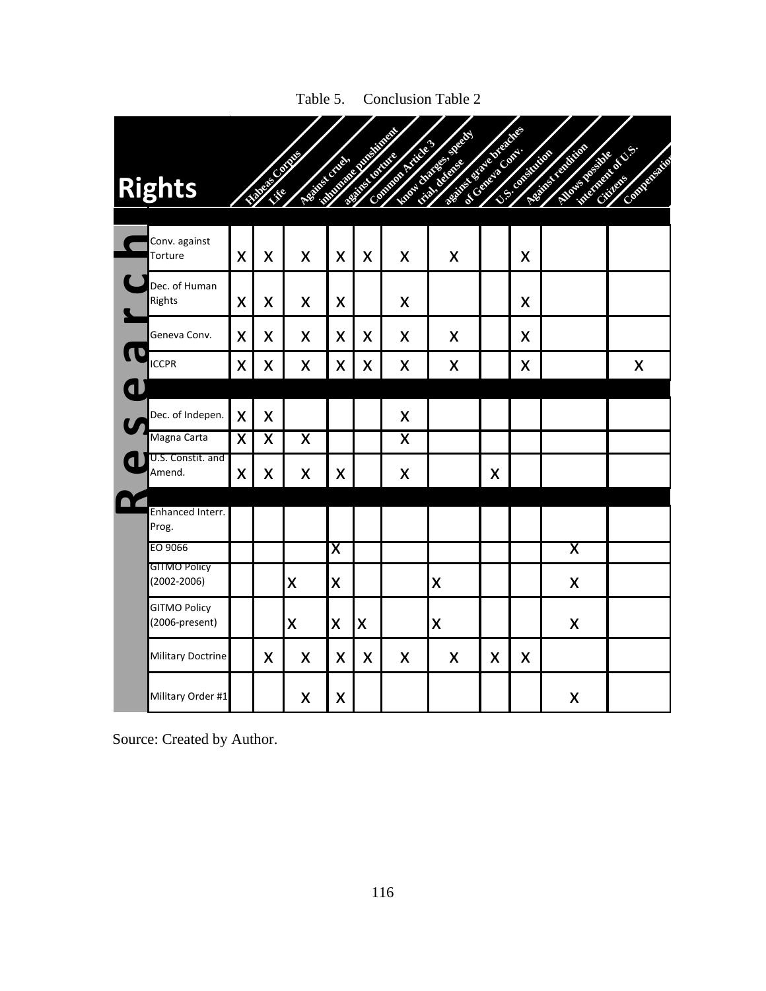| <b>Rights</b>                          |                         | <b>Contract Contract Contract Contract Contract Contract Contract Contract Contract Contract Contract Contract C</b> | <b>CONTRACTOR</b>       |                         | <b>Contract Contract Contract Contract Contract Contract Contract Contract Contract Contract Contract Contract C</b> | <b>Contract Contract Contract Contract Contract Contract Contract Contract Contract Contract Contract Contract C</b> | <b>CONTRACTOR</b><br><b>Contract on the Contract of Contract on the Contract of Contract on the Contract of Contract on the Contract o</b> |    | <b>CONTRACTOR</b> | <b>Service Service Service</b><br><b>CALIFORNIA</b> | No. of Case of Case of<br>Company of Co |
|----------------------------------------|-------------------------|----------------------------------------------------------------------------------------------------------------------|-------------------------|-------------------------|----------------------------------------------------------------------------------------------------------------------|----------------------------------------------------------------------------------------------------------------------|--------------------------------------------------------------------------------------------------------------------------------------------|----|-------------------|-----------------------------------------------------|-----------------------------------------|
| Conv. against<br>Torture               | X                       | X                                                                                                                    | X                       | X                       | X                                                                                                                    | X                                                                                                                    | X                                                                                                                                          |    | X                 |                                                     |                                         |
| Dec. of Human<br>Rights                | X                       | X                                                                                                                    | X                       | X                       |                                                                                                                      | X                                                                                                                    |                                                                                                                                            |    | X                 |                                                     |                                         |
| Geneva Conv.                           | X                       | X                                                                                                                    | X                       | X                       | X                                                                                                                    | X                                                                                                                    | X                                                                                                                                          |    | X                 |                                                     |                                         |
| <b>ICCPR</b>                           | X                       | X                                                                                                                    | X                       | X                       | X                                                                                                                    | Χ                                                                                                                    | X                                                                                                                                          |    | X                 |                                                     | X                                       |
|                                        |                         |                                                                                                                      |                         |                         |                                                                                                                      |                                                                                                                      |                                                                                                                                            |    |                   |                                                     |                                         |
| Dec. of Indepen.                       | X                       | X                                                                                                                    |                         |                         |                                                                                                                      | X                                                                                                                    |                                                                                                                                            |    |                   |                                                     |                                         |
| Magna Carta                            | $\overline{\mathsf{x}}$ | $\overline{\mathsf{X}}$                                                                                              | $\overline{\mathsf{X}}$ |                         |                                                                                                                      | X                                                                                                                    |                                                                                                                                            |    |                   |                                                     |                                         |
| U.S. Constit. and<br>Amend.            | X                       | X                                                                                                                    | X                       | X                       |                                                                                                                      | X                                                                                                                    |                                                                                                                                            | X  |                   |                                                     |                                         |
| Enhanced Interr.<br>Prog.              |                         |                                                                                                                      |                         |                         |                                                                                                                      |                                                                                                                      |                                                                                                                                            |    |                   |                                                     |                                         |
| EO 9066                                |                         |                                                                                                                      |                         | $\overline{\textsf{x}}$ |                                                                                                                      |                                                                                                                      |                                                                                                                                            |    |                   | $\overline{\mathsf{X}}$                             |                                         |
| <b>GITMO Policy</b><br>$(2002 - 2006)$ |                         |                                                                                                                      | X                       | X                       |                                                                                                                      |                                                                                                                      | X                                                                                                                                          |    |                   | X                                                   |                                         |
| <b>GITMO Policy</b><br>(2006-present)  |                         |                                                                                                                      | X                       | X                       | $\boldsymbol{\mathsf{X}}$                                                                                            |                                                                                                                      | X                                                                                                                                          |    |                   | X                                                   |                                         |
| <b>Military Doctrine</b>               |                         | X                                                                                                                    | X                       | X                       | X                                                                                                                    | X                                                                                                                    | X                                                                                                                                          | X. | X                 |                                                     |                                         |
| Military Order #1                      |                         |                                                                                                                      | X                       | X                       |                                                                                                                      |                                                                                                                      |                                                                                                                                            |    |                   | X                                                   |                                         |

Table 5. Conclusion Table 2

Source: Created by Author.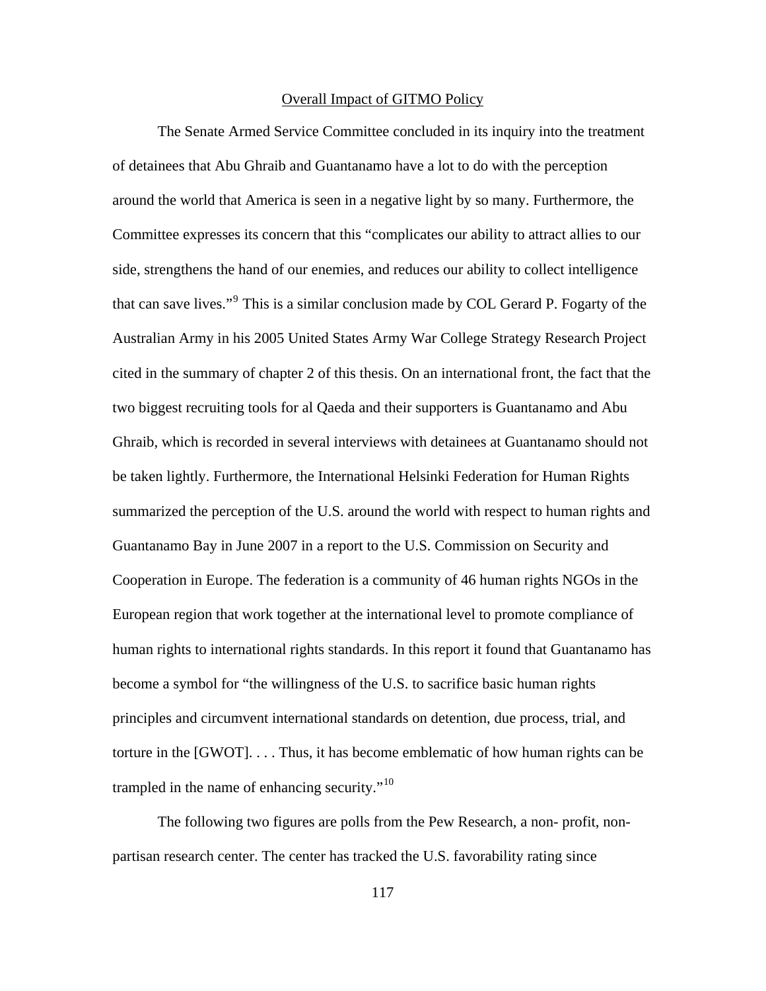### Overall Impact of GITMO Policy

The Senate Armed Service Committee concluded in its inquiry into the treatment of detainees that Abu Ghraib and Guantanamo have a lot to do with the perception around the world that America is seen in a negative light by so many. Furthermore, the Committee expresses its concern that this "complicates our ability to attract allies to our side, strengthens the hand of our enemies, and reduces our ability to collect intelligence that can save lives."<sup>[9](#page-150-0)</sup> This is a similar conclusion made by COL Gerard P. Fogarty of the Australian Army in his 2005 United States Army War College Strategy Research Project cited in the summary of chapter 2 of this thesis. On an international front, the fact that the two biggest recruiting tools for al Qaeda and their supporters is Guantanamo and Abu Ghraib, which is recorded in several interviews with detainees at Guantanamo should not be taken lightly. Furthermore, the International Helsinki Federation for Human Rights summarized the perception of the U.S. around the world with respect to human rights and Guantanamo Bay in June 2007 in a report to the U.S. Commission on Security and Cooperation in Europe. The federation is a community of 46 human rights NGOs in the European region that work together at the international level to promote compliance of human rights to international rights standards. In this report it found that Guantanamo has become a symbol for "the willingness of the U.S. to sacrifice basic human rights principles and circumvent international standards on detention, due process, trial, and torture in the [GWOT]. . . . Thus, it has become emblematic of how human rights can be trampled in the name of enhancing security."[10](#page-150-0)

The following two figures are polls from the Pew Research, a non- profit, nonpartisan research center. The center has tracked the U.S. favorability rating since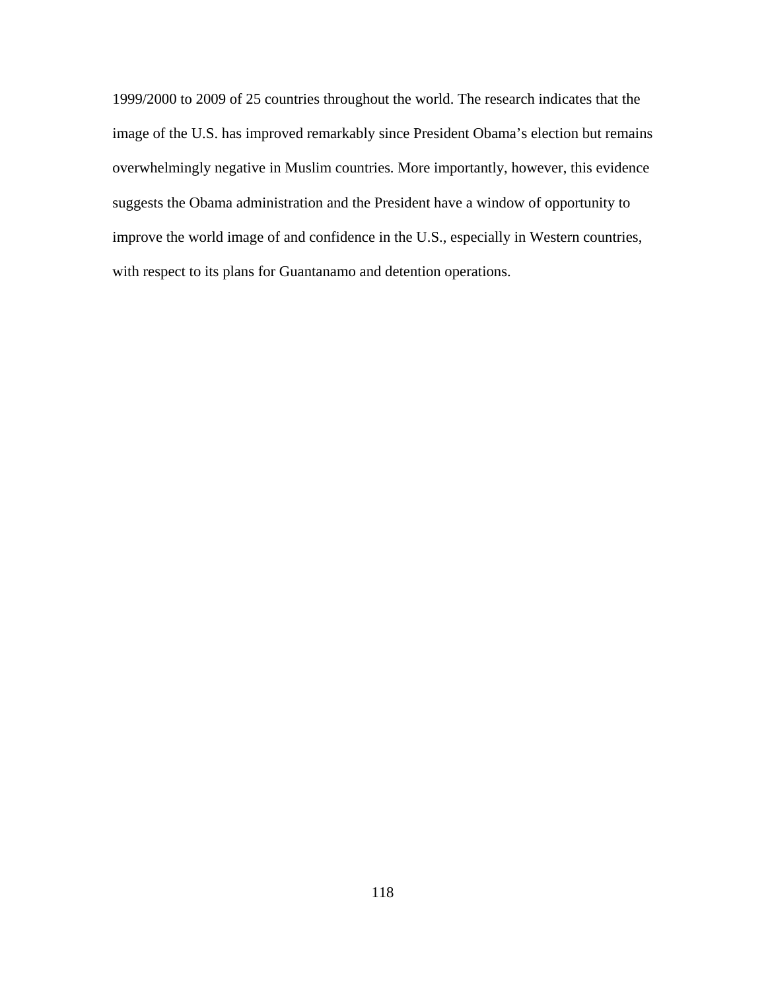1999/2000 to 2009 of 25 countries throughout the world. The research indicates that the image of the U.S. has improved remarkably since President Obama's election but remains overwhelmingly negative in Muslim countries. More importantly, however, this evidence suggests the Obama administration and the President have a window of opportunity to improve the world image of and confidence in the U.S., especially in Western countries, with respect to its plans for Guantanamo and detention operations.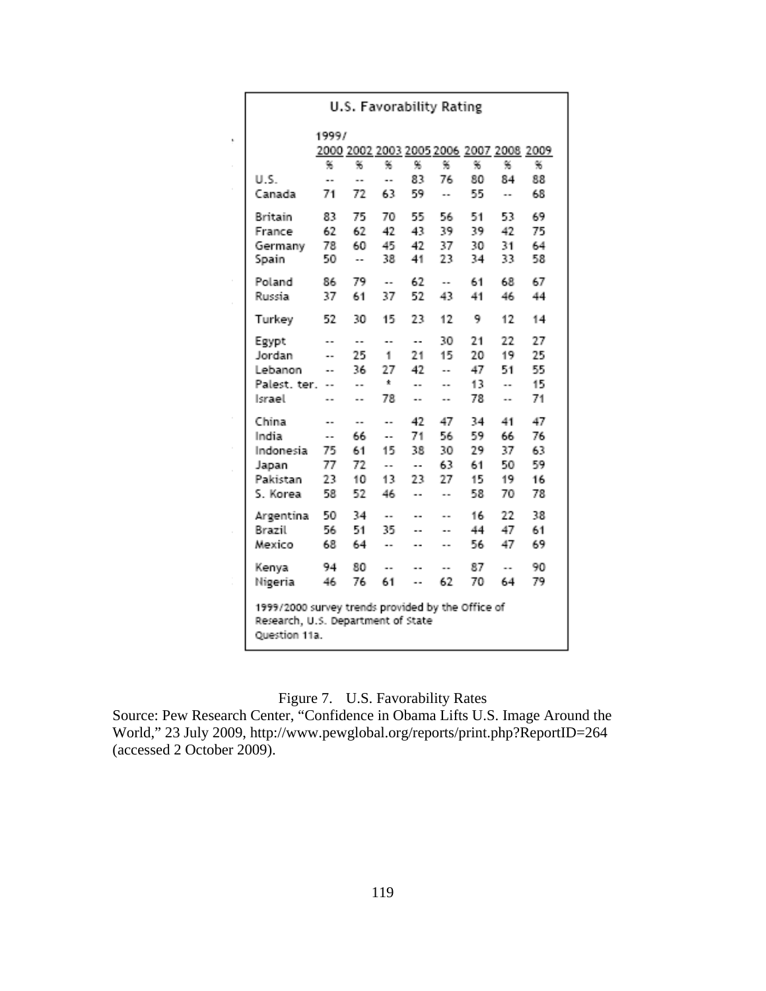|                                                                                                          | 1999/ |    |           |     |    |                                         |    |    |
|----------------------------------------------------------------------------------------------------------|-------|----|-----------|-----|----|-----------------------------------------|----|----|
|                                                                                                          |       |    |           |     |    | 2000 2002 2003 2005 2006 2007 2008 2009 |    |    |
|                                                                                                          | 96.   | 96 | 96        | 96  | 96 | %                                       | 96 | %  |
| U.S.                                                                                                     | ٠.    | ٠. | ٠.        | 83  | 76 | 80                                      | 84 | 88 |
| Canada                                                                                                   | 71    | 72 | 63        | 59  |    | 55                                      |    | 68 |
| Britain                                                                                                  | 83    | 75 | 70        | 55. | 56 | 51                                      | 53 | 69 |
| France                                                                                                   | 62    | 62 | 42        | 43  | 39 | 39                                      | 42 | 75 |
| Germany                                                                                                  | 78    | 60 | 45        | 42  | 37 | 30                                      | 31 | 64 |
| Spain                                                                                                    | 50    | ۰. | 38        | 41  | 23 | 34                                      | 33 | 58 |
| Poland                                                                                                   | 86    | 79 | ٠.        | 62  | ۰. | 61                                      | 68 | 67 |
| Russia                                                                                                   | 37    | 61 | 37        | 52  | 43 | 41                                      | 46 | 44 |
| Turkey                                                                                                   | 52    | 30 | 15        | 23  | 12 | 9                                       | 12 | 14 |
| Egypt                                                                                                    |       | ۰. | ۰.        | ۰.  | 30 | 21                                      | 22 | 27 |
| Jordan                                                                                                   | ۰.    | 25 | 1.        | 21  | 15 | 20                                      | 19 | 25 |
| Lebanon                                                                                                  | ٠.    | 36 | 27        | 42  |    | 47                                      | 51 | 55 |
| Palest, ter.                                                                                             |       |    | Ť.        |     |    | 13                                      |    | 15 |
| Israel                                                                                                   |       | ۰. | 78        | ۰.  | ۰. | 78                                      | ۰. | 71 |
| China                                                                                                    | ۰.    | ۰. | ۰.        | 42  | 47 | 34                                      | 41 | 47 |
| India                                                                                                    |       | 66 | ٠.        | 71  | 56 | 59                                      | 66 | 76 |
| Indonesia                                                                                                | 75    | 61 | 15        | 38  | 30 | 29                                      | 37 | 63 |
| Japan                                                                                                    | 77    | 72 | $\ddotsc$ | ۰.  | 63 | 61                                      | 50 | 59 |
| Pakistan                                                                                                 | 23    | 10 | 13        | 23  | 27 | 15                                      | 19 | 16 |
| S. Korea                                                                                                 | 58    | 52 | 46        | ۰.  |    | 58                                      | 70 | 78 |
| Argentina                                                                                                | 50    | 34 | ٠.        | ٠.  |    | 16                                      | 22 | 38 |
| Brazil                                                                                                   | 56    | 51 | 35        | ۰.  | ٠. | 44                                      | 47 | 61 |
| Mexico                                                                                                   | 68    | 64 | ۰.        | ۰.  |    | 56                                      | 47 | 69 |
| Kenya                                                                                                    | 94    | 80 |           | ٠.  |    | 87                                      |    | 90 |
| Nigeria                                                                                                  | 46    | 76 | 61        | ٠.  | 62 | 70                                      | 64 | 79 |
| 1999/2000 survey trends provided by the Office of<br>Research, U.S. Department of State<br>Question 11a. |       |    |           |     |    |                                         |    |    |

# Figure 7. U.S. Favorability Rates

Source: Pew Research Center, "Confidence in Obama Lifts U.S. Image Around the World," 23 July 2009, http://www.pewglobal.org/reports/print.php?ReportID=264 (accessed 2 October 2009).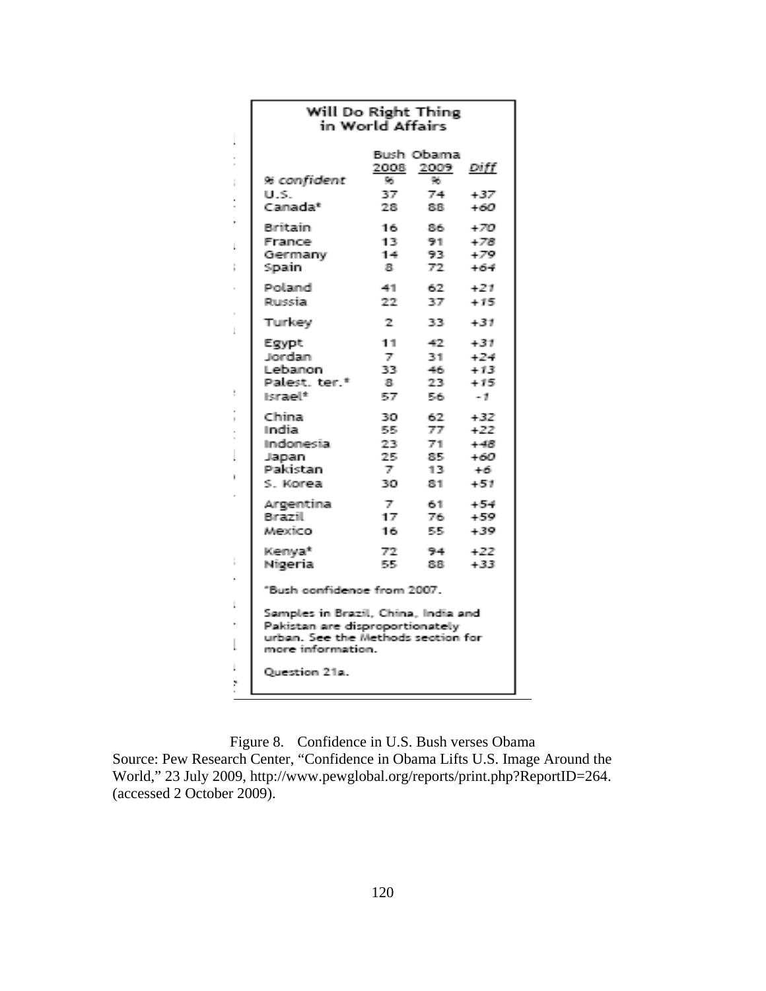|         | Will Do Right Thing<br>in World Affairs                                                                                           |                                              |                                        |                                                  |  |  |  |  |  |  |  |
|---------|-----------------------------------------------------------------------------------------------------------------------------------|----------------------------------------------|----------------------------------------|--------------------------------------------------|--|--|--|--|--|--|--|
|         |                                                                                                                                   | 2008<br>tας.                                 | Bush Obamai<br>2009<br>96              | Diff                                             |  |  |  |  |  |  |  |
| į       | % confident<br>U.S.<br>Canada*                                                                                                    | 37.<br>28                                    | 74.<br>88.                             | $+37$<br>$+60$                                   |  |  |  |  |  |  |  |
|         | Biritain<br>France<br>Germany<br>Spain                                                                                            | 16.<br>13.<br>14<br>а.                       | 86.<br>设计<br>93.<br>72.                | $+70$<br>$+78$<br>+79<br>$+64$                   |  |  |  |  |  |  |  |
|         | Poland<br>Purecia.                                                                                                                | -411<br>22                                   | 62.<br>ŦZ                              | 471<br>$+ 15$                                    |  |  |  |  |  |  |  |
| I       | Turkey                                                                                                                            | 2.                                           | 33.                                    | $+31$                                            |  |  |  |  |  |  |  |
|         | Egypt<br><b>Jordan</b><br>Lebanon,<br>Palest, ter. <sup>*</sup><br>ikrael*                                                        | 11<br>$\overline{Z}$ .<br>33<br>震.<br>57     | -42.<br>31.<br>46.<br>23.<br>56.       | $+31$<br>+24<br>$+ 13$<br>$+15$<br>- 11          |  |  |  |  |  |  |  |
| í.<br>I | Chrinal<br>tmelliau.<br>Indonesia.<br>Japan<br>Pakistan<br>S Korea                                                                | 30<br>原理<br>フス<br>学院<br>$\mathbb{Z}$<br>7803 | 62.<br>77.<br>71.<br>器長<br>11.75<br>吊手 | $+32$<br>$+22$<br>$+40%$<br>+60<br>$+6$<br>$+51$ |  |  |  |  |  |  |  |
|         | Argentina.<br>Birazill<br>Mexico.                                                                                                 | $\mathbb{Z}^n$<br>17.<br>16.                 | 61.<br>76.<br>55.                      | $+54$<br>$+59$<br>$+39$                          |  |  |  |  |  |  |  |
|         | Kenya*<br>Nigeria                                                                                                                 | 72.<br>原理                                    | 194 L<br>88.                           | 4.77<br>$+33$                                    |  |  |  |  |  |  |  |
|         | "Bush confidence from 2007.                                                                                                       |                                              |                                        |                                                  |  |  |  |  |  |  |  |
| I       | Samples in Brazil, China, India and<br>Pakistan are disproportionately<br>urban. See the Methods section for<br>more information. |                                              |                                        |                                                  |  |  |  |  |  |  |  |
| þ.      | Ouestion 21a.                                                                                                                     |                                              |                                        |                                                  |  |  |  |  |  |  |  |

Figure 8. Confidence in U.S. Bush verses Obama Source: Pew Research Center, "Confidence in Obama Lifts U.S. Image Around the World," 23 July 2009, http://www.pewglobal.org/reports/print.php?ReportID=264. (accessed 2 October 2009).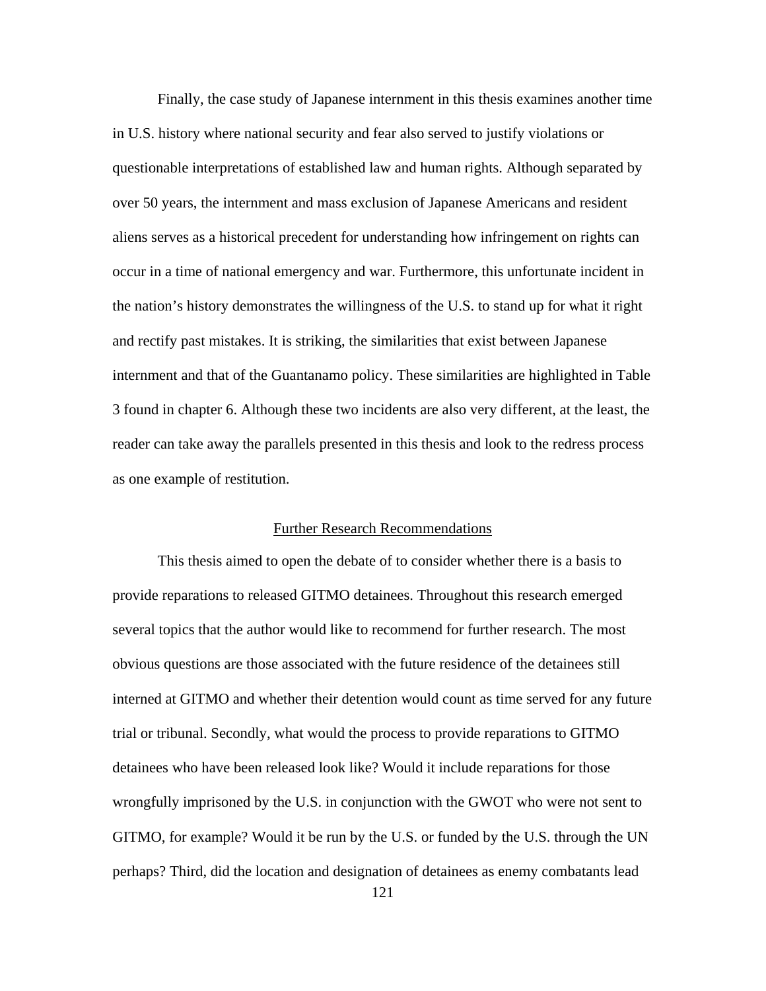Finally, the case study of Japanese internment in this thesis examines another time in U.S. history where national security and fear also served to justify violations or questionable interpretations of established law and human rights. Although separated by over 50 years, the internment and mass exclusion of Japanese Americans and resident aliens serves as a historical precedent for understanding how infringement on rights can occur in a time of national emergency and war. Furthermore, this unfortunate incident in the nation's history demonstrates the willingness of the U.S. to stand up for what it right and rectify past mistakes. It is striking, the similarities that exist between Japanese internment and that of the Guantanamo policy. These similarities are highlighted in Table 3 found in chapter 6. Although these two incidents are also very different, at the least, the reader can take away the parallels presented in this thesis and look to the redress process as one example of restitution.

#### Further Research Recommendations

This thesis aimed to open the debate of to consider whether there is a basis to provide reparations to released GITMO detainees. Throughout this research emerged several topics that the author would like to recommend for further research. The most obvious questions are those associated with the future residence of the detainees still interned at GITMO and whether their detention would count as time served for any future trial or tribunal. Secondly, what would the process to provide reparations to GITMO detainees who have been released look like? Would it include reparations for those wrongfully imprisoned by the U.S. in conjunction with the GWOT who were not sent to GITMO, for example? Would it be run by the U.S. or funded by the U.S. through the UN perhaps? Third, did the location and designation of detainees as enemy combatants lead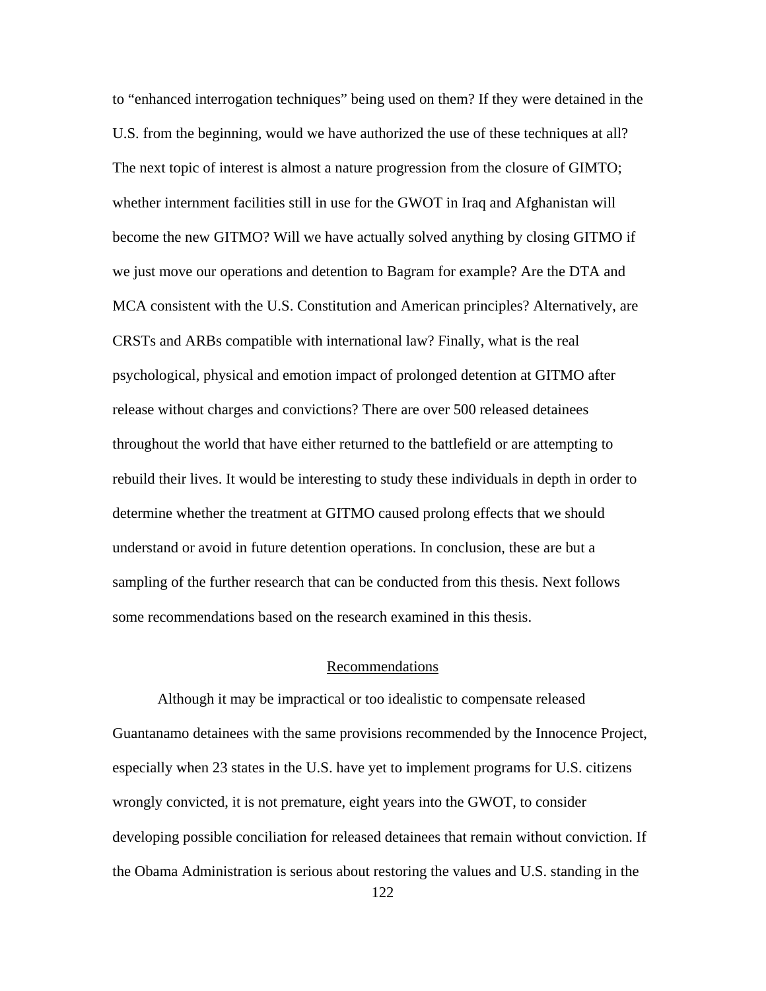to "enhanced interrogation techniques" being used on them? If they were detained in the U.S. from the beginning, would we have authorized the use of these techniques at all? The next topic of interest is almost a nature progression from the closure of GIMTO; whether internment facilities still in use for the GWOT in Iraq and Afghanistan will become the new GITMO? Will we have actually solved anything by closing GITMO if we just move our operations and detention to Bagram for example? Are the DTA and MCA consistent with the U.S. Constitution and American principles? Alternatively, are CRSTs and ARBs compatible with international law? Finally, what is the real psychological, physical and emotion impact of prolonged detention at GITMO after release without charges and convictions? There are over 500 released detainees throughout the world that have either returned to the battlefield or are attempting to rebuild their lives. It would be interesting to study these individuals in depth in order to determine whether the treatment at GITMO caused prolong effects that we should understand or avoid in future detention operations. In conclusion, these are but a sampling of the further research that can be conducted from this thesis. Next follows some recommendations based on the research examined in this thesis.

## Recommendations

Although it may be impractical or too idealistic to compensate released Guantanamo detainees with the same provisions recommended by the Innocence Project, especially when 23 states in the U.S. have yet to implement programs for U.S. citizens wrongly convicted, it is not premature, eight years into the GWOT, to consider developing possible conciliation for released detainees that remain without conviction. If the Obama Administration is serious about restoring the values and U.S. standing in the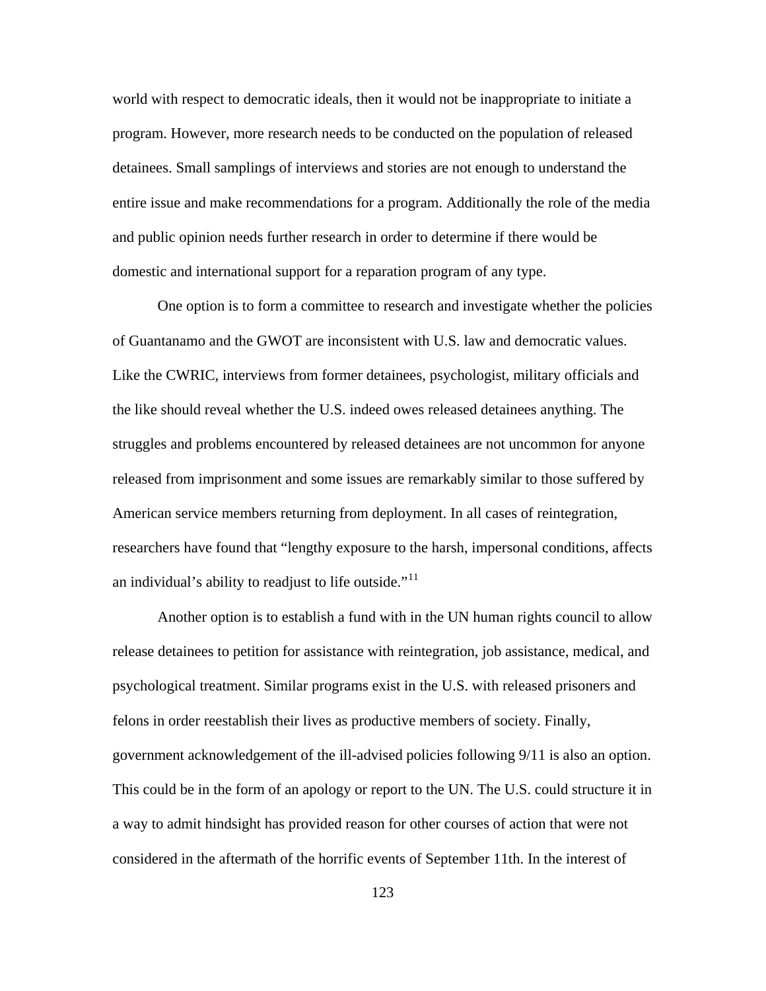world with respect to democratic ideals, then it would not be inappropriate to initiate a program. However, more research needs to be conducted on the population of released detainees. Small samplings of interviews and stories are not enough to understand the entire issue and make recommendations for a program. Additionally the role of the media and public opinion needs further research in order to determine if there would be domestic and international support for a reparation program of any type.

One option is to form a committee to research and investigate whether the policies of Guantanamo and the GWOT are inconsistent with U.S. law and democratic values. Like the CWRIC, interviews from former detainees, psychologist, military officials and the like should reveal whether the U.S. indeed owes released detainees anything. The struggles and problems encountered by released detainees are not uncommon for anyone released from imprisonment and some issues are remarkably similar to those suffered by American service members returning from deployment. In all cases of reintegration, researchers have found that "lengthy exposure to the harsh, impersonal conditions, affects an individual's ability to readjust to life outside." $11$ 

Another option is to establish a fund with in the UN human rights council to allow release detainees to petition for assistance with reintegration, job assistance, medical, and psychological treatment. Similar programs exist in the U.S. with released prisoners and felons in order reestablish their lives as productive members of society. Finally, government acknowledgement of the ill-advised policies following 9/11 is also an option. This could be in the form of an apology or report to the UN. The U.S. could structure it in a way to admit hindsight has provided reason for other courses of action that were not considered in the aftermath of the horrific events of September 11th. In the interest of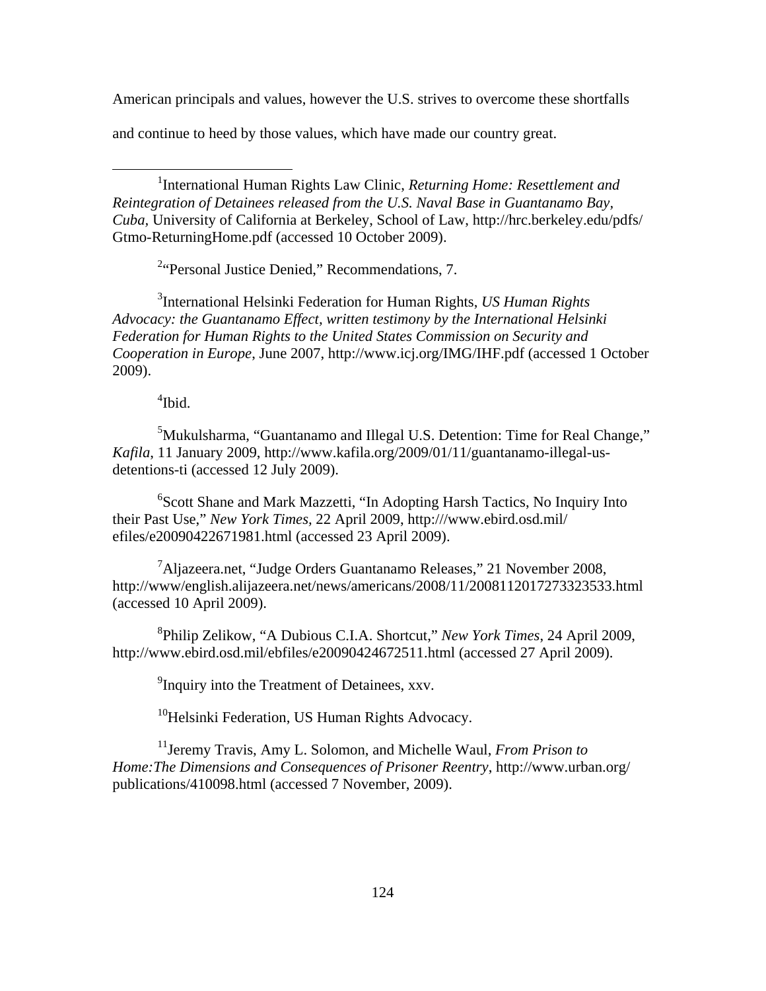American principals and values, however the U.S. strives to overcome these shortfalls

and continue to heed by those values, which have made our country great.

<sup>1</sup>International Human Rights Law Clinic, *Returning Home: Resettlement and Reintegration of Detainees released from the U.S. Naval Base in Guantanamo Bay, Cuba,* University of California at Berkeley, School of Law, http://hrc.berkeley.edu/pdfs/ Gtmo-ReturningHome.pdf (accessed 10 October 2009).

<sup>2</sup> Personal Justice Denied," Recommendations, 7.

3 International Helsinki Federation for Human Rights, *US Human Rights Advocacy: the Guantanamo Effect, written testimony by the International Helsinki Federation for Human Rights to the United States Commission on Security and Cooperation in Europe*, June 2007, http://www.icj.org/IMG/IHF.pdf (accessed 1 October 2009).

4 Ibid.

 $\overline{a}$ 

<sup>5</sup>Mukulsharma, "Guantanamo and Illegal U.S. Detention: Time for Real Change," *Kafila*, 11 January 2009, http://www.kafila.org/2009/01/11/guantanamo-illegal-usdetentions-ti (accessed 12 July 2009).

<sup>6</sup>Scott Shane and Mark Mazzetti, "In Adopting Harsh Tactics, No Inquiry Into their Past Use," *New York Times,* 22 April 2009, http:///www.ebird.osd.mil/ efiles/e20090422671981.html (accessed 23 April 2009).

<sup>7</sup>Aljazeera.net, "Judge Orders Guantanamo Releases," 21 November 2008, http://www/english.alijazeera.net/news/americans/2008/11/2008112017273323533.html (accessed 10 April 2009).

8 Philip Zelikow, "A Dubious C.I.A. Shortcut," *New York Times*, 24 April 2009, http://www.ebird.osd.mil/ebfiles/e20090424672511.html (accessed 27 April 2009).

<sup>9</sup> Inquiry into the Treatment of Detainees, xxv.

<sup>10</sup>Helsinki Federation, US Human Rights Advocacy.

11Jeremy Travis, Amy L. Solomon, and Michelle Waul, *From Prison to Home:The Dimensions and Consequences of Prisoner Reentry*, http://www.urban.org/ publications/410098.html (accessed 7 November, 2009).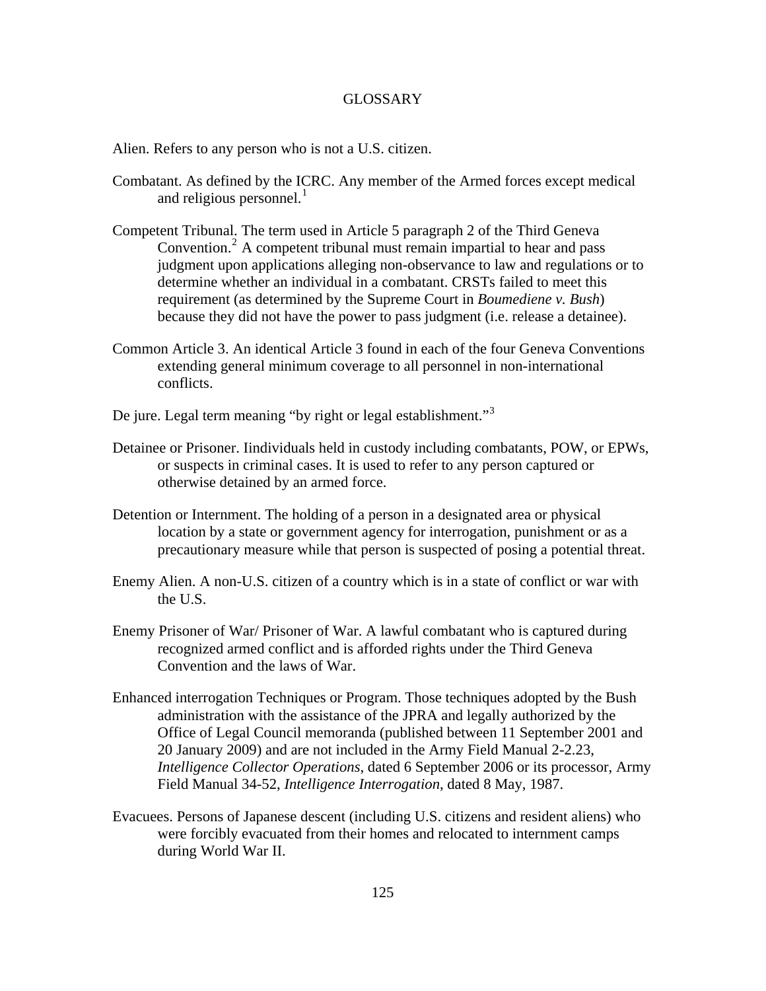# GLOSSARY

Alien. Refers to any person who is not a U.S. citizen.

- Combatant. As defined by the ICRC. Any member of the Armed forces except medical and religious personnel. $<sup>1</sup>$  $<sup>1</sup>$  $<sup>1</sup>$ </sup>
- Competent Tribunal. The term used in Article 5 paragraph 2 of the Third Geneva Convention.<sup>[2](#page-150-4)</sup> A competent tribunal must remain impartial to hear and pass judgment upon applications alleging non-observance to law and regulations or to determine whether an individual in a combatant. CRSTs failed to meet this requirement (as determined by the Supreme Court in *Boumediene v. Bush*) because they did not have the power to pass judgment (i.e. release a detainee).
- Common Article 3. An identical Article 3 found in each of the four Geneva Conventions extending general minimum coverage to all personnel in non-international conflicts.
- De jure. Legal term meaning "by right or legal establishment."<sup>[3](#page-150-0)</sup>
- Detainee or Prisoner. Iindividuals held in custody including combatants, POW, or EPWs, or suspects in criminal cases. It is used to refer to any person captured or otherwise detained by an armed force.
- Detention or Internment. The holding of a person in a designated area or physical location by a state or government agency for interrogation, punishment or as a precautionary measure while that person is suspected of posing a potential threat.
- Enemy Alien. A non-U.S. citizen of a country which is in a state of conflict or war with the U.S.
- Enemy Prisoner of War/ Prisoner of War. A lawful combatant who is captured during recognized armed conflict and is afforded rights under the Third Geneva Convention and the laws of War.
- Enhanced interrogation Techniques or Program. Those techniques adopted by the Bush administration with the assistance of the JPRA and legally authorized by the Office of Legal Council memoranda (published between 11 September 2001 and 20 January 2009) and are not included in the Army Field Manual 2-2.23, *Intelligence Collector Operations*, dated 6 September 2006 or its processor, Army Field Manual 34-52, *Intelligence Interrogation*, dated 8 May, 1987.
- Evacuees. Persons of Japanese descent (including U.S. citizens and resident aliens) who were forcibly evacuated from their homes and relocated to internment camps during World War II.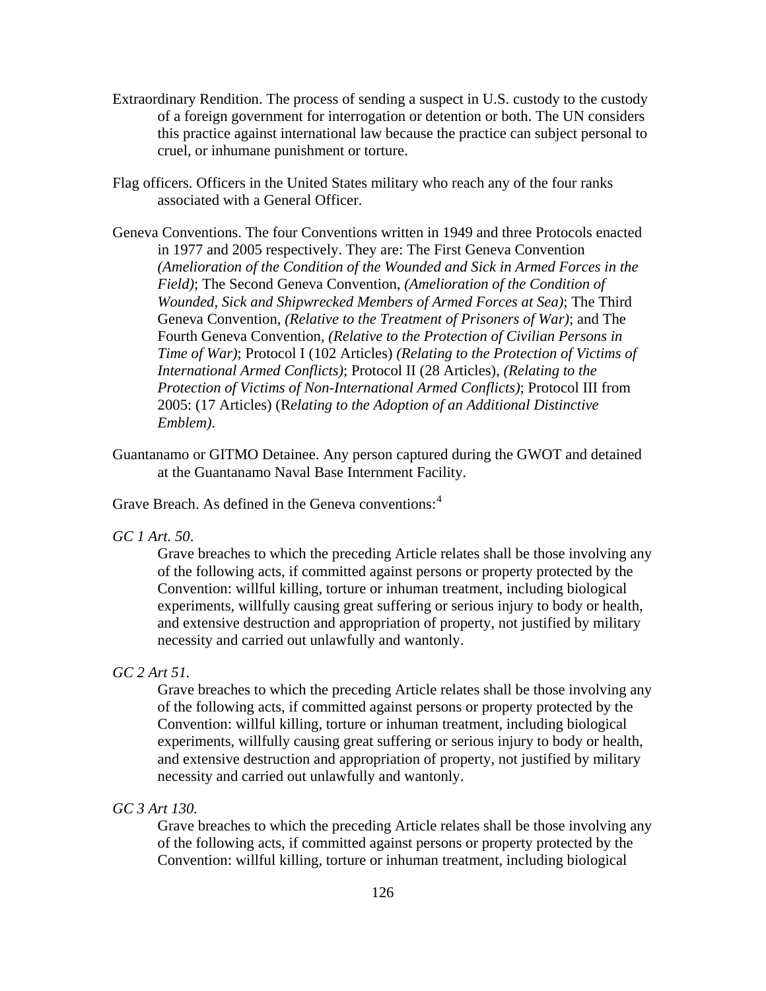- Extraordinary Rendition. The process of sending a suspect in U.S. custody to the custody of a foreign government for interrogation or detention or both. The UN considers this practice against international law because the practice can subject personal to cruel, or inhumane punishment or torture.
- Flag officers. Officers in the United States military who reach any of the four ranks associated with a General Officer.
- Geneva Conventions. The four Conventions written in 1949 and three Protocols enacted in 1977 and 2005 respectively. They are: The First Geneva Convention *(Amelioration of the Condition of the Wounded and Sick in Armed Forces in the Field)*; The Second Geneva Convention, *(Amelioration of the Condition of Wounded, Sick and Shipwrecked Members of Armed Forces at Sea)*; The Third Geneva Convention, *(Relative to the Treatment of Prisoners of War)*; and The Fourth Geneva Convention, *(Relative to the Protection of Civilian Persons in Time of War)*; Protocol I (102 Articles) *(Relating to the Protection of Victims of International Armed Conflicts)*; Protocol II (28 Articles), *(Relating to the Protection of Victims of Non-International Armed Conflicts)*; Protocol III from 2005: (17 Articles) (R*elating to the Adoption of an Additional Distinctive Emblem)*.
- Guantanamo or GITMO Detainee. Any person captured during the GWOT and detained at the Guantanamo Naval Base Internment Facility.

Grave Breach. As defined in the Geneva conventions:<sup>[4](#page-150-0)</sup>

*GC 1 Art. 50*.

Grave breaches to which the preceding Article relates shall be those involving any of the following acts, if committed against persons or property protected by the Convention: willful killing, torture or inhuman treatment, including biological experiments, willfully causing great suffering or serious injury to body or health, and extensive destruction and appropriation of property, not justified by military necessity and carried out unlawfully and wantonly.

# *GC 2 Art 51.*

Grave breaches to which the preceding Article relates shall be those involving any of the following acts, if committed against persons or property protected by the Convention: willful killing, torture or inhuman treatment, including biological experiments, willfully causing great suffering or serious injury to body or health, and extensive destruction and appropriation of property, not justified by military necessity and carried out unlawfully and wantonly.

# *GC 3 Art 130.*

Grave breaches to which the preceding Article relates shall be those involving any of the following acts, if committed against persons or property protected by the Convention: willful killing, torture or inhuman treatment, including biological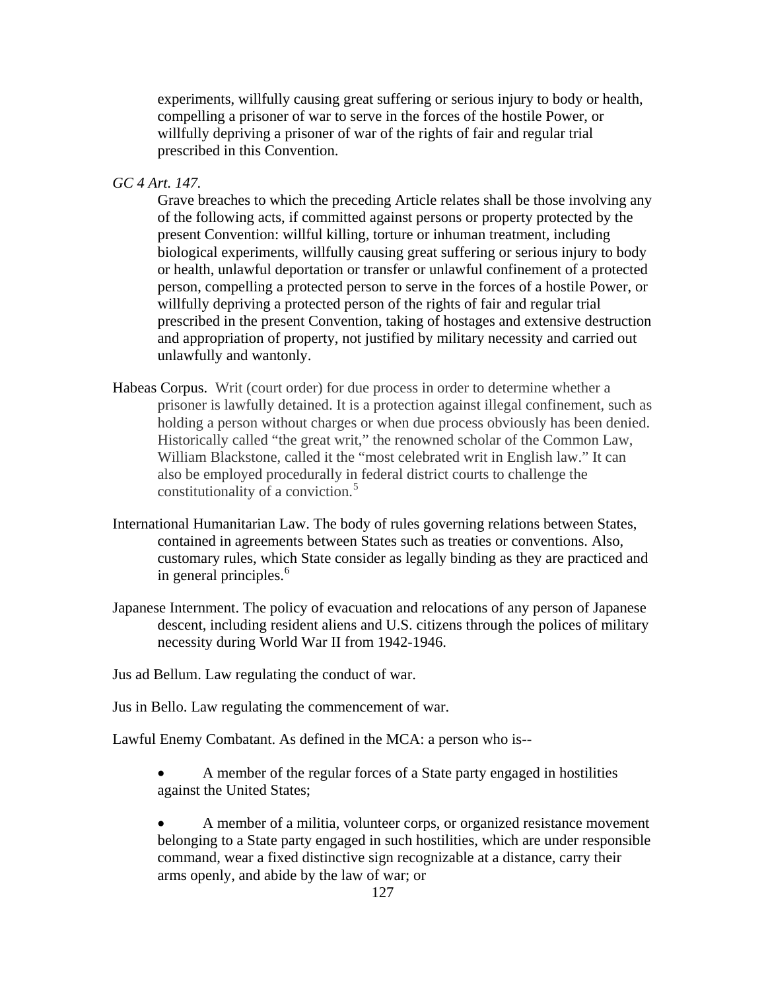experiments, willfully causing great suffering or serious injury to body or health, compelling a prisoner of war to serve in the forces of the hostile Power, or willfully depriving a prisoner of war of the rights of fair and regular trial prescribed in this Convention.

*GC 4 Art. 147.*

Grave breaches to which the preceding Article relates shall be those involving any of the following acts, if committed against persons or property protected by the present Convention: willful killing, torture or inhuman treatment, including biological experiments, willfully causing great suffering or serious injury to body or health, unlawful deportation or transfer or unlawful confinement of a protected person, compelling a protected person to serve in the forces of a hostile Power, or willfully depriving a protected person of the rights of fair and regular trial prescribed in the present Convention, taking of hostages and extensive destruction and appropriation of property, not justified by military necessity and carried out unlawfully and wantonly.

- Habeas Corpus. Writ (court order) for due process in order to determine whether a prisoner is lawfully detained. It is a protection against illegal confinement, such as holding a person without charges or when due process obviously has been denied. Historically called "the great writ," the renowned scholar of the Common Law, William Blackstone, called it the "most celebrated writ in English law." It can also be employed procedurally in federal district courts to challenge the constitutionality of a conviction.<sup>[5](#page-150-0)</sup>
- International Humanitarian Law. The body of rules governing relations between States, contained in agreements between States such as treaties or conventions. Also, customary rules, which State consider as legally binding as they are practiced and in general principles.<sup>[6](#page-150-0)</sup>
- Japanese Internment. The policy of evacuation and relocations of any person of Japanese descent, including resident aliens and U.S. citizens through the polices of military necessity during World War II from 1942-1946.

Jus ad Bellum. Law regulating the conduct of war.

Jus in Bello. Law regulating the commencement of war.

Lawful Enemy Combatant. As defined in the MCA: a person who is--

• A member of the regular forces of a State party engaged in hostilities against the United States;

• A member of a militia, volunteer corps, or organized resistance movement belonging to a State party engaged in such hostilities, which are under responsible command, wear a fixed distinctive sign recognizable at a distance, carry their arms openly, and abide by the law of war; or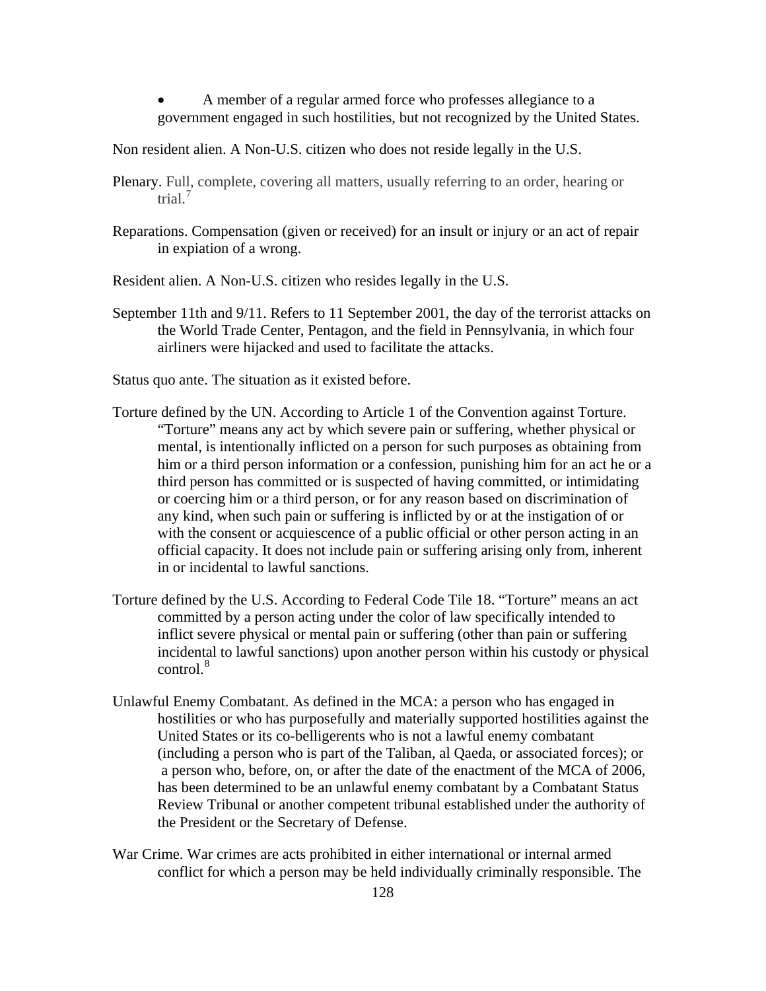• A member of a regular armed force who professes allegiance to a government engaged in such hostilities, but not recognized by the United States.

Non resident alien. A Non-U.S. citizen who does not reside legally in the U.S.

- Plenary. Full, complete, covering all matters, usually referring to an order, hearing or trial.[7](#page-150-0)
- Reparations. Compensation (given or received) for an insult or injury or an act of repair in expiation of a wrong.

Resident alien. A Non-U.S. citizen who resides legally in the U.S.

- September 11th and 9/11. Refers to 11 September 2001, the day of the terrorist attacks on the World Trade Center, Pentagon, and the field in Pennsylvania, in which four airliners were hijacked and used to facilitate the attacks.
- Status quo ante. The situation as it existed before.
- Torture defined by the UN. According to Article 1 of the Convention against Torture. "Torture" means any act by which severe pain or suffering, whether physical or mental, is intentionally inflicted on a person for such purposes as obtaining from him or a third person information or a confession, punishing him for an act he or a third person has committed or is suspected of having committed, or intimidating or coercing him or a third person, or for any reason based on discrimination of any kind, when such pain or suffering is inflicted by or at the instigation of or with the consent or acquiescence of a public official or other person acting in an official capacity. It does not include pain or suffering arising only from, inherent in or incidental to lawful sanctions.
- Torture defined by the U.S. According to Federal Code Tile 18. "Torture" means an act committed by a person acting under the color of law specifically intended to inflict severe physical or mental pain or suffering (other than pain or suffering incidental to lawful sanctions) upon another person within his custody or physical  $control.<sup>8</sup>$  $control.<sup>8</sup>$  $control.<sup>8</sup>$
- Unlawful Enemy Combatant. As defined in the MCA: a person who has engaged in hostilities or who has purposefully and materially supported hostilities against the United States or its co-belligerents who is not a lawful enemy combatant (including a person who is part of the Taliban, al Qaeda, or associated forces); or a person who, before, on, or after the date of the enactment of the MCA of 2006, has been determined to be an unlawful enemy combatant by a Combatant Status Review Tribunal or another competent tribunal established under the authority of the President or the Secretary of Defense.
- War Crime. War crimes are acts prohibited in either international or internal armed conflict for which a person may be held individually criminally responsible. The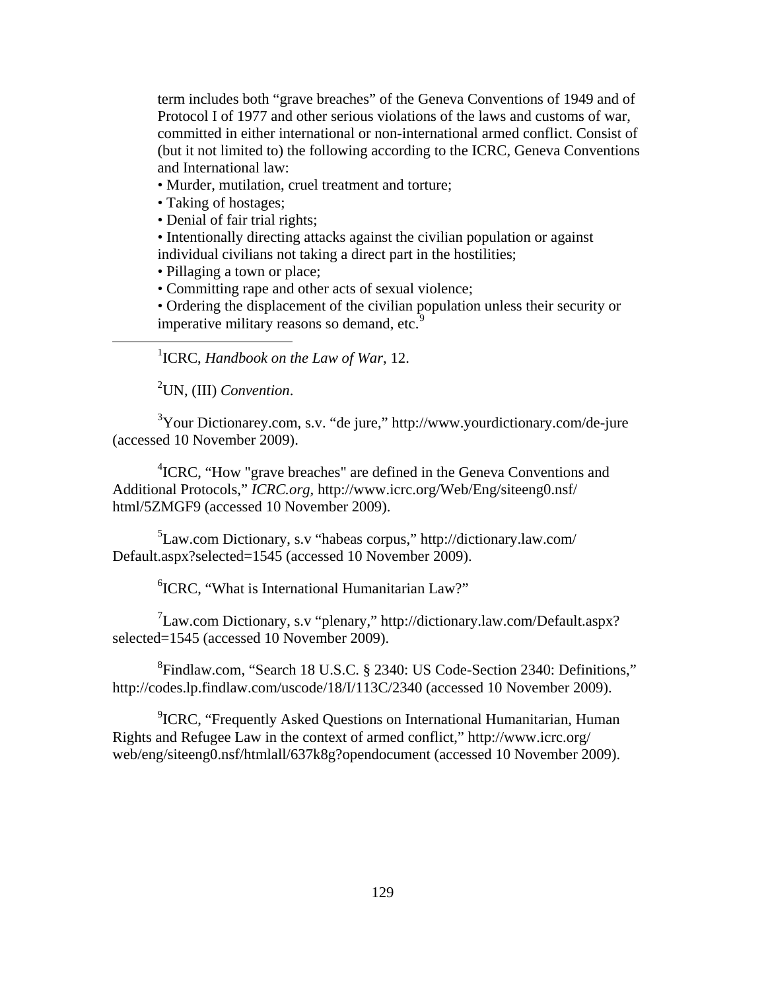term includes both "grave breaches" of the Geneva Conventions of 1949 and of Protocol I of 1977 and other serious violations of the laws and customs of war, committed in either international or non-international armed conflict. Consist of (but it not limited to) the following according to the ICRC, Geneva Conventions and International law:

- Murder, mutilation, cruel treatment and torture;
- Taking of hostages;
- Denial of fair trial rights;

• Intentionally directing attacks against the civilian population or against individual civilians not taking a direct part in the hostilities;

- Pillaging a town or place;
- Committing rape and other acts of sexual violence;

• Ordering the displacement of the civilian population unless their security or imperative military reasons so demand, etc.<sup>[9](#page-150-0)</sup>

1 ICRC, *Handbook on the Law of War*, 12.

2 UN, (III) *Convention*.

 $\overline{a}$ 

<sup>3</sup>Your Dictionarey.com, s.v. "de jure," http://www.yourdictionary.com/de-jure (accessed 10 November 2009).

<sup>4</sup>ICRC, "How "grave breaches" are defined in the Geneva Conventions and Additional Protocols," *ICRC.org,* http://www.icrc.org/Web/Eng/siteeng0.nsf/ html/5ZMGF9 (accessed 10 November 2009).

5 Law.com Dictionary, s.v "habeas corpus," http://dictionary.law.com/ Default.aspx?selected=1545 (accessed 10 November 2009).

6 ICRC, "What is International Humanitarian Law?"

 $7$ Law.com Dictionary, s.v "plenary," http://dictionary.law.com/Default.aspx? selected=1545 (accessed 10 November 2009).

8 Findlaw.com, "Search 18 U.S.C. § 2340: US Code-Section 2340: Definitions," http://codes.lp.findlaw.com/uscode/18/I/113C/2340 (accessed 10 November 2009).

<sup>9</sup>ICRC, "Frequently Asked Questions on International Humanitarian, Human Rights and Refugee Law in the context of armed conflict," http://www.icrc.org/ web/eng/siteeng0.nsf/htmlall/637k8g?opendocument (accessed 10 November 2009).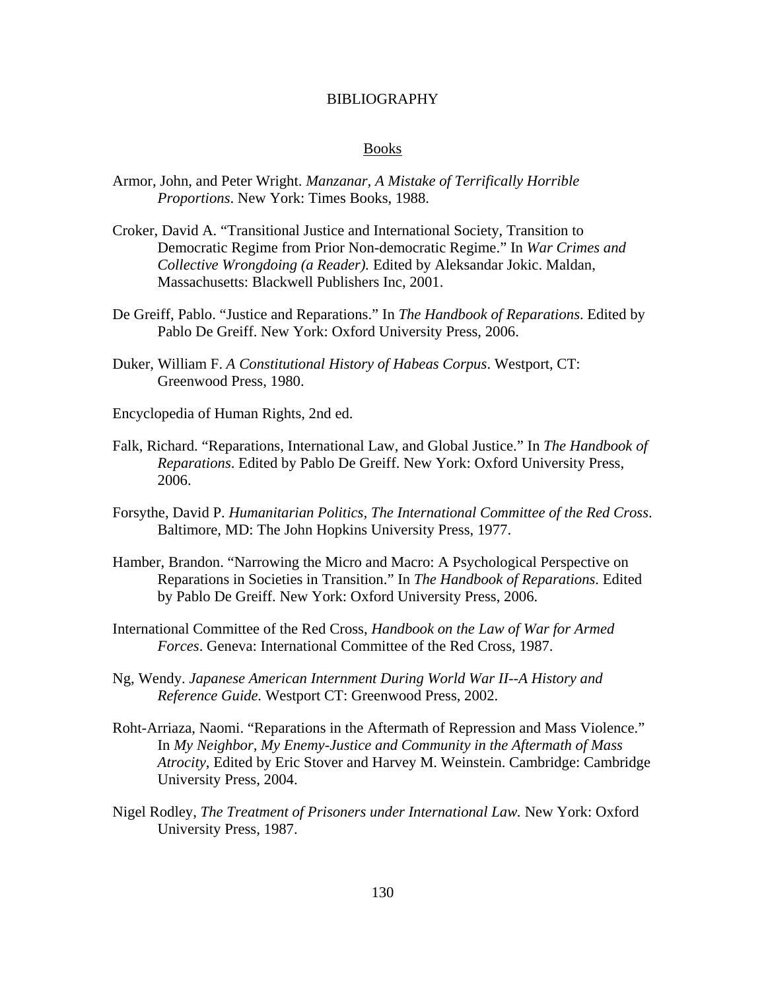### BIBLIOGRAPHY

### Books

- Armor, John, and Peter Wright. *Manzanar, A Mistake of Terrifically Horrible Proportions*. New York: Times Books, 1988.
- Croker, David A. "Transitional Justice and International Society, Transition to Democratic Regime from Prior Non-democratic Regime." In *War Crimes and Collective Wrongdoing (a Reader).* Edited by Aleksandar Jokic. Maldan, Massachusetts: Blackwell Publishers Inc, 2001.
- De Greiff, Pablo. "Justice and Reparations." In *The Handbook of Reparations*. Edited by Pablo De Greiff. New York: Oxford University Press, 2006.
- Duker, William F. *A Constitutional History of Habeas Corpus*. Westport, CT: Greenwood Press, 1980.
- Encyclopedia of Human Rights, 2nd ed.
- Falk, Richard. "Reparations, International Law, and Global Justice." In *The Handbook of Reparations*. Edited by Pablo De Greiff. New York: Oxford University Press, 2006.
- Forsythe, David P. *Humanitarian Politics, The International Committee of the Red Cross*. Baltimore, MD: The John Hopkins University Press, 1977.
- Hamber, Brandon. "Narrowing the Micro and Macro: A Psychological Perspective on Reparations in Societies in Transition." In *The Handbook of Reparations*. Edited by Pablo De Greiff. New York: Oxford University Press, 2006.
- International Committee of the Red Cross, *Handbook on the Law of War for Armed Forces*. Geneva: International Committee of the Red Cross, 1987.
- Ng, Wendy. *Japanese American Internment During World War II--A History and Reference Guide.* Westport CT: Greenwood Press, 2002.
- Roht-Arriaza, Naomi. "Reparations in the Aftermath of Repression and Mass Violence." In *My Neighbor, My Enemy-Justice and Community in the Aftermath of Mass Atrocity*, Edited by Eric Stover and Harvey M. Weinstein. Cambridge: Cambridge University Press, 2004.
- Nigel Rodley, *The Treatment of Prisoners under International Law.* New York: Oxford University Press, 1987.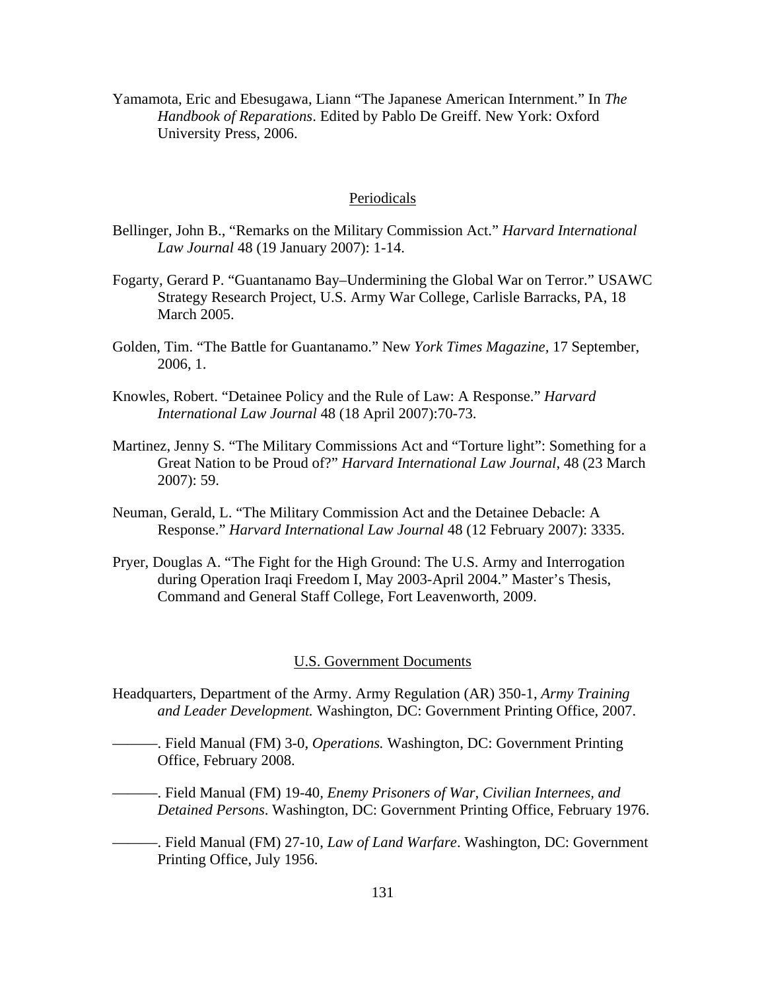Yamamota, Eric and Ebesugawa, Liann "The Japanese American Internment." In *The Handbook of Reparations*. Edited by Pablo De Greiff. New York: Oxford University Press, 2006.

### Periodicals

- Bellinger, John B., "Remarks on the Military Commission Act." *Harvard International Law Journal* 48 (19 January 2007): 1-14.
- Fogarty, Gerard P. "Guantanamo Bay–Undermining the Global War on Terror." USAWC Strategy Research Project, U.S. Army War College, Carlisle Barracks, PA, 18 March 2005.
- Golden, Tim. "The Battle for Guantanamo." New *York Times Magazine,* 17 September, 2006, 1.
- Knowles, Robert. "Detainee Policy and the Rule of Law: A Response." *Harvard International Law Journal* 48 (18 April 2007):70-73.
- Martinez, Jenny S. "The Military Commissions Act and "Torture light": Something for a Great Nation to be Proud of?" *Harvard International Law Journal*, 48 (23 March 2007): 59.
- Neuman, Gerald, L. "The Military Commission Act and the Detainee Debacle: A Response." *Harvard International Law Journal* 48 (12 February 2007): 3335.
- Pryer, Douglas A. "The Fight for the High Ground: The U.S. Army and Interrogation during Operation Iraqi Freedom I, May 2003-April 2004." Master's Thesis, Command and General Staff College, Fort Leavenworth, 2009.

# U.S. Government Documents

- Headquarters, Department of the Army. Army Regulation (AR) 350-1, *Army Training and Leader Development.* Washington, DC: Government Printing Office, 2007.
- ———. Field Manual (FM) 3-0, *Operations.* Washington, DC: Government Printing Office, February 2008.
- ———. Field Manual (FM) 19-40*, Enemy Prisoners of War, Civilian Internees, and Detained Persons*. Washington, DC: Government Printing Office, February 1976.
- ———. Field Manual (FM) 27-10, *Law of Land Warfare*. Washington, DC: Government Printing Office, July 1956.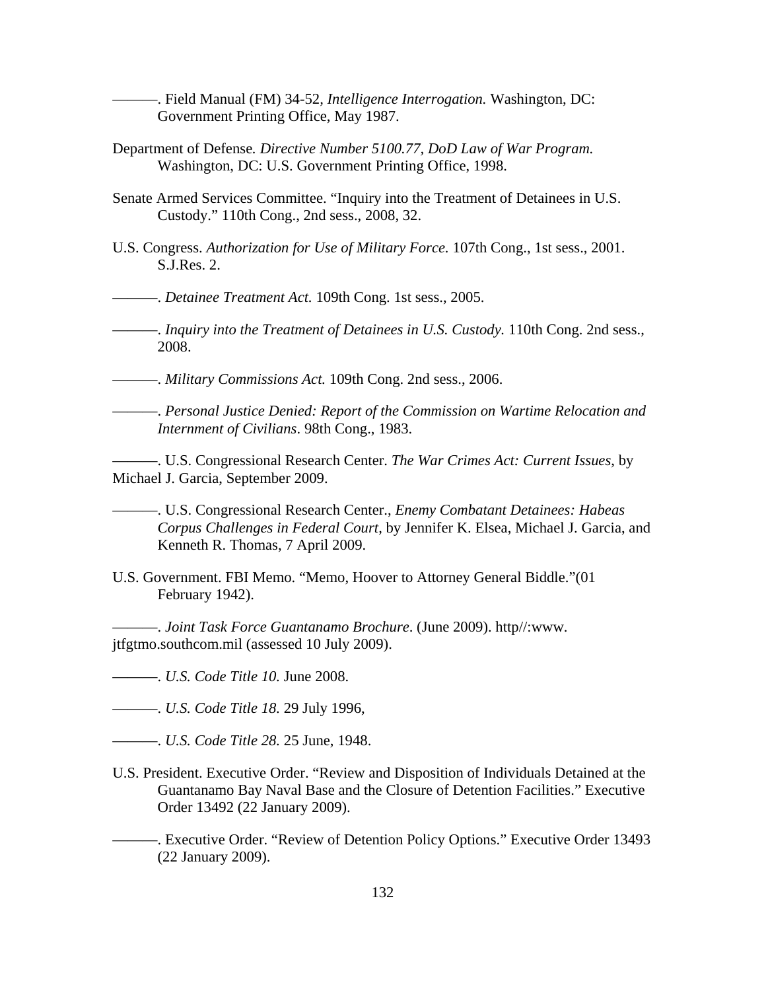———. Field Manual (FM) 34-52*, Intelligence Interrogation.* Washington, DC: Government Printing Office, May 1987.

- Department of Defense*. Directive Number 5100.77, DoD Law of War Program.*  Washington, DC: U.S. Government Printing Office, 1998.
- Senate Armed Services Committee. "Inquiry into the Treatment of Detainees in U.S. Custody." 110th Cong., 2nd sess., 2008, 32.
- U.S. Congress. *Authorization for Use of Military Force.* 107th Cong., 1st sess., 2001. S.J.Res. 2.

———. *Detainee Treatment Act.* 109th Cong. 1st sess., 2005.

———. *Inquiry into the Treatment of Detainees in U.S. Custody.* 110th Cong. 2nd sess., 2008.

———. *Military Commissions Act.* 109th Cong. 2nd sess., 2006.

———. *Personal Justice Denied: Report of the Commission on Wartime Relocation and Internment of Civilians*. 98th Cong., 1983.

———. U.S. Congressional Research Center. *The War Crimes Act: Current Issues*, by Michael J. Garcia, September 2009.

———. U.S. Congressional Research Center., *Enemy Combatant Detainees: Habeas Corpus Challenges in Federal Court,* by Jennifer K. Elsea, Michael J. Garcia, and Kenneth R. Thomas, 7 April 2009.

U.S. Government. FBI Memo. "Memo, Hoover to Attorney General Biddle."(01 February 1942).

———. *Joint Task Force Guantanamo Brochure*. (June 2009). http//:www. jtfgtmo.southcom.mil (assessed 10 July 2009).

———. *U.S. Code Title 10.* June 2008.

———. *U.S. Code Title 18.* 29 July 1996,

———. *U.S. Code Title 28.* 25 June, 1948.

- U.S. President. Executive Order. "Review and Disposition of Individuals Detained at the Guantanamo Bay Naval Base and the Closure of Detention Facilities." Executive Order 13492 (22 January 2009).
- ———. Executive Order. "Review of Detention Policy Options." Executive Order 13493 (22 January 2009).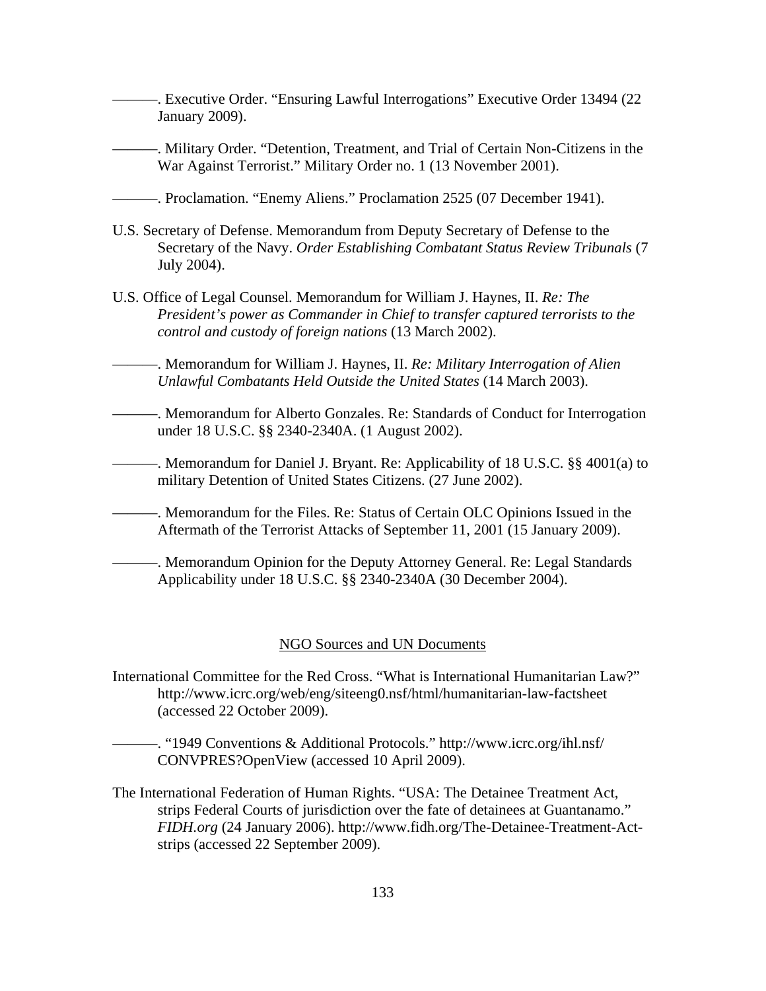———. Executive Order. "Ensuring Lawful Interrogations" Executive Order 13494 (22 January 2009).

———. Military Order. "Detention, Treatment, and Trial of Certain Non-Citizens in the War Against Terrorist." Military Order no. 1 (13 November 2001).

———. Proclamation. "Enemy Aliens." Proclamation 2525 (07 December 1941).

- U.S. Secretary of Defense. Memorandum from Deputy Secretary of Defense to the Secretary of the Navy. *Order Establishing Combatant Status Review Tribunals* (7 July 2004).
- U.S. Office of Legal Counsel. Memorandum for William J. Haynes, II. *Re: The President's power as Commander in Chief to transfer captured terrorists to the control and custody of foreign nations* (13 March 2002).
	- ———. Memorandum for William J. Haynes, II. *Re: Military Interrogation of Alien Unlawful Combatants Held Outside the United States* (14 March 2003).
- ———. Memorandum for Alberto Gonzales. Re: Standards of Conduct for Interrogation under 18 U.S.C. §§ 2340-2340A. (1 August 2002).
- ———. Memorandum for Daniel J. Bryant. Re: Applicability of 18 U.S.C. §§ 4001(a) to military Detention of United States Citizens. (27 June 2002).
- ———. Memorandum for the Files. Re: Status of Certain OLC Opinions Issued in the Aftermath of the Terrorist Attacks of September 11, 2001 (15 January 2009).
- ———. Memorandum Opinion for the Deputy Attorney General. Re: Legal Standards Applicability under 18 U.S.C. §§ 2340-2340A (30 December 2004).

## NGO Sources and UN Documents

- International Committee for the Red Cross. "What is International Humanitarian Law?" http://www.icrc.org/web/eng/siteeng0.nsf/html/humanitarian-law-factsheet (accessed 22 October 2009).
	- ———. "1949 Conventions & Additional Protocols." http://www.icrc.org/ihl.nsf/ CONVPRES?OpenView (accessed 10 April 2009).
- The International Federation of Human Rights. "USA: The Detainee Treatment Act, strips Federal Courts of jurisdiction over the fate of detainees at Guantanamo." *FIDH.org* (24 January 2006). http://www.fidh.org/The-Detainee-Treatment-Actstrips (accessed 22 September 2009).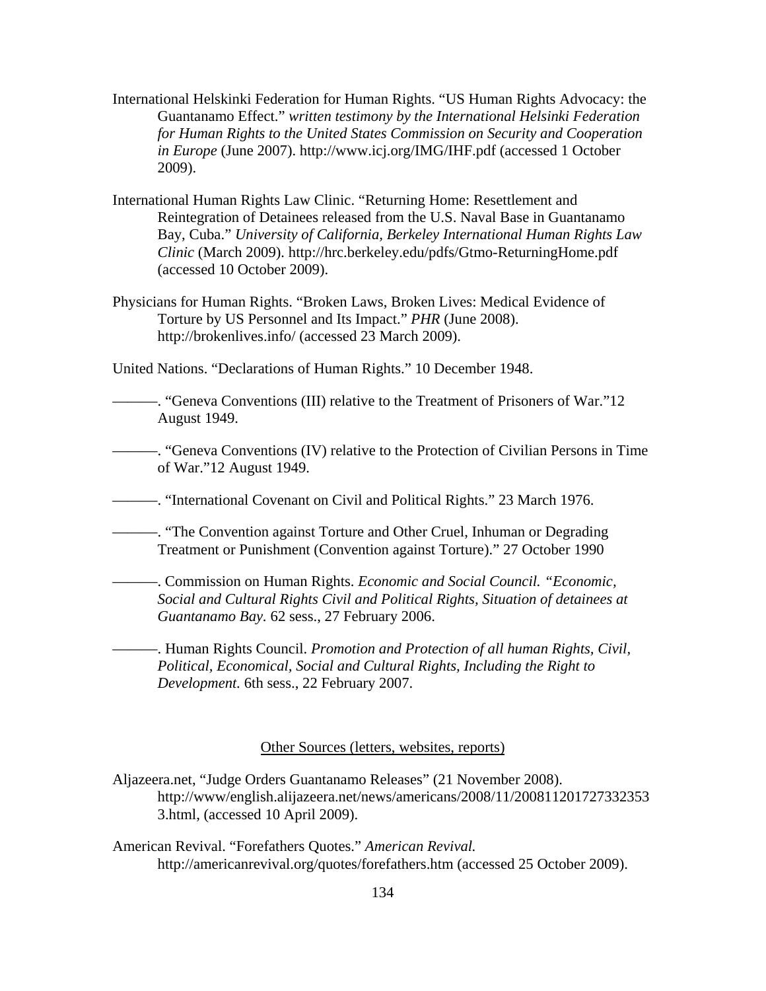- International Helskinki Federation for Human Rights. "US Human Rights Advocacy: the Guantanamo Effect." *written testimony by the International Helsinki Federation for Human Rights to the United States Commission on Security and Cooperation in Europe* (June 2007). http://www.icj.org/IMG/IHF.pdf (accessed 1 October 2009).
- International Human Rights Law Clinic. "Returning Home: Resettlement and Reintegration of Detainees released from the U.S. Naval Base in Guantanamo Bay, Cuba." *University of California, Berkeley International Human Rights Law Clinic* (March 2009). http://hrc.berkeley.edu/pdfs/Gtmo-ReturningHome.pdf (accessed 10 October 2009).
- Physicians for Human Rights. "Broken Laws, Broken Lives: Medical Evidence of Torture by US Personnel and Its Impact." *PHR* (June 2008). http://brokenlives.info/ (accessed 23 March 2009).

United Nations. "Declarations of Human Rights." 10 December 1948.

- ———. "Geneva Conventions (III) relative to the Treatment of Prisoners of War."12 August 1949.
- ———. "Geneva Conventions (IV) relative to the Protection of Civilian Persons in Time of War."12 August 1949.
- ———. "International Covenant on Civil and Political Rights." 23 March 1976.

———. "The Convention against Torture and Other Cruel, Inhuman or Degrading Treatment or Punishment (Convention against Torture)." 27 October 1990

———. Commission on Human Rights. *Economic and Social Council. "Economic, Social and Cultural Rights Civil and Political Rights, Situation of detainees at Guantanamo Bay.* 62 sess., 27 February 2006.

———. Human Rights Council. *Promotion and Protection of all human Rights, Civil, Political, Economical, Social and Cultural Rights, Including the Right to Development.* 6th sess., 22 February 2007.

## Other Sources (letters, websites, reports)

- Aljazeera.net, "Judge Orders Guantanamo Releases" (21 November 2008). http://www/english.alijazeera.net/news/americans/2008/11/200811201727332353 3.html, (accessed 10 April 2009).
- American Revival. "Forefathers Quotes." *American Revival.* <http://americanrevival.org/quotes/forefathers.htm>(accessed 25 October 2009).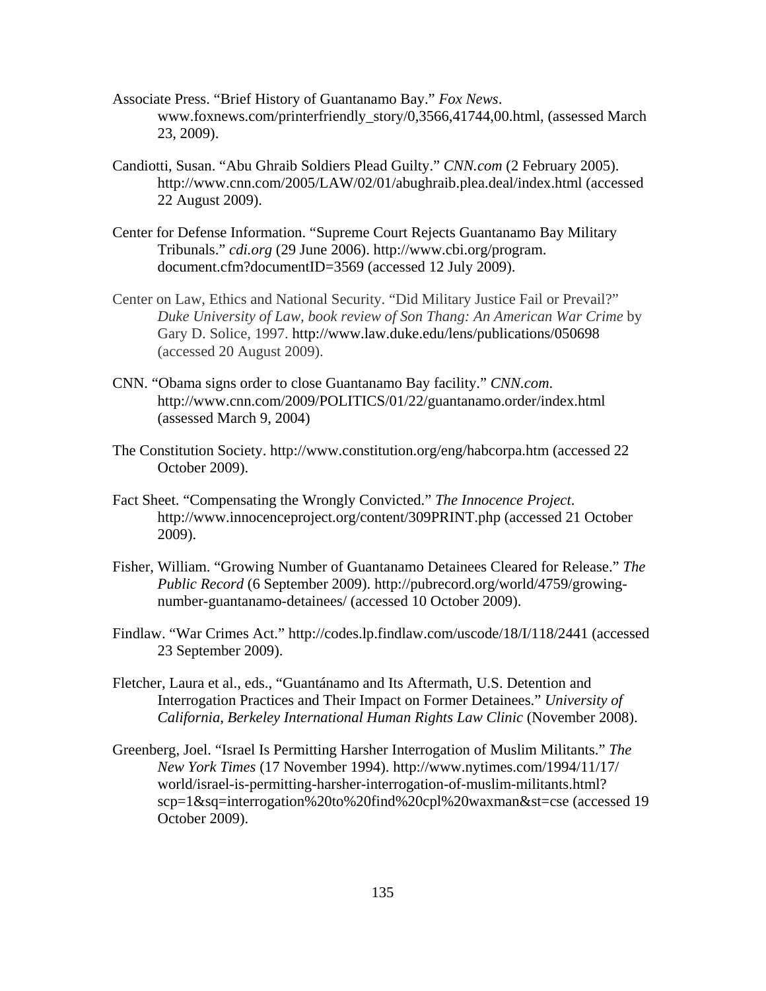- Associate Press. "Brief History of Guantanamo Bay." *Fox News*. www.foxnews.com/printerfriendly\_story/0,3566,41744,00.html, (assessed March 23, 2009).
- Candiotti, Susan. "Abu Ghraib Soldiers Plead Guilty." *CNN.com* (2 February 2005). <http://www.cnn.com/2005/LAW/02/01/abughraib.plea.deal/index.html>(accessed 22 August 2009).
- Center for Defense Information. "Supreme Court Rejects Guantanamo Bay Military Tribunals." *cdi.org* (29 June 2006). http://www.cbi.org/program. document.cfm?documentID=3569 (accessed 12 July 2009).
- Center on Law, Ethics and National Security. "Did Military Justice Fail or Prevail?" *Duke University of Law, book review of Son Thang: An American War Crime* by Gary D. Solice, 1997. http://www.law.duke.edu/lens/publications/050698 (accessed 20 August 2009).
- CNN. "Obama signs order to close Guantanamo Bay facility." *CNN.com*. http://www.cnn.com/2009/POLITICS/01/22/guantanamo.order/index.html (assessed March 9, 2004)
- The Constitution Society. http://www.constitution.org/eng/habcorpa.htm (accessed 22 October 2009).
- Fact Sheet. "Compensating the Wrongly Convicted." *The Innocence Project*. http://www.innocenceproject.org/content/309PRINT.php (accessed 21 October 2009).
- Fisher, William. "Growing Number of Guantanamo Detainees Cleared for Release." *The Public Record* (6 September 2009). http://pubrecord.org/world/4759/growingnumber-guantanamo-detainees/ (accessed 10 October 2009).
- Findlaw. "War Crimes Act." http://codes.lp.findlaw.com/uscode/18/I/118/2441 (accessed 23 September 2009).
- Fletcher, Laura et al., eds., "Guantánamo and Its Aftermath, U.S. Detention and Interrogation Practices and Their Impact on Former Detainees." *University of California, Berkeley International Human Rights Law Clinic* (November 2008).
- Greenberg, Joel. "Israel Is Permitting Harsher Interrogation of Muslim Militants." *The New York Times* (17 November 1994). http://www.nytimes.com/1994/11/17/ world/israel-is-permitting-harsher-interrogation-of-muslim-militants.html? scp=1&sq=interrogation%20to%20find%20cpl%20waxman&st=cse (accessed 19 October 2009).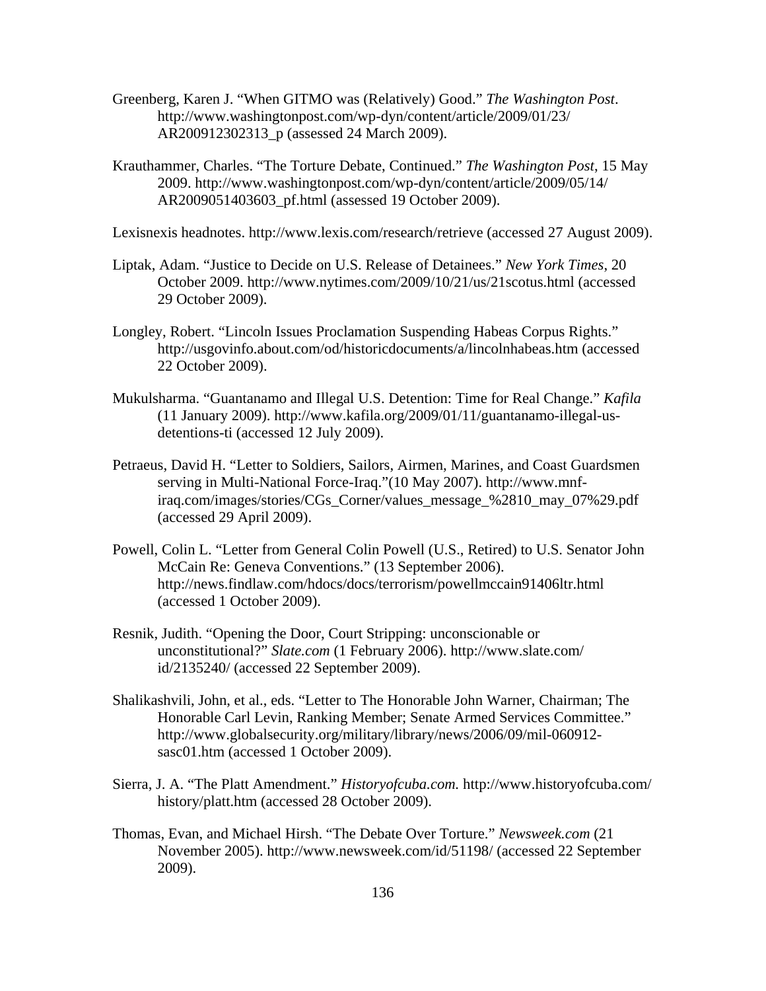- Greenberg, Karen J. "When GITMO was (Relatively) Good." *The Washington Post*. http://www.washingtonpost.com/wp-dyn/content/article/2009/01/23/ AR200912302313\_p (assessed 24 March 2009).
- Krauthammer, Charles. "The Torture Debate, Continued." *The Washington Post*, 15 May 2009. http://www.washingtonpost.com/wp-dyn/content/article/2009/05/14/ AR2009051403603\_pf.html (assessed 19 October 2009).

Lexisnexis headnotes. http://www.lexis.com/research/retrieve (accessed 27 August 2009).

- Liptak, Adam. "Justice to Decide on U.S. Release of Detainees." *New York Times*, 20 October 2009. http://www.nytimes.com/2009/10/21/us/21scotus.html (accessed 29 October 2009).
- [Longley,](http://usgovinfo.about.com/bio/Robert-Longley-2430.htm) Robert. "Lincoln Issues Proclamation Suspending Habeas Corpus Rights." <http://usgovinfo.about.com/od/historicdocuments/a/lincolnhabeas.htm> (accessed 22 October 2009).
- Mukulsharma. "Guantanamo and Illegal U.S. Detention: Time for Real Change." *Kafila* (11 January 2009). http://www.kafila.org/2009/01/11/guantanamo-illegal-usdetentions-ti (accessed 12 July 2009).
- Petraeus, David H. "Letter to Soldiers, Sailors, Airmen, Marines, and Coast Guardsmen serving in Multi-National Force-Iraq."(10 May 2007). http://www.mnfiraq.com/images/stories/CGs\_Corner/values\_message\_%2810\_may\_07%29.pdf (accessed 29 April 2009).
- Powell, Colin L. "Letter from General Colin Powell (U.S., Retired) to U.S. Senator John McCain Re: Geneva Conventions." (13 September 2006). http://news.findlaw.com/hdocs/docs/terrorism/powellmccain91406ltr.html (accessed 1 October 2009).
- Resnik, Judith. "Opening the Door, Court Stripping: unconscionable or unconstitutional?" *Slate.com* (1 February 2006). http://www.slate.com/ id/2135240/ (accessed 22 September 2009).
- Shalikashvili, John, et al., eds. "Letter to The Honorable John Warner, Chairman; The Honorable Carl Levin, Ranking Member; Senate Armed Services Committee." http://www.globalsecurity.org/military/library/news/2006/09/mil-060912 sasc01.htm (accessed 1 October 2009).
- Sierra, J. A. "The Platt Amendment." *Historyofcuba.com.* http://www.historyofcuba.com/ history/platt.htm (accessed 28 October 2009).
- Thomas, Evan, and Michael Hirsh. "The Debate Over Torture." *Newsweek.com* (21 November 2005). http://www.newsweek.com/id/51198/ (accessed 22 September 2009).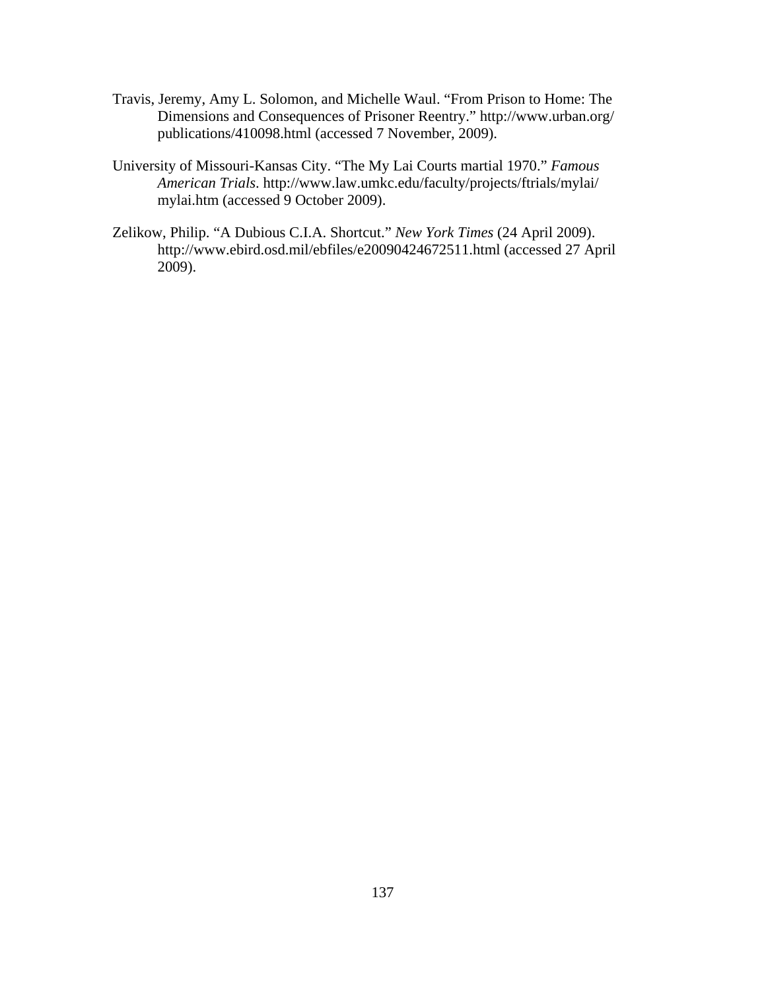- Travis, Jeremy, Amy L. Solomon, and Michelle Waul. "From Prison to Home: The Dimensions and Consequences of Prisoner Reentry." http://www.urban.org/ publications/410098.html (accessed 7 November, 2009).
- University of Missouri-Kansas City. "The My Lai Courts martial 1970." *Famous American Trials*. http://www.law.umkc.edu/faculty/projects/ftrials/mylai/ mylai.htm (accessed 9 October 2009).
- Zelikow, Philip. "A Dubious C.I.A. Shortcut." *New York Times* (24 April 2009). http://www.ebird.osd.mil/ebfiles/e20090424672511.html (accessed 27 April 2009).